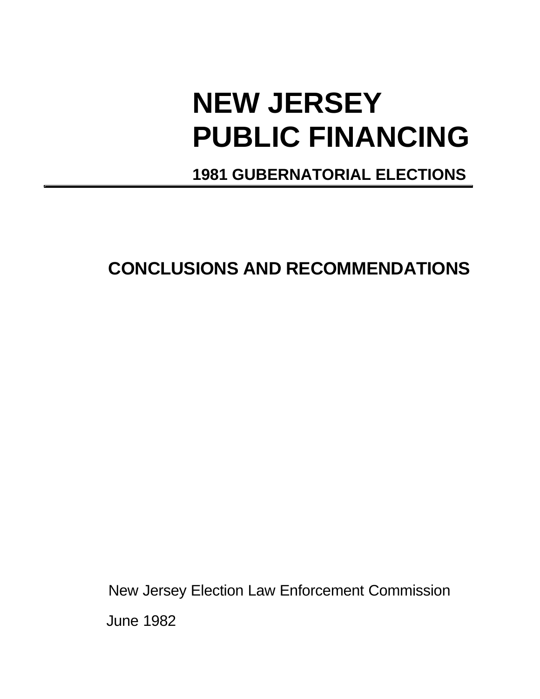# **NEW JERSEY PUBLIC FINANCING**

# **1981 GUBERNATORIAL ELECTIONS**

# **CONCLUSIONS AND RECOMMENDATIONS**

New Jersey Election Law Enforcement Commission June 1982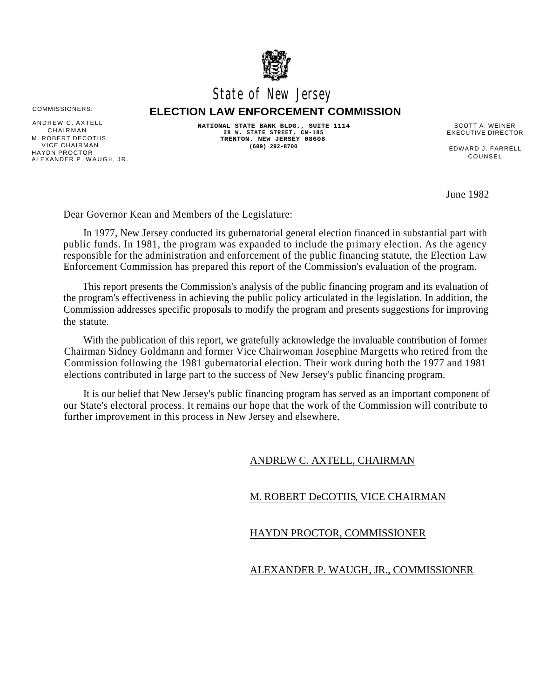

## State of New Jersey

COMMISSIONERS: **ELECTION LAW ENFORCEMENT COMMISSION**

M. ROBERT DECOTIIS<br>VICE CHAIRMAN VICE CHAIRMAN EDWARD J. FARRELL HAYDN PROCTOR COUNSEL ALEXANDER P. WAUGH, JR.

ANDREW C. AXTELL **ANDREW C. AXTELL NATIONAL STATE BANK BLDG., SUITE 1114** SCOTT A. WEINER<br>CHAIRMAN 28 W. STATE STREET, CN-185 EXECUTIVE DIRECTOR **28 W. STATE STREET, CN-185** CHAIRMAN EXECUTIVE DIRECTOR **TRENTON. NEW JERSEY 08608 (609) 292-8700**

June 1982

Dear Governor Kean and Members of the Legislature:

In 1977, New Jersey conducted its gubernatorial general election financed in substantial part with public funds. In 1981, the program was expanded to include the primary election. As the agency responsible for the administration and enforcement of the public financing statute, the Election Law Enforcement Commission has prepared this report of the Commission's evaluation of the program.

This report presents the Commission's analysis of the public financing program and its evaluation of the program's effectiveness in achieving the public policy articulated in the legislation. In addition, the Commission addresses specific proposals to modify the program and presents suggestions for improving the statute.

With the publication of this report, we gratefully acknowledge the invaluable contribution of former Chairman Sidney Goldmann and former Vice Chairwoman Josephine Margetts who retired from the Commission following the 1981 gubernatorial election. Their work during both the 1977 and 1981 elections contributed in large part to the success of New Jersey's public financing program.

It is our belief that New Jersey's public financing program has served as an important component of our State's electoral process. It remains our hope that the work of the Commission will contribute to further improvement in this process in New Jersey and elsewhere.

#### ANDREW C. AXTELL, CHAIRMAN

#### M. ROBERT DeCOTIIS, VICE CHAIRMAN

#### HAYDN PROCTOR, COMMISSIONER

#### ALEXANDER P. WAUGH, JR., COMMISSIONER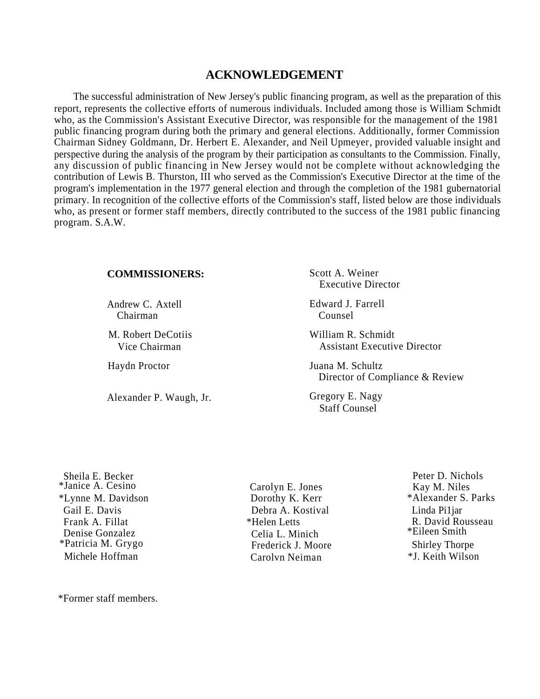### **ACKNOWLEDGEMENT**

The successful administration of New Jersey's public financing program, as well as the preparation of this report, represents the collective efforts of numerous individuals. Included among those is William Schmidt who, as the Commission's Assistant Executive Director, was responsible for the management of the 1981 public financing program during both the primary and general elections. Additionally, former Commission Chairman Sidney Goldmann, Dr. Herbert E. Alexander, and Neil Upmeyer, provided valuable insight and perspective during the analysis of the program by their participation as consultants to the Commission. Finally, any discussion of public financing in New Jersey would not be complete without acknowledging the contribution of Lewis B. Thurston, III who served as the Commission's Executive Director at the time of the program's implementation in the 1977 general election and through the completion of the 1981 gubernatorial primary. In recognition of the collective efforts of the Commission's staff, listed below are those individuals who, as present or former staff members, directly contributed to the success of the 1981 public financing program. S.A.W.

#### **COMMISSIONERS:**

Chairman Counsel

M. Robert DeCotiis Vice Chairman

Alexander P. Waugh, Jr.

Scott A. Weiner Executive Director

Andrew C. Axtell Edward J. Farrell

William R. Schmidt Assistant Executive Director

Haydn Proctor Juana M. Schultz Director of Compliance & Review

> Gregory E. Nagy Staff Counsel

\*Janice A. Cesino Carolyn E. Jones Kay M. Niles \*Lynne M. Davidson Dorothy K. Kerr \*Alexander S. Parks Denise Gonzalez Celia L. Minich \*Patricia M. Grygo Frederick J. Moore Shirley Thorpe

\*Former staff members.

Gail E. Davis Debra A. Kostival Linda Pi1jar Frank A. Fillat \*Helen Letts R. David Rousseau Michele Hoffman Carolvn Neiman \*J. Keith Wilson

Sheila E. Becker Peter D. Nichols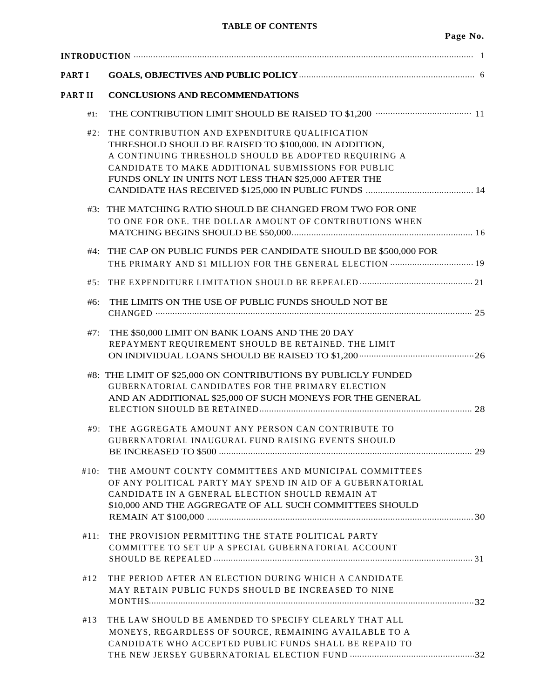| PART I  |                                                                                                                                                                                                                                                                                |  |  |  |  |
|---------|--------------------------------------------------------------------------------------------------------------------------------------------------------------------------------------------------------------------------------------------------------------------------------|--|--|--|--|
| PART II | <b>CONCLUSIONS AND RECOMMENDATIONS</b>                                                                                                                                                                                                                                         |  |  |  |  |
| $#1$ :  |                                                                                                                                                                                                                                                                                |  |  |  |  |
| #2:     | THE CONTRIBUTION AND EXPENDITURE QUALIFICATION<br>THRESHOLD SHOULD BE RAISED TO \$100,000. IN ADDITION,<br>A CONTINUING THRESHOLD SHOULD BE ADOPTED REQUIRING A<br>CANDIDATE TO MAKE ADDITIONAL SUBMISSIONS FOR PUBLIC<br>FUNDS ONLY IN UNITS NOT LESS THAN \$25,000 AFTER THE |  |  |  |  |
|         | #3: THE MATCHING RATIO SHOULD BE CHANGED FROM TWO FOR ONE<br>TO ONE FOR ONE. THE DOLLAR AMOUNT OF CONTRIBUTIONS WHEN                                                                                                                                                           |  |  |  |  |
|         | #4: THE CAP ON PUBLIC FUNDS PER CANDIDATE SHOULD BE \$500,000 FOR<br>THE PRIMARY AND \$1 MILLION FOR THE GENERAL ELECTION  19                                                                                                                                                  |  |  |  |  |
| #5:     |                                                                                                                                                                                                                                                                                |  |  |  |  |
| #6:     | THE LIMITS ON THE USE OF PUBLIC FUNDS SHOULD NOT BE                                                                                                                                                                                                                            |  |  |  |  |
| #7:     | THE \$50,000 LIMIT ON BANK LOANS AND THE 20 DAY<br>REPAYMENT REQUIREMENT SHOULD BE RETAINED. THE LIMIT                                                                                                                                                                         |  |  |  |  |
|         | #8: THE LIMIT OF \$25,000 ON CONTRIBUTIONS BY PUBLICLY FUNDED<br><b>GUBERNATORIAL CANDIDATES FOR THE PRIMARY ELECTION</b><br>AND AN ADDITIONAL \$25,000 OF SUCH MONEYS FOR THE GENERAL                                                                                         |  |  |  |  |
| #9:     | THE AGGREGATE AMOUNT ANY PERSON CAN CONTRIBUTE TO<br><b>GUBERNATORIAL INAUGURAL FUND RAISING EVENTS SHOULD</b>                                                                                                                                                                 |  |  |  |  |
| #10:    | THE AMOUNT COUNTY COMMITTEES AND MUNICIPAL COMMITTEES<br>OF ANY POLITICAL PARTY MAY SPEND IN AID OF A GUBERNATORIAL<br>CANDIDATE IN A GENERAL ELECTION SHOULD REMAIN AT<br>\$10,000 AND THE AGGREGATE OF ALL SUCH COMMITTEES SHOULD                                            |  |  |  |  |
| #11:    | THE PROVISION PERMITTING THE STATE POLITICAL PARTY<br>COMMITTEE TO SET UP A SPECIAL GUBERNATORIAL ACCOUNT                                                                                                                                                                      |  |  |  |  |
| #12     | THE PERIOD AFTER AN ELECTION DURING WHICH A CANDIDATE<br>MAY RETAIN PUBLIC FUNDS SHOULD BE INCREASED TO NINE                                                                                                                                                                   |  |  |  |  |
| #13     | THE LAW SHOULD BE AMENDED TO SPECIFY CLEARLY THAT ALL<br>MONEYS, REGARDLESS OF SOURCE, REMAINING AVAILABLE TO A<br>CANDIDATE WHO ACCEPTED PUBLIC FUNDS SHALL BE REPAID TO                                                                                                      |  |  |  |  |
|         |                                                                                                                                                                                                                                                                                |  |  |  |  |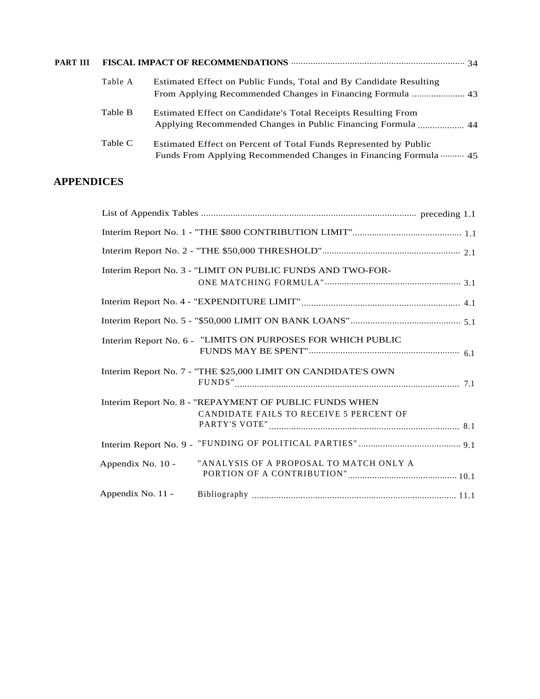| <b>PART III</b> |         |                                                                                                                                      |  |  |
|-----------------|---------|--------------------------------------------------------------------------------------------------------------------------------------|--|--|
|                 | Table A | Estimated Effect on Public Funds, Total and By Candidate Resulting<br>From Applying Recommended Changes in Financing Formula  43     |  |  |
|                 | Table B | <b>Estimated Effect on Candidate's Total Receipts Resulting From</b>                                                                 |  |  |
|                 | Table C | Estimated Effect on Percent of Total Funds Represented by Public<br>Funds From Applying Recommended Changes in Financing Formula  45 |  |  |

## **APPENDICES**

|                   | Interim Report No. 3 - "LIMIT ON PUBLIC FUNDS AND TWO-FOR-    |  |
|-------------------|---------------------------------------------------------------|--|
|                   |                                                               |  |
|                   |                                                               |  |
|                   | Interim Report No. 6 - "LIMITS ON PURPOSES FOR WHICH PUBLIC   |  |
|                   | Interim Report No. 7 - "THE \$25,000 LIMIT ON CANDIDATE'S OWN |  |
|                   | Interim Report No. 8 - "REPAYMENT OF PUBLIC FUNDS WHEN        |  |
|                   | CANDIDATE FAILS TO RECEIVE 5 PERCENT OF                       |  |
|                   |                                                               |  |
| Appendix No. 10 - | "ANALYSIS OF A PROPOSAL TO MATCH ONLY A                       |  |
| Appendix No. 11 - |                                                               |  |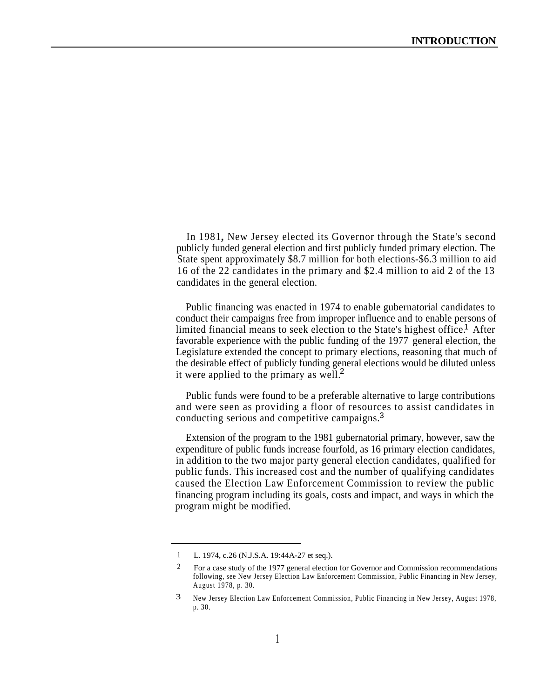In 1981, New Jersey elected its Governor through the State's second publicly funded general election and first publicly funded primary election. The State spent approximately \$8.7 million for both elections-\$6.3 million to aid 16 of the 22 candidates in the primary and \$2.4 million to aid 2 of the 13 candidates in the general election.

Public financing was enacted in 1974 to enable gubernatorial candidates to conduct their campaigns free from improper influence and to enable persons of limited financial means to seek election to the State's highest office.<sup>1</sup> After favorable experience with the public funding of the 1977 general election, the Legislature extended the concept to primary elections, reasoning that much of the desirable effect of publicly funding general elections would be diluted unless it were applied to the primary as well.<sup>2</sup>

Public funds were found to be a preferable alternative to large contributions and were seen as providing a floor of resources to assist candidates in conducting serious and competitive campaigns.<sup>3</sup>

Extension of the program to the 1981 gubernatorial primary, however, saw the expenditure of public funds increase fourfold, as 16 primary election candidates, in addition to the two major party general election candidates, qualified for public funds. This increased cost and the number of qualifying candidates caused the Election Law Enforcement Commission to review the public financing program including its goals, costs and impact, and ways in which the program might be modified.

<sup>1</sup> L. 1974, c.26 (N.J.S.A. 19:44A-27 et seq.).

<sup>2</sup> For a case study of the 1977 general election for Governor and Commission recommendations following, see New Jersey Election Law Enforcement Commission, Public Financing in New Jersey, August 1978, p. 30.

<sup>3</sup> New Jersey Election Law Enforcement Commission, Public Financing in New Jersey, August 1978, p. 30.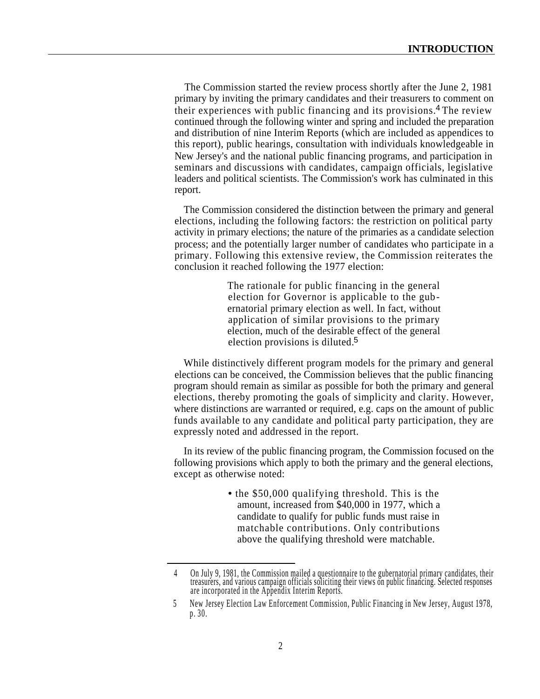The Commission started the review process shortly after the June 2, 1981 primary by inviting the primary candidates and their treasurers to comment on their experiences with public financing and its provisions.<sup>4</sup> The review continued through the following winter and spring and included the preparation and distribution of nine Interim Reports (which are included as appendices to this report), public hearings, consultation with individuals knowledgeable in New Jersey's and the national public financing programs, and participation in seminars and discussions with candidates, campaign officials, legislative leaders and political scientists. The Commission's work has culminated in this report.

The Commission considered the distinction between the primary and general elections, including the following factors: the restriction on political party activity in primary elections; the nature of the primaries as a candidate selection process; and the potentially larger number of candidates who participate in a primary. Following this extensive review, the Commission reiterates the conclusion it reached following the 1977 election:

> The rationale for public financing in the general election for Governor is applicable to the gubernatorial primary election as well. In fact, without application of similar provisions to the primary election, much of the desirable effect of the general election provisions is diluted.<sup>5</sup>

While distinctively different program models for the primary and general elections can be conceived, the Commission believes that the public financing program should remain as similar as possible for both the primary and general elections, thereby promoting the goals of simplicity and clarity. However, where distinctions are warranted or required, e.g. caps on the amount of public funds available to any candidate and political party participation, they are expressly noted and addressed in the report.

In its review of the public financing program, the Commission focused on the following provisions which apply to both the primary and the general elections, except as otherwise noted:

> **•** the \$50,000 qualifying threshold. This is the amount, increased from \$40,000 in 1977, which a candidate to qualify for public funds must raise in matchable contributions. Only contributions above the qualifying threshold were matchable.

<sup>4</sup> On July 9, 1981, the Commission mailed a questionnaire to the gubernatorial primary candidates, their treasurers, and various campaign officials soliciting their views on public financing. Selected responses are incorporated in the Appendix Interim Reports.

<sup>5</sup> New Jersey Election Law Enforcement Commission, Public Financing in New Jersey, August 1978, p. 30.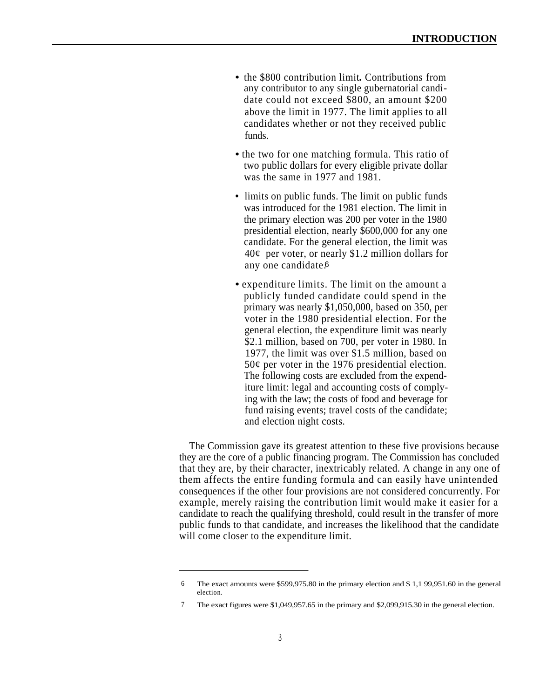- the \$800 contribution limit**.** Contributions from any contributor to any single gubernatorial candidate could not exceed \$800, an amount \$200 above the limit in 1977. The limit applies to all candidates whether or not they received public funds.
- the two for one matching formula. This ratio of two public dollars for every eligible private dollar was the same in 1977 and 1981.
- limits on public funds. The limit on public funds was introduced for the 1981 election. The limit in the primary election was 200 per voter in the 1980 presidential election, nearly \$600,000 for any one candidate. For the general election, the limit was  $40¢$  per voter, or nearly \$1.2 million dollars for any one candidate. 6
- expenditure limits. The limit on the amount a publicly funded candidate could spend in the primary was nearly \$1,050,000, based on 350, per voter in the 1980 presidential election. For the general election, the expenditure limit was nearly \$2.1 million, based on 700, per voter in 1980. In 1977, the limit was over \$1.5 million, based on  $50¢$  per voter in the 1976 presidential election. The following costs are excluded from the expenditure limit: legal and accounting costs of complying with the law; the costs of food and beverage for fund raising events; travel costs of the candidate; and election night costs.

The Commission gave its greatest attention to these five provisions because they are the core of a public financing program. The Commission has concluded that they are, by their character, inextricably related. A change in any one of them affects the entire funding formula and can easily have unintended consequences if the other four provisions are not considered concurrently. For example, merely raising the contribution limit would make it easier for a candidate to reach the qualifying threshold, could result in the transfer of more public funds to that candidate, and increases the likelihood that the candidate will come closer to the expenditure limit.

<sup>6</sup> The exact amounts were \$599,975.80 in the primary election and \$ 1,1 99,951.60 in the general election.

<sup>7</sup> The exact figures were \$1,049,957.65 in the primary and \$2,099,915.30 in the general election.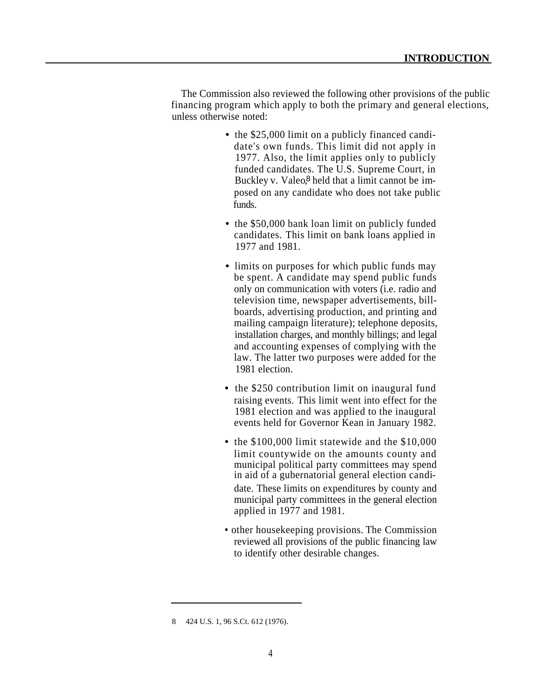The Commission also reviewed the following other provisions of the public financing program which apply to both the primary and general elections, unless otherwise noted:

- the \$25,000 limit on a publicly financed candidate's own funds. This limit did not apply in 1977. Also, the limit applies only to publicly funded candidates. The U.S. Supreme Court, in Buckley v. Valeo,<sup>8</sup> held that a limit cannot be imposed on any candidate who does not take public funds.
- the \$50,000 bank loan limit on publicly funded candidates. This limit on bank loans applied in 1977 and 1981.
- limits on purposes for which public funds may be spent. A candidate may spend public funds only on communication with voters (i.e. radio and television time, newspaper advertisements, billboards, advertising production, and printing and mailing campaign literature); telephone deposits, installation charges, and monthly billings; and legal and accounting expenses of complying with the law. The latter two purposes were added for the 1981 election.
- the \$250 contribution limit on inaugural fund raising events. This limit went into effect for the 1981 election and was applied to the inaugural events held for Governor Kean in January 1982.
- the \$100,000 limit statewide and the \$10,000 limit countywide on the amounts county and municipal political party committees may spend in aid of a gubernatorial general election candidate. These limits on expenditures by county and municipal party committees in the general election applied in 1977 and 1981.
- other housekeeping provisions. The Commission reviewed all provisions of the public financing law to identify other desirable changes.

<sup>8 424</sup> U.S. 1, 96 S.Ct. 612 (1976).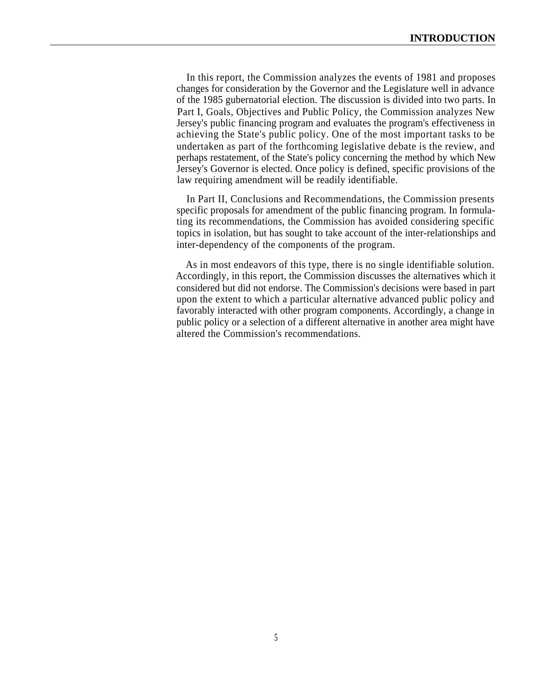In this report, the Commission analyzes the events of 1981 and proposes changes for consideration by the Governor and the Legislature well in advance of the 1985 gubernatorial election. The discussion is divided into two parts. In Part I, Goals, Objectives and Public Policy, the Commission analyzes New Jersey's public financing program and evaluates the program's effectiveness in achieving the State's public policy. One of the most important tasks to be undertaken as part of the forthcoming legislative debate is the review, and perhaps restatement, of the State's policy concerning the method by which New Jersey's Governor is elected. Once policy is defined, specific provisions of the law requiring amendment will be readily identifiable.

In Part II, Conclusions and Recommendations, the Commission presents specific proposals for amendment of the public financing program. In formulating its recommendations, the Commission has avoided considering specific topics in isolation, but has sought to take account of the inter-relationships and inter-dependency of the components of the program.

As in most endeavors of this type, there is no single identifiable solution. Accordingly, in this report, the Commission discusses the alternatives which it considered but did not endorse. The Commission's decisions were based in part upon the extent to which a particular alternative advanced public policy and favorably interacted with other program components. Accordingly, a change in public policy or a selection of a different alternative in another area might have altered the Commission's recommendations.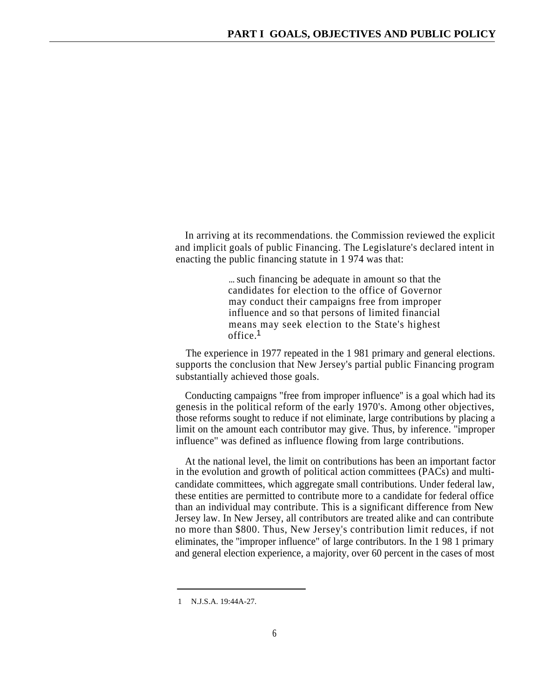In arriving at its recommendations. the Commission reviewed the explicit and implicit goals of public Financing. The Legislature's declared intent in enacting the public financing statute in 1 974 was that:

> ... such financing be adequate in amount so that the candidates for election to the office of Governor may conduct their campaigns free from improper influence and so that persons of limited financial means may seek election to the State's highest office. 1

The experience in 1977 repeated in the 1 981 primary and general elections. supports the conclusion that New Jersey's partial public Financing program substantially achieved those goals.

Conducting campaigns "free from improper influence'' is a goal which had its genesis in the political reform of the early 1970's. Among other objectives, those reforms sought to reduce if not eliminate, large contributions by placing a limit on the amount each contributor may give. Thus, by inference. ''improper influence'' was defined as influence flowing from large contributions.

At the national level, the limit on contributions has been an important factor in the evolution and growth of political action committees (PACs) and multicandidate committees, which aggregate small contributions. Under federal law, these entities are permitted to contribute more to a candidate for federal office than an individual may contribute. This is a significant difference from New Jersey law. In New Jersey, all contributors are treated alike and can contribute no more than \$800. Thus, New Jersey's contribution limit reduces, if not . eliminates, the ''improper influence" of large contributors. In the 1 98 1 primary and general election experience, a majority, over 60 percent in the cases of most

<sup>1</sup> N.J.S.A. 19:44A-27.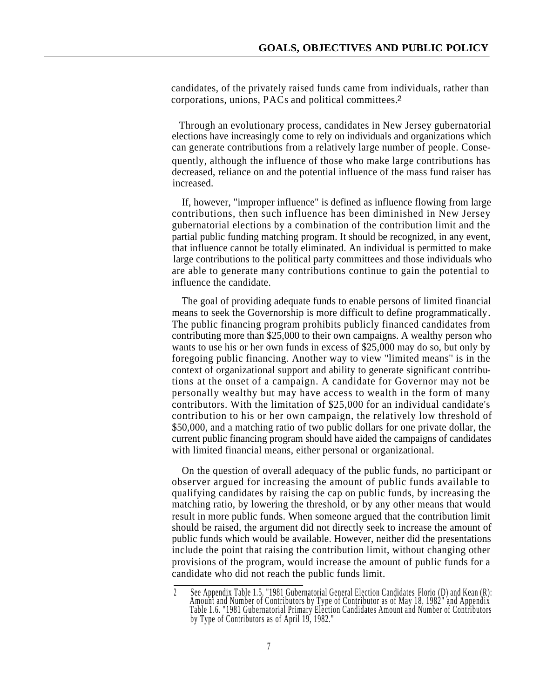candidates, of the privately raised funds came from individuals, rather than corporations, unions, PACs and political committees. 2

Through an evolutionary process, candidates in New Jersey gubernatorial elections have increasingly come to rely on individuals and organizations which can generate contributions from a relatively large number of people. Consequently, although the influence of those who make large contributions has decreased, reliance on and the potential influence of the mass fund raiser has increased.

If, however, "improper influence" is defined as influence flowing from large contributions, then such influence has been diminished in New Jersey gubernatorial elections by a combination of the contribution limit and the partial public funding matching program. It should be recognized, in any event, that influence cannot be totally eliminated. An individual is permitted to make large contributions to the political party committees and those individuals who are able to generate many contributions continue to gain the potential to influence the candidate.

The goal of providing adequate funds to enable persons of limited financial means to seek the Governorship is more difficult to define programmatically. The public financing program prohibits publicly financed candidates from contributing more than \$25,000 to their own campaigns. A wealthy person who wants to use his or her own funds in excess of \$25,000 may do so, but only by foregoing public financing. Another way to view ''limited means'' is in the context of organizational support and ability to generate significant contributions at the onset of a campaign. A candidate for Governor may not be personally wealthy but may have access to wealth in the form of many contributors. With the limitation of \$25,000 for an individual candidate's contribution to his or her own campaign, the relatively low threshold of \$50,000, and a matching ratio of two public dollars for one private dollar, the current public financing program should have aided the campaigns of candidates with limited financial means, either personal or organizational.

On the question of overall adequacy of the public funds, no participant or observer argued for increasing the amount of public funds available to qualifying candidates by raising the cap on public funds, by increasing the matching ratio, by lowering the threshold, or by any other means that would result in more public funds. When someone argued that the contribution limit should be raised, the argument did not directly seek to increase the amount of public funds which would be available. However, neither did the presentations include the point that raising the contribution limit, without changing other provisions of the program, would increase the amount of public funds for a candidate who did not reach the public funds limit.

<sup>2</sup> See Appendix Table 1.5. "1981 Gubernatorial General Election Candidates Florio (D) and Kean (R): Amount and Number of Contributors by Type of Contributor as of May 18, 1982" and Appendix Table 1.6. "1981 Gubernatorial Primary Election Candidates Amount and Number of Contributors by Type of Contributors as of April 19, 1982."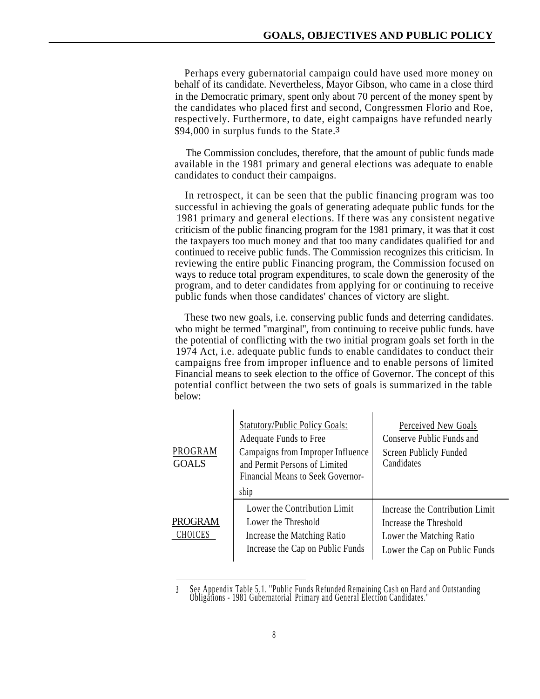Perhaps every gubernatorial campaign could have used more money on behalf of its candidate. Nevertheless, Mayor Gibson, who came in a close third in the Democratic primary, spent only about 70 percent of the money spent by the candidates who placed first and second, Congressmen Florio and Roe, respectively. Furthermore, to date, eight campaigns have refunded nearly \$94,000 in surplus funds to the State.<sup>3</sup>

The Commission concludes, therefore, that the amount of public funds made available in the 1981 primary and general elections was adequate to enable candidates to conduct their campaigns.

In retrospect, it can be seen that the public financing program was too successful in achieving the goals of generating adequate public funds for the 1981 primary and general elections. If there was any consistent negative criticism of the public financing program for the 1981 primary, it was that it cost the taxpayers too much money and that too many candidates qualified for and continued to receive public funds. The Commission recognizes this criticism. In reviewing the entire public Financing program, the Commission focused on ways to reduce total program expenditures, to scale down the generosity of the program, and to deter candidates from applying for or continuing to receive public funds when those candidates' chances of victory are slight.

These two new goals, i.e. conserving public funds and deterring candidates. who might be termed "marginal", from continuing to receive public funds. have the potential of conflicting with the two initial program goals set forth in the 1974 Act, i.e. adequate public funds to enable candidates to conduct their campaigns free from improper influence and to enable persons of limited Financial means to seek election to the office of Governor. The concept of this potential conflict between the two sets of goals is summarized in the table below:

| PROGRAM<br><b>GOALS</b>   | <b>Statutory/Public Policy Goals:</b><br>Adequate Funds to Free<br>Campaigns from Improper Influence<br>and Permit Persons of Limited<br><b>Financial Means to Seek Governor-</b><br>ship | Perceived New Goals<br>Conserve Public Funds and<br>Screen Publicly Funded<br>Candidates                               |
|---------------------------|-------------------------------------------------------------------------------------------------------------------------------------------------------------------------------------------|------------------------------------------------------------------------------------------------------------------------|
| <b>PROGRAM</b><br>CHOICES | Lower the Contribution Limit<br>Lower the Threshold<br>Increase the Matching Ratio<br>Increase the Cap on Public Funds                                                                    | Increase the Contribution Limit<br>Increase the Threshold<br>Lower the Matching Ratio<br>Lower the Cap on Public Funds |

<sup>3</sup> See Appendix Table 5.1. ''Public Funds Refunded Remaining Cash on Hand and Outstanding Obligations - 1981 Gubernatorial Primary and General Election Candidates."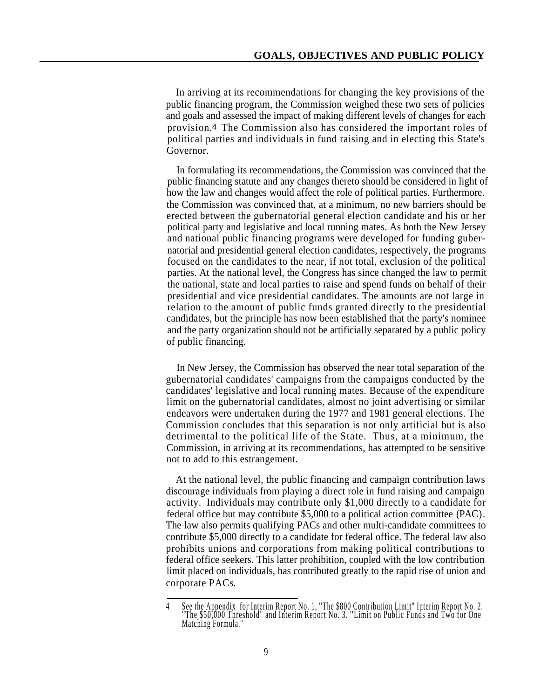In arriving at its recommendations for changing the key provisions of the public financing program, the Commission weighed these two sets of policies and goals and assessed the impact of making different levels of changes for each provision.4 The Commission also has considered the important roles of political parties and individuals in fund raising and in electing this State's Governor.

In formulating its recommendations, the Commission was convinced that the public financing statute and any changes thereto should be considered in light of how the law and changes would affect the role of political parties. Furthermore. the Commission was convinced that, at a minimum, no new barriers should be erected between the gubernatorial general election candidate and his or her political party and legislative and local running mates. As both the New Jersey and national public financing programs were developed for funding gubernatorial and presidential general election candidates, respectively, the programs focused on the candidates to the near, if not total, exclusion of the political parties. At the national level, the Congress has since changed the law to permit the national, state and local parties to raise and spend funds on behalf of their presidential and vice presidential candidates. The amounts are not large in relation to the amount of public funds granted directly to the presidential candidates, but the principle has now been established that the party's nominee and the party organization should not be artificially separated by a public policy of public financing.

In New Jersey, the Commission has observed the near total separation of the gubernatorial candidates' campaigns from the campaigns conducted by the candidates' legislative and local running mates. Because of the expenditure limit on the gubernatorial candidates, almost no joint advertising or similar endeavors were undertaken during the 1977 and 1981 general elections. The Commission concludes that this separation is not only artificial but is also detrimental to the political life of the State. Thus, at a minimum, the Commission, in arriving at its recommendations, has attempted to be sensitive not to add to this estrangement.

At the national level, the public financing and campaign contribution laws discourage individuals from playing a direct role in fund raising and campaign activity. Individuals may contribute only \$1,000 directly to a candidate for federal office but may contribute \$5,000 to a political action committee (PAC). The law also permits qualifying PACs and other multi-candidate committees to contribute \$5,000 directly to a candidate for federal office. The federal law also prohibits unions and corporations from making political contributions to federal office seekers. This latter prohibition, coupled with the low contribution limit placed on individuals, has contributed greatly to the rapid rise of union and corporate PACs.

<sup>4</sup> See the Appendix for Interim Report No. 1, ''The \$800 Contribution Limit" Interim Report No. 2. ''The \$50,000 Threshold" and Interim Report No. 3. ''Limit on Public Funds and Two for One Matching Formula.''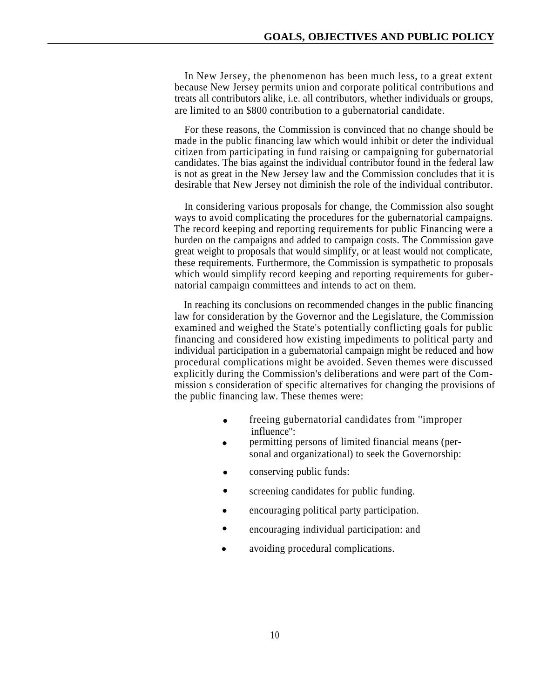In New Jersey, the phenomenon has been much less, to a great extent because New Jersey permits union and corporate political contributions and treats all contributors alike, i.e. all contributors, whether individuals or groups, are limited to an \$800 contribution to a gubernatorial candidate.

For these reasons, the Commission is convinced that no change should be made in the public financing law which would inhibit or deter the individual citizen from participating in fund raising or campaigning for gubernatorial candidates. The bias against the individual contributor found in the federal law is not as great in the New Jersey law and the Commission concludes that it is desirable that New Jersey not diminish the role of the individual contributor.

In considering various proposals for change, the Commission also sought ways to avoid complicating the procedures for the gubernatorial campaigns. The record keeping and reporting requirements for public Financing were a burden on the campaigns and added to campaign costs. The Commission gave great weight to proposals that would simplify, or at least would not complicate, these requirements. Furthermore, the Commission is sympathetic to proposals which would simplify record keeping and reporting requirements for gubernatorial campaign committees and intends to act on them.

In reaching its conclusions on recommended changes in the public financing law for consideration by the Governor and the Legislature, the Commission examined and weighed the State's potentially conflicting goals for public financing and considered how existing impediments to political party and individual participation in a gubernatorial campaign might be reduced and how procedural complications might be avoided. Seven themes were discussed explicitly during the Commission's deliberations and were part of the Commission s consideration of specific alternatives for changing the provisions of the public financing law. These themes were:

- freeing gubernatorial candidates from ''improper influence'': •
- permitting persons of limited financial means (personal and organizational) to seek the Governorship: •
- conserving public funds: •
- screening candidates for public funding. •
- encouraging political party participation. •
- encouraging individual participation: and •
- avoiding procedural complications. •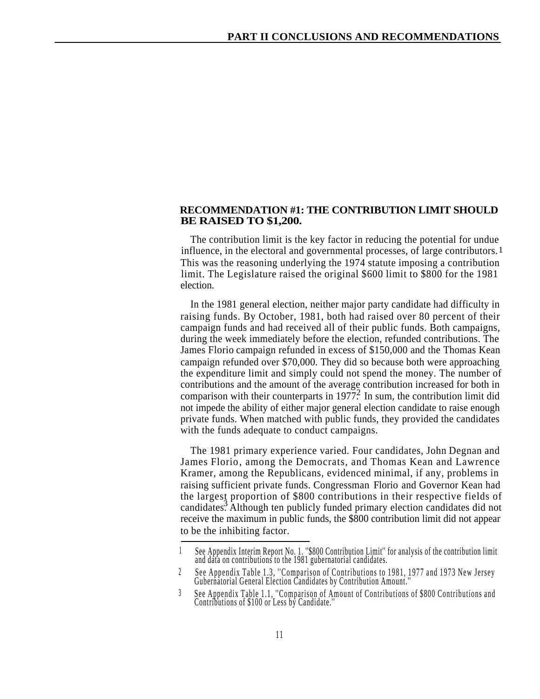#### **RECOMMENDATION #1: THE CONTRIBUTION LIMIT SHOULD BE RAISED TO \$1,200.**

The contribution limit is the key factor in reducing the potential for undue influence, in the electoral and governmental processes, of large contributors. 1This was the reasoning underlying the 1974 statute imposing a contribution limit. The Legislature raised the original \$600 limit to \$800 for the 1981 election.

In the 1981 general election, neither major party candidate had difficulty in raising funds. By October, 1981, both had raised over 80 percent of their campaign funds and had received all of their public funds. Both campaigns, during the week immediately before the election, refunded contributions. The James Florio campaign refunded in excess of \$150,000 and the Thomas Kean campaign refunded over \$70,000. They did so because both were approaching the expenditure limit and simply could not spend the money. The number of contributions and the amount of the average contribution increased for both in comparison with their counterparts in 1977. In sum, the contribution limit did not impede the ability of either major general election candidate to raise enough private funds. When matched with public funds, they provided the candidates with the funds adequate to conduct campaigns.

The 1981 primary experience varied. Four candidates, John Degnan and James Florio, among the Democrats, and Thomas Kean and Lawrence Kramer, among the Republicans, evidenced minimal, if any, problems in raising sufficient private funds. Congressman Florio and Governor Kean had the largest proportion of \$800 contributions in their respective fields of candidates<sup>3</sup>. Although ten publicly funded primary election candidates did not receive the maximum in public funds, the \$800 contribution limit did not appear to be the inhibiting factor.

<sup>1</sup> See Appendix Interim Report No. 1. ''\$800 Contribution Limit'' for analysis of the contribution limit and data on contributions to the 1981 gubernatorial candidates.

<sup>2</sup> See Appendix Table 1.3, ''Comparison of Contributions to 1981, 1977 and 1973 New Jersey Gubernatorial General Election Candidates by Contribution Amount.''

<sup>3</sup> See Appendix Table 1.1, ''Comparison of Amount of Contributions of \$800 Contributions and Contributions of \$100 or Less by Candidate.''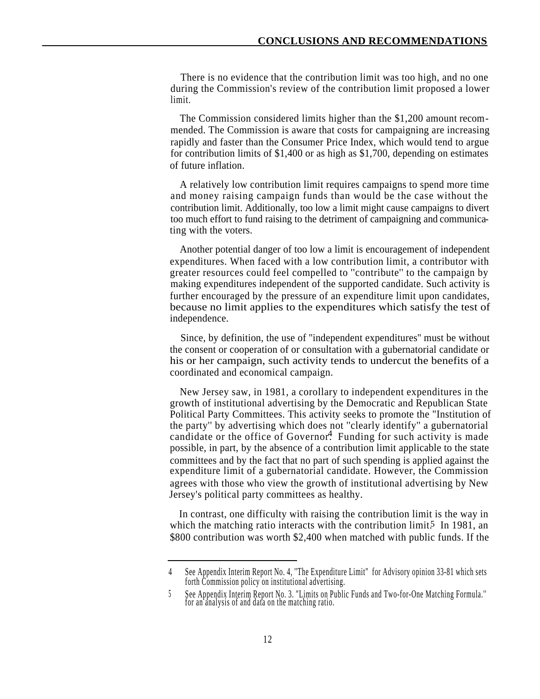There is no evidence that the contribution limit was too high, and no one during the Commission's review of the contribution limit proposed a lower limit.

The Commission considered limits higher than the \$1,200 amount recommended. The Commission is aware that costs for campaigning are increasing rapidly and faster than the Consumer Price Index, which would tend to argue for contribution limits of \$1,400 or as high as \$1,700, depending on estimates of future inflation.

A relatively low contribution limit requires campaigns to spend more time and money raising campaign funds than would be the case without the contribution limit. Additionally, too low a limit might cause campaigns to divert too much effort to fund raising to the detriment of campaigning and communicating with the voters.

Another potential danger of too low a limit is encouragement of independent expenditures. When faced with a low contribution limit, a contributor with greater resources could feel compelled to ''contribute'' to the campaign by making expenditures independent of the supported candidate. Such activity is further encouraged by the pressure of an expenditure limit upon candidates, because no limit applies to the expenditures which satisfy the test of independence.

Since, by definition, the use of ''independent expenditures'' must be without the consent or cooperation of or consultation with a gubernatorial candidate or his or her campaign, such activity tends to undercut the benefits of a coordinated and economical campaign.

New Jersey saw, in 1981, a corollary to independent expenditures in the growth of institutional advertising by the Democratic and Republican State Political Party Committees. This activity seeks to promote the "Institution of the party'' by advertising which does not ''clearly identify'' a gubernatorial candidate or the office of Governor<sup>4</sup>. Funding for such activity is made possible, in part, by the absence of a contribution limit applicable to the state committees and by the fact that no part of such spending is applied against the expenditure limit of a gubernatorial candidate. However, the Commission agrees with those who view the growth of institutional advertising by New Jersey's political party committees as healthy.

In contrast, one difficulty with raising the contribution limit is the way in which the matching ratio interacts with the contribution  $\lim_{t \to 1} 5$  In 1981, an \$800 contribution was worth \$2,400 when matched with public funds. If the

<sup>4</sup> See Appendix Interim Report No. 4, ''The Expenditure Limit" for Advisory opinion 33-81 which sets forth Commission policy on institutional advertising.

<sup>5</sup> See Appendix Interim Report No. 3. "Limits on Public Funds and Two-for-One Matching Formula.'' for an analysis of and data on the matching ratio.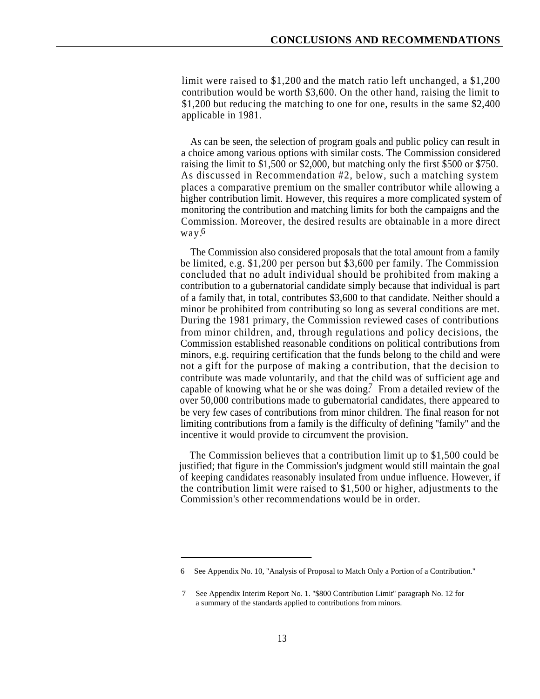limit were raised to \$1,200 and the match ratio left unchanged, a \$1,200 contribution would be worth \$3,600. On the other hand, raising the limit to \$1,200 but reducing the matching to one for one, results in the same \$2,400 applicable in 1981.

As can be seen, the selection of program goals and public policy can result in a choice among various options with similar costs. The Commission considered raising the limit to \$1,500 or \$2,000, but matching only the first \$500 or \$750. As discussed in Recommendation #2, below, such a matching system places a comparative premium on the smaller contributor while allowing a higher contribution limit. However, this requires a more complicated system of monitoring the contribution and matching limits for both the campaigns and the Commission. Moreover, the desired results are obtainable in a more direct way. 6

The Commission also considered proposals that the total amount from a family be limited, e.g. \$1,200 per person but \$3,600 per family. The Commission concluded that no adult individual should be prohibited from making a contribution to a gubernatorial candidate simply because that individual is part of a family that, in total, contributes \$3,600 to that candidate. Neither should a minor be prohibited from contributing so long as several conditions are met. During the 1981 primary, the Commission reviewed cases of contributions from minor children, and, through regulations and policy decisions, the Commission established reasonable conditions on political contributions from minors, e.g. requiring certification that the funds belong to the child and were not a gift for the purpose of making a contribution, that the decision to contribute was made voluntarily, and that the child was of sufficient age and capable of knowing what he or she was doing.<sup>7</sup> From a detailed review of the over 50,000 contributions made to gubernatorial candidates, there appeared to be very few cases of contributions from minor children. The final reason for not limiting contributions from a family is the difficulty of defining ''family'' and the incentive it would provide to circumvent the provision.

The Commission believes that a contribution limit up to \$1,500 could be justified; that figure in the Commission's judgment would still maintain the goal of keeping candidates reasonably insulated from undue influence. However, if the contribution limit were raised to \$1,500 or higher, adjustments to the Commission's other recommendations would be in order.

<sup>6</sup> See Appendix No. 10, ''Analysis of Proposal to Match Only a Portion of a Contribution.''

<sup>7</sup> See Appendix Interim Report No. 1. ''\$800 Contribution Limit'' paragraph No. 12 for a summary of the standards applied to contributions from minors.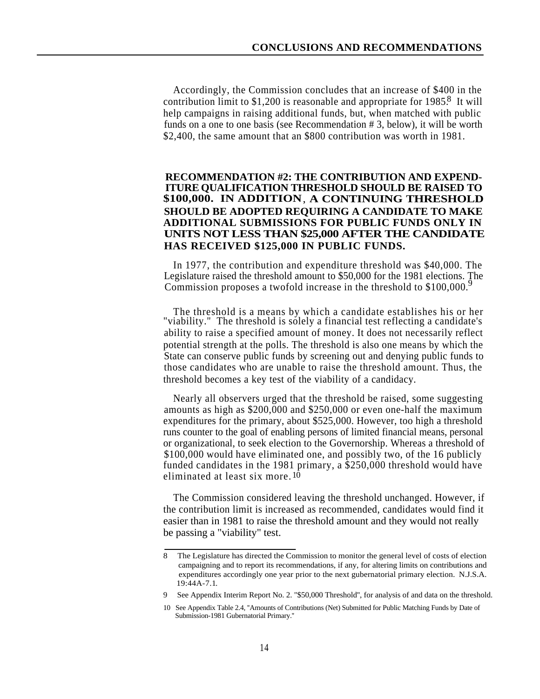Accordingly, the Commission concludes that an increase of \$400 in the contribution limit to \$1,200 is reasonable and appropriate for  $1985$ <sup>8</sup>. It will help campaigns in raising additional funds, but, when matched with public funds on a one to one basis (see Recommendation # 3, below), it will be worth \$2,400, the same amount that an \$800 contribution was worth in 1981.

#### **RECOMMENDATION #2: THE CONTRIBUTION AND EXPEND-ITURE QUALIFICATION THRESHOLD SHOULD BE RAISED TO \$100,000. IN ADDITION**, **A CONTINUING THRESHOLD SHOULD BE ADOPTED REQUIRING A CANDIDATE TO MAKE ADDITIONAL SUBMISSIONS FOR PUBLIC FUNDS ONLY IN UNITS NOT LESS THAN \$25,000 AFTER THE CANDIDATE HAS RECEIVED \$125,000 IN PUBLIC FUNDS.**

In 1977, the contribution and expenditure threshold was \$40,000. The Legislature raised the threshold amount to \$50,000 for the 1981 elections. The Commission proposes a twofold increase in the threshold to  $$100,000$ .<sup>9</sup>

The threshold is a means by which a candidate establishes his or her "viability." The threshold is solely a financial test reflecting a candidate's ability to raise a specified amount of money. It does not necessarily reflect potential strength at the polls. The threshold is also one means by which the State can conserve public funds by screening out and denying public funds to those candidates who are unable to raise the threshold amount. Thus, the threshold becomes a key test of the viability of a candidacy.

Nearly all observers urged that the threshold be raised, some suggesting amounts as high as \$200,000 and \$250,000 or even one-half the maximum expenditures for the primary, about \$525,000. However, too high a threshold runs counter to the goal of enabling persons of limited financial means, personal or organizational, to seek election to the Governorship. Whereas a threshold of \$100,000 would have eliminated one, and possibly two, of the 16 publicly funded candidates in the 1981 primary, a \$250,000 threshold would have eliminated at least six more. 10

The Commission considered leaving the threshold unchanged. However, if the contribution limit is increased as recommended, candidates would find it easier than in 1981 to raise the threshold amount and they would not really be passing a "viability" test.

<sup>8</sup> The Legislature has directed the Commission to monitor the general level of costs of election campaigning and to report its recommendations, if any, for altering limits on contributions and expenditures accordingly one year prior to the next gubernatorial primary election. N.J.S.A. 19:44A-7.1.

<sup>9</sup> See Appendix Interim Report No. 2. "\$50,000 Threshold'', for analysis of and data on the threshold.

<sup>10</sup> See Appendix Table 2.4, ''Amounts of Contributions (Net) Submitted for Public Matching Funds by Date of Submission-1981 Gubernatorial Primary.''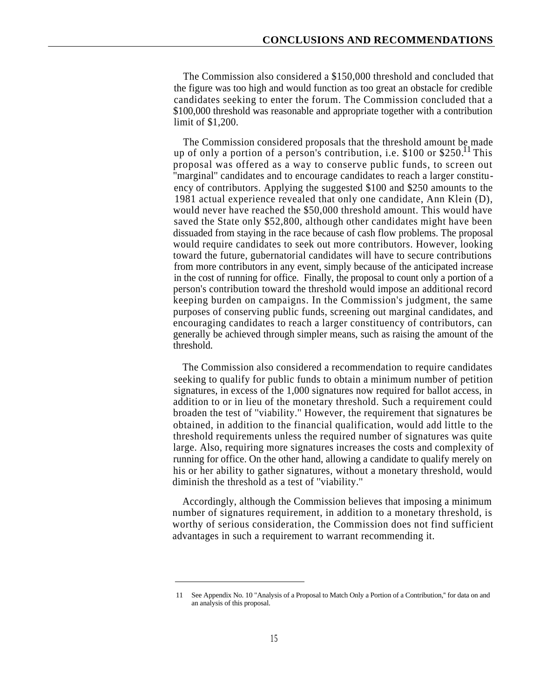The Commission also considered a \$150,000 threshold and concluded that the figure was too high and would function as too great an obstacle for credible candidates seeking to enter the forum. The Commission concluded that a \$100,000 threshold was reasonable and appropriate together with a contribution limit of \$1,200.

The Commission considered proposals that the threshold amount be made up of only a portion of a person's contribution, i.e.  $$100$  or  $$250$ .<sup>11</sup> This proposal was offered as a way to conserve public funds, to screen out ''marginal'' candidates and to encourage candidates to reach a larger constituency of contributors. Applying the suggested \$100 and \$250 amounts to the 1981 actual experience revealed that only one candidate, Ann Klein (D), would never have reached the \$50,000 threshold amount. This would have saved the State only \$52,800, although other candidates might have been dissuaded from staying in the race because of cash flow problems. The proposal would require candidates to seek out more contributors. However, looking toward the future, gubernatorial candidates will have to secure contributions from more contributors in any event, simply because of the anticipated increase in the cost of running for office. Finally, the proposal to count only a portion of a person's contribution toward the threshold would impose an additional record keeping burden on campaigns. In the Commission's judgment, the same purposes of conserving public funds, screening out marginal candidates, and encouraging candidates to reach a larger constituency of contributors, can generally be achieved through simpler means, such as raising the amount of the threshold.

The Commission also considered a recommendation to require candidates seeking to qualify for public funds to obtain a minimum number of petition signatures, in excess of the 1,000 signatures now required for ballot access, in addition to or in lieu of the monetary threshold. Such a requirement could broaden the test of ''viability.'' However, the requirement that signatures be obtained, in addition to the financial qualification, would add little to the threshold requirements unless the required number of signatures was quite large. Also, requiring more signatures increases the costs and complexity of running for office. On the other hand, allowing a candidate to qualify merely on his or her ability to gather signatures, without a monetary threshold, would diminish the threshold as a test of ''viability.''

Accordingly, although the Commission believes that imposing a minimum number of signatures requirement, in addition to a monetary threshold, is worthy of serious consideration, the Commission does not find sufficient advantages in such a requirement to warrant recommending it.

<sup>11</sup> See Appendix No. 10 "Analysis of a Proposal to Match Only a Portion of a Contribution,'' for data on and an analysis of this proposal.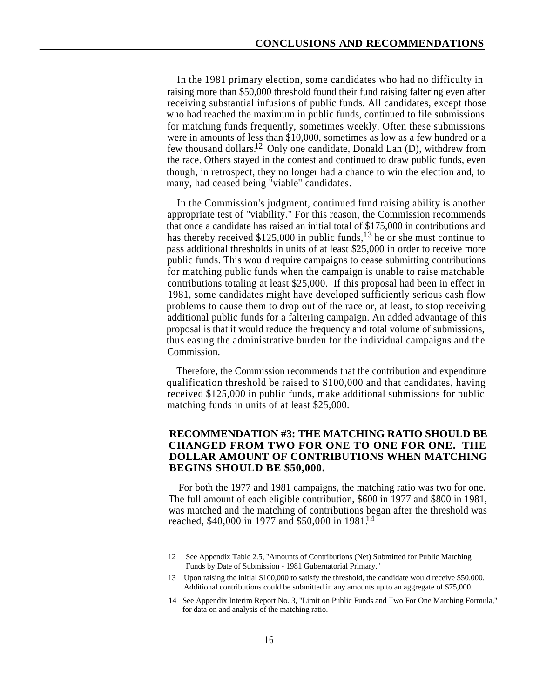In the 1981 primary election, some candidates who had no difficulty in raising more than \$50,000 threshold found their fund raising faltering even after receiving substantial infusions of public funds. All candidates, except those who had reached the maximum in public funds, continued to file submissions for matching funds frequently, sometimes weekly. Often these submissions were in amounts of less than \$10,000, sometimes as low as a few hundred or a few thousand dollars.<sup>12</sup> Only one candidate, Donald Lan (D), withdrew from the race. Others stayed in the contest and continued to draw public funds, even though, in retrospect, they no longer had a chance to win the election and, to many, had ceased being ''viable'' candidates.

In the Commission's judgment, continued fund raising ability is another appropriate test of ''viability.'' For this reason, the Commission recommends that once a candidate has raised an initial total of \$175,000 in contributions and has thereby received \$125,000 in public funds,  $^{13}$  he or she must continue to pass additional thresholds in units of at least \$25,000 in order to receive more public funds. This would require campaigns to cease submitting contributions for matching public funds when the campaign is unable to raise matchable contributions totaling at least \$25,000. If this proposal had been in effect in 1981, some candidates might have developed sufficiently serious cash flow problems to cause them to drop out of the race or, at least, to stop receiving additional public funds for a faltering campaign. An added advantage of this proposal is that it would reduce the frequency and total volume of submissions, thus easing the administrative burden for the individual campaigns and the Commission.

Therefore, the Commission recommends that the contribution and expenditure qualification threshold be raised to \$100,000 and that candidates, having received \$125,000 in public funds, make additional submissions for public matching funds in units of at least \$25,000.

#### **RECOMMENDATION #3: THE MATCHING RATIO SHOULD BE CHANGED FROM TWO FOR ONE TO ONE FOR ONE. THE DOLLAR AMOUNT OF CONTRIBUTIONS WHEN MATCHING BEGINS SHOULD BE \$50,000.**

For both the 1977 and 1981 campaigns, the matching ratio was two for one. The full amount of each eligible contribution, \$600 in 1977 and \$800 in 1981, was matched and the matching of contributions began after the threshold was reached, \$40,000 in 1977 and \$50,000 in 1981.<sup>14</sup>

<sup>12</sup> See Appendix Table 2.5, ''Amounts of Contributions (Net) Submitted for Public Matching Funds by Date of Submission - 1981 Gubernatorial Primary.''

<sup>13</sup> Upon raising the initial \$100,000 to satisfy the threshold, the candidate would receive \$50.000. Additional contributions could be submitted in any amounts up to an aggregate of \$75,000.

<sup>14</sup> See Appendix Interim Report No. 3, ''Limit on Public Funds and Two For One Matching Formula,'' for data on and analysis of the matching ratio.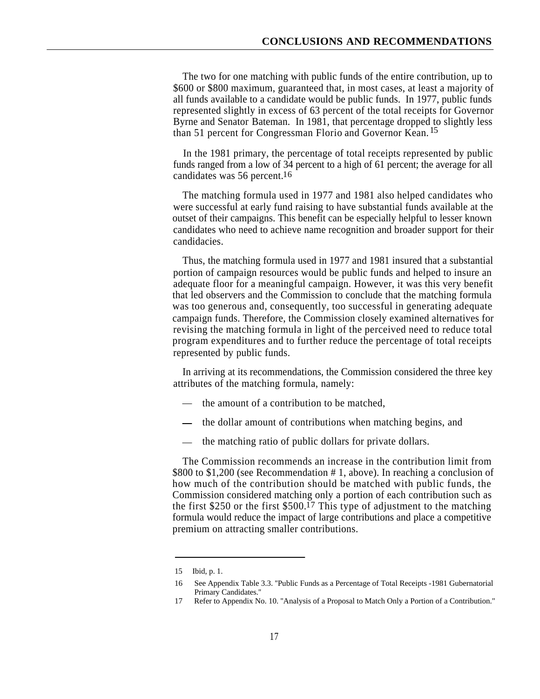The two for one matching with public funds of the entire contribution, up to \$600 or \$800 maximum, guaranteed that, in most cases, at least a majority of all funds available to a candidate would be public funds. In 1977, public funds represented slightly in excess of 63 percent of the total receipts for Governor Byrne and Senator Bateman. In 1981, that percentage dropped to slightly less than 51 percent for Congressman Florio and Governor Kean.<sup>15</sup>

In the 1981 primary, the percentage of total receipts represented by public funds ranged from a low of 34 percent to a high of 61 percent; the average for all candidates was 56 percent.<sup>16</sup>

The matching formula used in 1977 and 1981 also helped candidates who were successful at early fund raising to have substantial funds available at the outset of their campaigns. This benefit can be especially helpful to lesser known candidates who need to achieve name recognition and broader support for their candidacies.

Thus, the matching formula used in 1977 and 1981 insured that a substantial portion of campaign resources would be public funds and helped to insure an adequate floor for a meaningful campaign. However, it was this very benefit that led observers and the Commission to conclude that the matching formula was too generous and, consequently, too successful in generating adequate campaign funds. Therefore, the Commission closely examined alternatives for revising the matching formula in light of the perceived need to reduce total program expenditures and to further reduce the percentage of total receipts represented by public funds.

In arriving at its recommendations, the Commission considered the three key attributes of the matching formula, namely:

- the amount of a contribution to be matched,
- the dollar amount of contributions when matching begins, and
- the matching ratio of public dollars for private dollars.

The Commission recommends an increase in the contribution limit from \$800 to \$1,200 (see Recommendation # 1, above). In reaching a conclusion of how much of the contribution should be matched with public funds, the Commission considered matching only a portion of each contribution such as the first \$250 or the first  $$500<sup>17</sup>$  This type of adjustment to the matching formula would reduce the impact of large contributions and place a competitive premium on attracting smaller contributions.

<sup>15</sup> Ibid, p. 1.

<sup>16</sup> See Appendix Table 3.3. ''Public Funds as a Percentage of Total Receipts -1981 Gubernatorial Primary Candidates.''

<sup>17</sup> Refer to Appendix No. 10. ''Analysis of a Proposal to Match Only a Portion of a Contribution."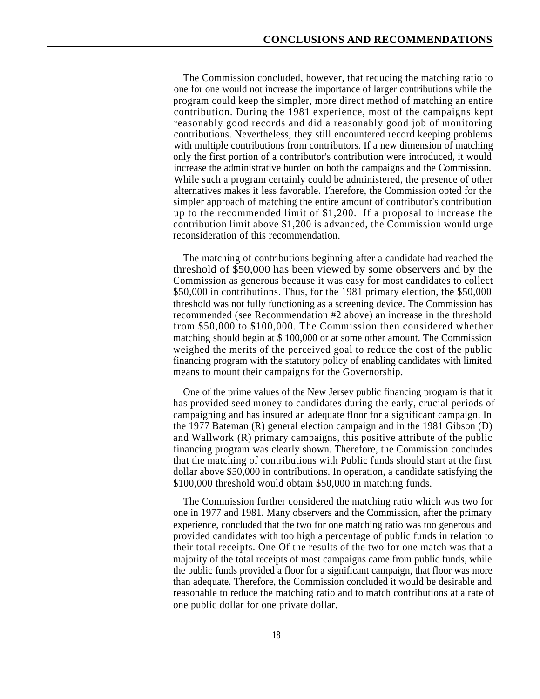The Commission concluded, however, that reducing the matching ratio to one for one would not increase the importance of larger contributions while the program could keep the simpler, more direct method of matching an entire contribution. During the 1981 experience, most of the campaigns kept reasonably good records and did a reasonably good job of monitoring contributions. Nevertheless, they still encountered record keeping problems with multiple contributions from contributors. If a new dimension of matching only the first portion of a contributor's contribution were introduced, it would increase the administrative burden on both the campaigns and the Commission. While such a program certainly could be administered, the presence of other alternatives makes it less favorable. Therefore, the Commission opted for the simpler approach of matching the entire amount of contributor's contribution up to the recommended limit of \$1,200. If a proposal to increase the contribution limit above \$1,200 is advanced, the Commission would urge reconsideration of this recommendation.

The matching of contributions beginning after a candidate had reached the threshold of \$50,000 has been viewed by some observers and by the Commission as generous because it was easy for most candidates to collect \$50,000 in contributions. Thus, for the 1981 primary election, the \$50,000 threshold was not fully functioning as a screening device. The Commission has recommended (see Recommendation #2 above) an increase in the threshold from \$50,000 to \$100,000. The Commission then considered whether matching should begin at \$ 100,000 or at some other amount. The Commission weighed the merits of the perceived goal to reduce the cost of the public financing program with the statutory policy of enabling candidates with limited means to mount their campaigns for the Governorship.

One of the prime values of the New Jersey public financing program is that it has provided seed money to candidates during the early, crucial periods of campaigning and has insured an adequate floor for a significant campaign. In the 1977 Bateman (R) general election campaign and in the 1981 Gibson (D) and Wallwork (R) primary campaigns, this positive attribute of the public financing program was clearly shown. Therefore, the Commission concludes that the matching of contributions with Public funds should start at the first dollar above \$50,000 in contributions. In operation, a candidate satisfying the \$100,000 threshold would obtain \$50,000 in matching funds.

The Commission further considered the matching ratio which was two for one in 1977 and 1981. Many observers and the Commission, after the primary experience, concluded that the two for one matching ratio was too generous and provided candidates with too high a percentage of public funds in relation to their total receipts. One Of the results of the two for one match was that a majority of the total receipts of most campaigns came from public funds, while the public funds provided a floor for a significant campaign, that floor was more than adequate. Therefore, the Commission concluded it would be desirable and reasonable to reduce the matching ratio and to match contributions at a rate of one public dollar for one private dollar.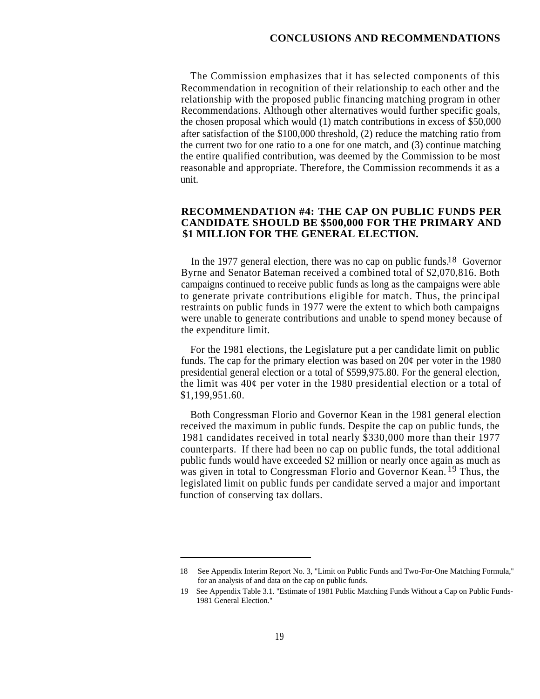The Commission emphasizes that it has selected components of this Recommendation in recognition of their relationship to each other and the relationship with the proposed public financing matching program in other Recommendations. Although other alternatives would further specific goals, the chosen proposal which would (1) match contributions in excess of \$50,000 after satisfaction of the \$100,000 threshold, (2) reduce the matching ratio from the current two for one ratio to a one for one match, and (3) continue matching the entire qualified contribution, was deemed by the Commission to be most reasonable and appropriate. Therefore, the Commission recommends it as a unit.

#### **RECOMMENDATION #4: THE CAP ON PUBLIC FUNDS PER CANDIDATE SHOULD BE \$500,000 FOR THE PRIMARY AND \$1 MILLION FOR THE GENERAL ELECTION.**

In the 1977 general election, there was no cap on public funds.<sup>18</sup> Governor Byrne and Senator Bateman received a combined total of \$2,070,816. Both campaigns continued to receive public funds as long as the campaigns were able to generate private contributions eligible for match. Thus, the principal restraints on public funds in 1977 were the extent to which both campaigns were unable to generate contributions and unable to spend money because of the expenditure limit.

For the 1981 elections, the Legislature put a per candidate limit on public funds. The cap for the primary election was based on  $20¢$  per voter in the 1980 presidential general election or a total of \$599,975.80. For the general election, the limit was 40¢ per voter in the 1980 presidential election or a total of \$1,199,951.60.

Both Congressman Florio and Governor Kean in the 1981 general election received the maximum in public funds. Despite the cap on public funds, the 1981 candidates received in total nearly \$330,000 more than their 1977 counterparts. If there had been no cap on public funds, the total additional public funds would have exceeded \$2 million or nearly once again as much as was given in total to Congressman Florio and Governor Kean.<sup>19</sup> Thus, the legislated limit on public funds per candidate served a major and important function of conserving tax dollars.

<sup>18</sup> See Appendix Interim Report No. 3, "Limit on Public Funds and Two-For-One Matching Formula,'' for an analysis of and data on the cap on public funds.

<sup>19</sup> See Appendix Table 3.1. ''Estimate of 1981 Public Matching Funds Without a Cap on Public Funds- 1981 General Election.''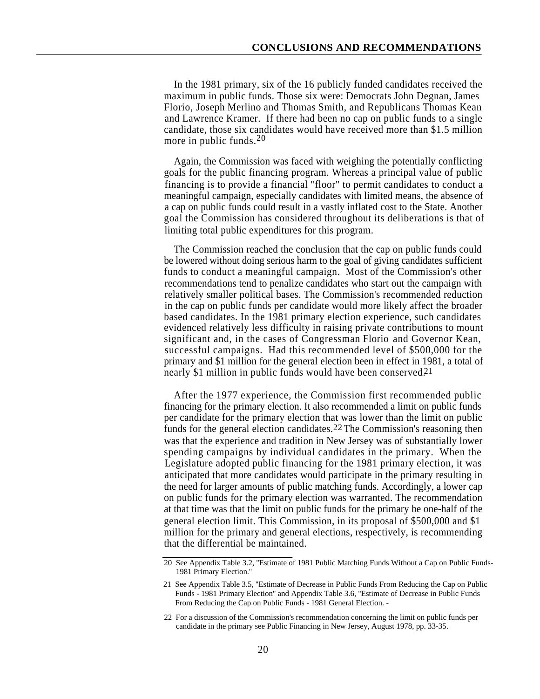In the 1981 primary, six of the 16 publicly funded candidates received the maximum in public funds. Those six were: Democrats John Degnan, James Florio, Joseph Merlino and Thomas Smith, and Republicans Thomas Kean and Lawrence Kramer. If there had been no cap on public funds to a single candidate, those six candidates would have received more than \$1.5 million more in public funds.<sup>20</sup>

Again, the Commission was faced with weighing the potentially conflicting goals for the public financing program. Whereas a principal value of public financing is to provide a financial ''floor'' to permit candidates to conduct a meaningful campaign, especially candidates with limited means, the absence of a cap on public funds could result in a vastly inflated cost to the State. Another goal the Commission has considered throughout its deliberations is that of limiting total public expenditures for this program.

The Commission reached the conclusion that the cap on public funds could be lowered without doing serious harm to the goal of giving candidates sufficient funds to conduct a meaningful campaign. Most of the Commission's other recommendations tend to penalize candidates who start out the campaign with relatively smaller political bases. The Commission's recommended reduction in the cap on public funds per candidate would more likely affect the broader based candidates. In the 1981 primary election experience, such candidates evidenced relatively less difficulty in raising private contributions to mount significant and, in the cases of Congressman Florio and Governor Kean, successful campaigns. Had this recommended level of \$500,000 for the primary and \$1 million for the general election been in effect in 1981, a total of nearly \$1 million in public funds would have been conserved. 21

After the 1977 experience, the Commission first recommended public financing for the primary election. It also recommended a limit on public funds per candidate for the primary election that was lower than the limit on public funds for the general election candidates.<sup>22</sup> The Commission's reasoning then was that the experience and tradition in New Jersey was of substantially lower spending campaigns by individual candidates in the primary. When the Legislature adopted public financing for the 1981 primary election, it was anticipated that more candidates would participate in the primary resulting in the need for larger amounts of public matching funds. Accordingly, a lower cap on public funds for the primary election was warranted. The recommendation at that time was that the limit on public funds for the primary be one-half of the general election limit. This Commission, in its proposal of \$500,000 and \$1 million for the primary and general elections, respectively, is recommending that the differential be maintained.

<sup>20</sup> See Appendix Table 3.2, ''Estimate of 1981 Public Matching Funds Without a Cap on Public Funds- 1981 Primary Election.''

<sup>21</sup> See Appendix Table 3.5, ''Estimate of Decrease in Public Funds From Reducing the Cap on Public Funds - 1981 Primary Election" and Appendix Table 3.6, "Estimate of Decrease in Public Funds From Reducing the Cap on Public Funds - 1981 General Election. -

<sup>22</sup> For a discussion of the Commission's recommendation concerning the limit on public funds per candidate in the primary see Public Financing in New Jersey, August 1978, pp. 33-35.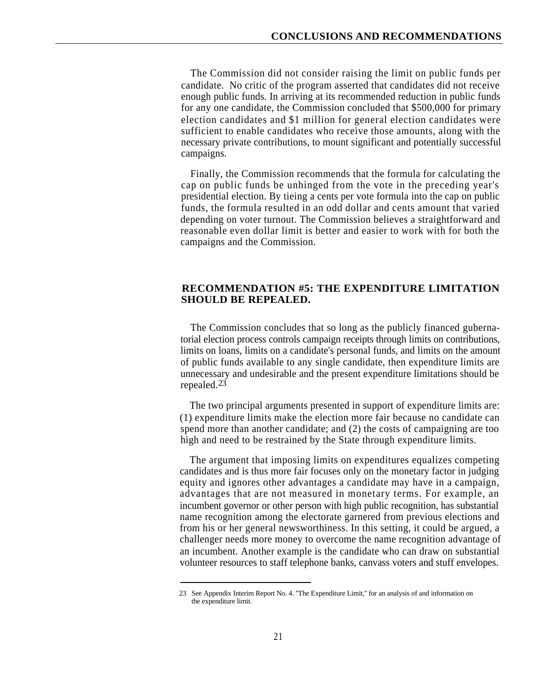The Commission did not consider raising the limit on public funds per candidate. No critic of the program asserted that candidates did not receive enough public funds. In arriving at its recommended reduction in public funds for any one candidate, the Commission concluded that \$500,000 for primary election candidates and \$1 million for general election candidates were sufficient to enable candidates who receive those amounts, along with the necessary private contributions, to mount significant and potentially successful campaigns.

Finally, the Commission recommends that the formula for calculating the cap on public funds be unhinged from the vote in the preceding year's presidential election. By tieing a cents per vote formula into the cap on public funds, the formula resulted in an odd dollar and cents amount that varied depending on voter turnout. The Commission believes a straightforward and reasonable even dollar limit is better and easier to work with for both the campaigns and the Commission.

#### **RECOMMENDATION #5: THE EXPENDITURE LIMITATION SHOULD BE REPEALED.**

The Commission concludes that so long as the publicly financed gubernatorial election process controls campaign receipts through limits on contributions, limits on loans, limits on a candidate's personal funds, and limits on the amount of public funds available to any single candidate, then expenditure limits are unnecessary and undesirable and the present expenditure limitations should be repealed.<sup>23</sup>

The two principal arguments presented in support of expenditure limits are: (1) expenditure limits make the election more fair because no candidate can spend more than another candidate; and (2) the costs of campaigning are too high and need to be restrained by the State through expenditure limits.

The argument that imposing limits on expenditures equalizes competing candidates and is thus more fair focuses only on the monetary factor in judging equity and ignores other advantages a candidate may have in a campaign, advantages that are not measured in monetary terms. For example, an incumbent governor or other person with high public recognition, has substantial name recognition among the electorate garnered from previous elections and from his or her general newsworthiness. In this setting, it could be argued, a challenger needs more money to overcome the name recognition advantage of an incumbent. Another example is the candidate who can draw on substantial volunteer resources to staff telephone banks, canvass voters and stuff envelopes.

<sup>23</sup> See Appendix Interim Report No. 4. ''The Expenditure Limit,'' for an analysis of and information on the expenditure limit.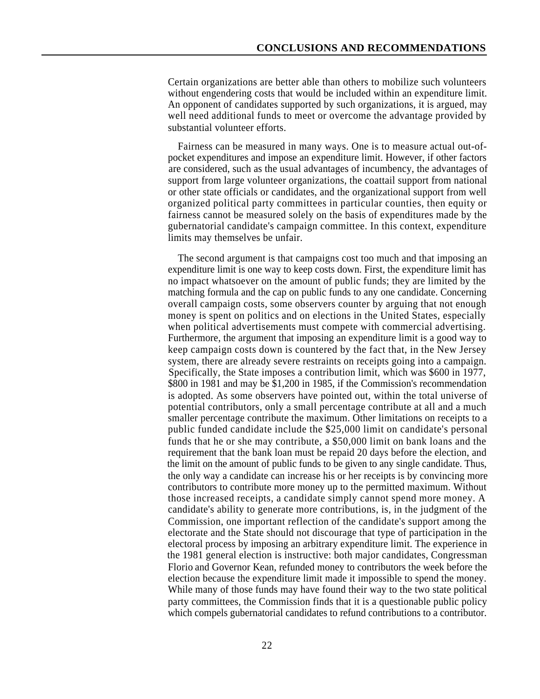Certain organizations are better able than others to mobilize such volunteers without engendering costs that would be included within an expenditure limit. An opponent of candidates supported by such organizations, it is argued, may well need additional funds to meet or overcome the advantage provided by substantial volunteer efforts.

Fairness can be measured in many ways. One is to measure actual out-ofpocket expenditures and impose an expenditure limit. However, if other factors are considered, such as the usual advantages of incumbency, the advantages of support from large volunteer organizations, the coattail support from national or other state officials or candidates, and the organizational support from well organized political party committees in particular counties, then equity or fairness cannot be measured solely on the basis of expenditures made by the gubernatorial candidate's campaign committee. In this context, expenditure limits may themselves be unfair.

The second argument is that campaigns cost too much and that imposing an expenditure limit is one way to keep costs down. First, the expenditure limit has no impact whatsoever on the amount of public funds; they are limited by the matching formula and the cap on public funds to any one candidate. Concerning overall campaign costs, some observers counter by arguing that not enough money is spent on politics and on elections in the United States, especially when political advertisements must compete with commercial advertising. Furthermore, the argument that imposing an expenditure limit is a good way to keep campaign costs down is countered by the fact that, in the New Jersey system, there are already severe restraints on receipts going into a campaign. Specifically, the State imposes a contribution limit, which was \$600 in 1977, \$800 in 1981 and may be \$1,200 in 1985, if the Commission's recommendation is adopted. As some observers have pointed out, within the total universe of potential contributors, only a small percentage contribute at all and a much smaller percentage contribute the maximum. Other limitations on receipts to a public funded candidate include the \$25,000 limit on candidate's personal funds that he or she may contribute, a \$50,000 limit on bank loans and the requirement that the bank loan must be repaid 20 days before the election, and the limit on the amount of public funds to be given to any single candidate. Thus, the only way a candidate can increase his or her receipts is by convincing more contributors to contribute more money up to the permitted maximum. Without those increased receipts, a candidate simply cannot spend more money. A candidate's ability to generate more contributions, is, in the judgment of the Commission, one important reflection of the candidate's support among the electorate and the State should not discourage that type of participation in the electoral process by imposing an arbitrary expenditure limit. The experience in the 1981 general election is instructive: both major candidates, Congressman Florio and Governor Kean, refunded money to contributors the week before the election because the expenditure limit made it impossible to spend the money. While many of those funds may have found their way to the two state political party committees, the Commission finds that it is a questionable public policy which compels gubernatorial candidates to refund contributions to a contributor.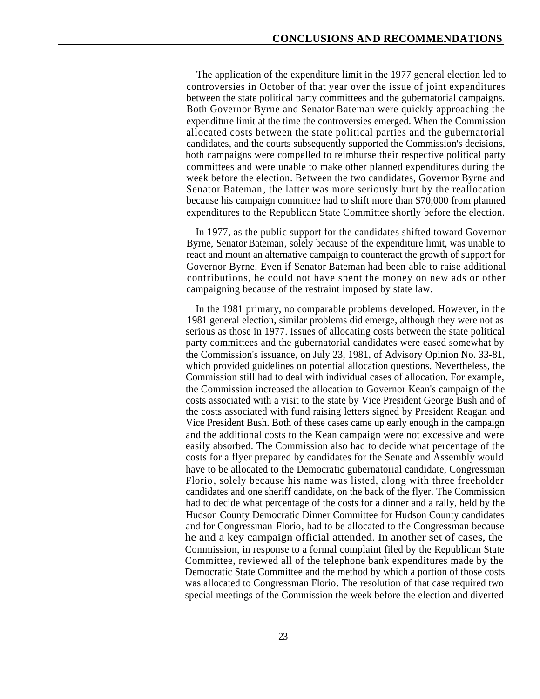The application of the expenditure limit in the 1977 general election led to controversies in October of that year over the issue of joint expenditures between the state political party committees and the gubernatorial campaigns. Both Governor Byrne and Senator Bateman were quickly approaching the expenditure limit at the time the controversies emerged. When the Commission allocated costs between the state political parties and the gubernatorial candidates, and the courts subsequently supported the Commission's decisions, both campaigns were compelled to reimburse their respective political party committees and were unable to make other planned expenditures during the week before the election. Between the two candidates, Governor Byrne and Senator Bateman, the latter was more seriously hurt by the reallocation because his campaign committee had to shift more than \$70,000 from planned expenditures to the Republican State Committee shortly before the election.

In 1977, as the public support for the candidates shifted toward Governor Byrne, Senator Bateman, solely because of the expenditure limit, was unable to react and mount an alternative campaign to counteract the growth of support for Governor Byrne. Even if Senator Bateman had been able to raise additional contributions, he could not have spent the money on new ads or other campaigning because of the restraint imposed by state law.

In the 1981 primary, no comparable problems developed. However, in the 1981 general election, similar problems did emerge, although they were not as serious as those in 1977. Issues of allocating costs between the state political party committees and the gubernatorial candidates were eased somewhat by the Commission's issuance, on July 23, 1981, of Advisory Opinion No. 33-81, which provided guidelines on potential allocation questions. Nevertheless, the Commission still had to deal with individual cases of allocation. For example, the Commission increased the allocation to Governor Kean's campaign of the costs associated with a visit to the state by Vice President George Bush and of the costs associated with fund raising letters signed by President Reagan and Vice President Bush. Both of these cases came up early enough in the campaign and the additional costs to the Kean campaign were not excessive and were easily absorbed. The Commission also had to decide what percentage of the costs for a flyer prepared by candidates for the Senate and Assembly would have to be allocated to the Democratic gubernatorial candidate, Congressman Florio, solely because his name was listed, along with three freeholder candidates and one sheriff candidate, on the back of the flyer. The Commission had to decide what percentage of the costs for a dinner and a rally, held by the Hudson County Democratic Dinner Committee for Hudson County candidates and for Congressman Florio, had to be allocated to the Congressman because he and a key campaign official attended. In another set of cases, the Commission, in response to a formal complaint filed by the Republican State Committee, reviewed all of the telephone bank expenditures made by the Democratic State Committee and the method by which a portion of those costs was allocated to Congressman Florio. The resolution of that case required two special meetings of the Commission the week before the election and diverted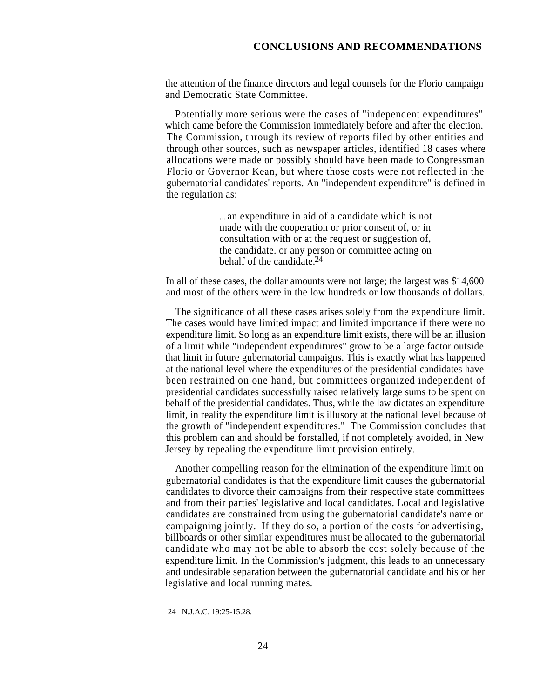the attention of the finance directors and legal counsels for the Florio campaign and Democratic State Committee.

Potentially more serious were the cases of ''independent expenditures'' which came before the Commission immediately before and after the election. The Commission, through its review of reports filed by other entities and through other sources, such as newspaper articles, identified 18 cases where allocations were made or possibly should have been made to Congressman Florio or Governor Kean, but where those costs were not reflected in the gubernatorial candidates' reports. An ''independent expenditure'' is defined in the regulation as:

> ... an expenditure in aid of a candidate which is not made with the cooperation or prior consent of, or in consultation with or at the request or suggestion of, the candidate. or any person or committee acting on behalf of the candidate.<sup>24</sup>

In all of these cases, the dollar amounts were not large; the largest was \$14,600 and most of the others were in the low hundreds or low thousands of dollars.

The significance of all these cases arises solely from the expenditure limit. The cases would have limited impact and limited importance if there were no expenditure limit. So long as an expenditure limit exists, there will be an illusion of a limit while "independent expenditures" grow to be a large factor outside that limit in future gubernatorial campaigns. This is exactly what has happened at the national level where the expenditures of the presidential candidates have been restrained on one hand, but committees organized independent of presidential candidates successfully raised relatively large sums to be spent on behalf of the presidential candidates. Thus, while the law dictates an expenditure limit, in reality the expenditure limit is illusory at the national level because of the growth of ''independent expenditures." The Commission concludes that this problem can and should be forstalled, if not completely avoided, in New Jersey by repealing the expenditure limit provision entirely.

Another compelling reason for the elimination of the expenditure limit on gubernatorial candidates is that the expenditure limit causes the gubernatorial candidates to divorce their campaigns from their respective state committees and from their parties' legislative and local candidates. Local and legislative candidates are constrained from using the gubernatorial candidate's name or campaigning jointly. If they do so, a portion of the costs for advertising, billboards or other similar expenditures must be allocated to the gubernatorial candidate who may not be able to absorb the cost solely because of the expenditure limit. In the Commission's judgment, this leads to an unnecessary and undesirable separation between the gubernatorial candidate and his or her legislative and local running mates.

<sup>24</sup> N.J.A.C. 19:25-15.28.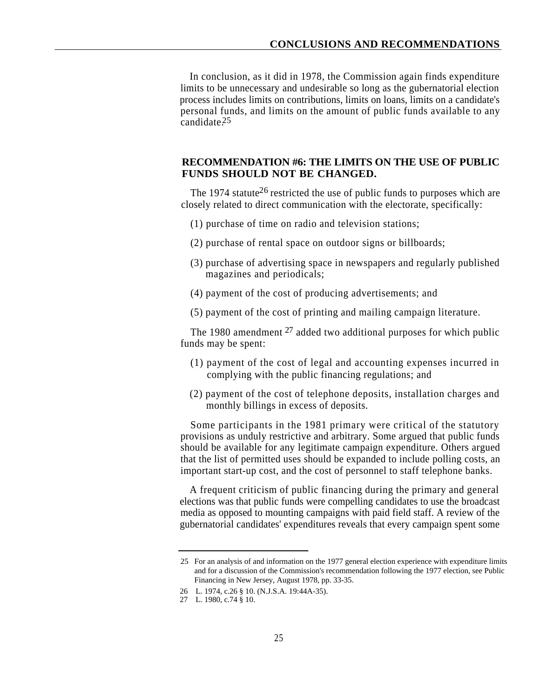In conclusion, as it did in 1978, the Commission again finds expenditure limits to be unnecessary and undesirable so long as the gubernatorial election process includes limits on contributions, limits on loans, limits on a candidate's personal funds, and limits on the amount of public funds available to any candidate.<sup>25</sup>

#### **RECOMMENDATION #6: THE LIMITS ON THE USE OF PUBLIC FUNDS SHOULD NOT BE CHANGED.**

The 1974 statute<sup>26</sup> restricted the use of public funds to purposes which are closely related to direct communication with the electorate, specifically:

- (1) purchase of time on radio and television stations;
- (2) purchase of rental space on outdoor signs or billboards;
- (3) purchase of advertising space in newspapers and regularly published magazines and periodicals;
- (4) payment of the cost of producing advertisements; and
- (5) payment of the cost of printing and mailing campaign literature.

The 1980 amendment  $27$  added two additional purposes for which public funds may be spent:

- (1) payment of the cost of legal and accounting expenses incurred in complying with the public financing regulations; and
- (2) payment of the cost of telephone deposits, installation charges and monthly billings in excess of deposits.

Some participants in the 1981 primary were critical of the statutory provisions as unduly restrictive and arbitrary. Some argued that public funds should be available for any legitimate campaign expenditure. Others argued that the list of permitted uses should be expanded to include polling costs, an important start-up cost, and the cost of personnel to staff telephone banks.

A frequent criticism of public financing during the primary and general elections was that public funds were compelling candidates to use the broadcast media as opposed to mounting campaigns with paid field staff. A review of the gubernatorial candidates' expenditures reveals that every campaign spent some

<sup>25</sup> For an analysis of and information on the 1977 general election experience with expenditure limits and for a discussion of the Commission's recommendation following the 1977 election, see Public Financing in New Jersey, August 1978, pp. 33-35.

<sup>26</sup> L. 1974, c.26 § 10. (N.J.S.A. 19:44A-35).

<sup>27</sup> L. 1980, c.74 § 10.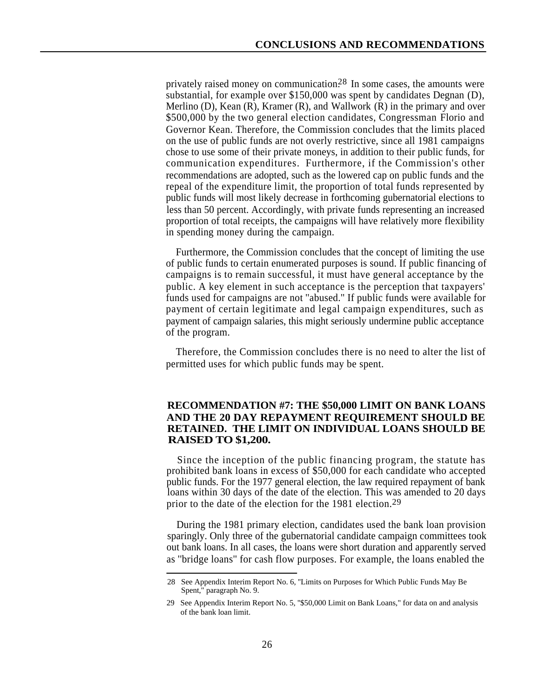privately raised money on communication.<sup>28</sup> In some cases, the amounts were substantial, for example over \$150,000 was spent by candidates Degnan (D), Merlino (D), Kean  $(R)$ , Kramer  $(R)$ , and Wallwork  $(R)$  in the primary and over \$500,000 by the two general election candidates, Congressman Florio and Governor Kean. Therefore, the Commission concludes that the limits placed on the use of public funds are not overly restrictive, since all 1981 campaigns chose to use some of their private moneys, in addition to their public funds, for communication expenditures. Furthermore, if the Commission's other recommendations are adopted, such as the lowered cap on public funds and the repeal of the expenditure limit, the proportion of total funds represented by public funds will most likely decrease in forthcoming gubernatorial elections to less than 50 percent. Accordingly, with private funds representing an increased proportion of total receipts, the campaigns will have relatively more flexibility in spending money during the campaign.

Furthermore, the Commission concludes that the concept of limiting the use of public funds to certain enumerated purposes is sound. If public financing of campaigns is to remain successful, it must have general acceptance by the public. A key element in such acceptance is the perception that taxpayers' funds used for campaigns are not ''abused.'' If public funds were available for payment of certain legitimate and legal campaign expenditures, such as payment of campaign salaries, this might seriously undermine public acceptance of the program.

Therefore, the Commission concludes there is no need to alter the list of permitted uses for which public funds may be spent.

#### **RECOMMENDATION #7: THE \$50,000 LIMIT ON BANK LOANS AND THE 20 DAY REPAYMENT REQUIREMENT SHOULD BE RETAINED. THE LIMIT ON INDIVIDUAL LOANS SHOULD BE RAISED TO \$1,200.**

Since the inception of the public financing program, the statute has prohibited bank loans in excess of \$50,000 for each candidate who accepted public funds. For the 1977 general election, the law required repayment of bank loans within 30 days of the date of the election. This was amended to 20 days prior to the date of the election for the 1981 election.<sup>29</sup>

During the 1981 primary election, candidates used the bank loan provision sparingly. Only three of the gubernatorial candidate campaign committees took out bank loans. In all cases, the loans were short duration and apparently served as ''bridge loans'' for cash flow purposes. For example, the loans enabled the

<sup>28</sup> See Appendix Interim Report No. 6, ''Limits on Purposes for Which Public Funds May Be Spent," paragraph No. 9.

<sup>29</sup> See Appendix Interim Report No. 5, ''\$50,000 Limit on Bank Loans," for data on and analysis of the bank loan limit.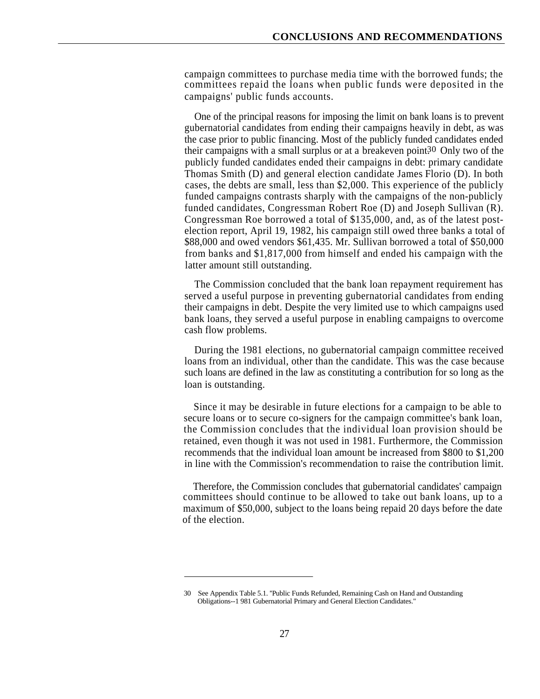campaign committees to purchase media time with the borrowed funds; the committees repaid the loans when public funds were deposited in the campaigns' public funds accounts.

One of the principal reasons for imposing the limit on bank loans is to prevent gubernatorial candidates from ending their campaigns heavily in debt, as was the case prior to public financing. Most of the publicly funded candidates ended their campaigns with a small surplus or at a breakeven point $30$  Only two of the publicly funded candidates ended their campaigns in debt: primary candidate Thomas Smith (D) and general election candidate James Florio (D). In both cases, the debts are small, less than \$2,000. This experience of the publicly funded campaigns contrasts sharply with the campaigns of the non-publicly funded candidates, Congressman Robert Roe (D) and Joseph Sullivan (R). Congressman Roe borrowed a total of \$135,000, and, as of the latest postelection report, April 19, 1982, his campaign still owed three banks a total of \$88,000 and owed vendors \$61,435. Mr. Sullivan borrowed a total of \$50,000 from banks and \$1,817,000 from himself and ended his campaign with the latter amount still outstanding.

The Commission concluded that the bank loan repayment requirement has served a useful purpose in preventing gubernatorial candidates from ending their campaigns in debt. Despite the very limited use to which campaigns used bank loans, they served a useful purpose in enabling campaigns to overcome cash flow problems.

During the 1981 elections, no gubernatorial campaign committee received loans from an individual, other than the candidate. This was the case because such loans are defined in the law as constituting a contribution for so long as the loan is outstanding.

Since it may be desirable in future elections for a campaign to be able to secure loans or to secure co-signers for the campaign committee's bank loan, the Commission concludes that the individual loan provision should be retained, even though it was not used in 1981. Furthermore, the Commission recommends that the individual loan amount be increased from \$800 to \$1,200 in line with the Commission's recommendation to raise the contribution limit.

Therefore, the Commission concludes that gubernatorial candidates' campaign committees should continue to be allowed to take out bank loans, up to a maximum of \$50,000, subject to the loans being repaid 20 days before the date of the election.

<sup>30</sup> See Appendix Table 5.1. ''Public Funds Refunded, Remaining Cash on Hand and Outstanding Obligations--1 981 Gubernatorial Primary and General Election Candidates."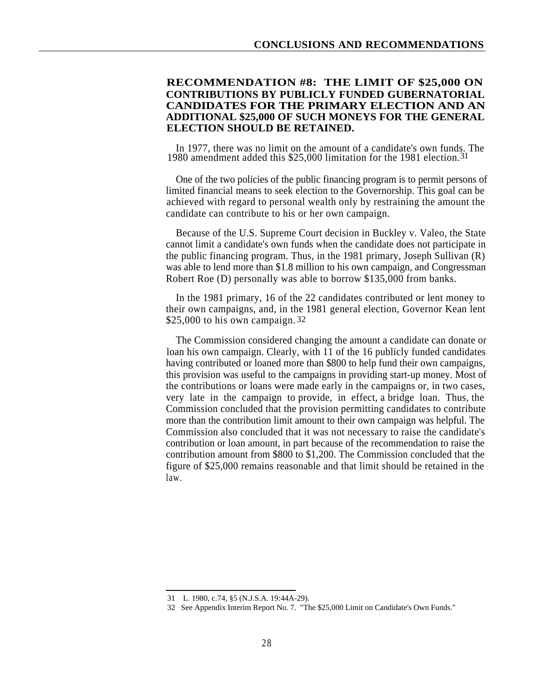#### **RECOMMENDATION #8: THE LIMIT OF \$25,000 ON CONTRIBUTIONS BY PUBLICLY FUNDED GUBERNATORIAL CANDIDATES FOR THE PRIMARY ELECTION AND AN ADDITIONAL \$25,000 OF SUCH MONEYS FOR THE GENERAL ELECTION SHOULD BE RETAINED.**

In 1977, there was no limit on the amount of a candidate's own funds. The 1980 amendment added this \$25,000 limitation for the 1981 election. 31

One of the two policies of the public financing program is to permit persons of limited financial means to seek election to the Governorship. This goal can be achieved with regard to personal wealth only by restraining the amount the candidate can contribute to his or her own campaign.

Because of the U.S. Supreme Court decision in Buckley v. Valeo, the State cannot limit a candidate's own funds when the candidate does not participate in the public financing program. Thus, in the 1981 primary, Joseph Sullivan (R) was able to lend more than \$1.8 million to his own campaign, and Congressman Robert Roe (D) personally was able to borrow \$135,000 from banks.

In the 1981 primary, 16 of the 22 candidates contributed or lent money to their own campaigns, and, in the 1981 general election, Governor Kean lent \$25,000 to his own campaign. 32

The Commission considered changing the amount a candidate can donate or loan his own campaign. Clearly, with 11 of the 16 publicly funded candidates having contributed or loaned more than \$800 to help fund their own campaigns, this provision was useful to the campaigns in providing start-up money. Most of the contributions or loans were made early in the campaigns or, in two cases, very late in the campaign to provide, in effect, a bridge loan. Thus, the Commission concluded that the provision permitting candidates to contribute more than the contribution limit amount to their own campaign was helpful. The Commission also concluded that it was not necessary to raise the candidate's contribution or loan amount, in part because of the recommendation to raise the contribution amount from \$800 to \$1,200. The Commission concluded that the figure of \$25,000 remains reasonable and that limit should be retained in the law.

<sup>31</sup> L. 1980, c.74, §5 (N.J.S.A. 19:44A-29).

<sup>32</sup> See Appendix Interim Report No. 7. "The \$25,000 Limit on Candidate's Own Funds."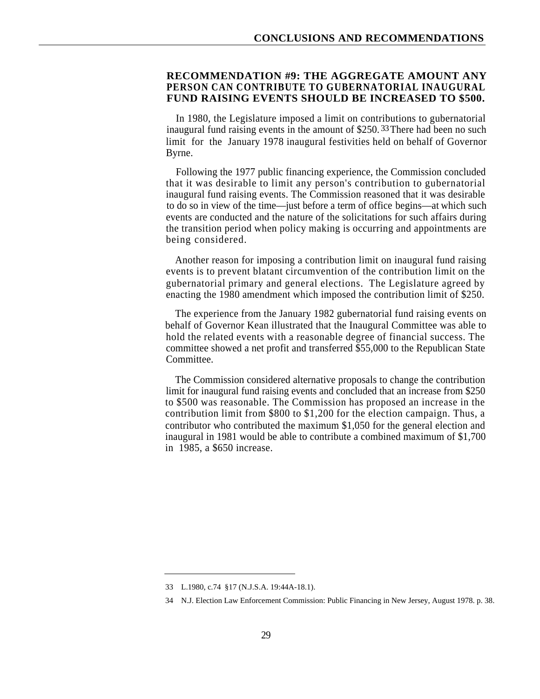#### **RECOMMENDATION #9: THE AGGREGATE AMOUNT ANY PERSON CAN CONTRIBUTE TO GUBERNATORIAL INAUGURAL FUND RAISING EVENTS SHOULD BE INCREASED TO \$500.**

In 1980, the Legislature imposed a limit on contributions to gubernatorial inaugural fund raising events in the amount of \$250.<sup>33</sup> There had been no such limit for the January 1978 inaugural festivities held on behalf of Governor Byrne.

Following the 1977 public financing experience, the Commission concluded that it was desirable to limit any person's contribution to gubernatorial inaugural fund raising events. The Commission reasoned that it was desirable to do so in view of the time—just before a term of office begins—at which such events are conducted and the nature of the solicitations for such affairs during the transition period when policy making is occurring and appointments are being considered.

Another reason for imposing a contribution limit on inaugural fund raising events is to prevent blatant circumvention of the contribution limit on the gubernatorial primary and general elections. The Legislature agreed by enacting the 1980 amendment which imposed the contribution limit of \$250.

The experience from the January 1982 gubernatorial fund raising events on behalf of Governor Kean illustrated that the Inaugural Committee was able to hold the related events with a reasonable degree of financial success. The committee showed a net profit and transferred \$55,000 to the Republican State Committee.

The Commission considered alternative proposals to change the contribution limit for inaugural fund raising events and concluded that an increase from \$250 to \$500 was reasonable. The Commission has proposed an increase in the contribution limit from \$800 to \$1,200 for the election campaign. Thus, a contributor who contributed the maximum \$1,050 for the general election and inaugural in 1981 would be able to contribute a combined maximum of \$1,700 in 1985, a \$650 increase.

<sup>33</sup> L.1980, c.74 §17 (N.J.S.A. 19:44A-18.1).

<sup>34</sup> N.J. Election Law Enforcement Commission: Public Financing in New Jersey, August 1978. p. 38.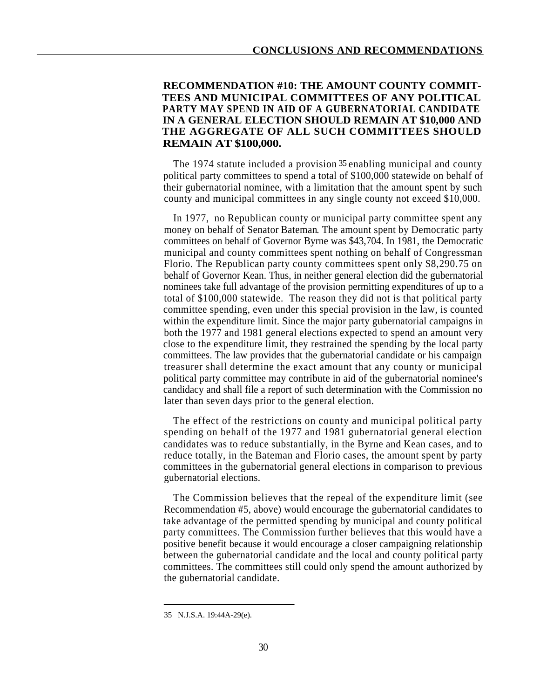#### **RECOMMENDATION #10: THE AMOUNT COUNTY COMMIT-TEES AND MUNICIPAL COMMITTEES OF ANY POLITICAL PARTY MAY SPEND IN AID OF A GUBERNATORIAL CANDIDATE IN A GENERAL ELECTION SHOULD REMAIN AT \$10,000 AND THE AGGREGATE OF ALL SUCH COMMITTEES SHOULD REMAIN AT \$100,000.**

The 1974 statute included a provision 35 enabling municipal and county political party committees to spend a total of \$100,000 statewide on behalf of their gubernatorial nominee, with a limitation that the amount spent by such county and municipal committees in any single county not exceed \$10,000.

In 1977, no Republican county or municipal party committee spent any money on behalf of Senator Bateman. The amount spent by Democratic party committees on behalf of Governor Byrne was \$43,704. In 1981, the Democratic municipal and county committees spent nothing on behalf of Congressman Florio. The Republican party county committees spent only \$8,290.75 on behalf of Governor Kean. Thus, in neither general election did the gubernatorial nominees take full advantage of the provision permitting expenditures of up to a total of \$100,000 statewide. The reason they did not is that political party committee spending, even under this special provision in the law, is counted within the expenditure limit. Since the major party gubernatorial campaigns in both the 1977 and 1981 general elections expected to spend an amount very close to the expenditure limit, they restrained the spending by the local party committees. The law provides that the gubernatorial candidate or his campaign treasurer shall determine the exact amount that any county or municipal political party committee may contribute in aid of the gubernatorial nominee's candidacy and shall file a report of such determination with the Commission no later than seven days prior to the general election.

The effect of the restrictions on county and municipal political party spending on behalf of the 1977 and 1981 gubernatorial general election candidates was to reduce substantially, in the Byrne and Kean cases, and to reduce totally, in the Bateman and Florio cases, the amount spent by party committees in the gubernatorial general elections in comparison to previous gubernatorial elections.

The Commission believes that the repeal of the expenditure limit (see Recommendation #5, above) would encourage the gubernatorial candidates to take advantage of the permitted spending by municipal and county political party committees. The Commission further believes that this would have a positive benefit because it would encourage a closer campaigning relationship between the gubernatorial candidate and the local and county political party committees. The committees still could only spend the amount authorized by the gubernatorial candidate.

<sup>35</sup> N.J.S.A. 19:44A-29(e).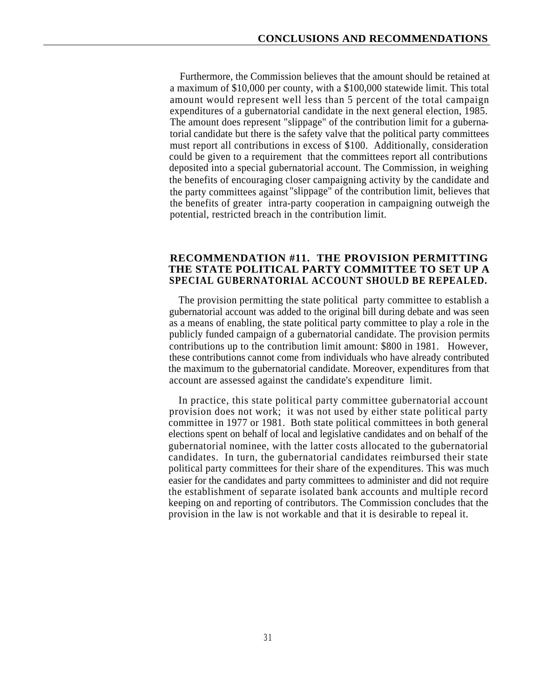Furthermore, the Commission believes that the amount should be retained at a maximum of \$10,000 per county, with a \$100,000 statewide limit. This total amount would represent well less than 5 percent of the total campaign expenditures of a gubernatorial candidate in the next general election, 1985. The amount does represent "slippage" of the contribution limit for a gubernatorial candidate but there is the safety valve that the political party committees must report all contributions in excess of \$100. Additionally, consideration could be given to a requirement that the committees report all contributions deposited into a special gubernatorial account. The Commission, in weighing the benefits of encouraging closer campaigning activity by the candidate and the party committees against "slippage" of the contribution limit, believes that the benefits of greater intra-party cooperation in campaigning outweigh the potential, restricted breach in the contribution limit.

#### **RECOMMENDATION #11. THE PROVISION PERMITTING THE STATE POLITICAL PARTY COMMITTEE TO SET UP A SPECIAL GUBERNATORIAL ACCOUNT SHOULD BE REPEALED.**

The provision permitting the state political party committee to establish a gubernatorial account was added to the original bill during debate and was seen as a means of enabling, the state political party committee to play a role in the publicly funded campaign of a gubernatorial candidate. The provision permits contributions up to the contribution limit amount: \$800 in 1981. However, these contributions cannot come from individuals who have already contributed the maximum to the gubernatorial candidate. Moreover, expenditures from that account are assessed against the candidate's expenditure limit.

In practice, this state political party committee gubernatorial account provision does not work; it was not used by either state political party committee in 1977 or 1981. Both state political committees in both general elections spent on behalf of local and legislative candidates and on behalf of the gubernatorial nominee, with the latter costs allocated to the gubernatorial candidates. In turn, the gubernatorial candidates reimbursed their state political party committees for their share of the expenditures. This was much easier for the candidates and party committees to administer and did not require the establishment of separate isolated bank accounts and multiple record keeping on and reporting of contributors. The Commission concludes that the provision in the law is not workable and that it is desirable to repeal it.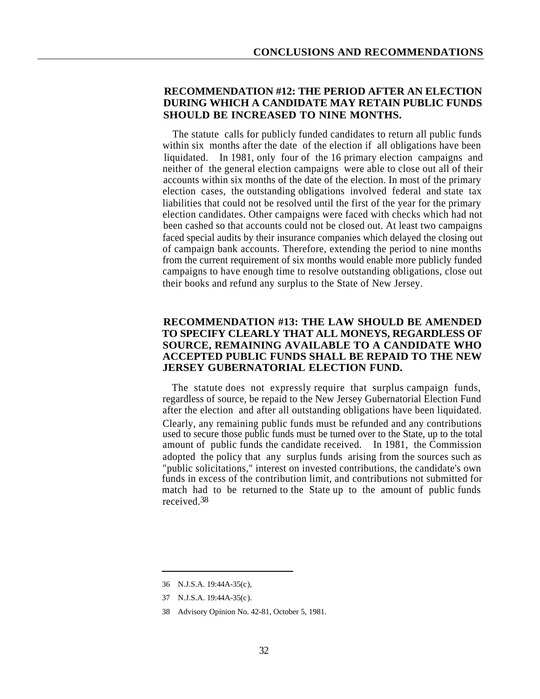# **RECOMMENDATION #12: THE PERIOD AFTER AN ELECTION DURING WHICH A CANDIDATE MAY RETAIN PUBLIC FUNDS SHOULD BE INCREASED TO NINE MONTHS.**

The statute calls for publicly funded candidates to return all public funds within six months after the date of the election if all obligations have been liquidated. In 1981, only four of the 16 primary election campaigns and neither of the general election campaigns were able to close out all of their accounts within six months of the date of the election. In most of the primary election cases, the outstanding obligations involved federal and state tax liabilities that could not be resolved until the first of the year for the primary election candidates. Other campaigns were faced with checks which had not been cashed so that accounts could not be closed out. At least two campaigns faced special audits by their insurance companies which delayed the closing out of campaign bank accounts. Therefore, extending the period to nine months from the current requirement of six months would enable more publicly funded campaigns to have enough time to resolve outstanding obligations, close out their books and refund any surplus to the State of New Jersey.

# **RECOMMENDATION #13: THE LAW SHOULD BE AMENDED TO SPECIFY CLEARLY THAT ALL MONEYS, REGARDLESS OF SOURCE, REMAINING AVAILABLE TO A CANDIDATE WHO ACCEPTED PUBLIC FUNDS SHALL BE REPAID TO THE NEW JERSEY GUBERNATORIAL ELECTION FUND.**

The statute does not expressly require that surplus campaign funds, regardless of source, be repaid to the New Jersey Gubernatorial Election Fund after the election and after all outstanding obligations have been liquidated. Clearly, any remaining public funds must be refunded and any contributions used to secure those public funds must be turned over to the State, up to the total amount of public funds the candidate received. In 1981, the Commission adopted the policy that any surplus funds arising from the sources such as "public solicitations," interest on invested contributions, the candidate's own funds in excess of the contribution limit, and contributions not submitted for match had to be returned to the State up to the amount of public funds received. 38

<sup>36</sup> N.J.S.A. 19:44A-35(c),

<sup>37</sup> N.J.S.A. 19:44A-35(c).

<sup>38</sup> Advisory Opinion No. 42-81, October 5, 1981.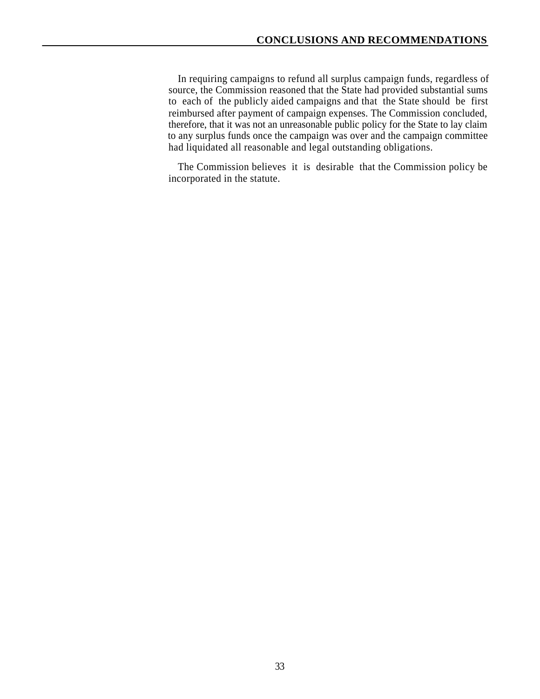In requiring campaigns to refund all surplus campaign funds, regardless of source, the Commission reasoned that the State had provided substantial sums to each of the publicly aided campaigns and that the State should be first reimbursed after payment of campaign expenses. The Commission concluded, therefore, that it was not an unreasonable public policy for the State to lay claim to any surplus funds once the campaign was over and the campaign committee had liquidated all reasonable and legal outstanding obligations.

The Commission believes it is desirable that the Commission policy be incorporated in the statute.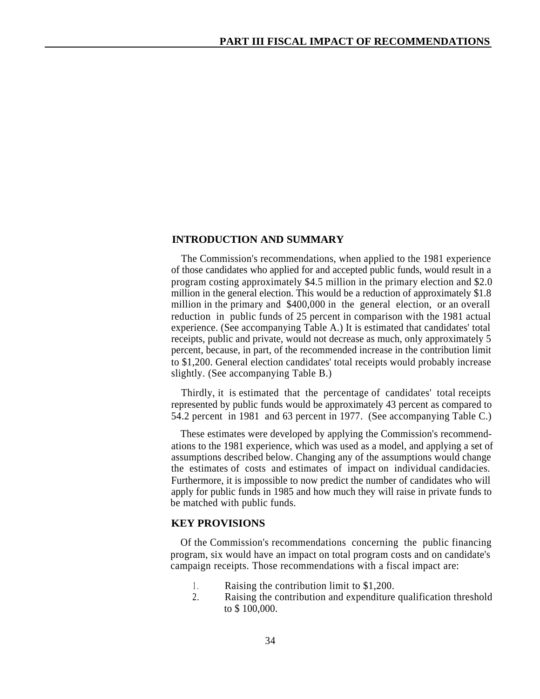## **INTRODUCTION AND SUMMARY**

The Commission's recommendations, when applied to the 1981 experience of those candidates who applied for and accepted public funds, would result in a program costing approximately \$4.5 million in the primary election and \$2.0 million in the general election. This would be a reduction of approximately \$1.8 million in the primary and \$400,000 in the general election, or an overall reduction in public funds of 25 percent in comparison with the 1981 actual experience. (See accompanying Table A.) It is estimated that candidates' total receipts, public and private, would not decrease as much, only approximately 5 percent, because, in part, of the recommended increase in the contribution limit to \$1,200. General election candidates' total receipts would probably increase slightly. (See accompanying Table B.)

Thirdly, it is estimated that the percentage of candidates' total receipts represented by public funds would be approximately 43 percent as compared to 54.2 percent in 1981 and 63 percent in 1977. (See accompanying Table C.)

These estimates were developed by applying the Commission's recommendations to the 1981 experience, which was used as a model, and applying a set of assumptions described below. Changing any of the assumptions would change the estimates of costs and estimates of impact on individual candidacies. Furthermore, it is impossible to now predict the number of candidates who will apply for public funds in 1985 and how much they will raise in private funds to be matched with public funds.

# **KEY PROVISIONS**

Of the Commission's recommendations concerning the public financing program, six would have an impact on total program costs and on candidate's campaign receipts. Those recommendations with a fiscal impact are:

- Raising the contribution limit to \$1,200. 1 .
- Raising the contribution and expenditure qualification threshold to \$ 100,000. 2.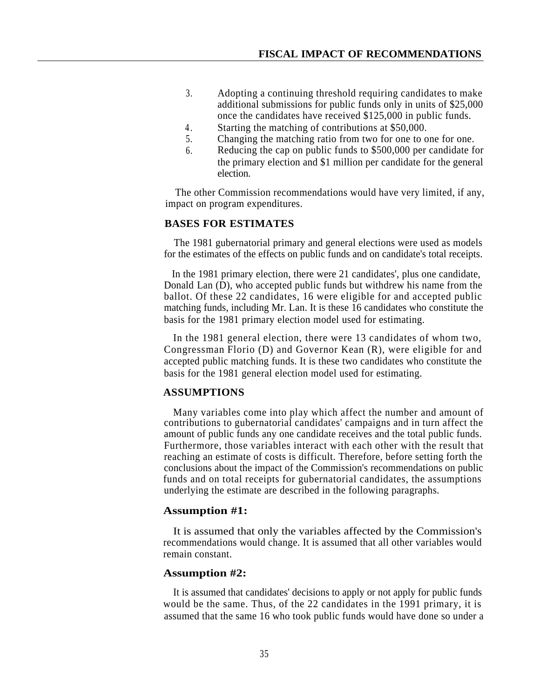- Adopting a continuing threshold requiring candidates to make additional submissions for public funds only in units of \$25,000 once the candidates have received \$125,000 in public funds. 3.
- 4 . Starting the matching of contributions at \$50,000.
- Changing the matching ratio from two for one to one for one. 5.
- Reducing the cap on public funds to \$500,000 per candidate for the primary election and \$1 million per candidate for the general election. 6.

The other Commission recommendations would have very limited, if any, impact on program expenditures.

# **BASES FOR ESTIMATES**

The 1981 gubernatorial primary and general elections were used as models for the estimates of the effects on public funds and on candidate's total receipts.

In the 1981 primary election, there were 21 candidates', plus one candidate, Donald Lan (D), who accepted public funds but withdrew his name from the ballot. Of these 22 candidates, 16 were eligible for and accepted public matching funds, including Mr. Lan. It is these 16 candidates who constitute the basis for the 1981 primary election model used for estimating.

In the 1981 general election, there were 13 candidates of whom two, Congressman Florio (D) and Governor Kean (R), were eligible for and accepted public matching funds. It is these two candidates who constitute the basis for the 1981 general election model used for estimating.

# **ASSUMPTIONS**

Many variables come into play which affect the number and amount of contributions to gubernatorial candidates' campaigns and in turn affect the amount of public funds any one candidate receives and the total public funds. Furthermore, those variables interact with each other with the result that reaching an estimate of costs is difficult. Therefore, before setting forth the conclusions about the impact of the Commission's recommendations on public funds and on total receipts for gubernatorial candidates, the assumptions underlying the estimate are described in the following paragraphs.

# **Assumption #1:**

It is assumed that only the variables affected by the Commission's recommendations would change. It is assumed that all other variables would remain constant.

# **Assumption #2:**

It is assumed that candidates' decisions to apply or not apply for public funds would be the same. Thus, of the 22 candidates in the 1991 primary, it is assumed that the same 16 who took public funds would have done so under a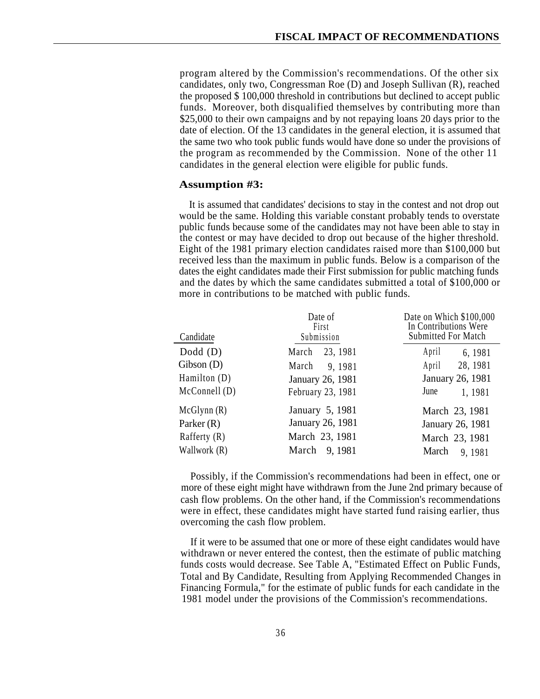program altered by the Commission's recommendations. Of the other six candidates, only two, Congressman Roe (D) and Joseph Sullivan (R), reached the proposed \$ 100,000 threshold in contributions but declined to accept public funds. Moreover, both disqualified themselves by contributing more than \$25,000 to their own campaigns and by not repaying loans 20 days prior to the date of election. Of the 13 candidates in the general election, it is assumed that the same two who took public funds would have done so under the provisions of the program as recommended by the Commission. None of the other 11 candidates in the general election were eligible for public funds.

## **Assumption #3:**

It is assumed that candidates' decisions to stay in the contest and not drop out would be the same. Holding this variable constant probably tends to overstate public funds because some of the candidates may not have been able to stay in the contest or may have decided to drop out because of the higher threshold. Eight of the 1981 primary election candidates raised more than \$100,000 but received less than the maximum in public funds. Below is a comparison of the dates the eight candidates made their First submission for public matching funds and the dates by which the same candidates submitted a total of \$100,000 or more in contributions to be matched with public funds.

| Candidate      | Date of<br>First<br>Submission | Date on Which \$100,000<br>In Contributions Were<br>Submitted For Match |  |
|----------------|--------------------------------|-------------------------------------------------------------------------|--|
| $Dodd$ (D)     | 23, 1981<br>March              | April<br>6, 1981                                                        |  |
| Gibson(D)      | March<br>9, 1981               | 28, 1981<br>April                                                       |  |
| Hamilton (D)   | January 26, 1981               | January 26, 1981                                                        |  |
| McConnell(D)   | February 23, 1981              | June<br>1, 1981                                                         |  |
| McGlynn(R)     | January 5, 1981                | March 23, 1981                                                          |  |
| Parker $(R)$   | January 26, 1981               | January 26, 1981                                                        |  |
| Rafferty $(R)$ | March 23, 1981                 | March 23, 1981                                                          |  |
| Wallwork (R)   | March<br>9, 1981               | March<br>9, 1981                                                        |  |

Possibly, if the Commission's recommendations had been in effect, one or more of these eight might have withdrawn from the June 2nd primary because of cash flow problems. On the other hand, if the Commission's recommendations were in effect, these candidates might have started fund raising earlier, thus overcoming the cash flow problem.

If it were to be assumed that one or more of these eight candidates would have withdrawn or never entered the contest, then the estimate of public matching funds costs would decrease. See Table A, "Estimated Effect on Public Funds, Total and By Candidate, Resulting from Applying Recommended Changes in Financing Formula," for the estimate of public funds for each candidate in the 1981 model under the provisions of the Commission's recommendations.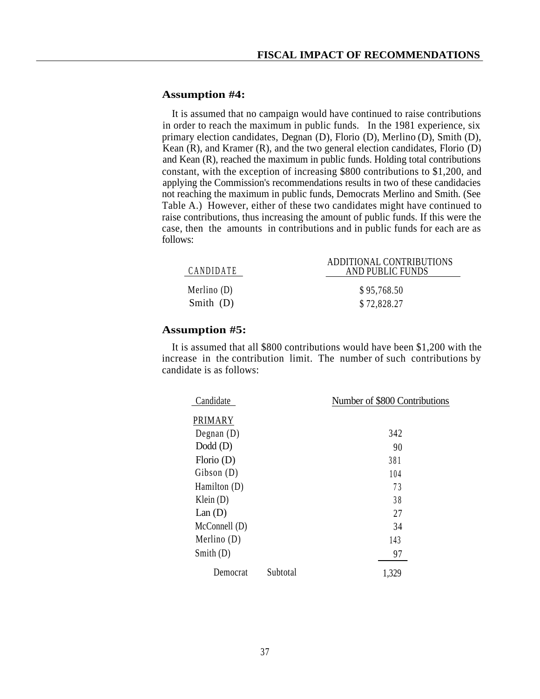## **Assumption #4:**

It is assumed that no campaign would have continued to raise contributions in order to reach the maximum in public funds. In the 1981 experience, six primary election candidates, Degnan (D), Florio (D), Merlino (D), Smith (D), Kean  $(R)$ , and Kramer  $(R)$ , and the two general election candidates, Florio  $(D)$ and Kean (R), reached the maximum in public funds. Holding total contributions constant, with the exception of increasing \$800 contributions to \$1,200, and applying the Commission's recommendations results in two of these candidacies not reaching the maximum in public funds, Democrats Merlino and Smith. (See Table A.) However, either of these two candidates might have continued to raise contributions, thus increasing the amount of public funds. If this were the case, then the amounts in contributions and in public funds for each are as follows:

| <b>CANDIDATE</b> | ADDITIONAL CONTRIBUTIONS<br>AND PUBLIC FUNDS |
|------------------|----------------------------------------------|
| Merlino $(D)$    | \$95,768.50                                  |
| Smith $(D)$      | \$72,828.27                                  |

# **Assumption #5:**

It is assumed that all \$800 contributions would have been \$1,200 with the increase in the contribution limit. The number of such contributions by candidate is as follows:

| Candidate     |          | Number of \$800 Contributions |  |
|---------------|----------|-------------------------------|--|
| PRIMARY       |          |                               |  |
| Degnan $(D)$  |          | 342                           |  |
| $Dodd$ (D)    |          | 90                            |  |
| Florio $(D)$  |          | 381                           |  |
| Gibson(D)     |          | 104                           |  |
| Hamilton (D)  |          | 73                            |  |
| Klein $(D)$   |          | 38                            |  |
| Lan(D)        |          | 27                            |  |
| McConnell (D) |          | 34                            |  |
| Merlino $(D)$ |          | 143                           |  |
| Smith $(D)$   |          | 97                            |  |
| Democrat      | Subtotal | 1,329                         |  |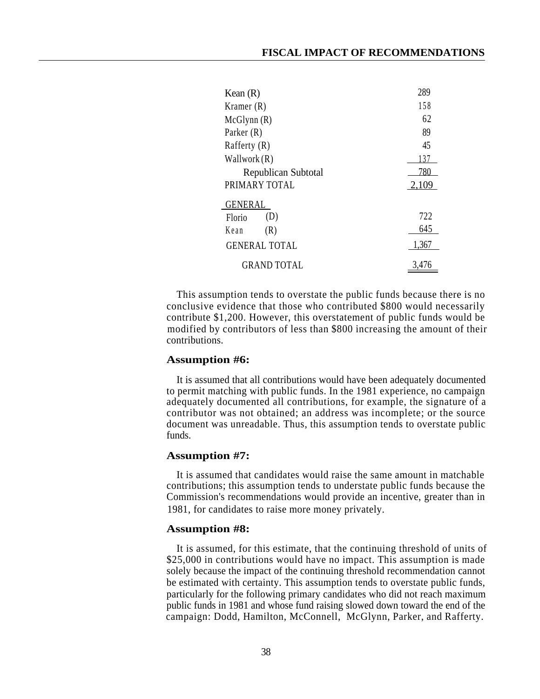| Kean $(R)$           | 289   |
|----------------------|-------|
| Kramer $(R)$         | 158   |
| McGlynn(R)           | 62    |
| Parker $(R)$         | 89    |
| Rafferty $(R)$       | 45    |
| Wallwork $(R)$       | 137   |
| Republican Subtotal  | 780   |
| PRIMARY TOTAL        | 2.109 |
| <b>GENERAL</b>       |       |
| (D)<br>Florio        | 722   |
| (R)<br>Kean          | 645   |
| <b>GENERAL TOTAL</b> | 1,367 |
| <b>GRAND TOTAL</b>   | 3,476 |

This assumption tends to overstate the public funds because there is no conclusive evidence that those who contributed \$800 would necessarily contribute \$1,200. However, this overstatement of public funds would be modified by contributors of less than \$800 increasing the amount of their contributions.

## **Assumption #6:**

It is assumed that all contributions would have been adequately documented to permit matching with public funds. In the 1981 experience, no campaign adequately documented all contributions, for example, the signature of a contributor was not obtained; an address was incomplete; or the source document was unreadable. Thus, this assumption tends to overstate public funds.

## **Assumption #7:**

It is assumed that candidates would raise the same amount in matchable contributions; this assumption tends to understate public funds because the Commission's recommendations would provide an incentive, greater than in 1981, for candidates to raise more money privately.

## **Assumption #8:**

It is assumed, for this estimate, that the continuing threshold of units of \$25,000 in contributions would have no impact. This assumption is made solely because the impact of the continuing threshold recommendation cannot be estimated with certainty. This assumption tends to overstate public funds, particularly for the following primary candidates who did not reach maximum public funds in 1981 and whose fund raising slowed down toward the end of the campaign: Dodd, Hamilton, McConnell, McGlynn, Parker, and Rafferty.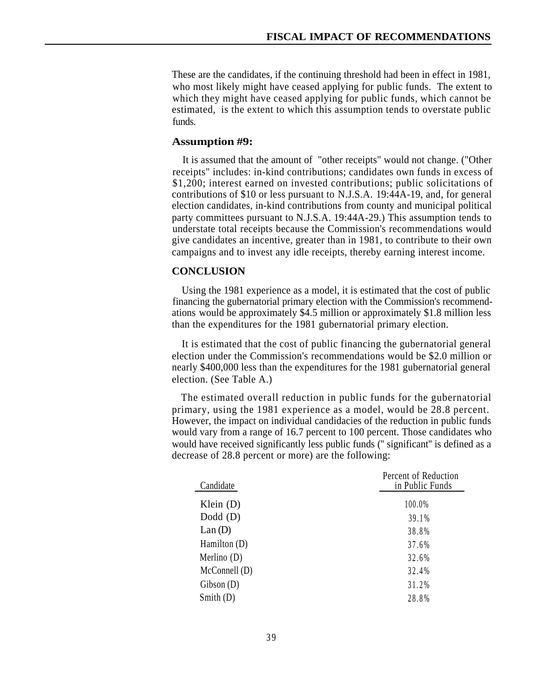These are the candidates, if the continuing threshold had been in effect in 1981, who most likely might have ceased applying for public funds. The extent to which they might have ceased applying for public funds, which cannot be estimated, is the extent to which this assumption tends to overstate public funds.

## **Assumption #9:**

It is assumed that the amount of "other receipts" would not change. ("Other receipts" includes: in-kind contributions; candidates own funds in excess of \$1,200; interest earned on invested contributions; public solicitations of contributions of \$10 or less pursuant to N.J.S.A. 19:44A-19, and, for general election candidates, in-kind contributions from county and municipal political party committees pursuant to N.J.S.A. 19:44A-29.) This assumption tends to understate total receipts because the Commission's recommendations would give candidates an incentive, greater than in 1981, to contribute to their own campaigns and to invest any idle receipts, thereby earning interest income.

## **CONCLUSION**

Using the 1981 experience as a model, it is estimated that the cost of public financing the gubernatorial primary election with the Commission's recommendations would be approximately \$4.5 million or approximately \$1.8 million less than the expenditures for the 1981 gubernatorial primary election.

It is estimated that the cost of public financing the gubernatorial general election under the Commission's recommendations would be \$2.0 million or nearly \$400,000 less than the expenditures for the 1981 gubernatorial general election. (See Table A.)

The estimated overall reduction in public funds for the gubernatorial primary, using the 1981 experience as a model, would be 28.8 percent. However, the impact on individual candidacies of the reduction in public funds would vary from a range of 16.7 percent to 100 percent. Those candidates who would have received significantly less public funds ('' significant'' is defined as a decrease of 28.8 percent or more) are the following:

| Candidate           | Percent of Reduction<br>in Public Funds |  |  |
|---------------------|-----------------------------------------|--|--|
| Klein $(D)$         | 100.0%                                  |  |  |
| $Dodd$ (D)          | 39.1%                                   |  |  |
| Lan(D)              | 38.8%                                   |  |  |
| Hamilton (D)        | 37.6%                                   |  |  |
| Merlino $(D)$       | 32.6%                                   |  |  |
| McConnell (D)       | 32.4%                                   |  |  |
| $\text{Gibson}$ (D) | 31.2%                                   |  |  |
| Smith $(D)$         | 28.8%                                   |  |  |
|                     |                                         |  |  |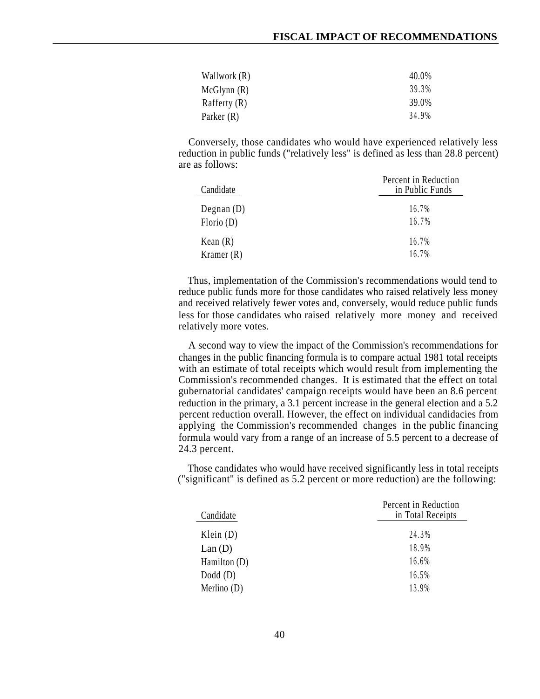| Wallwork (R)   | 40.0% |
|----------------|-------|
| McGlynn(R)     | 39.3% |
| Rafferty $(R)$ | 39.0% |
| Parker $(R)$   | 34.9% |

Conversely, those candidates who would have experienced relatively less reduction in public funds ("relatively less" is defined as less than 28.8 percent) are as follows:

| Candidate    | Percent in Reduction<br>in Public Funds |  |  |
|--------------|-----------------------------------------|--|--|
| Degnan $(D)$ | 16.7%                                   |  |  |
| Florio(D)    | 16.7%                                   |  |  |
| Kean $(R)$   | 16.7%                                   |  |  |
| Kramer $(R)$ | 16.7%                                   |  |  |

Thus, implementation of the Commission's recommendations would tend to reduce public funds more for those candidates who raised relatively less money and received relatively fewer votes and, conversely, would reduce public funds less for those candidates who raised relatively more money and received relatively more votes.

A second way to view the impact of the Commission's recommendations for changes in the public financing formula is to compare actual 1981 total receipts with an estimate of total receipts which would result from implementing the Commission's recommended changes. It is estimated that the effect on total gubernatorial candidates' campaign receipts would have been an 8.6 percent reduction in the primary, a 3.1 percent increase in the general election and a 5.2 percent reduction overall. However, the effect on individual candidacies from applying the Commission's recommended changes in the public financing formula would vary from a range of an increase of 5.5 percent to a decrease of 24.3 percent.

Those candidates who would have received significantly less in total receipts ("significant" is defined as 5.2 percent or more reduction) are the following:

| Candidate     | Percent in Reduction<br>in Total Receipts |  |  |
|---------------|-------------------------------------------|--|--|
| Klein $(D)$   | 24.3%                                     |  |  |
| Lan(D)        | 18.9%                                     |  |  |
| Hamilton (D)  | 16.6%                                     |  |  |
| $Dodd$ (D)    | 16.5%                                     |  |  |
| Merlino $(D)$ | 13.9%                                     |  |  |
|               |                                           |  |  |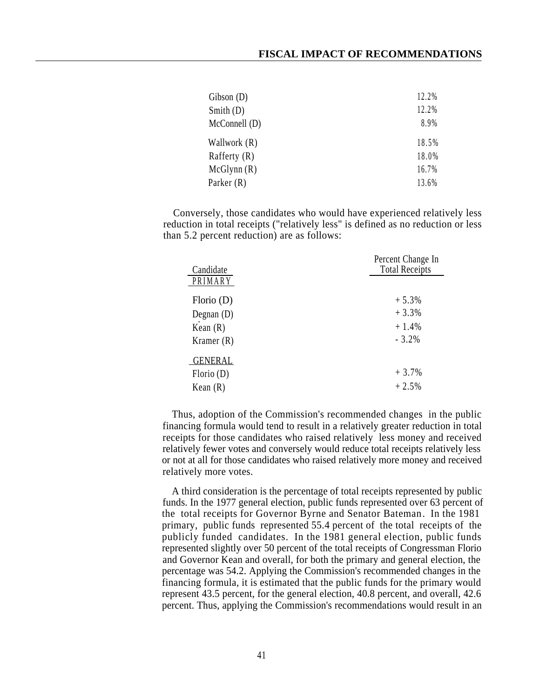| $\text{Gibson}$ (D) | 12.2% |
|---------------------|-------|
| Smith $(D)$         | 12.2% |
| McConnell (D)       | 8.9%  |
| Wallwork (R)        | 18.5% |
| Rafferty $(R)$      | 18.0% |
| McGlynn(R)          | 16.7% |
| Parker (R)          | 13.6% |

Conversely, those candidates who would have experienced relatively less reduction in total receipts ("relatively less" is defined as no reduction or less than 5.2 percent reduction) are as follows:

| Candidate      | Percent Change In<br><b>Total Receipts</b> |  |  |
|----------------|--------------------------------------------|--|--|
| PRIMARY        |                                            |  |  |
| Florio $(D)$   | $+5.3%$                                    |  |  |
| Degnan $(D)$   | $+3.3%$                                    |  |  |
| Kean $(R)$     | $+1.4%$                                    |  |  |
| Kramer $(R)$   | $-3.2%$                                    |  |  |
| <b>GENERAL</b> |                                            |  |  |
| Florio(D)      | $+3.7%$                                    |  |  |
| Kean $(R)$     | $+2.5%$                                    |  |  |

Thus, adoption of the Commission's recommended changes in the public financing formula would tend to result in a relatively greater reduction in total receipts for those candidates who raised relatively less money and received relatively fewer votes and conversely would reduce total receipts relatively less or not at all for those candidates who raised relatively more money and received relatively more votes.

A third consideration is the percentage of total receipts represented by public funds. In the 1977 general election, public funds represented over 63 percent of the total receipts for Governor Byrne and Senator Bateman. In the 1981 primary, public funds represented 55.4 percent of the total receipts of the publicly funded candidates. In the 1981 general election, public funds represented slightly over 50 percent of the total receipts of Congressman Florio and Governor Kean and overall, for both the primary and general election, the percentage was 54.2. Applying the Commission's recommended changes in the financing formula, it is estimated that the public funds for the primary would represent 43.5 percent, for the general election, 40.8 percent, and overall, 42.6 percent. Thus, applying the Commission's recommendations would result in an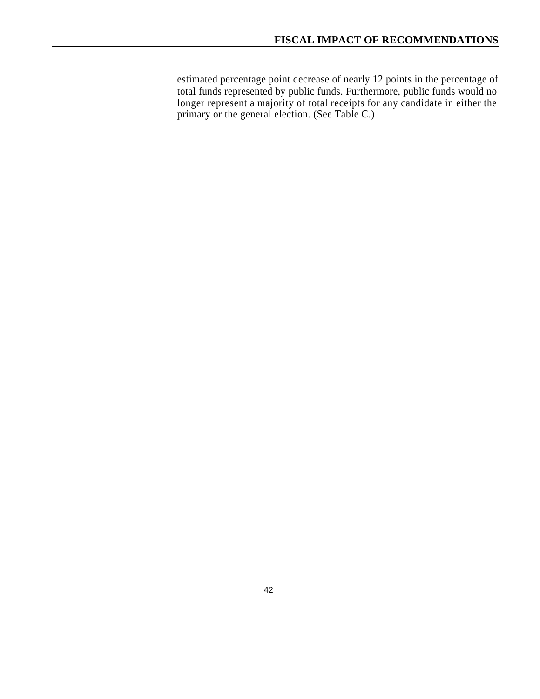estimated percentage point decrease of nearly 12 points in the percentage of total funds represented by public funds. Furthermore, public funds would no longer represent a majority of total receipts for any candidate in either the primary or the general election. (See Table C.)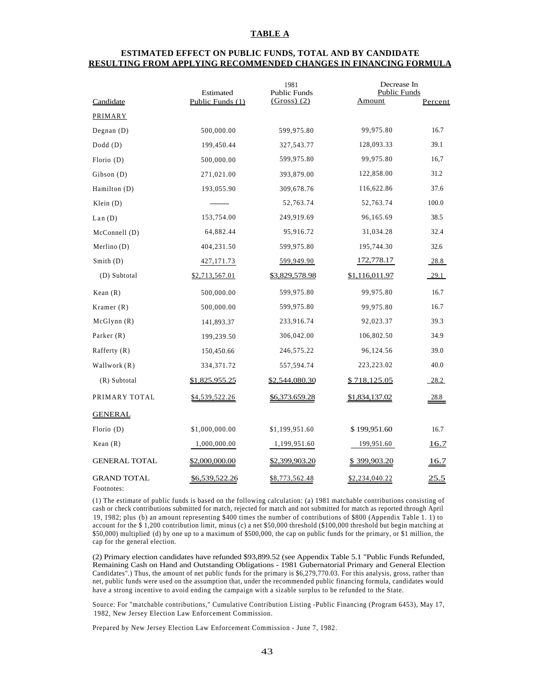## **TABLE A**

## **ESTIMATED EFFECT ON PUBLIC FUNDS, TOTAL AND BY CANDIDATE RESULTING FROM APPLYING RECOMMENDED CHANGES IN FINANCING FORMULA**

|                                  | Estimated             | 1981<br><b>Public Funds</b> | Decrease In<br><b>Public Funds</b> |                |
|----------------------------------|-----------------------|-----------------------------|------------------------------------|----------------|
| Candidate                        | Public Funds (1)      | $(Gross)$ (2)               | <b>Amount</b>                      | <b>Percent</b> |
| PRIMARY                          |                       |                             |                                    |                |
| Degnan $(D)$                     | 500,000.00            | 599,975.80                  | 99,975.80                          | 16.7           |
| Dodd (D)                         | 199,450.44            | 327,543.77                  | 128,093.33                         | 39.1           |
| Florio $(D)$                     | 500,000.00            | 599,975.80                  | 99,975.80                          | 16,7           |
| Gibson (D)                       | 271,021.00            | 393,879.00                  | 122,858.00                         | 31.2           |
| Hamilton (D)                     | 193,055.90            | 309,678.76                  | 116,622.86                         | 37.6           |
| Klein $(D)$                      |                       | 52,763.74                   | 52,763.74                          | 100.0          |
| Lan(D)                           | 153,754.00            | 249,919.69                  | 96,165.69                          | 38.5           |
| McConnell (D)                    | 64,882.44             | 95,916.72                   | 31,034.28                          | 32.4           |
| Merlino(D)                       | 404,231.50            | 599,975.80                  | 195,744.30                         | 32.6           |
| Smith (D)                        | 427, 171.73           | 599,949.90                  | 172,778.17                         | 28.8           |
| (D) Subtotal                     | \$2,713,567.01        | \$3,829,578.98              | \$1,116,011.97                     | $-29.1$        |
| Kean $(R)$                       | 500,000.00            | 599,975.80                  | 99,975.80                          | 16.7           |
| Kramer $(R)$                     | 500,000.00            | 599,975.80                  | 99,975.80                          | 16.7           |
| McGlynn (R)                      | 141,893.37            | 233,916.74                  | 92,023.37                          | 39.3           |
| Parker $(R)$                     | 199,239.50            | 306,042.00                  | 106,802.50                         | 34.9           |
| Rafferty $(R)$                   | 150,450.66            | 246,575.22                  | 96,124.56                          | 39.0           |
| Wallwork (R)                     | 334, 371. 72          | 557,594.74                  | 223,223.02                         | 40.0           |
| (R) Subtotal                     | <u>\$1,825,955.25</u> | <u>\$2,544,080.30</u>       | <u>\$718,125.05</u>                | 28.2           |
| PRIMARY TOTAL                    | \$4,539,522.26        | \$6,373.659.28              | \$1,834,137.02                     | 28.8           |
| <b>GENERAL</b>                   |                       |                             |                                    |                |
| Florio (D)                       | \$1,000,000.00        | \$1,199,951.60              | \$199,951.60                       | 16.7           |
| Kean $(R)$                       | 1,000,000.00          | 1,199,951.60                | 199,951.60                         | <u>16.7</u>    |
| <b>GENERAL TOTAL</b>             | \$2,000,000.00        | \$2,399,903.20              | \$ 399,903.20                      | <u>16.7</u>    |
| <b>GRAND TOTAL</b><br>Footnotes: | <u>\$6,539,522.26</u> | <u>\$8,773,562.48</u>       | \$2,234,040.22                     | <u>25.5</u>    |

(1) The estimate of public funds is based on the following calculation: (a) 1981 matchable contributions consisting of cash or check contributions submitted for match, rejected for match and not submitted for match as reported through April 19, 1982; plus (b) an amount representing \$400 times the number of contributions of \$800 (Appendix Table 1. 1) to account for the \$ 1,200 contribution limit, minus (c) a net \$50,000 threshold (\$100,000 threshold but begin matching at \$50,000) multiplied (d) by one up to a maximum of \$500,000, the cap on public funds for the primary, or \$1 million, the cap for the general election.

(2) Primary election candidates have refunded \$93,899.52 (see Appendix Table 5.1 "Public Funds Refunded, Remaining Cash on Hand and Outstanding Obligations - 1981 Gubernatorial Primary and General Election Candidates".) Thus, the amount of net public funds for the primary is \$6,279,770.03. For this analysis, gross, rather than net, public funds were used on the assumption that, under the recommended public financing formula, candidates would have a strong incentive to avoid ending the campaign with a sizable surplus to be refunded to the State.

Source: For "matchable contributions," Cumulative Contribution Listing -Public Financing (Program 6453), May 17, 1982, New Jersey Election Law Enforcement Commission.

Prepared by New Jersey Election Law Enforcement Commission - June 7, 1982.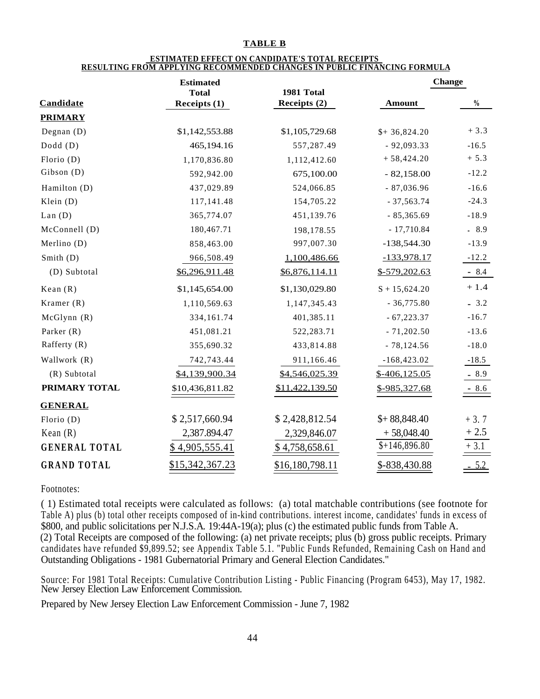## **TABLE B**

### **ESTIMATED EFFECT ON CANDIDATE'S TOTAL RECEIPTS RESULTING FROM APPLYING RECOMMENDED CHANGES IN PUBLIC FINANCING FORMULA**

|                      | <b>Estimated</b> |                 | <b>Change</b>   |               |
|----------------------|------------------|-----------------|-----------------|---------------|
|                      | <b>Total</b>     | 1981 Total      |                 |               |
| Candidate            | Receipts (1)     | Receipts (2)    | <b>Amount</b>   | $\frac{0}{0}$ |
| <b>PRIMARY</b>       |                  |                 |                 |               |
| Degnan $(D)$         | \$1,142,553.88   | \$1,105,729.68  | $$+ 36,824.20$  | $+3.3$        |
| $Dodd$ (D)           | 465,194.16       | 557,287.49      | $-92,093.33$    | $-16.5$       |
| Florio (D)           | 1,170,836.80     | 1,112,412.60    | $+58,424.20$    | $+ 5.3$       |
| Gibson (D)           | 592,942.00       | 675,100.00      | $-82,158.00$    | $-12.2$       |
| Hamilton (D)         | 437,029.89       | 524,066.85      | $-87,036.96$    | $-16.6$       |
| Klein $(D)$          | 117,141.48       | 154,705.22      | $-37,563.74$    | $-24.3$       |
| Lan(D)               | 365,774.07       | 451,139.76      | $-85,365.69$    | $-18.9$       |
| McConnell (D)        | 180,467.71       | 198,178.55      | $-17,710.84$    | $-8.9$        |
| Merlino (D)          | 858,463.00       | 997,007.30      | $-138,544.30$   | $-13.9$       |
| Smith (D)            | 966,508.49       | 1,100,486.66    | $-133,978.17$   | $-12.2$       |
| (D) Subtotal         | \$6,296,911.48   | \$6,876,114.11  | $$-579,202.63$  | $-8.4$        |
| Kean $(R)$           | \$1,145,654.00   | \$1,130,029.80  | $S + 15,624.20$ | $+1.4$        |
| Kramer $(R)$         | 1,110,569.63     | 1,147,345.43    | $-36,775.80$    | $-3.2$        |
| McGlynn(R)           | 334,161.74       | 401,385.11      | $-67,223.37$    | $-16.7$       |
| Parker $(R)$         | 451,081.21       | 522,283.71      | $-71,202.50$    | $-13.6$       |
| Rafferty $(R)$       | 355,690.32       | 433,814.88      | $-78,124.56$    | $-18.0$       |
| Wallwork (R)         | 742,743.44       | 911,166.46      | $-168,423.02$   | $-18.5$       |
| (R) Subtotal         | \$4,139,900.34   | \$4,546,025.39  | $$-406, 125.05$ | $-8.9$        |
| PRIMARY TOTAL        | \$10,436,811.82  | \$11,422,139.50 | \$-985,327.68   | $-8.6$        |
| <b>GENERAL</b>       |                  |                 |                 |               |
| Florio $(D)$         | \$2,517,660.94   | \$2,428,812.54  | $$+88,848.40$   | $+3.7$        |
| Kean $(R)$           | 2,387.894.47     | 2,329,846.07    | $+58,048.40$    | $+2.5$        |
| <b>GENERAL TOTAL</b> | \$4,905,555.41   | \$4,758,658.61  | $$+146,896.80$  | $+3.1$        |
| <b>GRAND TOTAL</b>   | \$15,342,367.23  | \$16,180,798.11 | \$-838,430.88   | $-5.2$        |

Footnotes:

( 1) Estimated total receipts were calculated as follows: (a) total matchable contributions (see footnote for Table A) plus (b) total other receipts composed of in-kind contributions. interest income, candidates' funds in excess of \$800, and public solicitations per N.J.S.A. 19:44A-19(a); plus (c) the estimated public funds from Table A.

(2) Total Receipts are composed of the following: (a) net private receipts; plus (b) gross public receipts. Primary candidates have refunded \$9,899.52; see Appendix Table 5.1. "Public Funds Refunded, Remaining Cash on Hand and Outstanding Obligations - 1981 Gubernatorial Primary and General Election Candidates."

Source: For 1981 Total Receipts: Cumulative Contribution Listing - Public Financing (Program 6453), May 17, 1982. New Jersey Election Law Enforcement Commission.

Prepared by New Jersey Election Law Enforcement Commission - June 7, 1982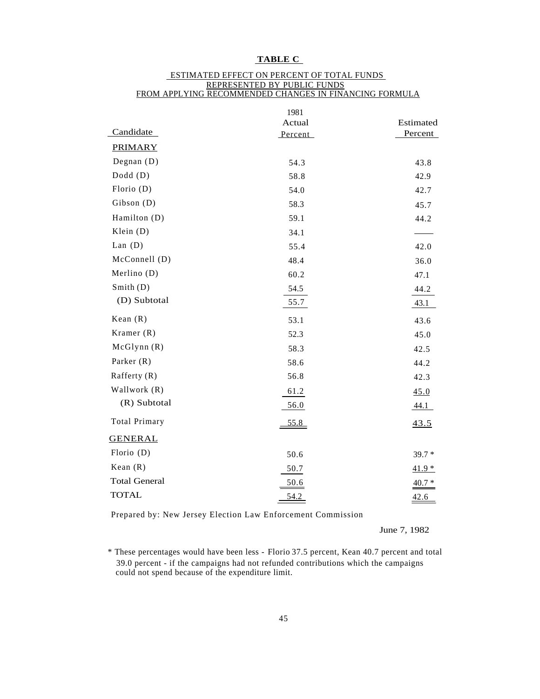# **TABLE C**

|                      | 1981    |           |
|----------------------|---------|-----------|
|                      | Actual  | Estimated |
| Candidate            | Percent | Percent   |
| <b>PRIMARY</b>       |         |           |
| Degnan $(D)$         | 54.3    | 43.8      |
| $Dodd$ (D)           | 58.8    | 42.9      |
| Florio (D)           | 54.0    | 42.7      |
| Gibson (D)           | 58.3    | 45.7      |
| Hamilton (D)         | 59.1    | 44.2      |
| Klein $(D)$          | 34.1    |           |
| Lan $(D)$            | 55.4    | 42.0      |
| McConnell (D)        | 48.4    | 36.0      |
| Merlino $(D)$        | 60.2    | 47.1      |
| Smith $(D)$          | 54.5    | 44.2      |
| (D) Subtotal         | 55.7    | 43.1      |
| Kean $(R)$           | 53.1    | 43.6      |
| Kramer $(R)$         | 52.3    | 45.0      |
| McGlynn(R)           | 58.3    | 42.5      |
| Parker $(R)$         | 58.6    | 44.2      |
| Rafferty $(R)$       | 56.8    | 42.3      |
| Wallwork (R)         | 61.2    | 45.0      |
| (R) Subtotal         | 56.0    | 44.1      |
| <b>Total Primary</b> | 55.8    | 43.5      |
| <b>GENERAL</b>       |         |           |
| Florio $(D)$         | 50.6    | $39.7*$   |
| Kean $(R)$           | 50.7    | $41.9*$   |
| <b>Total General</b> | 50.6    | $40.7 *$  |
| <b>TOTAL</b>         | 54.2    | 42.6      |

## ESTIMATED EFFECT ON PERCENT OF TOTAL FUNDS REPRESENTED BY PUBLIC FUNDS FROM APPLYING RECOMMENDED CHANGES IN FINANCING FORMULA

Prepared by: New Jersey Election Law Enforcement Commission

June 7, 1982

<sup>\*</sup> These percentages would have been less - Florio 37.5 percent, Kean 40.7 percent and total 39.0 percent - if the campaigns had not refunded contributions which the campaigns could not spend because of the expenditure limit.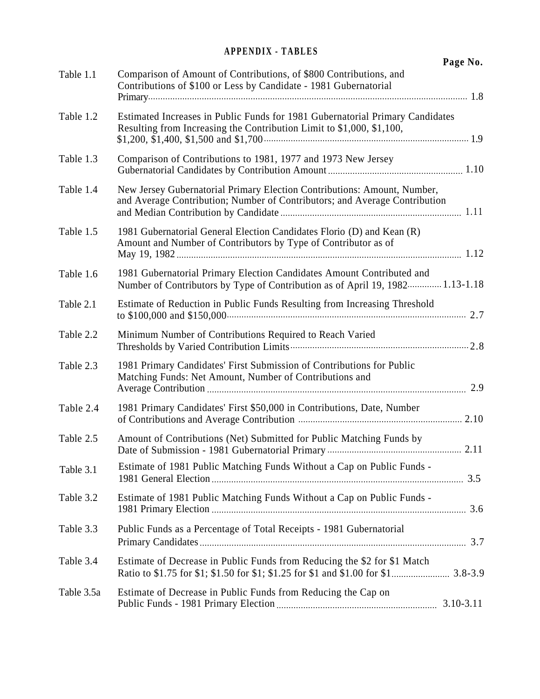# **APPENDIX - TABLES**

|            |                                                                                                                                                        | Page No.      |
|------------|--------------------------------------------------------------------------------------------------------------------------------------------------------|---------------|
| Table 1.1  | Comparison of Amount of Contributions, of \$800 Contributions, and<br>Contributions of \$100 or Less by Candidate - 1981 Gubernatorial                 |               |
| Table 1.2  | Estimated Increases in Public Funds for 1981 Gubernatorial Primary Candidates<br>Resulting from Increasing the Contribution Limit to \$1,000, \$1,100, |               |
| Table 1.3  | Comparison of Contributions to 1981, 1977 and 1973 New Jersey                                                                                          |               |
| Table 1.4  | New Jersey Gubernatorial Primary Election Contributions: Amount, Number,<br>and Average Contribution; Number of Contributors; and Average Contribution |               |
| Table 1.5  | 1981 Gubernatorial General Election Candidates Florio (D) and Kean (R)<br>Amount and Number of Contributors by Type of Contributor as of               |               |
| Table 1.6  | 1981 Gubernatorial Primary Election Candidates Amount Contributed and<br>Number of Contributors by Type of Contribution as of April 19, 1982 1.13-1.18 |               |
| Table 2.1  | Estimate of Reduction in Public Funds Resulting from Increasing Threshold                                                                              |               |
| Table 2.2  | Minimum Number of Contributions Required to Reach Varied                                                                                               |               |
| Table 2.3  | 1981 Primary Candidates' First Submission of Contributions for Public<br>Matching Funds: Net Amount, Number of Contributions and                       |               |
| Table 2.4  | 1981 Primary Candidates' First \$50,000 in Contributions, Date, Number                                                                                 |               |
| Table 2.5  | Amount of Contributions (Net) Submitted for Public Matching Funds by                                                                                   | 2.11          |
| Table 3.1  | Estimate of 1981 Public Matching Funds Without a Cap on Public Funds -                                                                                 |               |
| Table 3.2  | Estimate of 1981 Public Matching Funds Without a Cap on Public Funds -                                                                                 |               |
| Table 3.3  | Public Funds as a Percentage of Total Receipts - 1981 Gubernatorial                                                                                    |               |
| Table 3.4  | Estimate of Decrease in Public Funds from Reducing the \$2 for \$1 Match                                                                               |               |
| Table 3.5a | Estimate of Decrease in Public Funds from Reducing the Cap on                                                                                          | $3.10 - 3.11$ |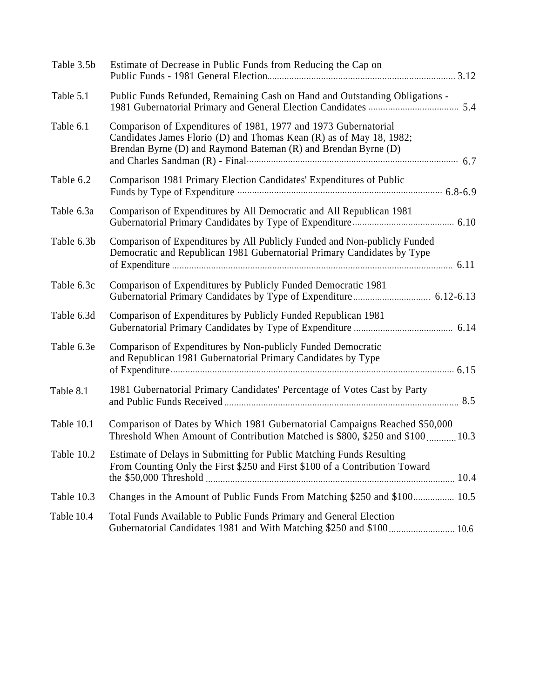| Table 3.5b | Estimate of Decrease in Public Funds from Reducing the Cap on                                                                                                                                                                                                                                                                                                                                                                               |
|------------|---------------------------------------------------------------------------------------------------------------------------------------------------------------------------------------------------------------------------------------------------------------------------------------------------------------------------------------------------------------------------------------------------------------------------------------------|
| Table 5.1  | Public Funds Refunded, Remaining Cash on Hand and Outstanding Obligations -                                                                                                                                                                                                                                                                                                                                                                 |
| Table 6.1  | Comparison of Expenditures of 1981, 1977 and 1973 Gubernatorial<br>Candidates James Florio (D) and Thomas Kean (R) as of May 18, 1982;<br>Brendan Byrne (D) and Raymond Bateman (R) and Brendan Byrne (D)<br>and Charles Sandman (R) - Final manufacture contract to the Sandman (R) - Final manufacture contract to the Sandman (R) - Final manufacture contract to the Sandman (R) - Final manufacture contract to the Sandman (R) - Fina |
| Table 6.2  | Comparison 1981 Primary Election Candidates' Expenditures of Public<br>Funds by Type of Expenditure <b>Constructs</b> of the Second Second Second Second Second Second Second Second Second Second Second Second Second Second Second Second Second Second Second Second Second Second Second Second Secon                                                                                                                                  |
| Table 6.3a | Comparison of Expenditures by All Democratic and All Republican 1981                                                                                                                                                                                                                                                                                                                                                                        |
| Table 6.3b | Comparison of Expenditures by All Publicly Funded and Non-publicly Funded<br>Democratic and Republican 1981 Gubernatorial Primary Candidates by Type                                                                                                                                                                                                                                                                                        |
| Table 6.3c | Comparison of Expenditures by Publicly Funded Democratic 1981                                                                                                                                                                                                                                                                                                                                                                               |
| Table 6.3d | Comparison of Expenditures by Publicly Funded Republican 1981                                                                                                                                                                                                                                                                                                                                                                               |
| Table 6.3e | Comparison of Expenditures by Non-publicly Funded Democratic<br>and Republican 1981 Gubernatorial Primary Candidates by Type                                                                                                                                                                                                                                                                                                                |
| Table 8.1  | 1981 Gubernatorial Primary Candidates' Percentage of Votes Cast by Party                                                                                                                                                                                                                                                                                                                                                                    |
| Table 10.1 | Comparison of Dates by Which 1981 Gubernatorial Campaigns Reached \$50,000<br>Threshold When Amount of Contribution Matched is \$800, \$250 and \$100  10.3                                                                                                                                                                                                                                                                                 |
|            | Table 10.2 Estimate of Delays in Submitting for Public Matching Funds Resulting<br>From Counting Only the First \$250 and First \$100 of a Contribution Toward                                                                                                                                                                                                                                                                              |
| Table 10.3 | Changes in the Amount of Public Funds From Matching \$250 and \$100 10.5                                                                                                                                                                                                                                                                                                                                                                    |
| Table 10.4 | Total Funds Available to Public Funds Primary and General Election                                                                                                                                                                                                                                                                                                                                                                          |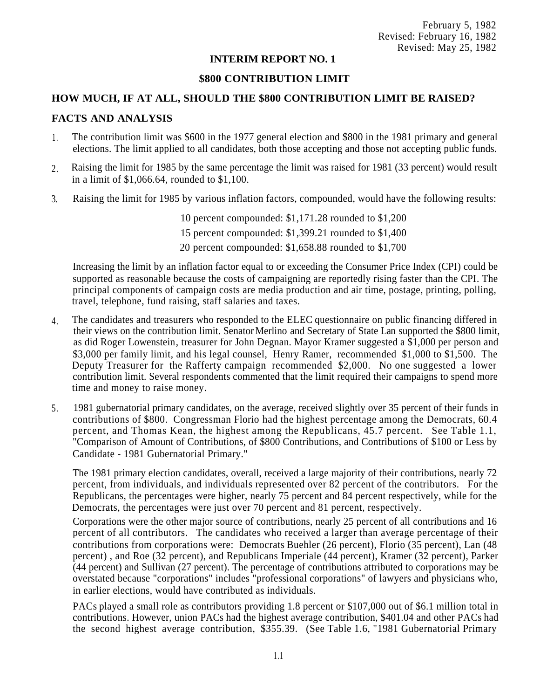# **INTERIM REPORT NO. 1**

# **\$800 CONTRIBUTION LIMIT**

# **HOW MUCH, IF AT ALL, SHOULD THE \$800 CONTRIBUTION LIMIT BE RAISED?**

# **FACTS AND ANALYSIS**

- The contribution limit was \$600 in the 1977 general election and \$800 in the 1981 primary and general elections. The limit applied to all candidates, both those accepting and those not accepting public funds. 1 .
- Raising the limit for 1985 by the same percentage the limit was raised for 1981 (33 percent) would result in a limit of \$1,066.64, rounded to \$1,100. 2.
- 3. Raising the limit for 1985 by various inflation factors, compounded, would have the following results:
	- 10 percent compounded: \$1,171.28 rounded to \$1,200
	- 15 percent compounded: \$1,399.21 rounded to \$1,400
	- 20 percent compounded: \$1,658.88 rounded to \$1,700

Increasing the limit by an inflation factor equal to or exceeding the Consumer Price Index (CPI) could be supported as reasonable because the costs of campaigning are reportedly rising faster than the CPI. The principal components of campaign costs are media production and air time, postage, printing, polling, travel, telephone, fund raising, staff salaries and taxes.

- The candidates and treasurers who responded to the ELEC questionnaire on public financing differed in their views on the contribution limit. Senator Merlino and Secretary of State Lan supported the \$800 limit, as did Roger Lowenstein, treasurer for John Degnan. Mayor Kramer suggested a \$1,000 per person and \$3,000 per family limit, and his legal counsel, Henry Ramer, recommended \$1,000 to \$1,500. The Deputy Treasurer for the Rafferty campaign recommended \$2,000. No one suggested a lower contribution limit. Several respondents commented that the limit required their campaigns to spend more time and money to raise money. 4.
- 1981 gubernatorial primary candidates, on the average, received slightly over 35 percent of their funds in contributions of \$800. Congressman Florio had the highest percentage among the Democrats, 60.4 percent, and Thomas Kean, the highest among the Republicans, 45.7 percent. See Table 1.1, "Comparison of Amount of Contributions, of \$800 Contributions, and Contributions of \$100 or Less by Candidate - 1981 Gubernatorial Primary." 5.

The 1981 primary election candidates, overall, received a large majority of their contributions, nearly 72 percent, from individuals, and individuals represented over 82 percent of the contributors. For the Republicans, the percentages were higher, nearly 75 percent and 84 percent respectively, while for the Democrats, the percentages were just over 70 percent and 81 percent, respectively.

Corporations were the other major source of contributions, nearly 25 percent of all contributions and 16 percent of all contributors. The candidates who received a larger than average percentage of their contributions from corporations were: Democrats Buehler (26 percent), Florio (35 percent), Lan (48 percent) , and Roe (32 percent), and Republicans Imperiale (44 percent), Kramer (32 percent), Parker (44 percent) and Sullivan (27 percent). The percentage of contributions attributed to corporations may be overstated because "corporations" includes "professional corporations" of lawyers and physicians who, in earlier elections, would have contributed as individuals.

PACs played a small role as contributors providing 1.8 percent or \$107,000 out of \$6.1 million total in contributions. However, union PACs had the highest average contribution, \$401.04 and other PACs had the second highest average contribution, \$355.39. (See Table 1.6, "1981 Gubernatorial Primary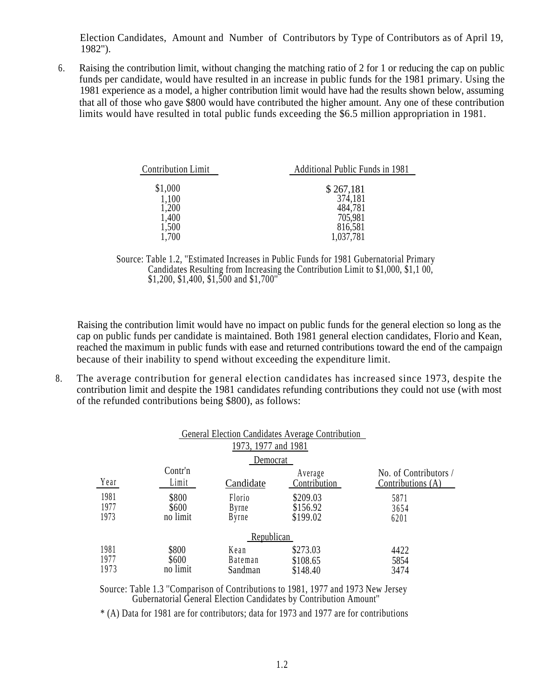Election Candidates, Amount and Number of Contributors by Type of Contributors as of April 19, 1982'').

Raising the contribution limit, without changing the matching ratio of 2 for 1 or reducing the cap on public funds per candidate, would have resulted in an increase in public funds for the 1981 primary. Using the 1981 experience as a model, a higher contribution limit would have had the results shown below, assuming that all of those who gave \$800 would have contributed the higher amount. Any one of these contribution limits would have resulted in total public funds exceeding the \$6.5 million appropriation in 1981. 6.

| <b>Contribution Limit</b> | Additional Public Funds in 1981 |
|---------------------------|---------------------------------|
| \$1,000                   | \$267,181                       |
| 1,100<br>1,200            | 374,181<br>484,781              |
| 1,400                     | 705,981                         |
| 1,500<br>1,700            | 816,581<br>1,037,781            |

Source: Table 1.2, ''Estimated Increases in Public Funds for 1981 Gubernatorial Primary Candidates Resulting from Increasing the Contribution Limit to \$1,000, \$1,1 00, \$1,200, \$1,400, \$1,500 and \$1,700''

Raising the contribution limit would have no impact on public funds for the general election so long as the cap on public funds per candidate is maintained. Both 1981 general election candidates, Florio and Kean, reached the maximum in public funds with ease and returned contributions toward the end of the campaign because of their inability to spend without exceeding the expenditure limit.

8. The average contribution for general election candidates has increased since 1973, despite the contribution limit and despite the 1981 candidates refunding contributions they could not use (with most of the refunded contributions being \$800), as follows:

|                      |                            |                                   | General Election Candidates Average Contribution |                                            |
|----------------------|----------------------------|-----------------------------------|--------------------------------------------------|--------------------------------------------|
|                      |                            | 1973, 1977 and 1981               |                                                  |                                            |
|                      |                            | Democrat                          |                                                  |                                            |
| Year                 | Contr'n<br>Limit           | Candidate                         | Average<br>Contribution                          | No. of Contributors /<br>Contributions (A) |
| 1981<br>1977<br>1973 | \$800<br>\$600<br>no limit | Florio<br>Byrne<br>Byrne          | \$209.03<br>\$156.92<br>\$199.02                 | 5871<br>3654<br>6201                       |
|                      |                            | Republican                        |                                                  |                                            |
| 1981<br>1977<br>1973 | \$800<br>\$600<br>no limit | Kean<br><b>Bateman</b><br>Sandman | \$273.03<br>\$108.65<br>\$148.40                 | 4422<br>5854<br>3474                       |

Source: Table 1.3 ''Comparison of Contributions to 1981, 1977 and 1973 New Jersey Gubernatorial General Election Candidates by Contribution Amount''

\* (A) Data for 1981 are for contributors; data for 1973 and 1977 are for contributions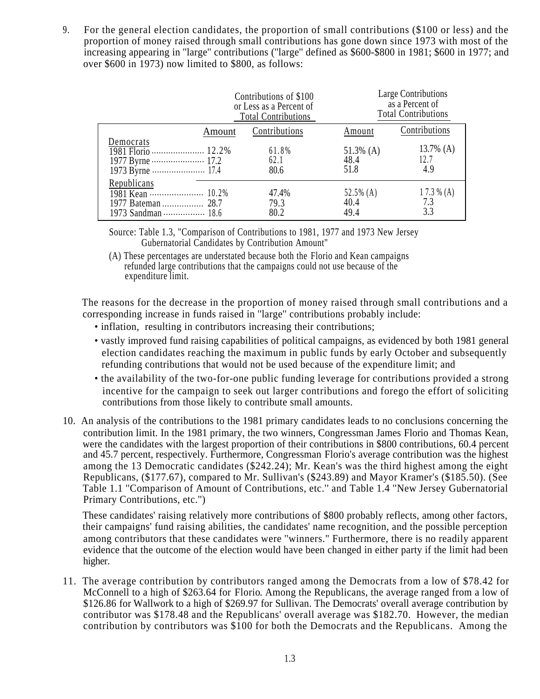9. For the general election candidates, the proportion of small contributions (\$100 or less) and the proportion of money raised through small contributions has gone down since 1973 with most of the increasing appearing in ''large'' contributions (''large'' defined as \$600-\$800 in 1981; \$600 in 1977; and over \$600 in 1973) now limited to \$800, as follows:

|             | Contributions of \$100<br>or Less as a Percent of<br><b>Total Contributions</b> |                           | Large Contributions<br>as a Percent of<br><b>Total Contributions</b> |
|-------------|---------------------------------------------------------------------------------|---------------------------|----------------------------------------------------------------------|
| Amount      | Contributions                                                                   | Amount                    | Contributions                                                        |
| Democrats   | 61.8%<br>62.1<br>80.6                                                           | 51.3% (A)<br>48.4<br>51.8 | 13.7% $(A)$<br>12.7<br>4.9                                           |
| Republicans | 47.4%<br>79.3<br>80.2                                                           | 52.5% (A)<br>40.4<br>49.4 | $17.3\%$ (A)<br>7.3<br>3.3                                           |

Source: Table 1.3, "Comparison of Contributions to 1981, 1977 and 1973 New Jersey Gubernatorial Candidates by Contribution Amount"

(A) These percentages are understated because both the Florio and Kean campaigns refunded large contributions that the campaigns could not use because of the expenditure limit.

The reasons for the decrease in the proportion of money raised through small contributions and a corresponding increase in funds raised in ''large'' contributions probably include:

- inflation, resulting in contributors increasing their contributions;
- vastly improved fund raising capabilities of political campaigns, as evidenced by both 1981 general election candidates reaching the maximum in public funds by early October and subsequently refunding contributions that would not be used because of the expenditure limit; and
- the availability of the two-for-one public funding leverage for contributions provided a strong incentive for the campaign to seek out larger contributions and forego the effort of soliciting contributions from those likely to contribute small amounts.
- 10. An analysis of the contributions to the 1981 primary candidates leads to no conclusions concerning the contribution limit. In the 1981 primary, the two winners, Congressman James Florio and Thomas Kean, were the candidates with the largest proportion of their contributions in \$800 contributions, 60.4 percent and 45.7 percent, respectively. Furthermore, Congressman Florio's average contribution was the highest among the 13 Democratic candidates (\$242.24); Mr. Kean's was the third highest among the eight Republicans, (\$177.67), compared to Mr. Sullivan's (\$243.89) and Mayor Kramer's (\$185.50). (See Table 1.1 ''Comparison of Amount of Contributions, etc.'' and Table 1.4 ''New Jersey Gubernatorial Primary Contributions, etc.'')

These candidates' raising relatively more contributions of \$800 probably reflects, among other factors, their campaigns' fund raising abilities, the candidates' name recognition, and the possible perception among contributors that these candidates were ''winners." Furthermore, there is no readily apparent evidence that the outcome of the election would have been changed in either party if the limit had been higher.

11. The average contribution by contributors ranged among the Democrats from a low of \$78.42 for McConnell to a high of \$263.64 for Florio. Among the Republicans, the average ranged from a low of \$126.86 for Wallwork to a high of \$269.97 for Sullivan. The Democrats' overall average contribution by contributor was \$178.48 and the Republicans' overall average was \$182.70. However, the median contribution by contributors was \$100 for both the Democrats and the Republicans. Among the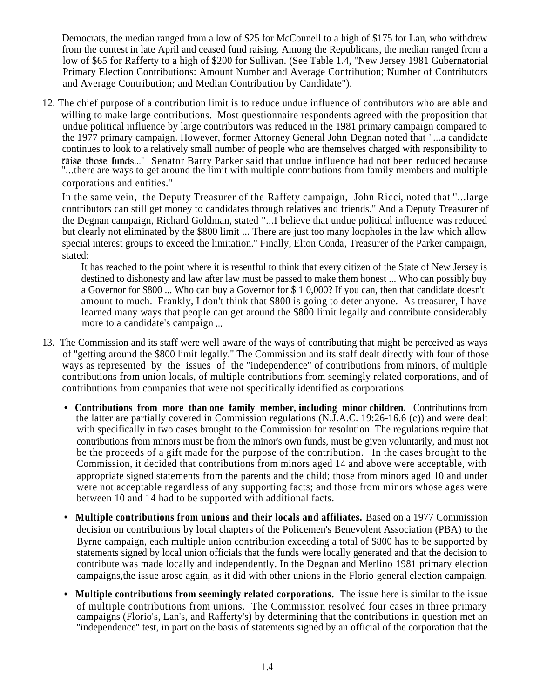Democrats, the median ranged from a low of \$25 for McConnell to a high of \$175 for Lan, who withdrew from the contest in late April and ceased fund raising. Among the Republicans, the median ranged from a low of \$65 for Rafferty to a high of \$200 for Sullivan. (See Table 1.4, ''New Jersey 1981 Gubernatorial Primary Election Contributions: Amount Number and Average Contribution; Number of Contributors and Average Contribution; and Median Contribution by Candidate'').

12. The chief purpose of a contribution limit is to reduce undue influence of contributors who are able and willing to make large contributions. Most questionnaire respondents agreed with the proposition that undue political influence by large contributors was reduced in the 1981 primary campaign compared to the 1977 primary campaign. However, former Attorney General John Degnan noted that ''...a candidate continues to look to a relatively small number of people who are themselves charged with responsibility to raise those funds..." Senator Barry Parker said that undue influence had not been reduced because ''...there are ways to get around the limit with multiple contributions from family members and multiple corporations and entities.''

In the same vein, the Deputy Treasurer of the Raffety campaign, John Ricci, noted that ''...large contributors can still get money to candidates through relatives and friends.'' And a Deputy Treasurer of the Degnan campaign, Richard Goldman, stated ''...I believe that undue political influence was reduced but clearly not eliminated by the \$800 limit ... There are just too many loopholes in the law which allow special interest groups to exceed the limitation.'' Finally, Elton Conda, Treasurer of the Parker campaign, stated:

It has reached to the point where it is resentful to think that every citizen of the State of New Jersey is destined to dishonesty and law after law must be passed to make them honest ... Who can possibly buy a Governor for \$800 ... Who can buy a Governor for \$ 1 0,000? If you can, then that candidate doesn't amount to much. Frankly, I don't think that \$800 is going to deter anyone. As treasurer, I have learned many ways that people can get around the \$800 limit legally and contribute considerably more to a candidate's campaign ...

- 13. The Commission and its staff were well aware of the ways of contributing that might be perceived as ways of ''getting around the \$800 limit legally.'' The Commission and its staff dealt directly with four of those ways as represented by the issues of the ''independence'' of contributions from minors, of multiple contributions from union locals, of multiple contributions from seemingly related corporations, and of contributions from companies that were not specifically identified as corporations.
	- **Contributions from more than one family member, including minor children.** Contributions from the latter are partially covered in Commission regulations (N.J.A.C. 19:26-16.6 (c)) and were dealt with specifically in two cases brought to the Commission for resolution. The regulations require that contributions from minors must be from the minor's own funds, must be given voluntarily, and must not be the proceeds of a gift made for the purpose of the contribution. In the cases brought to the Commission, it decided that contributions from minors aged 14 and above were acceptable, with appropriate signed statements from the parents and the child; those from minors aged 10 and under were not acceptable regardless of any supporting facts; and those from minors whose ages were between 10 and 14 had to be supported with additional facts.
	- Multiple contributions from unions and their locals and affiliates. Based on a 1977 Commission decision on contributions by local chapters of the Policemen's Benevolent Association (PBA) to the Byrne campaign, each multiple union contribution exceeding a total of \$800 has to be supported by statements signed by local union officials that the funds were locally generated and that the decision to contribute was made locally and independently. In the Degnan and Merlino 1981 primary election campaigns,the issue arose again, as it did with other unions in the Florio general election campaign.
	- **Multiple contributions from seemingly related corporations.** The issue here is similar to the issue of multiple contributions from unions. The Commission resolved four cases in three primary campaigns (Florio's, Lan's, and Rafferty's) by determining that the contributions in question met an ''independence'' test, in part on the basis of statements signed by an official of the corporation that the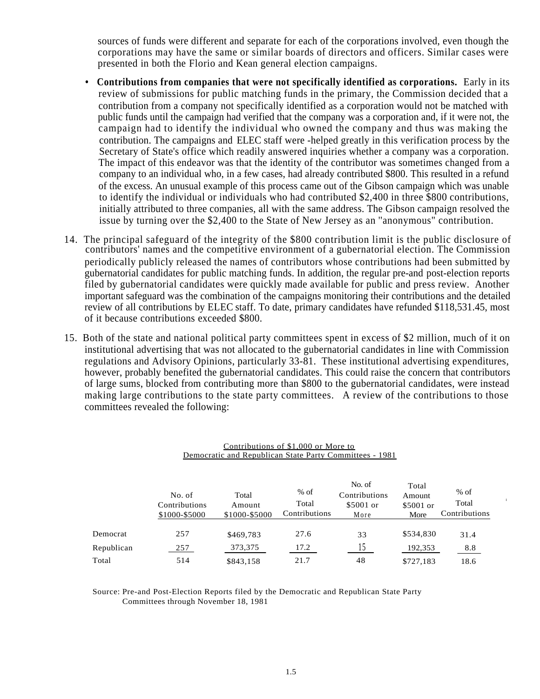sources of funds were different and separate for each of the corporations involved, even though the corporations may have the same or similar boards of directors and officers. Similar cases were presented in both the Florio and Kean general election campaigns.

- **Contributions from companies that were not specifically identified as corporations.** Early in its review of submissions for public matching funds in the primary, the Commission decided that a contribution from a company not specifically identified as a corporation would not be matched with public funds until the campaign had verified that the company was a corporation and, if it were not, the campaign had to identify the individual who owned the company and thus was making the contribution. The campaigns and ELEC staff were -helped greatly in this verification process by the Secretary of State's office which readily answered inquiries whether a company was a corporation. The impact of this endeavor was that the identity of the contributor was sometimes changed from a company to an individual who, in a few cases, had already contributed \$800. This resulted in a refund of the excess. An unusual example of this process came out of the Gibson campaign which was unable to identify the individual or individuals who had contributed \$2,400 in three \$800 contributions, initially attributed to three companies, all with the same address. The Gibson campaign resolved the issue by turning over the \$2,400 to the State of New Jersey as an ''anonymous" contribution.
- 14. The principal safeguard of the integrity of the \$800 contribution limit is the public disclosure of contributors' names and the competitive environment of a gubernatorial election. The Commission periodically publicly released the names of contributors whose contributions had been submitted by gubernatorial candidates for public matching funds. In addition, the regular pre-and post-election reports filed by gubernatorial candidates were quickly made available for public and press review. Another important safeguard was the combination of the campaigns monitoring their contributions and the detailed review of all contributions by ELEC staff. To date, primary candidates have refunded \$118,531.45, most of it because contributions exceeded \$800.
- 15. Both of the state and national political party committees spent in excess of \$2 million, much of it on institutional advertising that was not allocated to the gubernatorial candidates in line with Commission regulations and Advisory Opinions, particularly 33-81. These institutional advertising expenditures, however, probably benefited the gubernatorial candidates. This could raise the concern that contributors of large sums, blocked from contributing more than \$800 to the gubernatorial candidates, were instead making large contributions to the state party committees. A review of the contributions to those committees revealed the following:

| Contributions of \$1,000 or More to<br>Democratic and Republican State Party Committees - 1981 |                                          |                                  |                                  |                                              |                                      |                                  |  |  |  |  |  |
|------------------------------------------------------------------------------------------------|------------------------------------------|----------------------------------|----------------------------------|----------------------------------------------|--------------------------------------|----------------------------------|--|--|--|--|--|
|                                                                                                | No. of<br>Contributions<br>\$1000-\$5000 | Total<br>Amount<br>\$1000-\$5000 | $%$ of<br>Total<br>Contributions | No. of<br>Contributions<br>\$5001 or<br>More | Total<br>Amount<br>\$5001 or<br>More | $%$ of<br>Total<br>Contributions |  |  |  |  |  |
| Democrat                                                                                       | 257                                      | \$469,783                        | 27.6                             | 33                                           | \$534,830                            | 31.4                             |  |  |  |  |  |
| Republican                                                                                     | 257                                      | 373,375                          | 17.2                             | 15                                           | 192,353                              | 8.8                              |  |  |  |  |  |
| Total                                                                                          | 514                                      | \$843,158                        | 21.7                             | 48                                           | \$727,183                            | 18.6                             |  |  |  |  |  |

Source: Pre-and Post-Election Reports filed by the Democratic and Republican State Party Committees through November 18, 1981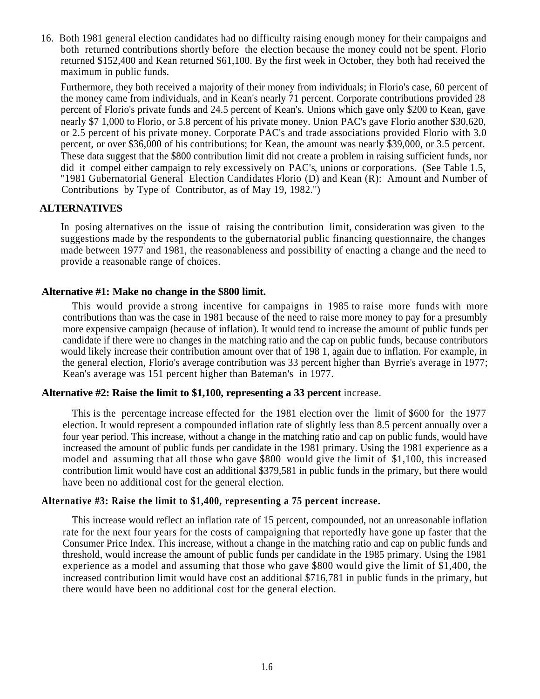16. Both 1981 general election candidates had no difficulty raising enough money for their campaigns and both returned contributions shortly before the election because the money could not be spent. Florio returned \$152,400 and Kean returned \$61,100. By the first week in October, they both had received the maximum in public funds.

Furthermore, they both received a majority of their money from individuals; in Florio's case, 60 percent of the money came from individuals, and in Kean's nearly 71 percent. Corporate contributions provided 28 percent of Florio's private funds and 24.5 percent of Kean's. Unions which gave only \$200 to Kean, gave nearly \$7 1,000 to Florio, or 5.8 percent of his private money. Union PAC's gave Florio another \$30,620, or 2.5 percent of his private money. Corporate PAC's and trade associations provided Florio with 3.0 percent, or over \$36,000 of his contributions; for Kean, the amount was nearly \$39,000, or 3.5 percent. These data suggest that the \$800 contribution limit did not create a problem in raising sufficient funds, nor did it compel either campaign to rely excessively on PAC's, unions or corporations. (See Table 1.5, "1981 Gubernatorial General Election Candidates Florio (D) and Kean (R): Amount and Number of Contributions by Type of Contributor, as of May 19, 1982.'')

# **ALTERNATIVES**

In posing alternatives on the issue of raising the contribution limit, consideration was given to the suggestions made by the respondents to the gubernatorial public financing questionnaire, the changes made between 1977 and 1981, the reasonableness and possibility of enacting a change and the need to provide a reasonable range of choices.

# **Alternative #1: Make no change in the \$800 limit.**

This would provide a strong incentive for campaigns in 1985 to raise more funds with more contributions than was the case in 1981 because of the need to raise more money to pay for a presumbly more expensive campaign (because of inflation). It would tend to increase the amount of public funds per candidate if there were no changes in the matching ratio and the cap on public funds, because contributors would likely increase their contribution amount over that of 198 1, again due to inflation. For example, in the general election, Florio's average contribution was 33 percent higher than Byrrie's average in 1977; Kean's average was 151 percent higher than Bateman's in 1977.

# **Alternative #2: Raise the limit to \$1,100, representing a 33 percent** increase.

This is the percentage increase effected for the 1981 election over the limit of \$600 for the 1977 election. It would represent a compounded inflation rate of slightly less than 8.5 percent annually over a four year period. This increase, without a change in the matching ratio and cap on public funds, would have increased the amount of public funds per candidate in the 1981 primary. Using the 1981 experience as a model and assuming that all those who gave \$800 would give the limit of \$1,100, this increased contribution limit would have cost an additional \$379,581 in public funds in the primary, but there would have been no additional cost for the general election.

# **Alternative #3: Raise the limit to \$1,400, representing a 75 percent increase.**

This increase would reflect an inflation rate of 15 percent, compounded, not an unreasonable inflation rate for the next four years for the costs of campaigning that reportedly have gone up faster that the Consumer Price Index. This increase, without a change in the matching ratio and cap on public funds and threshold, would increase the amount of public funds per candidate in the 1985 primary. Using the 1981 experience as a model and assuming that those who gave \$800 would give the limit of \$1,400, the increased contribution limit would have cost an additional \$716,781 in public funds in the primary, but there would have been no additional cost for the general election.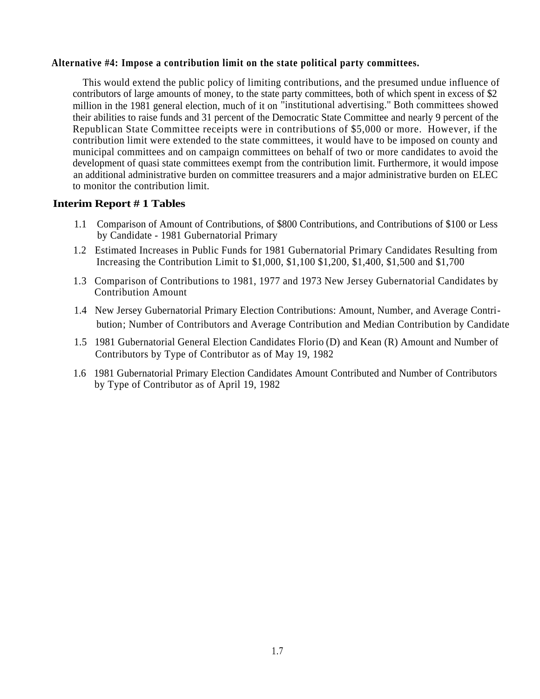# **Alternative #4: Impose a contribution limit on the state political party committees.**

This would extend the public policy of limiting contributions, and the presumed undue influence of contributors of large amounts of money, to the state party committees, both of which spent in excess of \$2 million in the 1981 general election, much of it on ''institutional advertising.'' Both committees showed their abilities to raise funds and 31 percent of the Democratic State Committee and nearly 9 percent of the Republican State Committee receipts were in contributions of \$5,000 or more. However, if the contribution limit were extended to the state committees, it would have to be imposed on county and municipal committees and on campaign committees on behalf of two or more candidates to avoid the development of quasi state committees exempt from the contribution limit. Furthermore, it would impose an additional administrative burden on committee treasurers and a major administrative burden on ELEC to monitor the contribution limit.

# **Interim Report # 1 Tables**

- 1.1 Comparison of Amount of Contributions, of \$800 Contributions, and Contributions of \$100 or Less by Candidate - 1981 Gubernatorial Primary
- 1.2 Estimated Increases in Public Funds for 1981 Gubernatorial Primary Candidates Resulting from Increasing the Contribution Limit to \$1,000, \$1,100 \$1,200, \$1,400, \$1,500 and \$1,700
- 1.3 Comparison of Contributions to 1981, 1977 and 1973 New Jersey Gubernatorial Candidates by Contribution Amount
- 1.4 New Jersey Gubernatorial Primary Election Contributions: Amount, Number, and Average Contri bution; Number of Contributors and Average Contribution and Median Contribution by Candidate
- 1.5 1981 Gubernatorial General Election Candidates Florio (D) and Kean (R) Amount and Number of Contributors by Type of Contributor as of May 19, 1982
- 1.6 1981 Gubernatorial Primary Election Candidates Amount Contributed and Number of Contributors by Type of Contributor as of April 19, 1982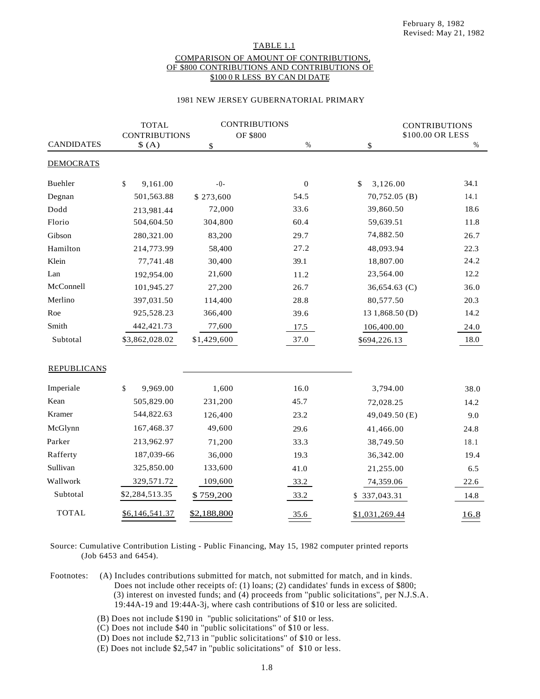## TABLE 1.1 COMPARISON OF AMOUNT OF CONTRIBUTIONS, OF \$800 CONTRIBUTIONS AND CONTRIBUTIONS OF \$100 0 R LESS BY CAN DI DATE

### 1981 NEW JERSEY GUBERNATORIAL PRIMARY

|                    | <b>TOTAL</b>         | <b>CONTRIBUTIONS</b> |              | <b>CONTRIBUTIONS</b> |                  |
|--------------------|----------------------|----------------------|--------------|----------------------|------------------|
|                    | <b>CONTRIBUTIONS</b> |                      | OF \$800     |                      | \$100.00 OR LESS |
| <b>CANDIDATES</b>  | \$(A)                | \$                   | %            | \$                   | $\%$             |
| <b>DEMOCRATS</b>   |                      |                      |              |                      |                  |
| Buehler            | \$<br>9,161.00       | $-0-$                | $\mathbf{0}$ | 3,126.00<br>\$       | 34.1             |
| Degnan             | 501,563.88           | \$273,600            | 54.5         | 70,752.05 (B)        | 14.1             |
| Dodd               | 213,981.44           | 72,000               | 33.6         | 39,860.50            | 18.6             |
| Florio             | 504,604.50           | 304,800              | 60.4         | 59,639.51            | 11.8             |
| Gibson             | 280,321.00           | 83,200               | 29.7         | 74,882.50            | 26.7             |
| Hamilton           | 214,773.99           | 58,400               | 27.2         | 48,093.94            | 22.3             |
| Klein              | 77,741.48            | 30,400               | 39.1         | 18,807.00            | 24.2             |
| Lan                | 192,954.00           | 21,600               | 11.2         | 23,564.00            | 12.2             |
| McConnell          | 101,945.27           | 27,200               | 26.7         | 36,654.63 (C)        | 36.0             |
| Merlino            | 397,031.50           | 114,400              | 28.8         | 80,577.50            | 20.3             |
| Roe                | 925,528.23           | 366,400              | 39.6         | 13 1,868.50 (D)      | 14.2             |
| Smith              | 442,421.73           | 77,600               | 17.5         | 106,400.00           | 24.0             |
| Subtotal           | \$3,862,028.02       | \$1,429,600          | 37.0         | \$694,226.13         | 18.0             |
| <b>REPUBLICANS</b> |                      |                      |              |                      |                  |
| Imperiale          | \$<br>9,969.00       | 1,600                | 16.0         | 3,794.00             | 38.0             |
| Kean               | 505,829.00           | 231,200              | 45.7         | 72,028.25            | 14.2             |
| Kramer             | 544,822.63           | 126,400              | 23.2         | 49,049.50 (E)        | 9.0              |
| McGlynn            | 167,468.37           | 49,600               | 29.6         | 41,466.00            | 24.8             |
| Parker             | 213,962.97           | 71,200               | 33.3         | 38,749.50            | 18.1             |
| Rafferty           | 187,039-66           | 36,000               | 19.3         | 36,342.00            | 19.4             |
| Sullivan           | 325,850.00           | 133,600              | 41.0         | 21,255.00            | 6.5              |
| Wallwork           | 329,571.72           | 109,600              | 33.2         | 74,359.06            | 22.6             |
| Subtotal           | \$2,284,513.35       | \$759,200            | 33.2         | 337,043.31<br>S      | 14.8             |
| <b>TOTAL</b>       | \$6,146,541.37       | \$2,188,800          | 35.6         | \$1,031,269.44       | 16.8             |

Source: Cumulative Contribution Listing - Public Financing, May 15, 1982 computer printed reports (Job 6453 and 6454).

Footnotes: (A) Includes contributions submitted for match, not submitted for match, and in kinds. Does not include other receipts of: (1) loans; (2) candidates' funds in excess of \$800; (3) interest on invested funds; and (4) proceeds from ''public solicitations'', per N.J.S.A. 19:44A-19 and 19:44A-3j, where cash contributions of \$10 or less are solicited.

 $(B)$  Does not include \$190 in "public solicitations" of \$10 or less.

 $(C)$  Does not include \$40 in "public solicitations" of \$10 or less.

(D) Does not include \$2,713 in ''public solicitations'' of \$10 or less.

(E) Does not include \$2,547 in ''public solicitations" of \$10 or less.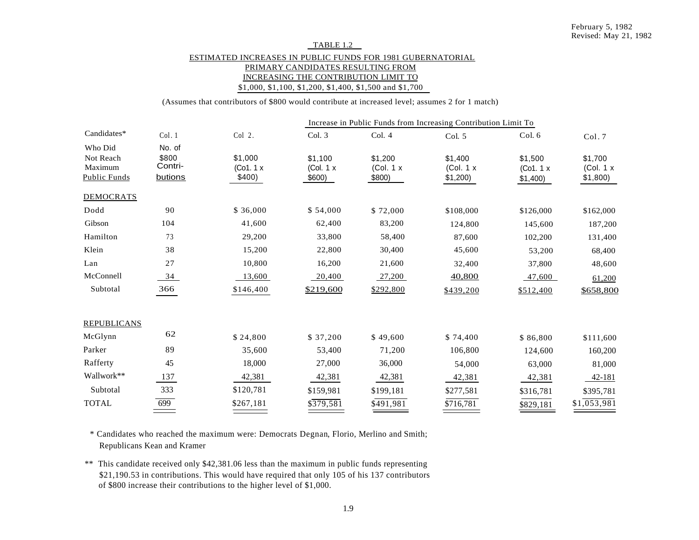## TABLE 1.2 ESTIMATED INCREASES IN PUBLIC FUNDS FOR 1981 GUBERNATORIAL PRIMARY CANDIDATES RESULTING FROM INCREASING THE CONTRIBUTION LIMIT TO \$1,000, \$1,100, \$1,200, \$1,400, \$1,500 and \$1,700

(Assumes that contributors of \$800 would contribute at increased level; assumes 2 for 1 match)

|                                                        |                                       |                              |                                 |                                 | Increase in Public Funds from Increasing Contribution Limit To |                                 |                                   |
|--------------------------------------------------------|---------------------------------------|------------------------------|---------------------------------|---------------------------------|----------------------------------------------------------------|---------------------------------|-----------------------------------|
| Candidates*                                            | Col.1                                 | Col 2.                       | Col. 3                          | Col. 4                          | Col. 5                                                         | Col. 6                          | Col.7                             |
| Who Did<br>Not Reach<br>Maximum<br><b>Public Funds</b> | No. of<br>\$800<br>Contri-<br>butions | \$1,000<br>(Co1.1x<br>\$400) | \$1,100<br>(Col. 1 x)<br>\$600) | \$1,200<br>(Col. 1 x)<br>\$800) | \$1,400<br>(Col. 1 x)<br>\$1,200)                              | \$1,500<br>(Co1.1x)<br>\$1,400) | \$1,700<br>(Col. 1 x)<br>\$1,800) |
| <b>DEMOCRATS</b>                                       |                                       |                              |                                 |                                 |                                                                |                                 |                                   |
| Dodd                                                   | 90                                    | \$36,000                     | \$54,000                        | \$72,000                        | \$108,000                                                      | \$126,000                       | \$162,000                         |
| Gibson                                                 | 104                                   | 41,600                       | 62,400                          | 83,200                          | 124,800                                                        | 145,600                         | 187,200                           |
| Hamilton                                               | 73                                    | 29,200                       | 33,800                          | 58,400                          | 87,600                                                         | 102,200                         | 131,400                           |
| Klein                                                  | 38                                    | 15,200                       | 22,800                          | 30,400                          | 45,600                                                         | 53,200                          | 68,400                            |
| Lan                                                    | 27                                    | 10,800                       | 16,200                          | 21,600                          | 32,400                                                         | 37,800                          | 48,600                            |
| McConnell                                              | 34                                    | 13,600                       | 20,400                          | 27,200                          | 40,800                                                         | 47,600                          | 61,200                            |
| Subtotal                                               | 366                                   | \$146,400                    | \$219,600                       | \$292,800                       | \$439,200                                                      | \$512,400                       | \$658,800                         |
| <b>REPUBLICANS</b>                                     |                                       |                              |                                 |                                 |                                                                |                                 |                                   |
| McGlynn                                                | 62                                    | \$24,800                     | \$37,200                        | \$49,600                        | \$74,400                                                       | \$86,800                        | \$111,600                         |
| Parker                                                 | 89                                    | 35,600                       | 53,400                          | 71,200                          | 106,800                                                        | 124,600                         | 160,200                           |
| Rafferty                                               | 45                                    | 18,000                       | 27,000                          | 36,000                          | 54,000                                                         | 63,000                          | 81,000                            |
| Wallwork**                                             | 137                                   | 42,381                       | 42,381                          | 42,381                          | 42,381                                                         | 42,381                          | 42-181                            |
| Subtotal                                               | 333                                   | \$120,781                    | \$159,981                       | \$199,181                       | \$277,581                                                      | \$316,781                       | \$395,781                         |
| <b>TOTAL</b>                                           | 699                                   | \$267,181                    | $\sqrt{379,581}$                | \$491,981                       | \$716,781                                                      | \$829,181                       | \$1,053,981                       |
|                                                        |                                       |                              |                                 |                                 |                                                                |                                 |                                   |

\* Candidates who reached the maximum were: Democrats Degnan, Florio, Merlino and Smith; Republicans Kean and Kramer

\*\* This candidate received only \$42,381.06 less than the maximum in public funds representing \$21,190.53 in contributions. This would have required that only 105 of his 137 contributors of \$800 increase their contributions to the higher level of \$1,000.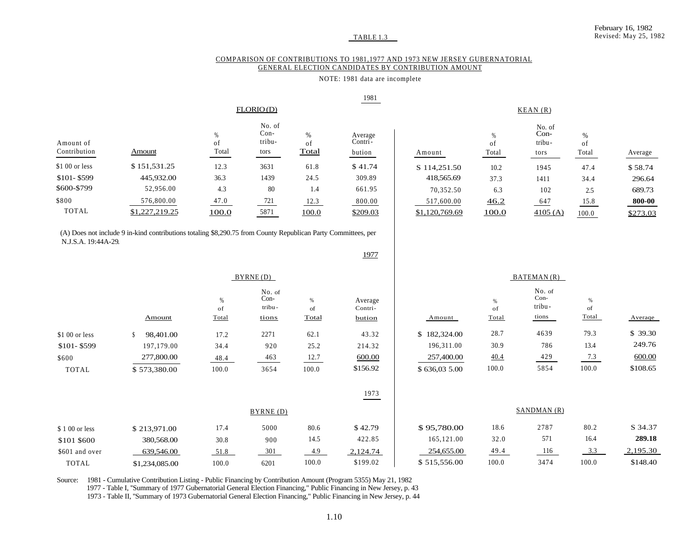#### COMPARISON OF CONTRIBUTIONS TO 1981,1977 AND 1973 NEW JERSEY GUBERNATORIAL GENERAL ELECTION CANDIDATES BY CONTRIBUTION AMOUNT

#### NOTE: 1981 data are incomplete

|                           |                                                                                                               |                  |                                    |                     | 1981                         |                |                  |                                    |                  |          |
|---------------------------|---------------------------------------------------------------------------------------------------------------|------------------|------------------------------------|---------------------|------------------------------|----------------|------------------|------------------------------------|------------------|----------|
|                           |                                                                                                               |                  | FLORIO(D)                          |                     |                              | KEAN(R)        |                  |                                    |                  |          |
| Amount of<br>Contribution | Amount                                                                                                        | %<br>of<br>Total | No. of<br>$Con-$<br>tribu-<br>tors | $\%$<br>of<br>Total | Average<br>Contri-<br>bution | Amount         | %<br>of<br>Total | No. of<br>$Con-$<br>tribu-<br>tors | %<br>of<br>Total | Average  |
| \$1 00 or less            | \$151,531.25                                                                                                  | 12.3             | 3631                               | 61.8                | \$41.74                      | S 114,251.50   | 10.2             | 1945                               | 47.4             | \$58.74  |
| \$101-\$599               | 445,932.00                                                                                                    | 36.3             | 1439                               | 24.5                | 309.89                       | 418,565.69     | 37.3             | 1411                               | 34.4             | 296.64   |
| \$600-\$799               | 52,956.00                                                                                                     | 4.3              | 80                                 | 1.4                 | 661.95                       | 70,352.50      | 6.3              | 102                                | 2.5              | 689.73   |
| \$800                     | 576,800.00                                                                                                    | 47.0             | 721                                | 12.3                | 800.00                       | 517,600.00     | 46.2             | 647                                | 15.8             | 800-00   |
| <b>TOTAL</b>              | \$1,227,219.25                                                                                                | 100.0            | 5871                               | 100.0               | \$209.03                     | \$1,120,769.69 | 100.0            | 4105(A)                            | 100.0            | \$273.03 |
| N.J.S.A. 19:44A-29.       | (A) Does not include 9 in-kind contributions totaling \$8,290.75 from County Republican Party Committees, per |                  |                                    |                     |                              |                |                  |                                    |                  |          |
|                           |                                                                                                               |                  |                                    |                     | 1977                         |                |                  |                                    |                  |          |

|                |              | BATEMAN(R)          |                                     |                     |                              |              |                     |                                     |                  |          |
|----------------|--------------|---------------------|-------------------------------------|---------------------|------------------------------|--------------|---------------------|-------------------------------------|------------------|----------|
|                | Amount       | $\%$<br>of<br>Total | No. of<br>$Con-$<br>tribu-<br>tions | $\%$<br>of<br>Total | Average<br>Contri-<br>bution | Amount       | $\%$<br>of<br>Total | No. of<br>$Con-$<br>tribu-<br>tions | %<br>of<br>Total | Average  |
| \$1 00 or less | 98,401.00    | 17.2                | 2271                                | 62.1                | 43.32                        | \$182,324.00 | 28.7                | 4639                                | 79.3             | \$39.30  |
| $$101 - $599$  | 197,179.00   | 34.4                | 920                                 | 25.2                | 214.32                       | 196,311.00   | 30.9                | 786                                 | 13.4             | 249.76   |
| \$600          | 277,800.00   | 48.4                | 463                                 | 12.7                | 600.00                       | 257,400.00   | 40.4                | 429                                 | 7.3              | 600.00   |
| <b>TOTAL</b>   | \$573,380.00 | 100.0               | 3654                                | 100.0               | \$156.92                     | \$636,035.00 | 100.0               | 5854                                | 100.0            | \$108.65 |
|                |              |                     |                                     |                     | 1973                         |              |                     |                                     |                  |          |

|                 |                |       | BYRNE (D) |       | SANDMAN (R) |              |       |      |           |          |
|-----------------|----------------|-------|-----------|-------|-------------|--------------|-------|------|-----------|----------|
| \$ 1 00 or less | \$213,971.00   | 17.4  | 5000      | 80.6  | \$42.79     | \$95,780.00  | 18.6  | 2787 | 80.2      | S 34.37  |
| \$101 \$600     | 380,568.00     | 30.8  | 900       | 14.5  | 422.85      | 165,121.00   | 32.0  | 571  | 16.4      | 289.18   |
| \$601 and over  | 639,546.00     | 51.8  | 301       | 4.9   | 2,124.74    | 254,655.00   | 49.4  | 116  | 33<br>ر.ر | 2,195.30 |
| TOTAL           | \$1,234,085.00 | 100.0 | 6201      | 100.0 | \$199.02    | \$515,556.00 | 100.0 | 3474 | 100.0     | \$148.40 |

Source: 1981 - Cumulative Contribution Listing - Public Financing by Contribution Amount (Program 5355) May 21, 1982

1977 - Table I, ''Summary of 1977 Gubernatorial General Election Financing," Public Financing in New Jersey, p. 43

1973 - Table II, ''Summary of 1973 Gubernatorial General Election Financing," Public Financing in New Jersey, p. 44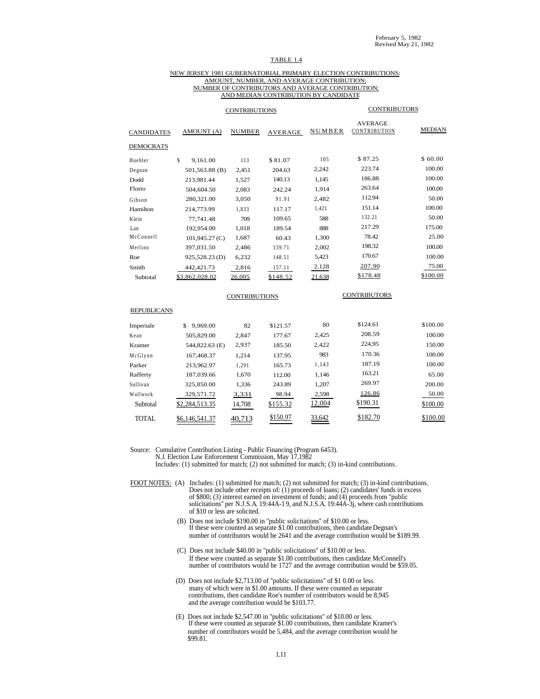#### TABLE 1.4

#### NEW JERSEY 1981 GUBERNATORIAL PRIMARY ELECTION CONTRIBUTIONS: AMOUNT, NUMBER, AND AVERAGE CONTRIBUTION; NUMBER OF CONTRIBUTORS AND AVERAGE CONTRIBUTION; AND MEDIAN CONTRIBUTION BY CANDIDATE

|                    |                  | <b>CONTRIBUTIONS</b> |                |        | <b>CONTRIBUTORS</b>            |               |  |  |  |
|--------------------|------------------|----------------------|----------------|--------|--------------------------------|---------------|--|--|--|
| <b>CANDIDATES</b>  | AMOUNT (A)       | <b>NUMBER</b>        | <b>AVERAGE</b> | NUMBER | <b>AVERAGE</b><br>CONTRIBUTION | <b>MEDIAN</b> |  |  |  |
| <b>DEMOCRATS</b>   |                  |                      |                |        |                                |               |  |  |  |
| Buehler            | \$<br>9,161.00   | 113                  | \$81.07        | 105    | \$87.25                        | \$60.00       |  |  |  |
| Degnan             | 501,563.88 (B)   | 2,451                | 204.63         | 2,242  | 223.74                         | 100.00        |  |  |  |
| Dodd               | 213,981.44       | 1,527                | 140.13         | 1,145  | 186.88                         | 100.00        |  |  |  |
| Florio             | 504,604.50       | 2,083                | 242.24         | 1,914  | 263.64                         | 100.00        |  |  |  |
| Gibson             | 280,321.00       | 3,050                | 91.91          | 2,482  | 112.94                         | 50.00         |  |  |  |
| Hamilton           | 214,773.99       | 1,833                | 117.17         | 1,421  | 151.14                         | 100.00        |  |  |  |
| Klein              | 77,741.48        | 709                  | 109.65         | 588    | 132.21                         | 50.00         |  |  |  |
| Lan                | 192,954.00       | 1,018                | 189.54         | 888    | 217.29                         | 175.00        |  |  |  |
| McConnell          | $101,945.27$ (C) | 1,687                | 60.43          | 1,300  | 78.42                          | 25.00         |  |  |  |
| Merlino            | 397,031.50       | 2,486                | 159.71         | 2,002  | 198.32                         | 100.00        |  |  |  |
| Roe                | 925,528.23(D)    | 6,232                | 148.51         | 5,423  | 170.67                         | 100.00        |  |  |  |
| Smith              | 442,421.73       | 2,816                | 157.11         | 2,128  | 207.90                         | 75.00         |  |  |  |
| Subtotal           | \$3,862,028.02   | 26,005               | \$148.52       | 21,638 | \$178.48                       | \$100.00      |  |  |  |
|                    |                  | <b>CONTRIBUTIONS</b> |                |        | <b>CONTRIBUTORS</b>            |               |  |  |  |
| <b>REPUBLICANS</b> |                  |                      |                |        |                                |               |  |  |  |
| Imperiale          | \$9,969.00       | 82                   | \$121.57       | 80     | \$124.61                       | \$100.00      |  |  |  |
| Kean               | 505,829.00       | 2,847                | 177.67         | 2,425  | 208.59                         | 100.00        |  |  |  |
| Kramer             | 544,822.63 (E)   | 2,937                | 185.50         | 2,422  | 224,95                         | 150.00        |  |  |  |
| McGlynn            | 167,468.37       | 1,214                | 137.95         | 983    | 170.36                         | 100.00        |  |  |  |
| Parker             | 213,962.97       | 1,291                | 165.73         | 1,143  | 187.19                         | 100.00        |  |  |  |
| Rafferty           | 187,039.66       | 1,670                | 112.00         | 1,146  | 163.21                         | 65.00         |  |  |  |
| Sullivan           | 325,850.00       | 1,336                | 243.89         | 1,207  | 269.97                         | 200.00        |  |  |  |
| Wallwork           | 329,571.72       | 3,331                | 98.94          | 2,598  | 126.86                         | 50.00         |  |  |  |
| Subtotal           | \$2,284,513.35   | 14,708               | \$155.32       | 12,004 | \$190.31                       | \$100.00      |  |  |  |
| <b>TOTAL</b>       | \$6,146,541.37   | 40,713               | \$150.97       | 33,642 | \$182.70                       | \$100.00      |  |  |  |

Source: Cumulative Contribution Listing - Public Financing (Program 6453). N.J. Election Law Enforcement Commission, May 17,1982

Includes: (1) submitted for match; (2) not submitted for match; (3) in-kind contributions.

FOOT NOTES: (A) Includes: (1) submitted for match; (2) not submitted for match; (3) in-kind contributions. Does not include other receipts of: (1) proceeds of loans; (2) candidates' funds in excess of \$800; (3) interest earned on investment of funds; and (4) proceeds from ''public solicitations'' per N.J.S.A. 19:44A-1 9, and N.J.S.A. 19:44A-3j, where cash contributions of \$10 or less are solicited.

- (B) Does not include \$190.00 in ''public solicitations'' of \$10.00 or less. If these were counted as separate \$1.00 contributions, then candidate Degnan's number of contributors would be 2641 and the average contribution would be \$189.99.
- (C) Does not include \$40.00 in ''public solicitations'' of \$10.00 or less. If these were counted as separate \$1.00 contributions, then candidate McConnell's number of contributors would be 1727 and the average contribution would be \$59.05.
- (D) Does not include \$2,713.00 of ''public solicitations'' of \$1 0.00 or less. many of which were in \$1.00 amounts. If these were counted as separate contributions, then candidate Roe's number of contributors would be 8,945 and the average contribution would be \$103.77.
- (E) Does not include \$2,547.00 in ''public solicitations'' of \$10.00 or less. If these were counted as separate \$1.00 contributions, then candidate Kramer's number of contributors would be 5,484, and the average contribution would be \$99.81.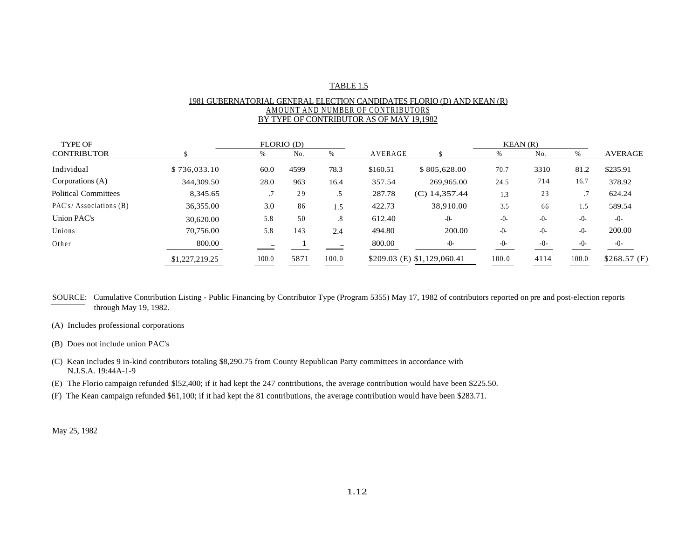## TABLE 1.5

## 1981 GUBERNATORIAL GENERAL ELECTION CANDIDATES FLORIO (D) AND KEAN (R) AMOUNT AND NUMBER OF CONTRIBUTORS BY TYPE OF CONTRIBUTOR AS OF MAY 19,1982

| <b>TYPE OF</b>         |                |       | FLORIO (D) |                   |          |                               | KEAN(R) |       |       |                |
|------------------------|----------------|-------|------------|-------------------|----------|-------------------------------|---------|-------|-------|----------------|
| <b>CONTRIBUTOR</b>     |                | %     | No.        |                   | AVERAGE  |                               | %       | No.   | %     | <b>AVERAGE</b> |
| Individual             | \$736,033.10   | 60.0  | 4599       | 78.3              | \$160.51 | \$805,628.00                  | 70.7    | 3310  | 81.2  | \$235.91       |
| Corporations (A)       | 344,309.50     | 28.0  | 963        | 16.4              | 357.54   | 269,965.00                    | 24.5    | 714   | 16.7  | 378.92         |
| Political Committees   | 8.345.65       |       | 29         | .5                | 287.78   | $(C)$ 14,357.44               | 1.3     | 23    |       | 624.24         |
| PAC's/Associations (B) | 36,355.00      | 3.0   | 86         | 1.5               | 422.73   | 38,910.00                     | 3.5     | 66    | 1.5   | 589.54         |
| Union PAC's            | 30,620.00      | 5.8   | 50         | $\boldsymbol{.8}$ | 612.40   | $-0-$                         | $-0-$   | $-0-$ | $-0-$ | $-()$ -        |
| Unions                 | 70,756.00      | 5.8   | 143        | 2.4               | 494.80   | 200.00                        | $-0-$   | $-0-$ | $-0-$ | 200.00         |
| Other                  | 800.00         |       |            |                   | 800.00   | $-0-$                         | $-0-$   | $-0-$ | $-()$ | $-0-$          |
|                        | \$1,227,219.25 | 100.0 | 5871       | 100.0             |          | $$209.03$ (E) $$1,129,060.41$ | 100.0   | 4114  | 100.0 | \$268.57(F)    |

SOURCE: Cumulative Contribution Listing - Public Financing by Contributor Type (Program 5355) May 17, 1982 of contributors reported on pre and post-election reports through May 19, 1982.

- (A) Includes professional corporations
- (B) Does not include union PAC's
- (C) Kean includes 9 in-kind contributors totaling \$8,290.75 from County Republican Party committees in accordance with N.J.S.A. 19:44A-1-9
- (E) The Florio campaign refunded \$l52,400; if it had kept the 247 contributions, the average contribution would have been \$225.50.
- (F) The Kean campaign refunded \$61,100; if it had kept the 81 contributions, the average contribution would have been \$283.71.

May 25, 1982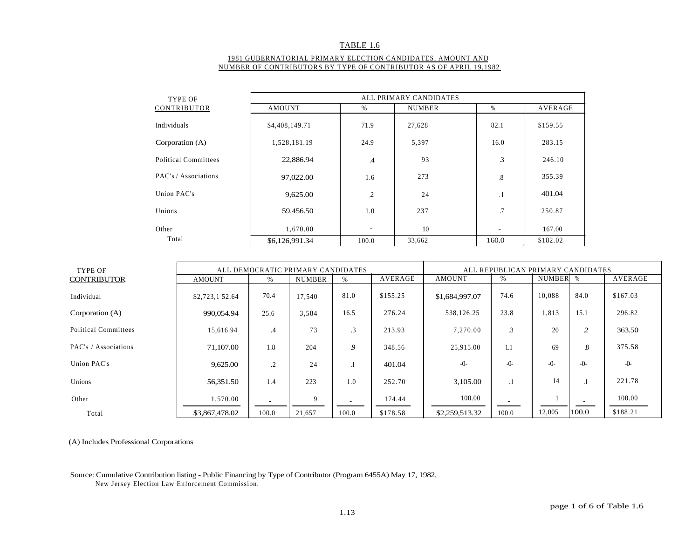## TABLE 1.6

### 1981 GUBERNATORIAL PRIMARY ELECTION CANDIDATES, AMOUNT AND NUMBER OF CONTRIBUTORS BY TYPE OF CONTRIBUTOR AS OF APRIL 19,1982

| TYPE OF              | ALL PRIMARY CANDIDATES |                          |               |                      |                |  |  |  |  |  |  |
|----------------------|------------------------|--------------------------|---------------|----------------------|----------------|--|--|--|--|--|--|
| CONTRIBUTOR          | <b>AMOUNT</b>          | $\%$                     | <b>NUMBER</b> | %                    | <b>AVERAGE</b> |  |  |  |  |  |  |
| Individuals          | \$4,408,149.71         | 71.9                     | 27,628        | 82.1                 | \$159.55       |  |  |  |  |  |  |
| Corporation $(A)$    | 1,528,181.19           | 24.9                     | 5,397         | 16.0                 | 283.15         |  |  |  |  |  |  |
| Political Committees | 22,886.94              | .4                       | 93            | 3                    | 246.10         |  |  |  |  |  |  |
| PAC's / Associations | 97,022.00              | 1.6                      | 273           | $\boldsymbol{8}$     | 355.39         |  |  |  |  |  |  |
| Union PAC's          | 9,625.00               | 2                        | 24            | $\cdot$ <sub>I</sub> | 401.04         |  |  |  |  |  |  |
| Unions               | 59,456.50              | 1.0                      | 237           | .7                   | 250.87         |  |  |  |  |  |  |
| Other                | 1,670.00               | $\overline{\phantom{a}}$ | 10            |                      | 167.00         |  |  |  |  |  |  |
| Total                | \$6,126,991.34         | 100.0                    | 33,662        | 160.0                | \$182.02       |  |  |  |  |  |  |

| TYPE OF                     |                |         | ALL DEMOCRATIC PRIMARY CANDIDATES |               |          | ALL REPUBLICAN PRIMARY CANDIDATES |               |          |                |          |  |
|-----------------------------|----------------|---------|-----------------------------------|---------------|----------|-----------------------------------|---------------|----------|----------------|----------|--|
| <b>CONTRIBUTOR</b>          | <b>AMOUNT</b>  | $\%$    | <b>NUMBER</b>                     | $\frac{0}{0}$ | AVERAGE  | AMOUNT                            | $\%$          | NUMBER % |                | AVERAGE  |  |
| Individual                  | \$2,723,152.64 | 70.4    | 17,540                            | 81.0          | \$155.25 | \$1,684,997.07                    | 74.6          | 10,088   | 84.0           | \$167.03 |  |
| Corporation (A)             | 990,054.94     | 25.6    | 3.584                             | 16.5          | 276.24   | 538,126.25                        | 23.8          | 1,813    | 15.1           | 296.82   |  |
| <b>Political Committees</b> | 15,616.94      | .4      | 73                                | $\cdot$ 3     | 213.93   | 7.270.00                          | $\mathcal{Z}$ | 20       | $\gamma$<br>∼. | 363.50   |  |
| PAC's / Associations        | 71,107.00      | 1.8     | 204                               | 9             | 348.56   | 25,915.00                         | 1.1           | 69       | .8             | 375.58   |  |
| Union PAC's                 | 9,625.00       | $\cdot$ | 24                                | - 1           | 401.04   | $-0-$                             | $-0-$         | $-0-$    | $-()$ -        | $-0-$    |  |
| Unions                      | 56,351.50      | 1.4     | 223                               | 1.0           | 252.70   | 3,105.00                          | $\cdot$ 1     | 14       |                | 221.78   |  |
| Other                       | 1,570.00       |         | 9                                 |               | 174.44   | 100.00                            |               |          |                | 100.00   |  |
| Total                       | \$3,867,478.02 | 100.0   | 21,657                            | 100.0         | \$178.58 | \$2,259,513.32                    | 100.0         | 12,005   | 100.0          | \$188.21 |  |

(A) Includes Professional Corporations

### Source: Cumulative Contribution listing - Public Financing by Type of Contributor (Program 6455A) May 17, 1982, New Jersey Election Law Enforcement Commission.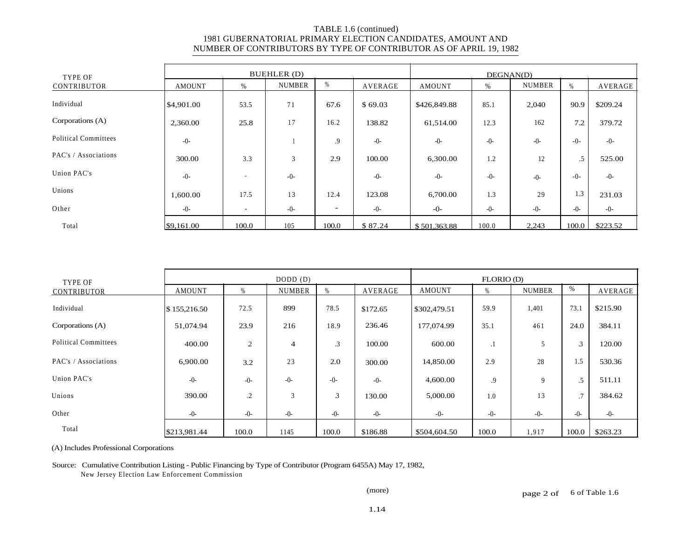| TYPE OF                     |               |                          | BUEHLER (D)   |                          | DEGNAN(D) |               |       |               |         |                |
|-----------------------------|---------------|--------------------------|---------------|--------------------------|-----------|---------------|-------|---------------|---------|----------------|
| CONTRIBUTOR                 | <b>AMOUNT</b> | %                        | <b>NUMBER</b> | %                        | AVERAGE   | <b>AMOUNT</b> | %     | <b>NUMBER</b> | %       | <b>AVERAGE</b> |
| Individual                  | \$4,901.00    | 53.5                     | 71            | 67.6                     | \$69.03   | \$426,849.88  | 85.1  | 2,040         | 90.9    | \$209.24       |
| Corporations (A)            | 2,360.00      | 25.8                     | 17            | 16.2                     | 138.82    | 61,514.00     | 12.3  | 162           | 7.2     | 379.72         |
| <b>Political Committees</b> | $-0-$         |                          |               | .9                       | $-0-$     | $-0-$         | $-0-$ | $-0-$         | $-()$ - | $-0-$          |
| PAC's / Associations        | 300.00        | 3.3                      | 3             | 2.9                      | 100.00    | 6,300.00      | 1.2   | 12            | $.5\,$  | 525.00         |
| Union PAC's                 | $-0-$         | $\overline{\phantom{a}}$ | $-0-$         |                          | $-0-$     | $-0-$         | $-0-$ | $-0-$         | $-0-$   | $-0-$          |
| Unions                      | 1,600.00      | 17.5                     | 13            | 12.4                     | 123.08    | 6,700.00      | 1.3   | 29            | 1.3     | 231.03         |
| Other                       | $-0-$         | ۰                        | $-0-$         | $\overline{\phantom{0}}$ | $-0-$     | $-0-$         | $-0-$ | $-0-$         | $-()$ - | $-0-$          |
| Total                       | \$9,161.00    | 100.0                    | 105           | 100.0                    | \$87.24   | \$501,363.88  | 100.0 | 2,243         | 100.0   | \$223.52       |

| TYPE OF                     |               |                | DODD (D)       |                |          | FLORIO (D)   |               |               |                |          |
|-----------------------------|---------------|----------------|----------------|----------------|----------|--------------|---------------|---------------|----------------|----------|
| CONTRIBUTOR                 | <b>AMOUNT</b> | %              | <b>NUMBER</b>  |                | AVERAGE  | AMOUNT       | $\frac{0}{2}$ | <b>NUMBER</b> | %              | AVERAGE  |
| Individual                  | \$155,216.50  | 72.5           | 899            | 78.5           | \$172.65 | \$302,479.51 | 59.9          | 1,401         | 73.1           | \$215.90 |
| Corporations (A)            | 51,074.94     | 23.9           | 216            | 18.9           | 236.46   | 177,074.99   | 35.1          | 461           | 24.0           | 384.11   |
| <b>Political Committees</b> | 400.00        | $\overline{c}$ | $\overline{4}$ | $\cdot$ 3      | 100.00   | 600.00       | $\cdot$       | 5             | $\mathfrak{Z}$ | 120.00   |
| PAC's / Associations        | 6,900.00      | 3.2            | 23             | 2.0            | 300.00   | 14,850.00    | 2.9           | 28            | 1.5            | 530.36   |
| Union PAC's                 | $-0-$         | $-0-$          | $-0-$          | $-0-$          | $-0-$    | 4,600.00     | .9            | 9             | $.5\,$         | 511.11   |
| Unions                      | 390.00        | $\cdot$        | 3              | $\mathfrak{Z}$ | 130.00   | 5,000.00     | 1.0           | 13            | .7             | 384.62   |
| Other                       | $-0-$         | $-0-$          | $-0-$          | $-0-$          | $-0-$    | $-0-$        | $-0-$         | $-0-$         | $-0-$          | $-0-$    |
| Total                       | \$213,981.44  | 100.0          | 1145           | 100.0          | \$186.88 | \$504,604.50 | 100.0         | 1,917         | 100.0          | \$263.23 |

(A) Includes Professional Corporations

Source: Cumulative Contribution Listing - Public Financing by Type of Contributor (Program 6455A) May 17, 1982,

New Jersey Election Law Enforcement Commission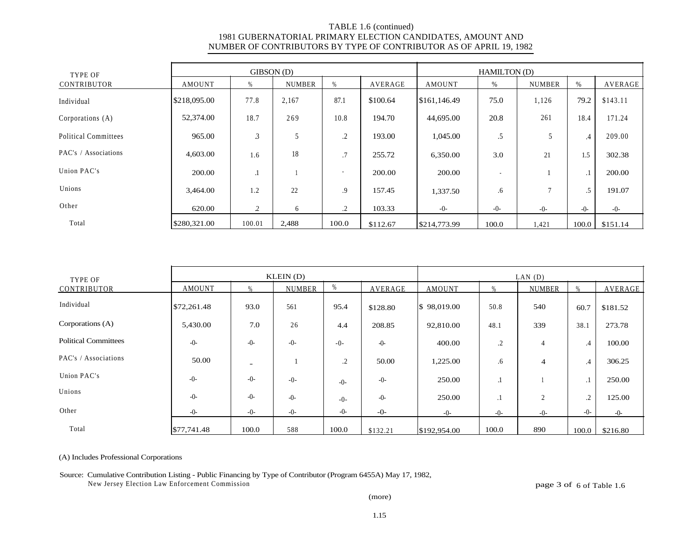| TYPE OF                     |               | $GIBSON$ (D) |               |                          | <b>HAMILTON</b> (D) |              |                          |               |         |          |
|-----------------------------|---------------|--------------|---------------|--------------------------|---------------------|--------------|--------------------------|---------------|---------|----------|
| <b>CONTRIBUTOR</b>          | <b>AMOUNT</b> | %            | <b>NUMBER</b> | %                        | AVERAGE             | AMOUNT       | %                        | <b>NUMBER</b> | $\%$    | AVERAGE  |
| Individual                  | \$218,095.00  | 77.8         | 2,167         | 87.1                     | \$100.64            | \$161,146.49 | 75.0                     | 1,126         | 79.2    | \$143.11 |
| Corporations (A)            | 52,374.00     | 18.7         | 269           | 10.8                     | 194.70              | 44,695.00    | 20.8                     | 261           | 18.4    | 171.24   |
| <b>Political Committees</b> | 965.00        | 3            | 5             | $\cdot$                  | 193.00              | 1,045.00     | .5                       |               | .4      | 209.00   |
| PAC's / Associations        | 4,603.00      | 1.6          | 18            | .7                       | 255.72              | 6,350.00     | 3.0                      | 21            | 1.5     | 302.38   |
| Union PAC's                 | 200.00        | $\cdot$      |               | $\overline{\phantom{a}}$ | 200.00              | 200.00       | $\overline{\phantom{a}}$ |               | $\cdot$ | 200.00   |
| Unions                      | 3,464.00      | 1.2          | 22            | .9                       | 157.45              | 1,337.50     | .6                       | $\mathcal{I}$ | $.5\,$  | 191.07   |
| Other                       | 620.00        | 2            | 6             | $\cdot$                  | 103.33              | $-0-$        | $-0-$                    | $-0-$         | $-0-$   | $-0-$    |
| Total                       | \$280,321.00  | 100.01       | 2,488         | 100.0                    | \$112.67            | \$214,773.99 | 100.0                    | 1,421         | 100.0   | \$151.14 |

| TYPE OF                     |             |                          | KLEIN(D)      |         | LAN(D)         |               |                |                |           |                |
|-----------------------------|-------------|--------------------------|---------------|---------|----------------|---------------|----------------|----------------|-----------|----------------|
| <b>CONTRIBUTOR</b>          | AMOUNT      | 0 <sub>h</sub>           | <b>NUMBER</b> | %       | <b>AVERAGE</b> | <b>AMOUNT</b> | 0 <sub>6</sub> | <b>NUMBER</b>  | $\%$      | <b>AVERAGE</b> |
| Individual                  | \$72,261.48 | 93.0                     | 561           | 95.4    | \$128.80       | \$98,019.00   | 50.8           | 540            | 60.7      | \$181.52       |
| Corporations (A)            | 5,430.00    | 7.0                      | 26            | 4.4     | 208.85         | 92,810.00     | 48.1           | 339            | 38.1      | 273.78         |
| <b>Political Committees</b> | $-0-$       | $-0-$                    | $-0-$         | $-0-$   | $-0-$          | 400.00        | $\cdot$        | $\overline{4}$ | $.4\,$    | 100.00         |
| PAC's / Associations        | 50.00       | $\overline{\phantom{a}}$ |               | $\cdot$ | 50.00          | 1,225.00      | $.6\,$         | 4              | $.4\,$    | 306.25         |
| Union PAC's                 | $-0-$       | $-0-$                    | $-0-$         | $-0-$   | $-0-$          | 250.00        | $\cdot$        |                | $\cdot$ 1 | 250.00         |
| Unions                      | $-0-$       | $-0-$                    | $-0-$         | $-0-$   | $-0-$          | 250.00        | $\cdot$ 1      | $\overline{2}$ | $\cdot$   | 125.00         |
| Other                       | $-()$ -     | $-0-$                    | $-0-$         | $-0-$   | $-0-$          | $-0-$         | $-0-$          | $-0-$          | $-0-$     | $-0-$          |
| Total                       | \$77,741.48 | 100.0                    | 588           | 100.0   | \$132.21       | \$192,954.00  | 100.0          | 890            | 100.0     | \$216.80       |

#### (A) Includes Professional Corporations

## Source: Cumulative Contribution Listing - Public Financing by Type of Contributor (Program 6455A) May 17, 1982, New Jersey Election Law Enforcement Commission page 3 of 6 of Table 1.6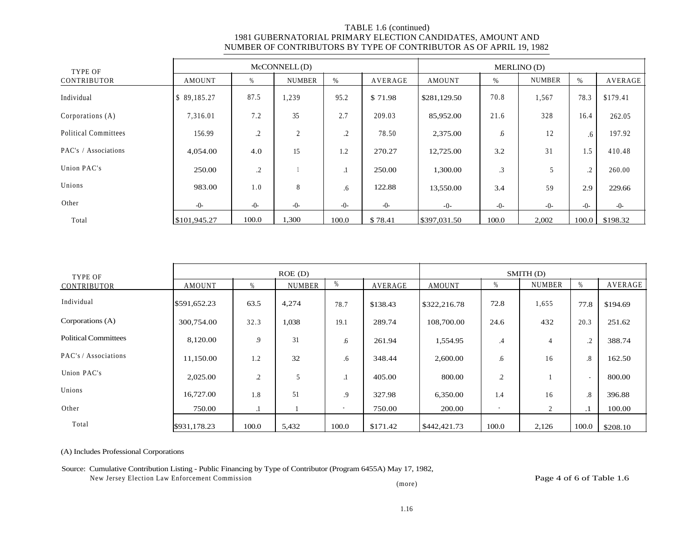| TYPE OF                     |              |         | McCONNELL(D)  |         |         | MERLINO (D)  |       |               |             |          |  |
|-----------------------------|--------------|---------|---------------|---------|---------|--------------|-------|---------------|-------------|----------|--|
| CONTRIBUTOR                 | AMOUNT       | %       | <b>NUMBER</b> | $\%$    | AVERAGE | AMOUNT       | %     | <b>NUMBER</b> | $\%$        | AVERAGE  |  |
| Individual                  | \$89,185.27  | 87.5    | 1,239         | 95.2    | \$71.98 | \$281,129.50 | 70.8  | 1,567         | 78.3        | \$179.41 |  |
| Corporations (A)            | 7,316.01     | 7.2     | 35            | 2.7     | 209.03  | 85,952.00    | 21.6  | 328           | 16.4        | 262.05   |  |
| <b>Political Committees</b> | 156.99       | .2      | 2             | $\cdot$ | 78.50   | 2,375.00     | .6    | 12            | $.6\degree$ | 197.92   |  |
| PAC's / Associations        | 4,054.00     | 4.0     | 15            | 1.2     | 270.27  | 12,725.00    | 3.2   | 31            | 1.5         | 410.48   |  |
| Union PAC's                 | 250.00       | $\cdot$ |               | $\cdot$ | 250.00  | 1,300.00     | .3    | 5             | $\cdot$     | 260.00   |  |
| Unions                      | 983.00       | 1.0     | 8             | .6      | 122.88  | 13,550.00    | 3.4   | 59            | 2.9         | 229.66   |  |
| Other                       | $-()$ -      | $-0-$   | $-0-$         | $-0-$   | $-0-$   | $-0-$        | $-0-$ | $-0-$         | $-()$ -     | $-0-$    |  |
| Total                       | \$101,945.27 | 100.0   | 1,300         | 100.0   | \$78.41 | \$397,031.50 | 100.0 | 2,002         | 100.0       | \$198.32 |  |

| TYPE OF                     |              |       | ROE(D)        |       |          | SMITH (D)     |           |               |                   |          |
|-----------------------------|--------------|-------|---------------|-------|----------|---------------|-----------|---------------|-------------------|----------|
| CONTRIBUTOR                 | AMOUNT       | %     | <b>NUMBER</b> | %     | AVERAGE  | <b>AMOUNT</b> | %         | <b>NUMBER</b> | %                 | AVERAGE  |
| Individual                  | \$591,652.23 | 63.5  | 4,274         | 78.7  | \$138.43 | \$322,216.78  | 72.8      | 1,655         | 77.8              | \$194.69 |
| Corporations (A)            | 300,754.00   | 32.3  | 1,038         | 19.1  | 289.74   | 108,700.00    | 24.6      | 432           | 20.3              | 251.62   |
| <b>Political Committees</b> | 8,120.00     | 9     | 31            | .6    | 261.94   | 1,554.95      | $\cdot$ 4 | 4             | $\cdot$           | 388.74   |
| PAC's / Associations        | 11,150.00    | 1.2   | 32            | .6    | 348.44   | 2,600.00      | .6        | 16            | $\boldsymbol{.8}$ | 162.50   |
| Union PAC's                 | 2,025.00     | .2    | 5             |       | 405.00   | 800.00        | .2        |               | $\sim$            | 800.00   |
| Unions                      | 16,727.00    | .8    | 51            | .9    | 327.98   | 6,350.00      | 1.4       | 16            | $\boldsymbol{.8}$ | 396.88   |
| Other                       | 750.00       | .1    |               | ٠     | 750.00   | 200.00        |           | 2             | . 1               | 100.00   |
| Total                       | \$931,178.23 | 100.0 | 5,432         | 100.0 | \$171.42 | \$442,421.73  | 100.0     | 2,126         | 100.0             | \$208.10 |

(A) Includes Professional Corporations

## Source: Cumulative Contribution Listing - Public Financing by Type of Contributor (Program 6455A) May 17, 1982,

New Jersey Election Law Enforcement Commission **Page 4 of 6 of Table 1.6** 

(more)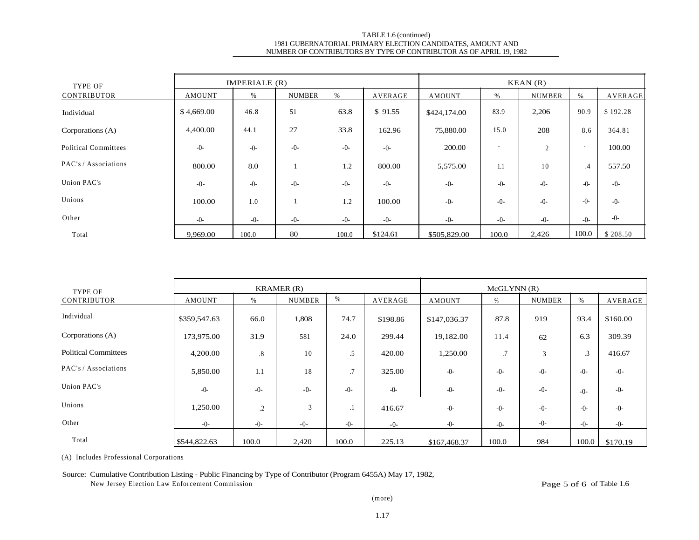| TYPE OF                     |            | IMPERIALE (R) |               |       |          | KEAN(R)       |       |                |                          |          |
|-----------------------------|------------|---------------|---------------|-------|----------|---------------|-------|----------------|--------------------------|----------|
| CONTRIBUTOR                 | AMOUNT     | %             | <b>NUMBER</b> | %     | AVERAGE  | <b>AMOUNT</b> | %     | <b>NUMBER</b>  | %                        | AVERAGE  |
| Individual                  | \$4,669.00 | 46.8          | 51            | 63.8  | \$91.55  | \$424,174.00  | 83.9  | 2,206          | 90.9                     | \$192.28 |
| Corporations (A)            | 4,400.00   | 44.1          | 27            | 33.8  | 162.96   | 75,880.00     | 15.0  | 208            | 8.6                      | 364.81   |
| <b>Political Committees</b> | $-0-$      | $-0-$         | $-0-$         | $-0-$ | $-0-$    | 200.00        |       | $\overline{2}$ | $\overline{\phantom{a}}$ | 100.00   |
| PAC's / Associations        | 800.00     | 8.0           |               | 1.2   | 800.00   | 5,575.00      | 1.1   | 10             | .4                       | 557.50   |
| Union PAC's                 | $-0-$      | $-0-$         | $-0-$         | $-0-$ | $-0-$    | $-0-$         | $-0-$ | $-0-$          | $-0-$                    | $-0-$    |
| Unions                      | 100.00     | 1.0           |               | 1.2   | 100.00   | $-0-$         | $-0-$ | $-0-$          | $-0-$                    | $-()$ -  |
| Other                       | $-()$ -    | $-0-$         | $-0-$         | $-0-$ | $-0-$    | $-0-$         | $-0-$ | $-0-$          | $-()$ -                  | $-0-$    |
| Total                       | 9.969.00   | 100.0         | 80            | 100.0 | \$124.61 | \$505,829.00  | 100.0 | 2,426          | 100.0                    | \$208.50 |

| TYPE OF                     |               |         | KRAMER(R)     |           |          | McGLYNN(R)   |       |               |           |          |
|-----------------------------|---------------|---------|---------------|-----------|----------|--------------|-------|---------------|-----------|----------|
| CONTRIBUTOR                 | <b>AMOUNT</b> | %       | <b>NUMBER</b> | %         | AVERAGE  | AMOUNT       | $\%$  | <b>NUMBER</b> | $\%$      | AVERAGE  |
| Individual                  | \$359,547.63  | 66.0    | 1,808         | 74.7      | \$198.86 | \$147,036.37 | 87.8  | 919           | 93.4      | \$160.00 |
| Corporations (A)            | 173,975.00    | 31.9    | 581           | 24.0      | 299.44   | 19,182.00    | 11.4  | 62            | 6.3       | 309.39   |
| <b>Political Committees</b> | 4,200.00      | .8      | 10            | .5        | 420.00   | 1,250.00     | .7    | 3             | $\cdot$ 3 | 416.67   |
| PAC's / Associations        | 5,850.00      | 1.1     | 18            | .7        | 325.00   | $-0-$        | $-0-$ | $-0-$         | $-0-$     | $-0-$    |
| Union PAC's                 | $-0-$         | $-0-$   | $-0-$         | $-0-$     | $-0-$    | $-0-$        | $-0-$ | $-0-$         | $-0-$     | $-0-$    |
| Unions                      | 1,250.00      | $\cdot$ | 3             | $\cdot$ 1 | 416.67   | $-0-$        | $-0-$ | $-0-$         | $-0-$     | $-0-$    |
| Other                       | $-0-$         | $-0-$   | $-0-$         | $-0-$     | $-0-$    | $-0-$        | $-0-$ | $-0-$         | $-0-$     | $-0-$    |
| Total                       | \$544,822.63  | 100.0   | 2,420         | 100.0     | 225.13   | \$167,468.37 | 100.0 | 984           | 100.0     | \$170.19 |

(A) Includes Professional Corporations

## Source: Cumulative Contribution Listing - Public Financing by Type of Contributor (Program 6455A) May 17, 1982,

New Jersey Election Law Enforcement Commission Page 5 of 6 of Table 1.6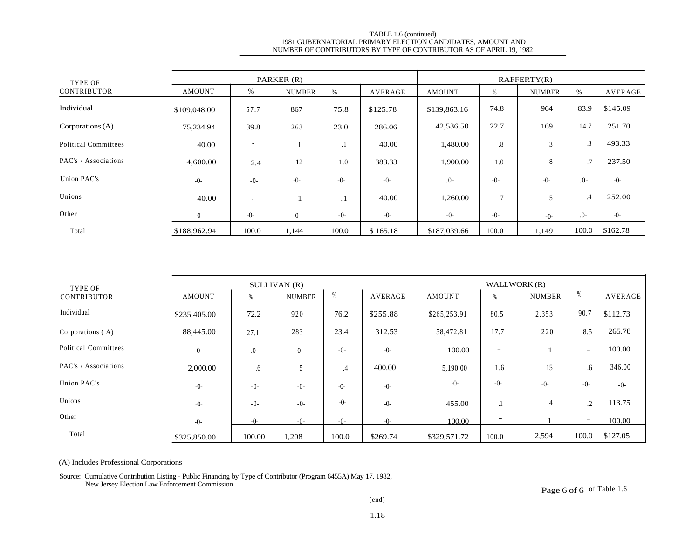| TYPE OF                     | PARKER (R)    |                          |               |         |          | RAFFERTY(R)   |        |               |                |          |
|-----------------------------|---------------|--------------------------|---------------|---------|----------|---------------|--------|---------------|----------------|----------|
| CONTRIBUTOR                 | <b>AMOUNT</b> | %                        | <b>NUMBER</b> | $\%$    | AVERAGE  | <b>AMOUNT</b> | %      | <b>NUMBER</b> | %              | AVERAGE  |
| Individual                  | \$109,048.00  | 57.7                     | 867           | 75.8    | \$125.78 | \$139,863.16  | 74.8   | 964           | 83.9           | \$145.09 |
| Corporations $(A)$          | 75,234.94     | 39.8                     | 263           | 23.0    | 286.06   | 42,536.50     | 22.7   | 169           | 14.7           | 251.70   |
| <b>Political Committees</b> | 40.00         | $\overline{\phantom{a}}$ |               | $\cdot$ | 40.00    | 1,480.00      | $.8\,$ | 3             | $\mathfrak{Z}$ | 493.33   |
| PAC's / Associations        | 4,600.00      | 2.4                      | 12            | 1.0     | 383.33   | 1,900.00      | 1.0    | 8             | .7             | 237.50   |
| Union PAC's                 | $-0-$         | $-0-$                    | $-0-$         | $-0-$   | $-0-$    | $.0-$         | $-0-$  | $-0-$         | $.0 -$         | $-()$ -  |
| Unions                      | 40.00         | $\overline{\phantom{a}}$ |               | . 1     | 40.00    | 1,260.00      | .7     |               | .4             | 252.00   |
| Other                       | $-()$ -       | $-0-$                    | $-0-$         | $-0-$   | $-0-$    | $-0-$         | $-0-$  | $-0-$         | $.0-$          | $-0-$    |
| Total                       | \$188,962.94  | 100.0                    | 1,144         | 100.0   | \$165.18 | \$187,039.66  | 100.0  | 1,149         | 100.0          | \$162.78 |

| TYPE OF              | SULLIVAN (R)  |         |               |                 |          | WALLWORK (R) |       |               |                          |          |
|----------------------|---------------|---------|---------------|-----------------|----------|--------------|-------|---------------|--------------------------|----------|
| CONTRIBUTOR          | <b>AMOUNT</b> | %       | <b>NUMBER</b> |                 | AVERAGE  | AMOUNT       | %     | <b>NUMBER</b> | %                        | AVERAGE  |
| Individual           | \$235,405.00  | 72.2    | 920           | 76.2            | \$255.88 | \$265,253.91 | 80.5  | 2,353         | 90.7                     | \$112.73 |
| Corporations (A)     | 88,445.00     | 27.1    | 283           | 23.4            | 312.53   | 58,472.81    | 17.7  | 220           | 8.5                      | 265.78   |
| Political Committees | $-0-$         | $.0-$   | $-0-$         | $-()$ -         | $-0-$    | 100.00       | -     |               | $\overline{\phantom{m}}$ | 100.00   |
| PAC's / Associations | 2,000.00      | .6      |               | $.4\phantom{0}$ | 400.00   | 5,190.00     | 1.6   | 15            | .6                       | 346.00   |
| Union PAC's          | $-0-$         | $-0-$   | $-0-$         | $-0-$           | $-0-$    | $-0-$        | $-0-$ | $-0-$         | $-()$ -                  | $-0-$    |
| Unions               | $-()$ -       | $-0-$   | $-0-$         | $-0-$           | $-0-$    | 455.00       |       | 4             | $\cdot$                  | 113.75   |
| Other                | $-()$ -       | $-()$ - | $-()$ -       | $-()$ -         | $-()$ -  | 100.00       | -     |               | $\overline{\phantom{a}}$ | 100.00   |
| Total                | \$325,850.00  | 100.00  | 1,208         | 100.0           | \$269.74 | \$329,571.72 | 100.0 | 2,594         | 100.0                    | \$127.05 |

(A) Includes Professional Corporations

Source: Cumulative Contribution Listing - Public Financing by Type of Contributor (Program 6455A) May 17, 1982, New Jersey Election Law Enforcement Commission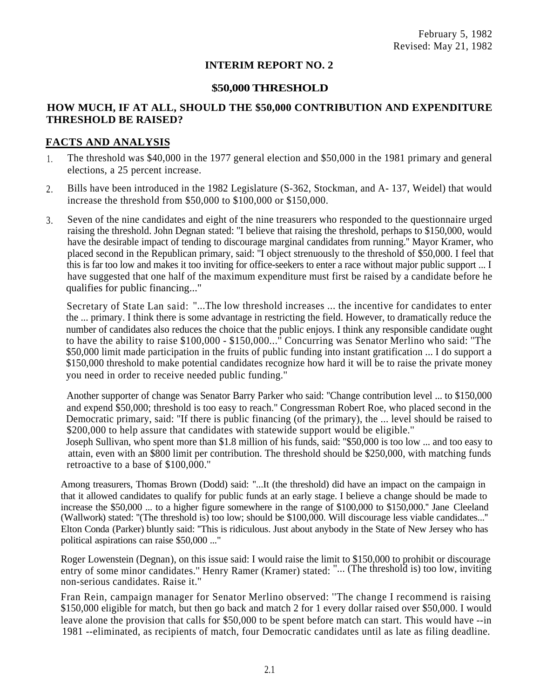# **INTERIM REPORT NO. 2**

# **\$50,000 THRESHOLD**

# **HOW MUCH, IF AT ALL, SHOULD THE \$50,000 CONTRIBUTION AND EXPENDITURE THRESHOLD BE RAISED?**

# **FACTS AND ANALYSIS**

- The threshold was \$40,000 in the 1977 general election and \$50,000 in the 1981 primary and general elections, a 25 percent increase.  $1<sub>1</sub>$
- Bills have been introduced in the 1982 Legislature (S-362, Stockman, and A- 137, Weidel) that would increase the threshold from \$50,000 to \$100,000 or \$150,000. 2.
- Seven of the nine candidates and eight of the nine treasurers who responded to the questionnaire urged raising the threshold. John Degnan stated: ''I believe that raising the threshold, perhaps to \$150,000, would have the desirable impact of tending to discourage marginal candidates from running.'' Mayor Kramer, who placed second in the Republican primary, said: ''I object strenuously to the threshold of \$50,000. I feel that this is far too low and makes it too inviting for office-seekers to enter a race without major public support ... I 3. have suggested that one half of the maximum expenditure must first be raised by a candidate before he qualifies for public financing..."

Secretary of State Lan said: ''...The low threshold increases ... the incentive for candidates to enter the ... primary. I think there is some advantage in restricting the field. However, to dramatically reduce the number of candidates also reduces the choice that the public enjoys. I think any responsible candidate ought to have the ability to raise \$100,000 - \$150,000...'' Concurring was Senator Merlino who said: ''The \$50,000 limit made participation in the fruits of public funding into instant gratification ... I do support a \$150,000 threshold to make potential candidates recognize how hard it will be to raise the private money you need in order to receive needed public funding.''

Another supporter of change was Senator Barry Parker who said: ''Change contribution level ... to \$150,000 and expend \$50,000; threshold is too easy to reach.'' Congressman Robert Roe, who placed second in the Democratic primary, said: ''If there is public financing (of the primary), the ... level should be raised to \$200,000 to help assure that candidates with statewide support would be eligible."

Joseph Sullivan, who spent more than \$1.8 million of his funds, said: ''\$50,000 is too low ... and too easy to attain, even with an \$800 limit per contribution. The threshold should be \$250,000, with matching funds retroactive to a base of \$100,000.''

Among treasurers, Thomas Brown (Dodd) said: ''...It (the threshold) did have an impact on the campaign in that it allowed candidates to qualify for public funds at an early stage. I believe a change should be made to increase the \$50,000 ... to a higher figure somewhere in the range of \$100,000 to \$150,000.'' Jane Cleeland (Wallwork) stated: ''(The threshold is) too low; should be \$100,000. Will discourage less viable candidates...'' Elton Conda (Parker) bluntly said: ''This is ridiculous. Just about anybody in the State of New Jersey who has political aspirations can raise \$50,000 ..."

Roger Lowenstein (Degnan), on this issue said: I would raise the limit to \$150,000 to prohibit or discourage entry of some minor candidates." Henry Ramer (Kramer) stated: "... (The threshold is) too low, inviting non-serious candidates. Raise it.''

Fran Rein, campaign manager for Senator Merlino observed: ''The change I recommend is raising \$150,000 eligible for match, but then go back and match 2 for 1 every dollar raised over \$50,000. I would leave alone the provision that calls for \$50,000 to be spent before match can start. This would have --in 1981 --eliminated, as recipients of match, four Democratic candidates until as late as filing deadline.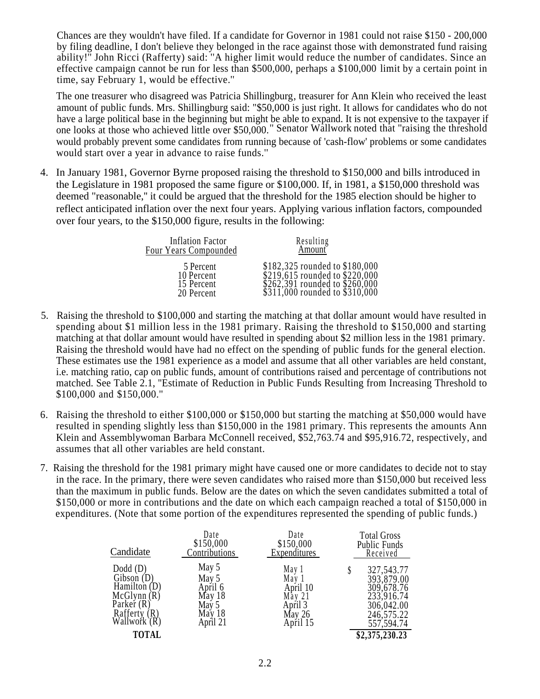Chances are they wouldn't have filed. If a candidate for Governor in 1981 could not raise \$150 - 200,000 by filing deadline, I don't believe they belonged in the race against those with demonstrated fund raising ability!'' John Ricci (Rafferty) said: ''A higher limit would reduce the number of candidates. Since an effective campaign cannot be run for less than \$500,000, perhaps a \$100,000 limit by a certain point in time, say February 1, would be effective.''

The one treasurer who disagreed was Patricia Shillingburg, treasurer for Ann Klein who received the least amount of public funds. Mrs. Shillingburg said: "\$50,000 is just right. It allows for candidates who do not have a large political base in the beginning but might be able to expand. It is not expensive to the taxpayer if one looks at those who achieved little over \$50,000.'' Senator Wallwork noted that ''raising the threshold would probably prevent some candidates from running because of 'cash-flow' problems or some candidates would start over a year in advance to raise funds.''

4. In January 1981, Governor Byrne proposed raising the threshold to \$150,000 and bills introduced in the Legislature in 1981 proposed the same figure or \$100,000. If, in 1981, a \$150,000 threshold was deemed "reasonable,'' it could be argued that the threshold for the 1985 election should be higher to reflect anticipated inflation over the next four years. Applying various inflation factors, compounded over four years, to the \$150,000 figure, results in the following:

| Inflation Factor      | Resulting                        |
|-----------------------|----------------------------------|
| Four Years Compounded | Amount                           |
| 5 Percent             | \$182,325 rounded to \$180,000   |
| 10 Percent            | \$219,615 rounded to \$220,000   |
| 15 Percent            | \$262,391 rounded to $$260,000$  |
| 20 Percent            | $$311,000$ rounded to $$310,000$ |

- 5. Raising the threshold to \$100,000 and starting the matching at that dollar amount would have resulted in spending about \$1 million less in the 1981 primary. Raising the threshold to \$150,000 and starting matching at that dollar amount would have resulted in spending about \$2 million less in the 1981 primary. Raising the threshold would have had no effect on the spending of public funds for the general election. These estimates use the 1981 experience as a model and assume that all other variables are held constant, i.e. matching ratio, cap on public funds, amount of contributions raised and percentage of contributions not matched. See Table 2.1, ''Estimate of Reduction in Public Funds Resulting from Increasing Threshold to \$100,000 and \$150,000.''
- 6. Raising the threshold to either \$100,000 or \$150,000 but starting the matching at \$50,000 would have resulted in spending slightly less than \$150,000 in the 1981 primary. This represents the amounts Ann Klein and Assemblywoman Barbara McConnell received, \$52,763.74 and \$95,916.72, respectively, and assumes that all other variables are held constant.
- 7. Raising the threshold for the 1981 primary might have caused one or more candidates to decide not to stay in the race. In the primary, there were seven candidates who raised more than \$150,000 but received less than the maximum in public funds. Below are the dates on which the seven candidates submitted a total of \$150,000 or more in contributions and the date on which each campaign reached a total of \$150,000 in expenditures. (Note that some portion of the expenditures represented the spending of public funds.)

| Candidate                                                                                                  | Date<br>\$150,000<br>Contributions                                 | Date<br>\$150,000<br>Expenditures                                     | <b>Total Gross</b><br>Public Funds<br>Received                                                   |
|------------------------------------------------------------------------------------------------------------|--------------------------------------------------------------------|-----------------------------------------------------------------------|--------------------------------------------------------------------------------------------------|
| $Dodd$ (D)<br>Gibson $(D)$<br>Hamilton $(D)$<br>McGlynn(R)<br>Parker $(R)$<br>Rafferty (R)<br>Wallwork (R) | May 5<br>May 5<br>April 6<br>May 18<br>May 5<br>May 18<br>April 21 | May 1<br>May 1<br>April 10<br>May 21<br>April 3<br>May 26<br>April 15 | 327, 543. 77<br>393,879.00<br>309,678.76<br>233,916.74<br>306,042.00<br>246,575.22<br>557,594.74 |
| <b>TOTAL</b>                                                                                               |                                                                    |                                                                       | \$2,375,230.23                                                                                   |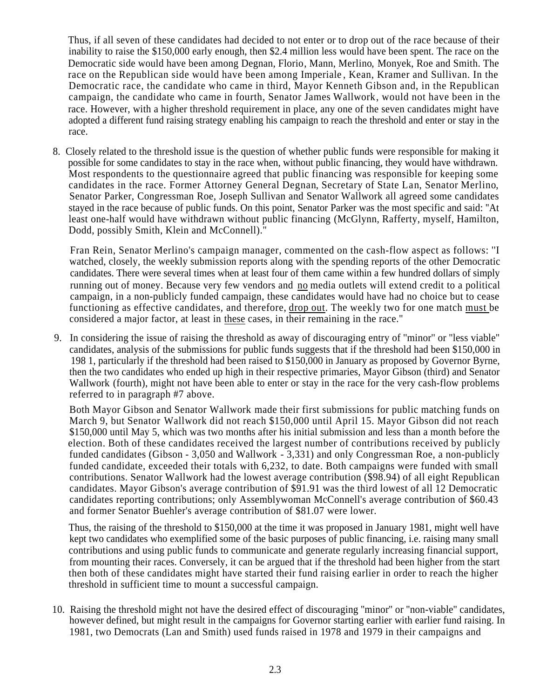Thus, if all seven of these candidates had decided to not enter or to drop out of the race because of their inability to raise the \$150,000 early enough, then \$2.4 million less would have been spent. The race on the Democratic side would have been among Degnan, Florio, Mann, Merlino, Monyek, Roe and Smith. The race on the Republican side would have been among Imperiale , Kean, Kramer and Sullivan. In the Democratic race, the candidate who came in third, Mayor Kenneth Gibson and, in the Republican campaign, the candidate who came in fourth, Senator James Wallwork, would not have been in the race. However, with a higher threshold requirement in place, any one of the seven candidates might have adopted a different fund raising strategy enabling his campaign to reach the threshold and enter or stay in the race.

8. Closely related to the threshold issue is the question of whether public funds were responsible for making it possible for some candidates to stay in the race when, without public financing, they would have withdrawn. Most respondents to the questionnaire agreed that public financing was responsible for keeping some candidates in the race. Former Attorney General Degnan, Secretary of State Lan, Senator Merlino, Senator Parker, Congressman Roe, Joseph Sullivan and Senator Wallwork all agreed some candidates stayed in the race because of public funds. On this point, Senator Parker was the most specific and said: ''At least one-half would have withdrawn without public financing (McGlynn, Rafferty, myself, Hamilton, Dodd, possibly Smith, Klein and McConnell)."

Fran Rein, Senator Merlino's campaign manager, commented on the cash-flow aspect as follows: ''I watched, closely, the weekly submission reports along with the spending reports of the other Democratic candidates. There were several times when at least four of them came within a few hundred dollars of simply running out of money. Because very few vendors and no media outlets will extend credit to a political campaign, in a non-publicly funded campaign, these candidates would have had no choice but to cease functioning as effective candidates, and therefore, drop out. The weekly two for one match must be considered a major factor, at least in these cases, in their remaining in the race."

9. In considering the issue of raising the threshold as away of discouraging entry of ''minor'' or ''less viable'' candidates, analysis of the submissions for public funds suggests that if the threshold had been \$150,000 in 198 1, particularly if the threshold had been raised to \$150,000 in January as proposed by Governor Byrne, then the two candidates who ended up high in their respective primaries, Mayor Gibson (third) and Senator Wallwork (fourth), might not have been able to enter or stay in the race for the very cash-flow problems referred to in paragraph #7 above.

Both Mayor Gibson and Senator Wallwork made their first submissions for public matching funds on March 9, but Senator Wallwork did not reach \$150,000 until April 15. Mayor Gibson did not reach \$150,000 until May 5, which was two months after his initial submission and less than a month before the election. Both of these candidates received the largest number of contributions received by publicly funded candidates (Gibson - 3,050 and Wallwork - 3,331) and only Congressman Roe, a non-publicly funded candidate, exceeded their totals with 6,232, to date. Both campaigns were funded with small contributions. Senator Wallwork had the lowest average contribution (\$98.94) of all eight Republican candidates. Mayor Gibson's average contribution of \$91.91 was the third lowest of all 12 Democratic candidates reporting contributions; only Assemblywoman McConnell's average contribution of \$60.43 and former Senator Buehler's average contribution of \$81.07 were lower.

Thus, the raising of the threshold to \$150,000 at the time it was proposed in January 1981, might well have kept two candidates who exemplified some of the basic purposes of public financing, i.e. raising many small contributions and using public funds to communicate and generate regularly increasing financial support, from mounting their races. Conversely, it can be argued that if the threshold had been higher from the start then both of these candidates might have started their fund raising earlier in order to reach the higher threshold in sufficient time to mount a successful campaign.

10. Raising the threshold might not have the desired effect of discouraging ''minor'' or ''non-viable'' candidates, however defined, but might result in the campaigns for Governor starting earlier with earlier fund raising. In 1981, two Democrats (Lan and Smith) used funds raised in 1978 and 1979 in their campaigns and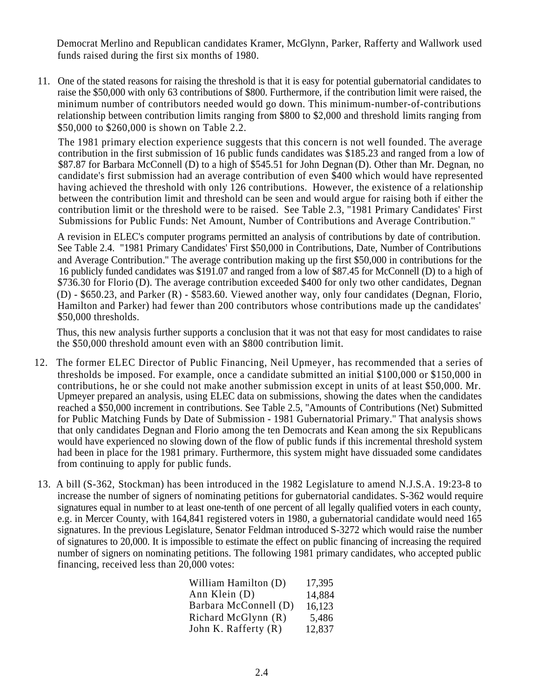Democrat Merlino and Republican candidates Kramer, McGlynn, Parker, Rafferty and Wallwork used funds raised during the first six months of 1980.

11. One of the stated reasons for raising the threshold is that it is easy for potential gubernatorial candidates to raise the \$50,000 with only 63 contributions of \$800. Furthermore, if the contribution limit were raised, the minimum number of contributors needed would go down. This minimum-number-of-contributions relationship between contribution limits ranging from \$800 to \$2,000 and threshold limits ranging from \$50,000 to \$260,000 is shown on Table 2.2.

The 1981 primary election experience suggests that this concern is not well founded. The average contribution in the first submission of 16 public funds candidates was \$185.23 and ranged from a low of \$87.87 for Barbara McConnell (D) to a high of \$545.51 for John Degnan (D). Other than Mr. Degnan, no candidate's first submission had an average contribution of even \$400 which would have represented having achieved the threshold with only 126 contributions. However, the existence of a relationship between the contribution limit and threshold can be seen and would argue for raising both if either the contribution limit or the threshold were to be raised. See Table 2.3, "1981 Primary Candidates' First Submissions for Public Funds: Net Amount, Number of Contributions and Average Contribution.''

A revision in ELEC's computer programs permitted an analysis of contributions by date of contribution. See Table 2.4. "1981 Primary Candidates' First \$50,000 in Contributions, Date, Number of Contributions and Average Contribution.'' The average contribution making up the first \$50,000 in contributions for the 16 publicly funded candidates was \$191.07 and ranged from a low of \$87.45 for McConnell (D) to a high of \$736.30 for Florio (D). The average contribution exceeded \$400 for only two other candidates, Degnan (D) - \$650.23, and Parker (R) - \$583.60. Viewed another way, only four candidates (Degnan, Florio, Hamilton and Parker) had fewer than 200 contributors whose contributions made up the candidates' \$50,000 thresholds.

Thus, this new analysis further supports a conclusion that it was not that easy for most candidates to raise the \$50,000 threshold amount even with an \$800 contribution limit.

- 12. The former ELEC Director of Public Financing, Neil Upmeyer, has recommended that a series of thresholds be imposed. For example, once a candidate submitted an initial \$100,000 or \$150,000 in contributions, he or she could not make another submission except in units of at least \$50,000. Mr. Upmeyer prepared an analysis, using ELEC data on submissions, showing the dates when the candidates reached a \$50,000 increment in contributions. See Table 2.5, ''Amounts of Contributions (Net) Submitted for Public Matching Funds by Date of Submission - 1981 Gubernatorial Primary.'' That analysis shows that only candidates Degnan and Florio among the ten Democrats and Kean among the six Republicans would have experienced no slowing down of the flow of public funds if this incremental threshold system had been in place for the 1981 primary. Furthermore, this system might have dissuaded some candidates from continuing to apply for public funds.
- 13. A bill (S-362, Stockman) has been introduced in the 1982 Legislature to amend N.J.S.A. 19:23-8 to increase the number of signers of nominating petitions for gubernatorial candidates. S-362 would require signatures equal in number to at least one-tenth of one percent of all legally qualified voters in each county, e.g. in Mercer County, with 164,841 registered voters in 1980, a gubernatorial candidate would need 165 signatures. In the previous Legislature, Senator Feldman introduced S-3272 which would raise the number of signatures to 20,000. It is impossible to estimate the effect on public financing of increasing the required number of signers on nominating petitions. The following 1981 primary candidates, who accepted public financing, received less than 20,000 votes:

| William Hamilton (D)  | 17,395 |
|-----------------------|--------|
| Ann Klein (D)         | 14,884 |
| Barbara McConnell (D) | 16,123 |
| Richard McGlynn (R)   | 5,486  |
| John K. Rafferty (R)  | 12,837 |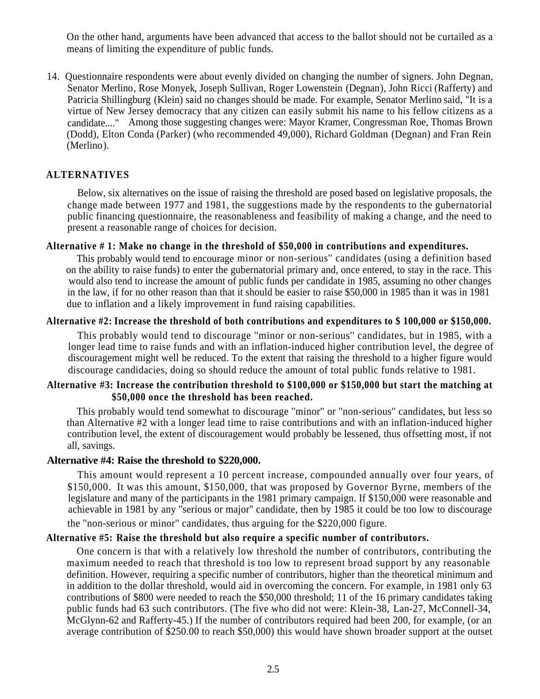On the other hand, arguments have been advanced that access to the ballot should not be curtailed as a means of limiting the expenditure of public funds.

14. Questionnaire respondents were about evenly divided on changing the number of signers. John Degnan, Senator Merlino, Rose Monyek, Joseph Sullivan, Roger Lowenstein (Degnan), John Ricci (Rafferty) and Patricia Shillingburg (Klein) said no changes should be made. For example, Senator Merlino said, ''It is a virtue of New Jersey democracy that any citizen can easily submit his name to his fellow citizens as a candidate...." Among those suggesting changes were: Mayor Kramer, Congressman Roe, Thomas Brown (Dodd), Elton Conda (Parker) (who recommended 49,000), Richard Goldman (Degnan) and Fran Rein (Merlino).

## **ALTERNATIVES**

Below, six alternatives on the issue of raising the threshold are posed based on legislative proposals, the change made between 1977 and 1981, the suggestions made by the respondents to the gubernatorial public financing questionnaire, the reasonableness and feasibility of making a change, and the need to present a reasonable range of choices for decision.

## **Alternative # 1: Make no change in the threshold of \$50,000 in contributions and expenditures.**

This probably would tend to encourage minor or non-serious'' candidates (using a definition based on the ability to raise funds) to enter the gubernatorial primary and, once entered, to stay in the race. This would also tend to increase the amount of public funds per candidate in 1985, assuming no other changes in the law, if for no other reason than that it should be easier to raise \$50,000 in 1985 than it was in 1981 due to inflation and a likely improvement in fund raising capabilities.

## **Alternative #2: Increase the threshold of both contributions and expenditures to \$ 100,000 or \$150,000.**

This probably would tend to discourage ''minor or non-serious'' candidates, but in 1985, with a longer lead time to raise funds and with an inflation-induced higher contribution level, the degree of discouragement might well be reduced. To the extent that raising the threshold to a higher figure would discourage candidacies, doing so should reduce the amount of total public funds relative to 1981.

## **Alternative #3: Increase the contribution threshold to \$100,000 or \$150,000 but start the matching at \$50,000 once the threshold has been reached.**

This probably would tend somewhat to discourage ''minor'' or ''non-serious'' candidates, but less so than Alternative #2 with a longer lead time to raise contributions and with an inflation-induced higher contribution level, the extent of discouragement would probably be lessened, thus offsetting most, if not all, savings.

## **Alternative #4: Raise the threshold to \$220,000.**

This amount would represent a 10 percent increase, compounded annually over four years, of \$150,000. It was this amount, \$150,000, that was proposed by Governor Byrne, members of the legislature and many of the participants in the 1981 primary campaign. If \$150,000 were reasonable and achievable in 1981 by any ''serious or major'' candidate, then by 1985 it could be too low to discourage the ''non-serious or minor'' candidates, thus arguing for the \$220,000 figure.

## **Alternative #5: Raise the threshold but also require a specific number of contributors.**

One concern is that with a relatively low threshold the number of contributors, contributing the maximum needed to reach that threshold is too low to represent broad support by any reasonable definition. However, requiring a specific number of contributors, higher than the theoretical minimum and in addition to the dollar threshold, would aid in overcoming the concern. For example, in 1981 only 63 contributions of \$800 were needed to reach the \$50,000 threshold; 11 of the 16 primary candidates taking public funds had 63 such contributors. (The five who did not were: Klein-38, Lan-27, McConnell-34, McGlynn-62 and Rafferty-45.) If the number of contributors required had been 200, for example, (or an average contribution of \$250.00 to reach \$50,000) this would have shown broader support at the outset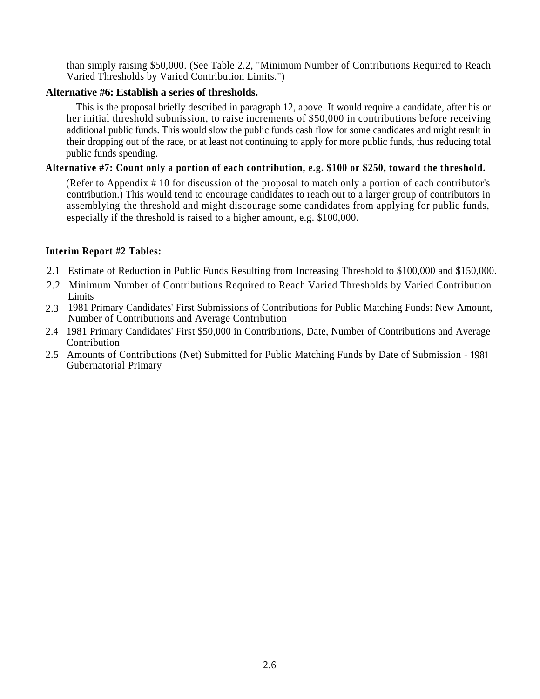than simply raising \$50,000. (See Table 2.2, "Minimum Number of Contributions Required to Reach Varied Thresholds by Varied Contribution Limits.")

## **Alternative #6: Establish a series of thresholds.**

This is the proposal briefly described in paragraph 12, above. It would require a candidate, after his or her initial threshold submission, to raise increments of \$50,000 in contributions before receiving additional public funds. This would slow the public funds cash flow for some candidates and might result in their dropping out of the race, or at least not continuing to apply for more public funds, thus reducing total public funds spending.

## **Alternative #7: Count only a portion of each contribution, e.g. \$100 or \$250, toward the threshold.**

(Refer to Appendix # 10 for discussion of the proposal to match only a portion of each contributor's contribution.) This would tend to encourage candidates to reach out to a larger group of contributors in assemblying the threshold and might discourage some candidates from applying for public funds, especially if the threshold is raised to a higher amount, e.g. \$100,000.

## **Interim Report #2 Tables:**

- 2.1 Estimate of Reduction in Public Funds Resulting from Increasing Threshold to \$100,000 and \$150,000.
- 2.2 Minimum Number of Contributions Required to Reach Varied Thresholds by Varied Contribution **Limits**
- 2.3 1981 Primary Candidates' First Submissions of Contributions for Public Matching Funds: New Amount, Number of Contributions and Average Contribution
- 2.4 1981 Primary Candidates' First \$50,000 in Contributions, Date, Number of Contributions and Average Contribution
- 2.5 Amounts of Contributions (Net) Submitted for Public Matching Funds by Date of Submission 1981 Gubernatorial Primary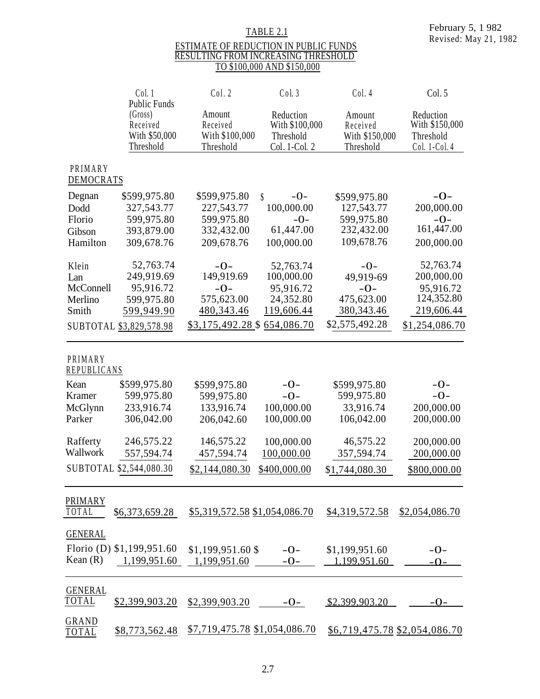# TABLE 2.1

#### ESTIMATE OF REDUCTION IN PUBLIC FUNDS RESULTING FROM INCREASING THRESHOLD TO \$100,000 AND \$150,000

|                        | Col. 1<br><b>Public Funds</b>                     | Col. 2                                            | Col.3                                                     | Col. 4                                            | Col. 5                                                    |
|------------------------|---------------------------------------------------|---------------------------------------------------|-----------------------------------------------------------|---------------------------------------------------|-----------------------------------------------------------|
|                        | (Gross)<br>Received<br>With \$50,000<br>Threshold | Amount<br>Received<br>With \$100,000<br>Threshold | Reduction<br>With \$100,000<br>Threshold<br>Col. 1-Col. 2 | Amount<br>Received<br>With \$150,000<br>Threshold | Reduction<br>With \$150,000<br>Threshold<br>Col. 1-Col. 4 |
| PRIMARY<br>DEMOCRATS   |                                                   |                                                   |                                                           |                                                   |                                                           |
| Degnan                 | \$599,975.80                                      | \$599,975.80                                      | \$<br>$-0-$                                               | \$599,975.80                                      | $-O-$                                                     |
| Dodd                   | 327,543.77                                        | 227,543.77                                        | 100,000.00                                                | 127,543.77                                        | 200,000.00                                                |
| Florio                 | 599,975.80                                        | 599,975.80                                        | $-0-$                                                     | 599,975.80                                        | $-0-$                                                     |
| Gibson                 | 393,879.00                                        | 332,432.00                                        | 61,447.00                                                 | 232,432.00                                        | 161,447.00                                                |
| Hamilton               | 309,678.76                                        | 209,678.76                                        | 100,000.00                                                | 109,678.76                                        | 200,000.00                                                |
| Klein                  | 52,763.74                                         | $-0-$                                             | 52,763.74                                                 | $-0-$                                             | 52,763.74                                                 |
| Lan                    | 249,919.69                                        | 149,919.69                                        | 100,000.00                                                | 49,919-69                                         | 200,000.00                                                |
| McConnell              | 95,916.72                                         | $-0-$                                             | 95,916.72                                                 | $-0-$                                             | 95,916.72                                                 |
| Merlino                | 599,975.80                                        | 575,623.00                                        | 24,352.80                                                 | 475,623.00                                        | 124,352.80                                                |
| Smith                  | 599,949.90                                        | 480, 343. 46                                      | 119,606.44                                                | 380, 343. 46                                      | 219,606.44                                                |
|                        | SUBTOTAL \$3,829,578.98                           | \$3,175,492.28 \$                                 | 654,086.70                                                | \$2,575,492.28                                    | \$1,254,086.70                                            |
| PRIMARY<br>REPUBLICANS |                                                   |                                                   |                                                           |                                                   |                                                           |
| Kean                   | \$599,975.80                                      | \$599,975.80                                      | $-0-$                                                     | \$599,975.80                                      | $-0-$                                                     |
| Kramer                 | 599,975.80                                        | 599,975.80                                        | $-0-$                                                     | 599,975.80                                        | $-0-$                                                     |
| McGlynn                | 233,916.74                                        | 133,916.74                                        | 100,000.00                                                | 33,916.74                                         | 200,000.00                                                |
| Parker                 | 306,042.00                                        | 206,042.60                                        | 100,000.00                                                | 106,042.00                                        | 200,000.00                                                |
| Rafferty               | 246,575.22                                        | 146,575.22                                        | 100,000.00                                                | 46,575.22                                         | 200,000.00                                                |
| Wallwork               | 557,594.74                                        | 457,594.74                                        | 100,000.00                                                | 357,594.74                                        | 200,000.00                                                |
|                        | SUBTOTAL \$2,544,080.30                           | \$2,144,080.30                                    | \$400,000.00                                              | \$1,744,080.30                                    | \$800,000.00                                              |
|                        |                                                   |                                                   |                                                           |                                                   |                                                           |
| PRIMARY<br>TOTAL       | \$6,373,659.28                                    | \$5,319,572.58 \$1,054,086.70                     |                                                           | \$4,319,572.58                                    | \$2,054,086.70                                            |
| <b>GENERAL</b>         |                                                   |                                                   |                                                           |                                                   |                                                           |
|                        | Florio (D) \$1,199,951.60                         | $$1,199,951.60$ \$                                | $-O-$                                                     | \$1,199,951.60                                    | $-O-$                                                     |
| Kean $(R)$             | 1,199,951.60                                      | 1,199,951.60                                      | $-O-$                                                     | 1.199.951.60                                      | $-O$                                                      |
|                        |                                                   |                                                   |                                                           |                                                   |                                                           |
| <b>GENERAL</b>         |                                                   |                                                   |                                                           |                                                   |                                                           |
| <b>TOTAL</b>           | \$2,399,903.20                                    | \$2,399,903.20                                    | $-O$                                                      | \$2,399,903.20                                    | $-O-$                                                     |
| GRAND<br>TOTAL         | \$8,773,562.48                                    | $$7,719,475.78$ \$1,054,086.70                    |                                                           | \$6,719,475.78 \$2,054,086.70                     |                                                           |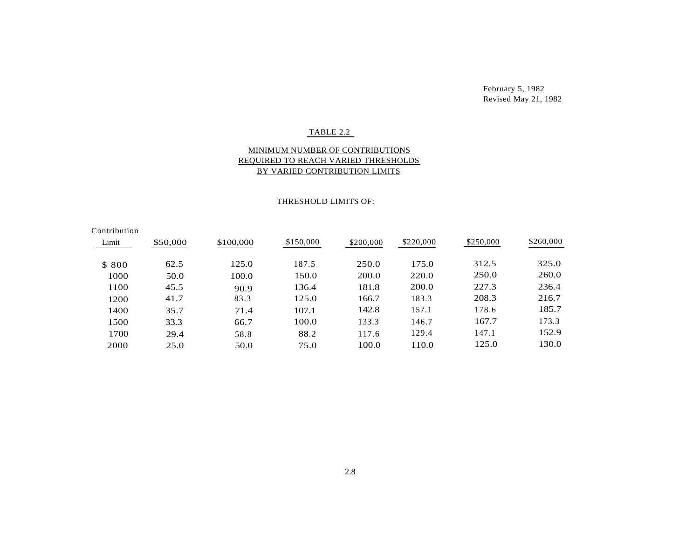February 5, 1982 Revised May 21, 1982

#### TABLE 2.2

#### MINIMUM NUMBER OF CONTRIBUTIONS REQUIRED TO REACH VARIED THRESHOLDS BY VARIED CONTRIBUTION LIMITS

#### THRESHOLD LIMITS OF:

| Contribution |          |           |           |           |           |           |           |
|--------------|----------|-----------|-----------|-----------|-----------|-----------|-----------|
| Limit        | \$50,000 | \$100,000 | \$150,000 | \$200,000 | \$220,000 | \$250,000 | \$260,000 |
|              |          |           |           |           |           |           |           |
| \$800        | 62.5     | 125.0     | 187.5     | 250.0     | 175.0     | 312.5     | 325.0     |
| 1000         | 50.0     | 100.0     | 150.0     | 200.0     | 220.0     | 250.0     | 260.0     |
| 1100         | 45.5     | 90.9      | 136.4     | 181.8     | 200.0     | 227.3     | 236.4     |
| 1200         | 41.7     | 83.3      | 125.0     | 166.7     | 183.3     | 208.3     | 216.7     |
| 1400         | 35.7     | 71.4      | 107.1     | 142.8     | 157.1     | 178.6     | 185.7     |
| 1500         | 33.3     | 66.7      | 100.0     | 133.3     | 146.7     | 167.7     | 173.3     |
| 1700         | 29.4     | 58.8      | 88.2      | 117.6     | 129.4     | 147.1     | 152.9     |
| 2000         | 25.0     | 50.0      | 75.0      | 100.0     | 110.0     | 125.0     | 130.0     |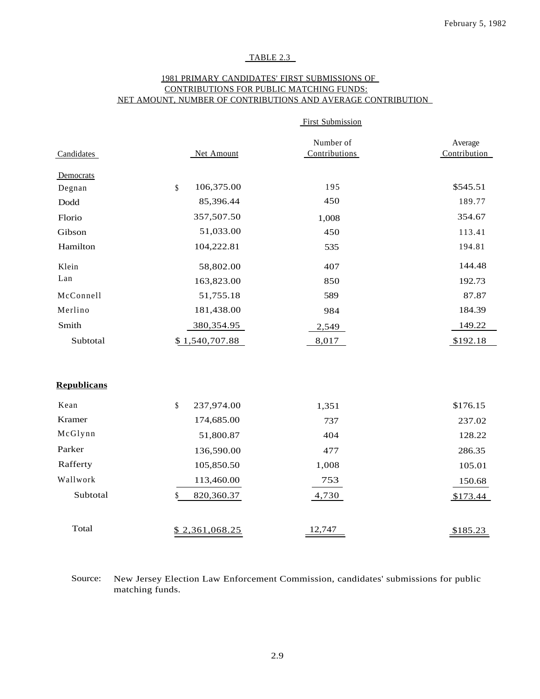## TABLE 2.3

#### 1981 PRIMARY CANDIDATES' FIRST SUBMISSIONS OF CONTRIBUTIONS FOR PUBLIC MATCHING FUNDS: NET AMOUNT, NUMBER OF CONTRIBUTIONS AND AVERAGE CONTRIBUTION

|                    |                  | <b>First Submission</b> |              |
|--------------------|------------------|-------------------------|--------------|
|                    |                  | Number of               | Average      |
| Candidates         | Net Amount       | Contributions           | Contribution |
| Democrats          |                  |                         |              |
| Degnan             | 106,375.00<br>\$ | 195                     | \$545.51     |
| Dodd               | 85,396.44        | 450                     | 189.77       |
| Florio             | 357,507.50       | 1,008                   | 354.67       |
| Gibson             | 51,033.00        | 450                     | 113.41       |
| Hamilton           | 104,222.81       | 535                     | 194.81       |
| Klein              | 58,802.00        | 407                     | 144.48       |
| Lan                | 163,823.00       | 850                     | 192.73       |
| McConnell          | 51,755.18        | 589                     | 87.87        |
| Merlino            | 181,438.00       | 984                     | 184.39       |
| Smith              | 380, 354. 95     | 2,549                   | 149.22       |
| Subtotal           | \$1,540,707.88   | 8,017                   | \$192.18     |
|                    |                  |                         |              |
| <b>Republicans</b> |                  |                         |              |
| Kean               | \$<br>237,974.00 | 1,351                   | \$176.15     |
| Kramer             | 174,685.00       | 737                     | 237.02       |
| McGlynn            | 51,800.87        | 404                     | 128.22       |
| Parker             | 136,590.00       | 477                     | 286.35       |
| Rafferty           | 105,850.50       | 1,008                   | 105.01       |
| Wallwork           | 113,460.00       | 753                     | 150.68       |
| Subtotal           | \$<br>820,360.37 | 4,730                   | \$173.44     |
| Total              | \$2,361,068.25   | 12,747                  |              |
|                    |                  |                         | \$185.23     |

Source: New Jersey Election Law Enforcement Commission, candidates' submissions for public matching funds.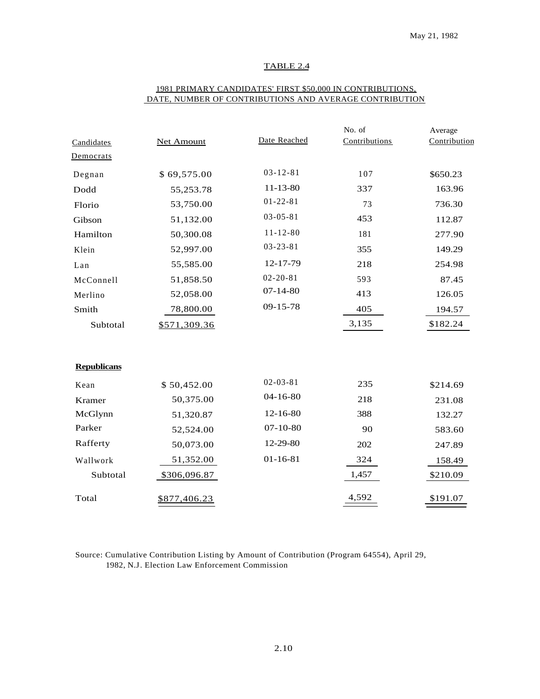#### TABLE 2.4

|                    |                   |                | No. of        | Average      |
|--------------------|-------------------|----------------|---------------|--------------|
| Candidates         | <b>Net Amount</b> | Date Reached   | Contributions | Contribution |
| Democrats          |                   |                |               |              |
| Degnan             | \$69,575.00       | $03 - 12 - 81$ | 107           | \$650.23     |
| Dodd               | 55,253.78         | $11 - 13 - 80$ | 337           | 163.96       |
| Florio             | 53,750.00         | $01 - 22 - 81$ | 73            | 736.30       |
| Gibson             | 51,132.00         | $03 - 05 - 81$ | 453           | 112.87       |
| Hamilton           | 50,300.08         | $11 - 12 - 80$ | 181           | 277.90       |
| Klein              | 52,997.00         | $03 - 23 - 81$ | 355           | 149.29       |
| Lan                | 55,585.00         | 12-17-79       | 218           | 254.98       |
| McConnell          | 51,858.50         | $02 - 20 - 81$ | 593           | 87.45        |
| Merlino            | 52,058.00         | $07 - 14 - 80$ | 413           | 126.05       |
| Smith              | 78,800.00         | $09 - 15 - 78$ | 405           | 194.57       |
| Subtotal           | \$571,309.36      |                | 3,135         | \$182.24     |
|                    |                   |                |               |              |
| <b>Republicans</b> |                   |                |               |              |
| Kean               | \$50,452.00       | $02 - 03 - 81$ | 235           | \$214.69     |
| Kramer             | 50,375.00         | $04 - 16 - 80$ | 218           | 231.08       |
| McGlynn            | 51,320.87         | 12-16-80       | 388           | 132.27       |
| Parker             | 52,524.00         | $07-10-80$     | 90            | 583.60       |
| Rafferty           | 50,073.00         | 12-29-80       | 202           | 247.89       |
| Wallwork           | 51,352.00         | $01 - 16 - 81$ | 324           | 158.49       |
| Subtotal           | \$306,096.87      |                | 1,457         | \$210.09     |
| Total              | \$877,406.23      |                | 4,592         | \$191.07     |

#### 1981 PRIMARY CANDIDATES' FIRST \$50,000 IN CONTRIBUTIONS, DATE, NUMBER OF CONTRIBUTIONS AND AVERAGE CONTRIBUTION

Source: Cumulative Contribution Listing by Amount of Contribution (Program 64554), April 29, 1982, N.J. Election Law Enforcement Commission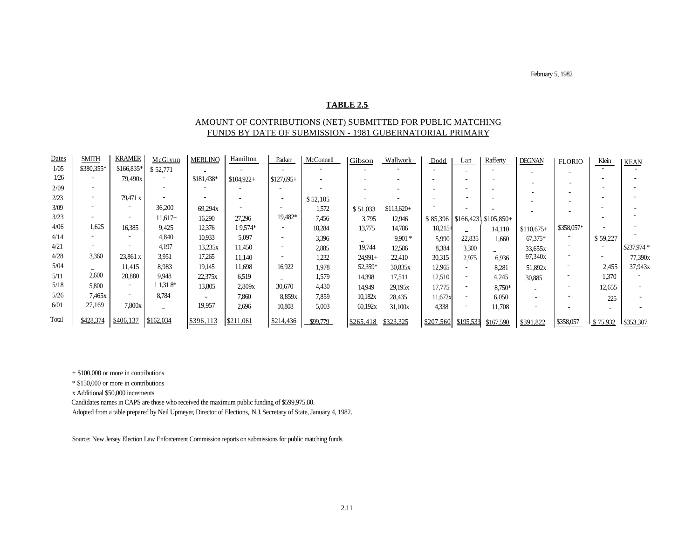February 5, 1982

#### **TABLE 2.5**

#### AMOUNT OF CONTRIBUTIONS (NET) SUBMITTED FOR PUBLIC MATCHING FUNDS BY DATE OF SUBMISSION - 1981 GUBERNATORIAL PRIMARY

| <b>Dates</b> | <b>SMITH</b>             | <b>KRAMER</b> | McGlynn   | <b>MERLINC</b> | Hamilton    | Parker      | McConnell | Gibson    | Wallwork    | Dodd      | Lan       | Rafferty                | <b>DEGNAN</b> | <b>FLORIO</b> | Klein    | <b>KEAN</b> |
|--------------|--------------------------|---------------|-----------|----------------|-------------|-------------|-----------|-----------|-------------|-----------|-----------|-------------------------|---------------|---------------|----------|-------------|
| 1/05         | \$380,355*               | \$166,835*    | \$52,771  |                |             |             |           |           |             |           |           |                         |               |               |          |             |
| 1/26         |                          | 79,490x       |           | \$181,438*     | $$104.922+$ | $$127,695+$ |           |           |             |           |           |                         |               |               |          |             |
| 2/09         | $\overline{\phantom{a}}$ |               |           |                |             |             |           |           |             |           |           |                         |               |               |          |             |
| 2/23         |                          | 79,471 x      |           |                |             |             | \$52,105  |           |             |           |           |                         |               |               |          |             |
| 3/09         |                          |               | 36,200    | 69,294x        |             |             | 1.572     | \$51,033  | $$113,620+$ |           |           |                         |               |               |          |             |
| 3/23         |                          |               | $11,617+$ | 16,290         | 27,296      | 19,482*     | 7,456     | 3,795     | 12.946      | \$85,396  |           | $$166,4231$ $$105,850+$ |               |               |          |             |
| 4/06         | 1,625                    | 16,385        | 9.425     | 12,376         | 19,574*     |             | 10.284    | 13,775    | 14,786      | $18,215+$ |           | 14,110                  | $$110.675+$   | \$358,057*    |          |             |
| 4/14         |                          |               | 4,840     | 10,933         | 5,097       |             | 3.396     |           | $9.901*$    | 5,990     | 22,835    | 1.660                   | 67,375*       |               | \$59,227 |             |
| 4/21         |                          |               | 4,197     | 13,235x        | 11,450      |             | 2,885     | 19,744    | 12,586      | 8,384     | 3,300     |                         | 33,655x       |               |          | \$237,974 * |
| 4/28         | 3,360                    | 23,861 x      | 3,951     | 17.265         | 11.140      |             | 1,232     | $24.991+$ | 22,410      | 30,315    | 2,975     | 6,936                   | 97,340x       |               |          | 77,390x     |
| 5/04         |                          | 11,415        | 8,983     | 19,145         | 11,698      | 16.922      | 1,978     | 52,359*   | 30,835x     | 12,965    |           | 8,281                   | 51,892x       |               | 2,455    | 37,943x     |
| 5/11         | 2,600                    | 20,880        | 9,948     | 22,375x        | 6.519       |             | 1,579     | 14,398    | 17.511      | 12,510    |           | 4,245                   | 30,885        |               | 1,370    |             |
| 5/18         | 5,800                    |               | $1.318*$  | 13,805         | 2,809x      | 30,670      | 4,430     | 14.949    | 29,195x     | 17,775    |           | 8,750*                  | $\sim$        |               | 12,655   |             |
| 5/26         | 7,465x                   |               | 8,784     |                | 7,860       | 8,859x      | 7,859     | 10,182x   | 28,435      | 11,672x   |           | 6,050                   |               |               | 225      |             |
| 6/01         | 27,169                   | 7,800x        |           | 19,957         | 2,696       | 10,808      | 5,003     | 60,192x   | 31,100x     | 4,338     |           | 11,708                  |               |               |          |             |
| Total        | \$428,374                | \$406,137     | \$162,034 | \$396,113      | \$211,061   | \$214,436   | \$99,779  | \$265,418 | \$323,325   | \$207,560 | \$195,533 | \$167,590               | \$391,822     | \$358,057     | \$75,932 | \$353,307   |

+ \$100,000 or more in contributions

\* \$150,000 or more in contributions

x Additional \$50,000 increments

Candidates names in CAPS are those who received the maximum public funding of \$599,975.80.

Adopted from a table prepared by Neil Upmeyer, Director of Elections, N.J. Secretary of State, January 4, 1982.

Source: New Jersey Election Law Enforcement Commission reports on submissions for public matching funds.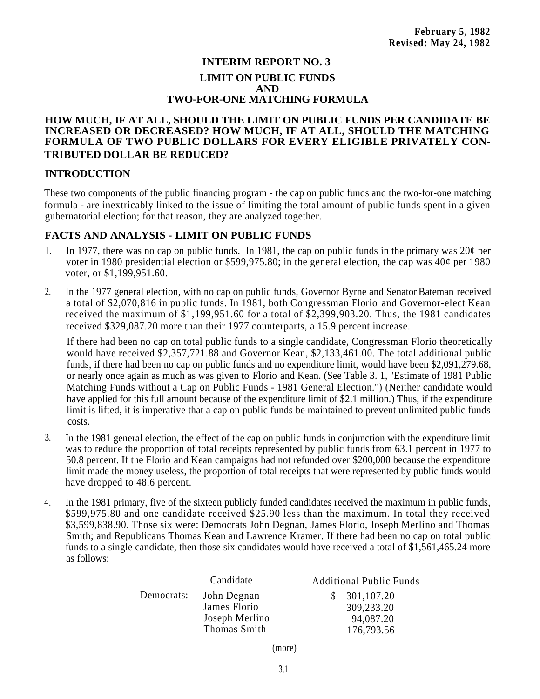## **INTERIM REPORT NO. 3 LIMIT ON PUBLIC FUNDS AND TWO-FOR-ONE MATCHING FORMULA**

## **HOW MUCH, IF AT ALL, SHOULD THE LIMIT ON PUBLIC FUNDS PER CANDIDATE BE INCREASED OR DECREASED? HOW MUCH, IF AT ALL, SHOULD THE MATCHING FORMULA OF TWO PUBLIC DOLLARS FOR EVERY ELIGIBLE PRIVATELY CON-TRIBUTED DOLLAR BE REDUCED?**

## **INTRODUCTION**

These two components of the public financing program - the cap on public funds and the two-for-one matching formula - are inextricably linked to the issue of limiting the total amount of public funds spent in a given gubernatorial election; for that reason, they are analyzed together.

## **FACTS AND ANALYSIS - LIMIT ON PUBLIC FUNDS**

- 1. In 1977, there was no cap on public funds. In 1981, the cap on public funds in the primary was  $20¢$  per voter in 1980 presidential election or \$599,975.80; in the general election, the cap was 40¢ per 1980 voter, or \$1,199,951.60.
- In the 1977 general election, with no cap on public funds, Governor Byrne and Senator Bateman received a total of \$2,070,816 in public funds. In 1981, both Congressman Florio and Governor-elect Kean received the maximum of \$1,199,951.60 for a total of \$2,399,903.20. Thus, the 1981 candidates received \$329,087.20 more than their 1977 counterparts, a 15.9 percent increase. 2.

If there had been no cap on total public funds to a single candidate, Congressman Florio theoretically would have received \$2,357,721.88 and Governor Kean, \$2,133,461.00. The total additional public funds, if there had been no cap on public funds and no expenditure limit, would have been \$2,091,279.68, or nearly once again as much as was given to Florio and Kean. (See Table 3. 1, ''Estimate of 1981 Public Matching Funds without a Cap on Public Funds - 1981 General Election.'') (Neither candidate would have applied for this full amount because of the expenditure limit of \$2.1 million.) Thus, if the expenditure limit is lifted, it is imperative that a cap on public funds be maintained to prevent unlimited public funds costs.

- 3. In the 1981 general election, the effect of the cap on public funds in conjunction with the expenditure limit was to reduce the proportion of total receipts represented by public funds from 63.1 percent in 1977 to 50.8 percent. If the Florio and Kean campaigns had not refunded over \$200,000 because the expenditure limit made the money useless, the proportion of total receipts that were represented by public funds would have dropped to 48.6 percent.
- 4. In the 1981 primary, five of the sixteen publicly funded candidates received the maximum in public funds, \$599,975.80 and one candidate received \$25.90 less than the maximum. In total they received \$3,599,838.90. Those six were: Democrats John Degnan, James Florio, Joseph Merlino and Thomas Smith; and Republicans Thomas Kean and Lawrence Kramer. If there had been no cap on total public funds to a single candidate, then those six candidates would have received a total of \$1,561,465.24 more as follows:

|            | Candidate      | <b>Additional Public Funds</b> |
|------------|----------------|--------------------------------|
| Democrats: | John Degnan    | 301,107.20<br>S.               |
|            | James Florio   | 309,233.20                     |
|            | Joseph Merlino | 94,087.20                      |
|            | Thomas Smith   | 176,793.56                     |

(more)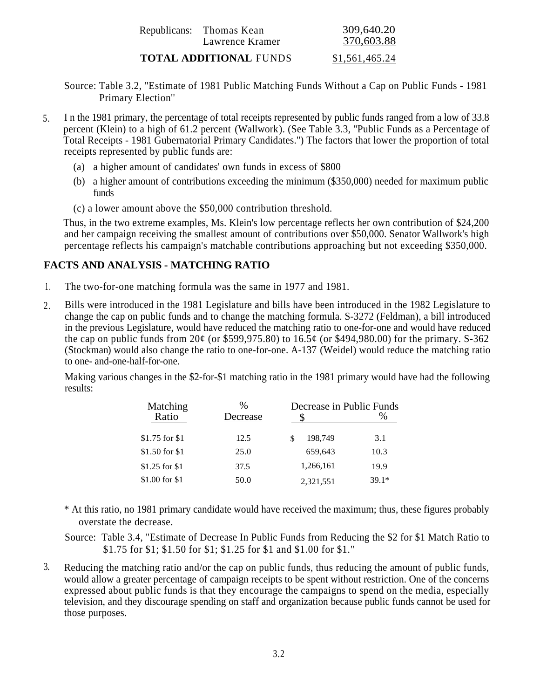| Republicans: Thomas Kean<br>Lawrence Kramer | 309,640.20<br>370,603.88 |
|---------------------------------------------|--------------------------|
| <b>TOTAL ADDITIONAL FUNDS</b>               | \$1,561,465.24           |

- Source: Table 3.2, ''Estimate of 1981 Public Matching Funds Without a Cap on Public Funds 1981 Primary Election''
- I n the 1981 primary, the percentage of total receipts represented by public funds ranged from a low of 33.8 percent (Klein) to a high of 61.2 percent (Wallwork). (See Table 3.3, ''Public Funds as a Percentage of Total Receipts - 1981 Gubernatorial Primary Candidates.'') The factors that lower the proportion of total receipts represented by public funds are: 5.
	- (a) a higher amount of candidates' own funds in excess of \$800
	- (b) a higher amount of contributions exceeding the minimum (\$350,000) needed for maximum public funds
	- (c) a lower amount above the \$50,000 contribution threshold.

Thus, in the two extreme examples, Ms. Klein's low percentage reflects her own contribution of \$24,200 and her campaign receiving the smallest amount of contributions over \$50,000. Senator Wallwork's high percentage reflects his campaign's matchable contributions approaching but not exceeding \$350,000.

## **FACTS AND ANALYSIS - MATCHING RATIO**

- 1. The two-for-one matching formula was the same in 1977 and 1981.
- Bills were introduced in the 1981 Legislature and bills have been introduced in the 1982 Legislature to change the cap on public funds and to change the matching formula. S-3272 (Feldman), a bill introduced in the previous Legislature, would have reduced the matching ratio to one-for-one and would have reduced the cap on public funds from  $20¢$  (or \$599,975.80) to  $16.5¢$  (or \$494,980.00) for the primary. S-362 (Stockman) would also change the ratio to one-for-one. A-137 (Weidel) would reduce the matching ratio to one- and-one-half-for-one. 2.

Making various changes in the \$2-for-\$1 matching ratio in the 1981 primary would have had the following results:

| Matching<br>Ratio | $\frac{0}{0}$<br>Decrease | Decrease in Public Funds | $\%$    |
|-------------------|---------------------------|--------------------------|---------|
| \$1.75 for \$1    | 12.5                      | 198.749<br>\$            | 3.1     |
| \$1.50 for \$1    | 25.0                      | 659,643                  | 10.3    |
| $$1.25$ for \$1   | 37.5                      | 1,266,161                | 19.9    |
| \$1.00 for \$1    | 50.0                      | 2,321,551                | $39.1*$ |

- \* At this ratio, no 1981 primary candidate would have received the maximum; thus, these figures probably overstate the decrease.
- Source: Table 3.4, "Estimate of Decrease In Public Funds from Reducing the \$2 for \$1 Match Ratio to \$1.75 for \$1; \$1.50 for \$1; \$1.25 for \$1 and \$1.00 for \$1."
- 3. Reducing the matching ratio and/or the cap on public funds, thus reducing the amount of public funds, would allow a greater percentage of campaign receipts to be spent without restriction. One of the concerns expressed about public funds is that they encourage the campaigns to spend on the media, especially television, and they discourage spending on staff and organization because public funds cannot be used for those purposes.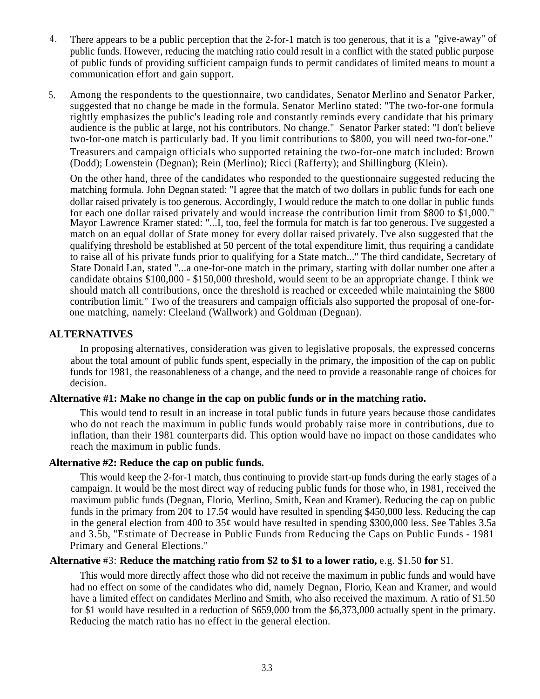- There appears to be a public perception that the 2-for-1 match is too generous, that it is a "give-away'' of public funds. However, reducing the matching ratio could result in a conflict with the stated public purpose of public funds of providing sufficient campaign funds to permit candidates of limited means to mount a communication effort and gain support. 4 .
- Among the respondents to the questionnaire, two candidates, Senator Merlino and Senator Parker, suggested that no change be made in the formula. Senator Merlino stated: ''The two-for-one formula rightly emphasizes the public's leading role and constantly reminds every candidate that his primary audience is the public at large, not his contributors. No change." Senator Parker stated: ''I don't believe two-for-one match is particularly bad. If you limit contributions to \$800, you will need two-for-one." 5. Treasurers and campaign officials who supported retaining the two-for-one match included: Brown (Dodd); Lowenstein (Degnan); Rein (Merlino); Ricci (Rafferty); and Shillingburg (Klein).

On the other hand, three of the candidates who responded to the questionnaire suggested reducing the matching formula. John Degnan stated: ''I agree that the match of two dollars in public funds for each one dollar raised privately is too generous. Accordingly, I would reduce the match to one dollar in public funds for each one dollar raised privately and would increase the contribution limit from \$800 to \$1,000.'' Mayor Lawrence Kramer stated: ''...I, too, feel the formula for match is far too generous. I've suggested a match on an equal dollar of State money for every dollar raised privately. I've also suggested that the qualifying threshold be established at 50 percent of the total expenditure limit, thus requiring a candidate to raise all of his private funds prior to qualifying for a State match...'' The third candidate, Secretary of State Donald Lan, stated ''...a one-for-one match in the primary, starting with dollar number one after a candidate obtains \$100,000 - \$150,000 threshold, would seem to be an appropriate change. I think we should match all contributions, once the threshold is reached or exceeded while maintaining the \$800 contribution limit.'' Two of the treasurers and campaign officials also supported the proposal of one-forone matching, namely: Cleeland (Wallwork) and Goldman (Degnan).

## **ALTERNATIVES**

In proposing alternatives, consideration was given to legislative proposals, the expressed concerns about the total amount of public funds spent, especially in the primary, the imposition of the cap on public funds for 1981, the reasonableness of a change, and the need to provide a reasonable range of choices for decision.

## . **Alternative #1: Make no change in the cap on public funds or in the matching ratio.**

This would tend to result in an increase in total public funds in future years because those candidates who do not reach the maximum in public funds would probably raise more in contributions, due to inflation, than their 1981 counterparts did. This option would have no impact on those candidates who reach the maximum in public funds.

## **Alternative #2: Reduce the cap on public funds.**

This would keep the 2-for-1 match, thus continuing to provide start-up funds during the early stages of a campaign. It would be the most direct way of reducing public funds for those who, in 1981, received the maximum public funds (Degnan, Florio, Merlino, Smith, Kean and Kramer). Reducing the cap on public funds in the primary from 20¢ to 17.5¢ would have resulted in spending \$450,000 less. Reducing the cap in the general election from 400 to 35¢ would have resulted in spending \$300,000 less. See Tables 3.5a and 3.5b, "Estimate of Decrease in Public Funds from Reducing the Caps on Public Funds - 1981 Primary and General Elections."

## **Alternative** #3: **Reduce the matching ratio from \$2 to \$1 to a lower ratio,** e.g. \$1.50 **for** \$1.

This would more directly affect those who did not receive the maximum in public funds and would have had no effect on some of the candidates who did, namely Degnan, Florio, Kean and Kramer, and would have a limited effect on candidates Merlino and Smith, who also received the maximum. A ratio of \$1.50 for \$1 would have resulted in a reduction of \$659,000 from the \$6,373,000 actually spent in the primary. Reducing the match ratio has no effect in the general election.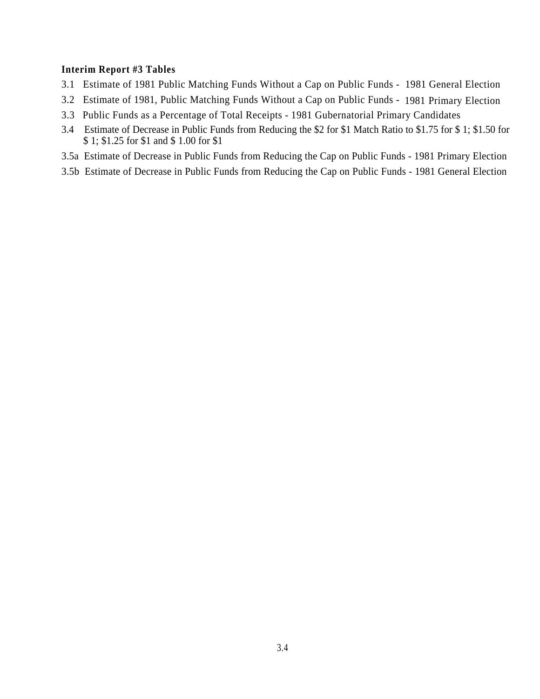## **Interim Report #3 Tables**

- 3.1 Estimate of 1981 Public Matching Funds Without a Cap on Public Funds 1981 General Election
- 3.2 Estimate of 1981, Public Matching Funds Without a Cap on Public Funds 1981 Primary Election
- 3.3 Public Funds as a Percentage of Total Receipts 1981 Gubernatorial Primary Candidates
- 3.4 Estimate of Decrease in Public Funds from Reducing the \$2 for \$1 Match Ratio to \$1.75 for \$ 1; \$1.50 for \$ 1; \$1.25 for \$1 and \$ 1.00 for \$1
- 3.5a Estimate of Decrease in Public Funds from Reducing the Cap on Public Funds 1981 Primary Election
- 3.5b Estimate of Decrease in Public Funds from Reducing the Cap on Public Funds 1981 General Election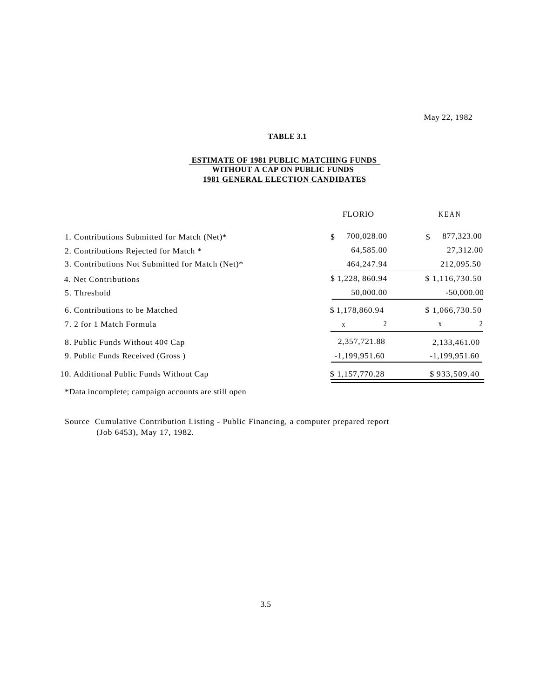#### May 22, 1982

## **TABLE 3.1**

#### **ESTIMATE OF 1981 PUBLIC MATCHING FUNDS WITHOUT A CAP ON PUBLIC FUNDS 1981 GENERAL ELECTION CANDIDATES**

|                                                 | <b>FLORIO</b>    | <b>KEAN</b>      |
|-------------------------------------------------|------------------|------------------|
| 1. Contributions Submitted for Match (Net)*     | 700,028.00<br>\$ | 877,323.00<br>\$ |
| 2. Contributions Rejected for Match *           | 64,585.00        | 27,312.00        |
| 3. Contributions Not Submitted for Match (Net)* | 464,247.94       | 212,095.50       |
| 4. Net Contributions                            | \$1,228,860.94   | \$1,116,730.50   |
| 5. Threshold                                    | 50,000.00        | $-50,000.00$     |
| 6. Contributions to be Matched                  | \$1,178,860.94   | \$1,066,730.50   |
| 7. 2 for 1 Match Formula                        | 2<br>X           | X                |
| 8. Public Funds Without $40¢$ Cap               | 2,357,721.88     | 2,133,461.00     |
| 9. Public Funds Received (Gross)                | $-1,199,951.60$  | $-1,199,951.60$  |
| 10. Additional Public Funds Without Cap         | \$1,157,770.28   | \$933,509.40     |
|                                                 |                  |                  |

\*Data incomplete; campaign accounts are still open

Source Cumulative Contribution Listing - Public Financing, a computer prepared report (Job 6453), May 17, 1982.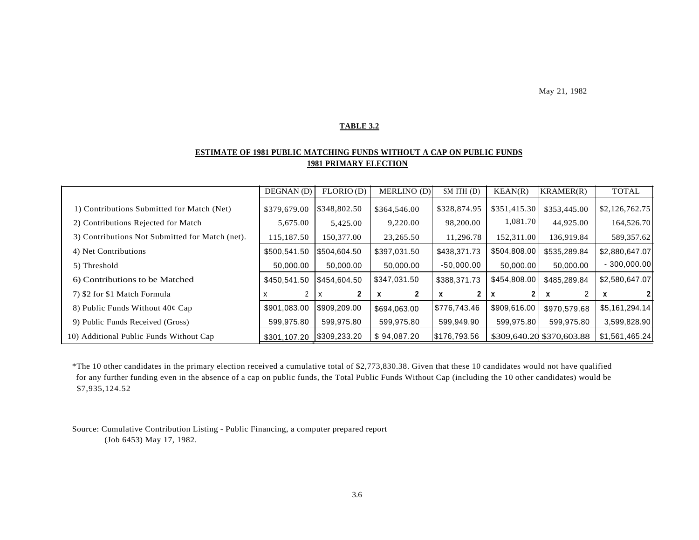May 21, 1982

#### **TABLE 3.2**

## **ESTIMATE OF 1981 PUBLIC MATCHING FUNDS WITHOUT A CAP ON PUBLIC FUNDS 1981 PRIMARY ELECTION**

|                                                 | DEGNAN(D)    | FLORIO(D)    | MERLINO (D)  | $SM$ ITH $(D)$ | KEAN(R)      | KRAMER(R)                 | <b>TOTAL</b>   |
|-------------------------------------------------|--------------|--------------|--------------|----------------|--------------|---------------------------|----------------|
| 1) Contributions Submitted for Match (Net)      | \$379,679.00 | \$348,802.50 | \$364,546.00 | \$328,874.95   | \$351,415.30 | \$353,445.00              | \$2,126,762.75 |
| 2) Contributions Rejected for Match             | 5,675.00     | 5,425.00     | 9,220.00     | 98,200.00      | 1,081.70     | 44,925.00                 | 164,526.70     |
| 3) Contributions Not Submitted for Match (net). | 115,187.50   | 150,377.00   | 23,265.50    | 11,296.78      | 152,311.00   | 136,919.84                | 589, 357.62    |
| 4) Net Contributions                            | \$500,541.50 | \$504,604.50 | \$397,031.50 | \$438,371.73   | \$504,808.00 | \$535,289.84              | \$2,880,647.07 |
| 5) Threshold                                    | 50,000,00    | 50,000.00    | 50,000.00    | $-50,000.00$   | 50.000.00    | 50,000.00                 | $-300,000.00$  |
| 6) Contributions to be Matched                  | \$450,541.50 | \$454,604.50 | \$347,031.50 | \$388,371.73   | \$454,808.00 | \$485,289.84              | \$2,580,647.07 |
| 7) \$2 for \$1 Match Formula                    |              | X            | х            | x              | x            | X                         |                |
| 8) Public Funds Without $40¢$ Cap               | \$901,083.00 | \$909,209.00 | \$694,063.00 | \$776,743.46   | \$909,616.00 | \$970,579.68              | \$5,161,294.14 |
| 9) Public Funds Received (Gross)                | 599,975.80   | 599,975.80   | 599,975.80   | 599,949.90     | 599,975.80   | 599,975.80                | 3,599,828.90   |
| 10) Additional Public Funds Without Cap         | \$301,107.20 | \$309,233.20 | \$94,087.20  | \$176,793.56   |              | \$309,640.20 \$370,603.88 | \$1,561,465.24 |

\*The 10 other candidates in the primary election received a cumulative total of \$2,773,830.38. Given that these 10 candidates would not have qualified for any further funding even in the absence of a cap on public funds, the Total Public Funds Without Cap (including the 10 other candidates) would be \$7,935,124.52

Source: Cumulative Contribution Listing - Public Financing, a computer prepared report (Job 6453) May 17, 1982.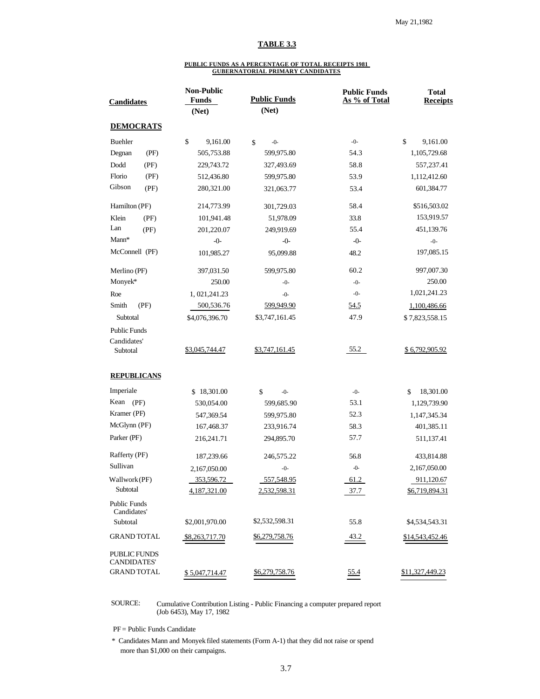#### **TABLE 3.3**

#### **PUBLIC FUNDS AS A PERCENTAGE OF TOTAL RECEIPTS 1981 GUBERNATORIAL PRIMARY CANDIDATES**

| <b>Candidates</b>                  |      | <b>Non-Public</b><br><b>Funds</b> | <b>Public Funds</b> | <b>Public Funds</b><br>As % of Total | <b>Total</b><br><b>Receipts</b> |
|------------------------------------|------|-----------------------------------|---------------------|--------------------------------------|---------------------------------|
|                                    |      | (Net)                             | (Net)               |                                      |                                 |
| <b>DEMOCRATS</b>                   |      |                                   |                     |                                      |                                 |
| Buehler                            |      | \$<br>9,161.00                    | \$<br>$-0-$         | $-0-$                                | \$<br>9,161.00                  |
| Degnan                             | (PF) | 505,753.88                        | 599,975.80          | 54.3                                 | 1,105,729.68                    |
| Dodd                               | (PF) | 229,743.72                        | 327,493.69          | 58.8                                 | 557,237.41                      |
| Florio                             | (PF) | 512,436.80                        | 599,975.80          | 53.9                                 | 1,112,412.60                    |
| Gibson                             | (PF) | 280,321.00                        | 321,063.77          | 53.4                                 | 601,384.77                      |
| Hamilton (PF)                      |      | 214,773.99                        | 301,729.03          | 58.4                                 | \$516,503.02                    |
| Klein                              | (PF) | 101,941.48                        | 51,978.09           | 33.8                                 | 153,919.57                      |
| Lan                                | (PF) | 201,220.07                        | 249,919.69          | 55.4                                 | 451,139.76                      |
| Mann*                              |      | $-0-$                             | $-0-$               | $-0-$                                | $-0-$                           |
| McConnell (PF)                     |      | 101,985.27                        | 95,099.88           | 48.2                                 | 197,085.15                      |
| Merlino (PF)                       |      | 397,031.50                        | 599,975.80          | 60.2                                 | 997,007.30                      |
| Monyek*                            |      | 250.00                            | $-0-$               | $-0-$                                | 250.00                          |
| Roe                                |      | 1, 021, 241. 23                   | $-0-$               | $-0-$                                | 1,021,241.23                    |
| Smith<br>(PF)                      |      | 500,536.76                        | 599,949.90          | 54.5                                 | 1,100,486.66                    |
| Subtotal                           |      | \$4,076,396.70                    | \$3,747,161.45      | 47.9                                 | \$7,823,558.15                  |
| <b>Public Funds</b>                |      |                                   |                     |                                      |                                 |
| Candidates'                        |      |                                   |                     |                                      |                                 |
| Subtotal                           |      | \$3,045,744.47                    | \$3,747,161.45      | 55.2                                 | \$6,792,905.92                  |
| <b>REPUBLICANS</b>                 |      |                                   |                     |                                      |                                 |
| Imperiale                          |      | \$18,301.00                       | \$<br>$-0-$         | $-0-$                                | 18,301.00<br>\$                 |
| Kean (PF)                          |      | 530,054.00                        | 599,685.90          | 53.1                                 | 1,129,739.90                    |
| Kramer (PF)                        |      | 547,369.54                        | 599,975.80          | 52.3                                 | 1,147,345.34                    |
| McGlynn (PF)                       |      | 167,468.37                        | 233,916.74          | 58.3                                 | 401,385.11                      |
| Parker (PF)                        |      | 216,241.71                        | 294,895.70          | 57.7                                 | 511,137.41                      |
| Rafferty (PF)                      |      | 187,239.66                        | 246,575.22          | 56.8                                 | 433,814.88                      |
| Sullivan                           |      | 2,167,050.00                      | $-0-$               | $-0-$                                | 2,167,050.00                    |
| Wallwork (PF)                      |      | 353,596.72                        | 557,548.95          | 61.2                                 | 911,120.67                      |
| Subtotal                           |      | 4,187,321.00                      | 2,532,598.31        | 37.7                                 | <u>\$6,719,894.31</u>           |
| Public Funds<br>Candidates'        |      |                                   |                     |                                      |                                 |
| Subtotal                           |      | \$2,001,970.00                    | \$2,532,598.31      | 55.8                                 | \$4,534,543.31                  |
| <b>GRAND TOTAL</b>                 |      | \$8,263,717.70                    | \$6,279,758.76      | 43.2                                 | <u>\$14,543,452.46</u>          |
| PUBLIC FUNDS<br><b>CANDIDATES'</b> |      |                                   |                     |                                      |                                 |
| <b>GRAND TOTAL</b>                 |      | <u>\$5,047,714.47</u>             | \$6,279,758.76      | 55.4                                 | \$11,327,449.23                 |

#### SOURCE: Cumulative Contribution Listing - Public Financing a computer prepared report (Job 6453), May 17, 1982

PF = Public Funds Candidate

\* Candidates Mann and Monyek filed statements (Form A-1) that they did not raise or spend more than \$1,000 on their campaigns.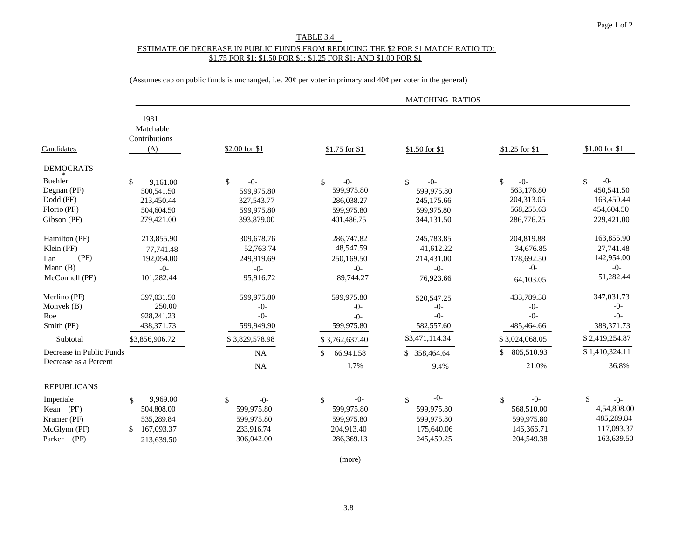#### TABLE 3.4

#### ESTIMATE OF DECREASE IN PUBLIC FUNDS FROM REDUCING THE \$2 FOR \$1 MATCH RATIO TO: \$1.75 FOR \$1; \$1.50 FOR \$1; \$1.25 FOR \$1; AND \$1.00 FOR \$1

(Assumes cap on public funds is unchanged, i.e. 20¢ per voter in primary and 40¢ per voter in the general)

|                                                                   |                                                                        |                                                                     |                                                                               | <b>MATCHING RATIOS</b>                                              |                                                                     |                                                                     |
|-------------------------------------------------------------------|------------------------------------------------------------------------|---------------------------------------------------------------------|-------------------------------------------------------------------------------|---------------------------------------------------------------------|---------------------------------------------------------------------|---------------------------------------------------------------------|
| Candidates                                                        | 1981<br>Matchable<br>Contributions<br>(A)                              | \$2.00 for \$1                                                      | \$1.75 for \$1                                                                | $$1.50$ for \$1                                                     | \$1.25 for \$1                                                      | \$1.00 for \$1                                                      |
| <b>DEMOCRATS</b>                                                  |                                                                        |                                                                     |                                                                               |                                                                     |                                                                     |                                                                     |
| Buehler<br>Degnan (PF)<br>Dodd (PF)<br>Florio (PF)<br>Gibson (PF) | \$<br>9.161.00<br>500,541.50<br>213,450.44<br>504,604.50<br>279,421.00 | \$<br>$-0-$<br>599,975.80<br>327,543.77<br>599,975.80<br>393,879.00 | $-0-$<br>$\mathbb{S}$<br>599,975.80<br>286,038.27<br>599,975.80<br>401,486.75 | $-0-$<br>\$<br>599,975.80<br>245,175.66<br>599,975.80<br>344,131.50 | \$<br>$-0-$<br>563,176.80<br>204,313.05<br>568,255.63<br>286,776.25 | $-0-$<br>\$<br>450,541.50<br>163,450.44<br>454,604.50<br>229,421.00 |
| Hamilton (PF)<br>Klein (PF)                                       | 213,855.90<br>77,741.48                                                | 309,678.76<br>52,763.74                                             | 286,747.82<br>48,547.59                                                       | 245,783.85<br>41,612.22                                             | 204,819.88<br>34,676.85                                             | 163,855.90<br>27,741.48                                             |
| (PF)<br>Lan<br>Mann (B)<br>McConnell (PF)                         | 192,054.00<br>$-0-$<br>101,282.44                                      | 249,919.69<br>$-0-$<br>95,916.72                                    | 250,169.50<br>$-0-$<br>89,744.27                                              | 214,431.00<br>$-0-$<br>76,923.66                                    | 178,692.50<br>$-0-$<br>64,103.05                                    | 142,954.00<br>$-0-$<br>51,282.44                                    |
| Merlino (PF)<br>Monyek $(B)$<br>Roe                               | 397,031.50<br>250.00<br>928,241.23                                     | 599,975.80<br>$-0-$<br>$-()$ -                                      | 599,975.80<br>$-0-$<br>$-0-$                                                  | 520, 547. 25<br>$-0-$<br>$-()$ -                                    | 433,789.38<br>$-0-$<br>$-()$                                        | 347,031.73<br>$-0-$<br>$-()$                                        |
| Smith (PF)<br>Subtotal                                            | 438, 371. 73<br>\$3,856,906.72                                         | 599,949.90<br>\$3,829,578.98                                        | 599,975.80<br>\$3,762,637.40                                                  | 582,557.60<br>\$3,471,114.34                                        | 485,464.66<br>\$3,024,068.05                                        | 388, 371. 73<br>\$2,419,254.87                                      |
| Decrease in Public Funds<br>Decrease as a Percent                 |                                                                        | NA<br>NA                                                            | \$<br>66,941.58<br>1.7%                                                       | \$ 358,464.64<br>9.4%                                               | 805,510.93<br>\$<br>21.0%                                           | \$1,410,324.11<br>36.8%                                             |
| <b>REPUBLICANS</b>                                                |                                                                        |                                                                     |                                                                               |                                                                     |                                                                     |                                                                     |
| Imperiale<br>(PF)<br>Kean<br>Kramer (PF)<br>McGlynn (PF)          | 9,969.00<br>\$<br>504,808.00<br>535,289.84<br>167,093.37<br>\$         | \$<br>$-0-$<br>599,975.80<br>599,975.80<br>233,916.74               | $-0-$<br>\$<br>599,975.80<br>599,975.80<br>204,913.40                         | $-0-$<br>\$<br>599,975.80<br>599,975.80<br>175,640.06               | $-0-$<br>\$<br>568,510.00<br>599,975.80<br>146,366.71               | \$<br>$-0-$<br>4,54,808.00<br>485,289.84<br>117,093.37              |
| Parker (PF)                                                       | 213,639.50                                                             | 306,042.00                                                          | 286,369.13                                                                    | 245,459.25                                                          | 204,549.38                                                          | 163,639.50                                                          |

(more)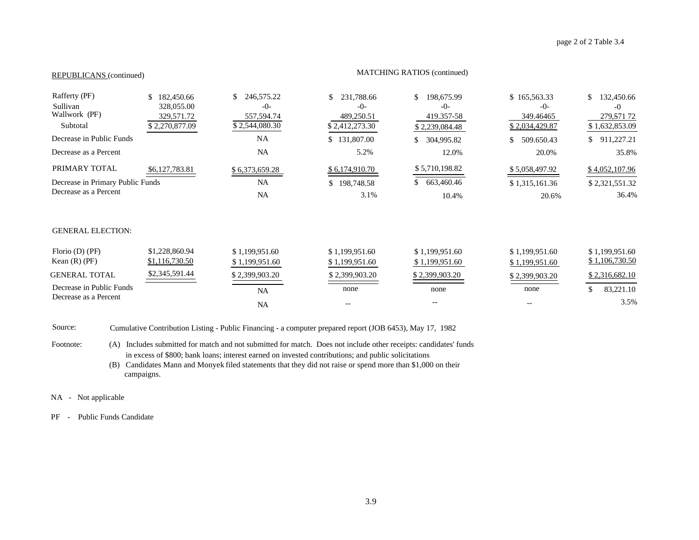## REPUBLICANS (continued) MATCHING RATIOS (continued)

| Rafferty (PF)<br>Sullivan<br>Wallwork (PF)<br>Subtotal<br>Decrease in Public Funds<br>Decrease as a Percent | 182,450.66<br>328,055.00<br>329,571.72<br>\$2,270,877.09 | 246,575.22<br>\$.<br>$-0-$<br>557,594.74<br>\$2,544,080.30<br><b>NA</b><br><b>NA</b> | 231,788.66<br>\$<br>$-0-$<br>489,250.51<br>\$2,412,273.30<br>\$131,807.00<br>5.2% | 198,675.99<br>\$<br>$-0-$<br>419.357-58<br>\$2,239,084.48<br>304,995.82<br>12.0% | \$165,563.33<br>$-0-$<br>349.46465<br>\$2,034,429.87<br>509.650.43<br>20.0% | \$<br>132,450.66<br>$-0$<br>279,571 72<br>\$1,632,853.09<br>911,227.21<br>\$<br>35.8% |
|-------------------------------------------------------------------------------------------------------------|----------------------------------------------------------|--------------------------------------------------------------------------------------|-----------------------------------------------------------------------------------|----------------------------------------------------------------------------------|-----------------------------------------------------------------------------|---------------------------------------------------------------------------------------|
| PRIMARY TOTAL<br>Decrease in Primary Public Funds<br>Decrease as a Percent                                  | \$6,127,783.81                                           | \$6,373,659.28<br><b>NA</b><br><b>NA</b>                                             | \$6,174,910.70<br>\$198,748.58<br>3.1%                                            | \$5,710,198.82<br>663,460.46<br>S.<br>10.4%                                      | \$5,058,497.92<br>\$1,315,161.36<br>20.6%                                   | \$4,052,107.96<br>\$2,321,551.32<br>36.4%                                             |
| <b>GENERAL ELECTION:</b>                                                                                    |                                                          |                                                                                      |                                                                                   |                                                                                  |                                                                             |                                                                                       |
| Florio $(D)$ (PF)<br>Kean $(R)$ (PF)                                                                        | \$1,228,860.94<br>\$1,116,730.50                         | \$1,199,951.60<br>\$1,199,951.60                                                     | \$1,199,951.60<br>\$1,199,951.60                                                  | \$1,199,951.60<br>\$1,199,951.60                                                 | \$1,199,951.60<br>\$1,199,951.60                                            | \$1,199,951.60<br>\$1,106,730.50                                                      |
| <b>GENERAL TOTAL</b>                                                                                        | \$2,345,591.44                                           | \$2,399,903.20                                                                       | \$2,399,903.20                                                                    | \$2,399,903.20                                                                   | \$2,399,903.20                                                              | \$2,316,682.10                                                                        |
| Decrease in Public Funds<br>Decrease as a Percent                                                           |                                                          | <b>NA</b>                                                                            | none                                                                              | none                                                                             | none                                                                        | 83,221.10<br>\$<br>3.5%                                                               |
|                                                                                                             |                                                          | <b>NA</b>                                                                            |                                                                                   |                                                                                  |                                                                             |                                                                                       |

Source: Cumulative Contribution Listing - Public Financing - a computer prepared report (JOB 6453), May 17, 1982

Footnote: (A) Includes submitted for match and not submitted for match. Does not include other receipts: candidates' funds in excess of \$800; bank loans; interest earned on invested contributions; and public solicitations

(B) Candidates Mann and Monyek filed statements that they did not raise or spend more than \$1,000 on their campaigns.

NA - Not applicable

PF - Public Funds Candidate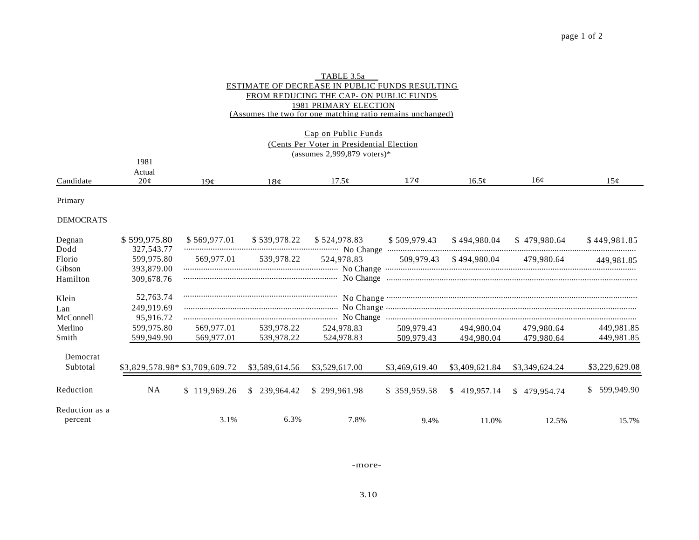| TABLE 3.5a                                                 |
|------------------------------------------------------------|
| ESTIMATE OF DECREASE IN PUBLIC FUNDS RESULTING             |
| FROM REDUCING THE CAP- ON PUBLIC FUNDS                     |
| 1981 PRIMARY ELECTION                                      |
| (Assumes the two for one matching ratio remains unchanged) |

#### Cap on Public Funds (Cents Per Voter in Presidential Election (assumes 2,999,879 voters)\*

|                   | 1981                    |                 |                        |             |                   |     |        |
|-------------------|-------------------------|-----------------|------------------------|-------------|-------------------|-----|--------|
|                   | Actual                  |                 |                        |             |                   |     |        |
| $\Gamma$ andidate | $\Omega$<br>$\angle$ UV | 19 <sub>0</sub> | 1 O<br>10 <sup>o</sup> | 70<br>11.JY | 10.3 <sup>o</sup> | 16¢ | $\sim$ |

Primary

#### DEMOCRATS

| Degnan                    | \$599,975.80 | \$569,977.01                                   | \$539,978.22 | \$524,978.83   | \$509,979.43   | \$494,980.04   | \$479.980.64   | \$449.981.85   |
|---------------------------|--------------|------------------------------------------------|--------------|----------------|----------------|----------------|----------------|----------------|
| Dodd                      | 327, 543. 77 |                                                |              |                |                |                |                |                |
| Florio                    | 599,975.80   | 569,977.01                                     | 539.978.22   | 524,978.83     | 509.979.43     | \$494.980.04   | 479,980.64     | 449,981.85     |
| Gibson                    | 393,879.00   |                                                |              |                |                |                |                |                |
| Hamilton                  | 309.678.76   |                                                |              | No Change      |                |                |                |                |
| Klein                     | 52,763.74    |                                                |              |                |                |                |                |                |
| Lan                       | 249,919.69   |                                                |              |                |                |                |                |                |
| McConnell                 | 95,916.72    |                                                |              |                |                |                |                |                |
| Merlino                   | 599.975.80   | 569,977.01                                     | 539.978.22   | 524,978.83     | 509.979.43     | 494.980.04     | 479.980.64     | 449,981.85     |
| Smith                     | 599,949.90   | 569,977.01                                     | 539,978.22   | 524,978.83     | 509,979.43     | 494,980.04     | 479,980.64     | 449,981.85     |
| Democrat                  |              |                                                |              |                |                |                |                |                |
| Subtotal                  |              | $$3,829,578.98*$ \$3,709,609.72 \$3,589,614.56 |              | \$3,529,617.00 | \$3,469,619.40 | \$3,409,621.84 | \$3,349,624.24 | \$3,229,629.08 |
| Reduction                 | NA           | \$119.969.26                                   | \$239.964.42 | \$299.961.98   | \$359,959.58   | \$419,957.14   | \$479,954.74   | \$599,949.90   |
| Reduction as a<br>percent |              | 3.1%                                           | 6.3%         | 7.8%           | 9.4%           | 11.0%          | 12.5%          | 15.7%          |

-more-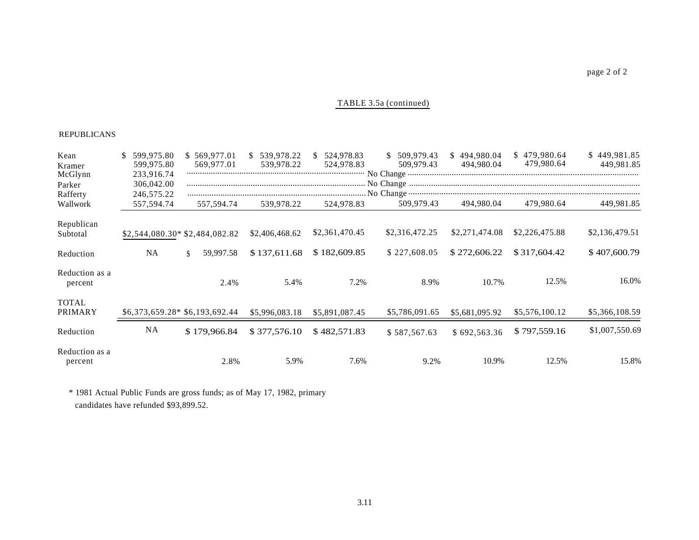#### TABLE 3.5a (continued)

#### REPUBLICANS

| Kean<br>Kramer                | 599,975.80<br>S.<br>599,975.80         | \$569,977.01<br>569,977.01     | \$ 539,978.22<br>539,978.22 | \$524,978.83<br>524,978.83 | \$509,979.43<br>509.979.43 | \$494,980.04<br>494.980.04 | \$479,980.64<br>479,980.64 | \$449,981.85<br>449.981.85 |
|-------------------------------|----------------------------------------|--------------------------------|-----------------------------|----------------------------|----------------------------|----------------------------|----------------------------|----------------------------|
| McGlynn<br>Parker<br>Rafferty | 233,916.74<br>306,042.00<br>246,575.22 |                                |                             |                            |                            |                            |                            |                            |
| Wallwork                      | 557,594.74                             | 557,594.74                     | 539,978.22                  | 524,978.83                 | 509,979.43                 | 494,980.04                 | 479,980.64                 | 449,981.85                 |
| Republican<br>Subtotal        |                                        | \$2,544,080.30* \$2,484,082.82 | \$2,406,468.62              | \$2,361,470.45             | \$2,316,472.25             | \$2,271,474.08             | \$2,226,475.88             | \$2,136,479.51             |
| Reduction                     | NA                                     | 59,997.58<br><sup>\$</sup>     | \$137,611.68                | \$182,609.85               | \$227,608.05               | \$272,606.22               | \$317,604.42               | \$407,600.79               |
| Reduction as a<br>percent     |                                        | 2.4%                           | 5.4%                        | 7.2%                       | 8.9%                       | 10.7%                      | 12.5%                      | 16.0%                      |
| <b>TOTAL</b><br>PRIMARY       |                                        | \$6,373,659.28* \$6,193,692.44 | \$5,996,083.18              | \$5,891,087.45             | \$5,786,091.65             | \$5,681,095.92             | \$5,576,100.12             | \$5,366,108.59             |
| Reduction                     | <b>NA</b>                              | \$179,966.84                   | \$377,576.10                | \$482,571.83               | \$587,567.63               | \$692,563.36               | \$797,559.16               | \$1,007,550.69             |
| Reduction as a<br>percent     |                                        | 2.8%                           | 5.9%                        | 7.6%                       | 9.2%                       | 10.9%                      | 12.5%                      | 15.8%                      |

\* 1981 Actual Public Funds are gross funds; as of May 17, 1982, primary candidates have refunded \$93,899.52.

page 2 of 2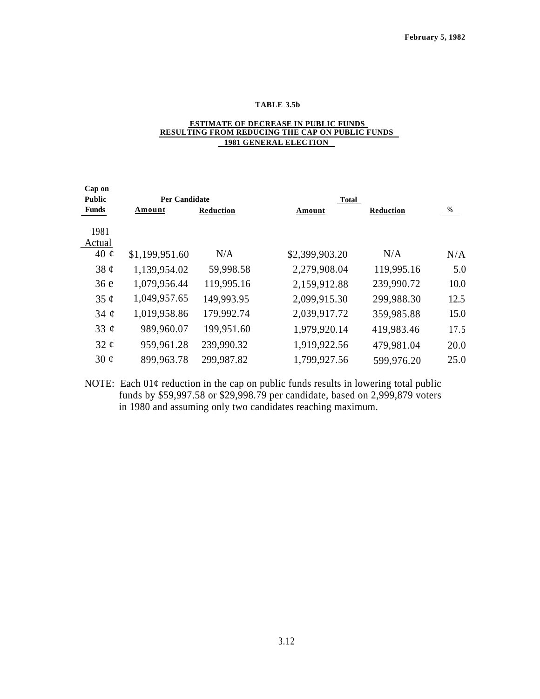#### **TABLE 3.5b**

#### **ESTIMATE OF DECREASE IN PUBLIC FUNDS RESULTING FROM REDUCING THE CAP ON PUBLIC FUNDS 1981 GENERAL ELECTION**

| Cap on        |                      |            |                |                  |      |
|---------------|----------------------|------------|----------------|------------------|------|
| <b>Public</b> | <b>Per Candidate</b> |            | Total          |                  |      |
| <b>Funds</b>  | Amount               | Reduction  | Amount         | <b>Reduction</b> | $\%$ |
|               |                      |            |                |                  |      |
| 1981          |                      |            |                |                  |      |
| Actual        |                      |            |                |                  |      |
| 40 $\phi$     | \$1,199,951.60       | N/A        | \$2,399,903.20 | N/A              | N/A  |
| 38 $\phi$     | 1,139,954.02         | 59,998.58  | 2,279,908.04   | 119,995.16       | 5.0  |
| 36e           | 1,079,956.44         | 119,995.16 | 2,159,912.88   | 239,990.72       | 10.0 |
| 35 $\phi$     | 1,049,957.65         | 149,993.95 | 2,099,915.30   | 299,988.30       | 12.5 |
| 34 $\phi$     | 1,019,958.86         | 179,992.74 | 2,039,917.72   | 359,985.88       | 15.0 |
| 33 $\phi$     | 989,960.07           | 199,951.60 | 1,979,920.14   | 419,983.46       | 17.5 |
| 32 $\phi$     | 959,961.28           | 239,990.32 | 1,919,922.56   | 479,981.04       | 20.0 |
| 30 $\phi$     | 899,963.78           | 299,987.82 | 1,799,927.56   | 599,976.20       | 25.0 |

NOTE: Each  $01¢$  reduction in the cap on public funds results in lowering total public funds by \$59,997.58 or \$29,998.79 per candidate, based on 2,999,879 voters in 1980 and assuming only two candidates reaching maximum.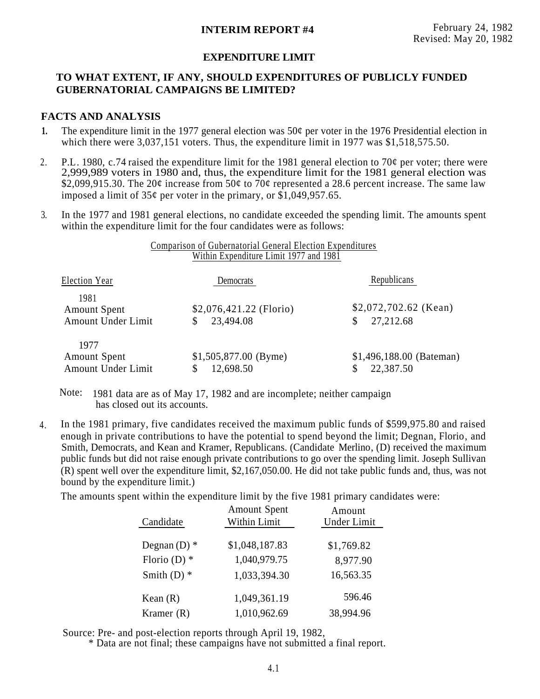## **INTERIM REPORT #4** February 24, 1982

## **EXPENDITURE LIMIT**

## **TO WHAT EXTENT, IF ANY, SHOULD EXPENDITURES OF PUBLICLY FUNDED GUBERNATORIAL CAMPAIGNS BE LIMITED?**

## **FACTS AND ANALYSIS**

- The expenditure limit in the 1977 general election was  $50¢$  per voter in the 1976 Presidential election in which there were 3,037,151 voters. Thus, the expenditure limit in 1977 was \$1,518,575.50. **1.**
- 2. P.L. 1980, c.74 raised the expenditure limit for the 1981 general election to 70 $\varphi$  per voter; there were 2,999,989 voters in 1980 and, thus, the expenditure limit for the 1981 general election was \$2,099,915.30. The 20¢ increase from 50¢ to 70¢ represented a 28.6 percent increase. The same law imposed a limit of  $35¢$  per voter in the primary, or  $\overline{$}1,049,957.65$ .
- 3. In the 1977 and 1981 general elections, no candidate exceeded the spending limit. The amounts spent within the expenditure limit for the four candidates were as follows:

## Comparison of Gubernatorial General Election Expenditures Within Expenditure Limit 1977 and 1981

| Election Year                                     | <b>Democrats</b>                      | Republicans                           |
|---------------------------------------------------|---------------------------------------|---------------------------------------|
| 1981<br><b>Amount Spent</b><br>Amount Under Limit | $$2,076,421.22$ (Florio)<br>23,494.08 | $$2,072,702.62$ (Kean)<br>27,212.68   |
| 1977<br><b>Amount Spent</b><br>Amount Under Limit | $$1,505,877.00$ (Byme)<br>12,698.50   | \$1,496,188.00 (Bateman)<br>22,387.50 |

Note: 1981 data are as of May 17, 1982 and are incomplete; neither campaign has closed out its accounts.

In the 1981 primary, five candidates received the maximum public funds of \$599,975.80 and raised enough in private contributions to have the potential to spend beyond the limit; Degnan, Florio, and Smith, Democrats, and Kean and Kramer, Republicans. (Candidate Merlino, (D) received the maximum public funds but did not raise enough private contributions to go over the spending limit. Joseph Sullivan (R) spent well over the expenditure limit, \$2,167,050.00. He did not take public funds and, thus, was not bound by the expenditure limit.) 4.

The amounts spent within the expenditure limit by the five 1981 primary candidates were:

| Candidate      | <b>Amount Spent</b><br>Within Limit | Amount<br>Under Limit |
|----------------|-------------------------------------|-----------------------|
| Degnan $(D)$ * | \$1,048,187.83                      | \$1,769.82            |
| Florio (D) $*$ | 1,040,979.75                        | 8,977.90              |
| Smith $(D)$ *  | 1,033,394.30                        | 16,563.35             |
| Kean $(R)$     | 1,049,361.19                        | 596.46                |
| Kramer $(R)$   | 1,010,962.69                        | 38,994.96             |

Source: Pre- and post-election reports through April 19, 1982,

\* Data are not final; these campaigns have not submitted a final report.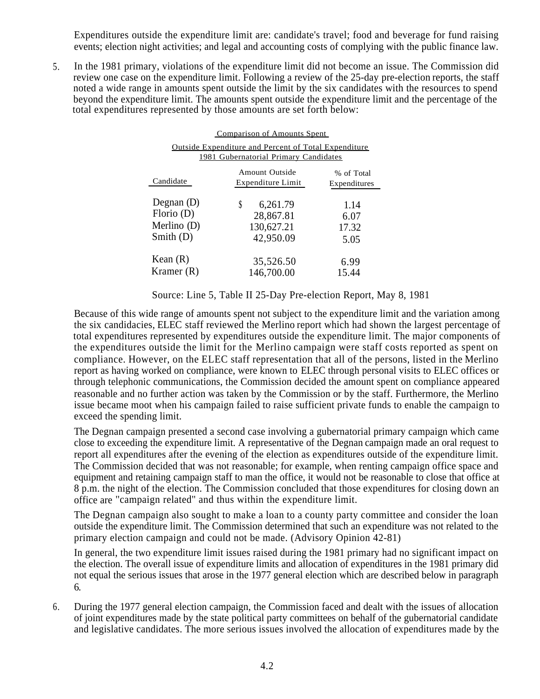Expenditures outside the expenditure limit are: candidate's travel; food and beverage for fund raising events; election night activities; and legal and accounting costs of complying with the public finance law.

5. In the 1981 primary, violations of the expenditure limit did not become an issue. The Commission did review one case on the expenditure limit. Following a review of the 25-day pre-election reports, the staff noted a wide range in amounts spent outside the limit by the six candidates with the resources to spend beyond the expenditure limit. The amounts spent outside the expenditure limit and the percentage of the total expenditures represented by those amounts are set forth below:

| Comparison of Amounts Spent                                                                          |                                                       |                               |  |  |  |  |
|------------------------------------------------------------------------------------------------------|-------------------------------------------------------|-------------------------------|--|--|--|--|
| <b>Outside Expenditure and Percent of Total Expenditure</b><br>1981 Gubernatorial Primary Candidates |                                                       |                               |  |  |  |  |
| Candidate                                                                                            | Amount Outside<br>Expenditure Limit                   | % of Total<br>Expenditures    |  |  |  |  |
| Degnan $(D)$<br>Florio $(D)$<br>Merlino (D)<br>Smith $(D)$                                           | S<br>6,261.79<br>28,867.81<br>130,627.21<br>42,950.09 | 1.14<br>6.07<br>17.32<br>5.05 |  |  |  |  |
| Kean $(R)$<br>Kramer (R)                                                                             | 35,526.50<br>146,700.00                               | 6.99<br>15.44                 |  |  |  |  |

Source: Line 5, Table II 25-Day Pre-election Report, May 8, 1981

Because of this wide range of amounts spent not subject to the expenditure limit and the variation among the six candidacies, ELEC staff reviewed the Merlino report which had shown the largest percentage of total expenditures represented by expenditures outside the expenditure limit. The major components of the expenditures outside the limit for the Merlino campaign were staff costs reported as spent on compliance. However, on the ELEC staff representation that all of the persons, listed in the Merlino report as having worked on compliance, were known to ELEC through personal visits to ELEC offices or through telephonic communications, the Commission decided the amount spent on compliance appeared reasonable and no further action was taken by the Commission or by the staff. Furthermore, the Merlino issue became moot when his campaign failed to raise sufficient private funds to enable the campaign to exceed the spending limit.

The Degnan campaign presented a second case involving a gubernatorial primary campaign which came close to exceeding the expenditure limit. A representative of the Degnan campaign made an oral request to report all expenditures after the evening of the election as expenditures outside of the expenditure limit. The Commission decided that was not reasonable; for example, when renting campaign office space and equipment and retaining campaign staff to man the office, it would not be reasonable to close that office at 8 p.m. the night of the election. The Commission concluded that those expenditures for closing down an office are ''campaign related'' and thus within the expenditure limit.

The Degnan campaign also sought to make a loan to a county party committee and consider the loan outside the expenditure limit. The Commission determined that such an expenditure was not related to the primary election campaign and could not be made. (Advisory Opinion 42-81)

In general, the two expenditure limit issues raised during the 1981 primary had no significant impact on the election. The overall issue of expenditure limits and allocation of expenditures in the 1981 primary did not equal the serious issues that arose in the 1977 general election which are described below in paragraph 6.

During the 1977 general election campaign, the Commission faced and dealt with the issues of allocation of joint expenditures made by the state political party committees on behalf of the gubernatorial candidate and legislative candidates. The more serious issues involved the allocation of expenditures made by the 6.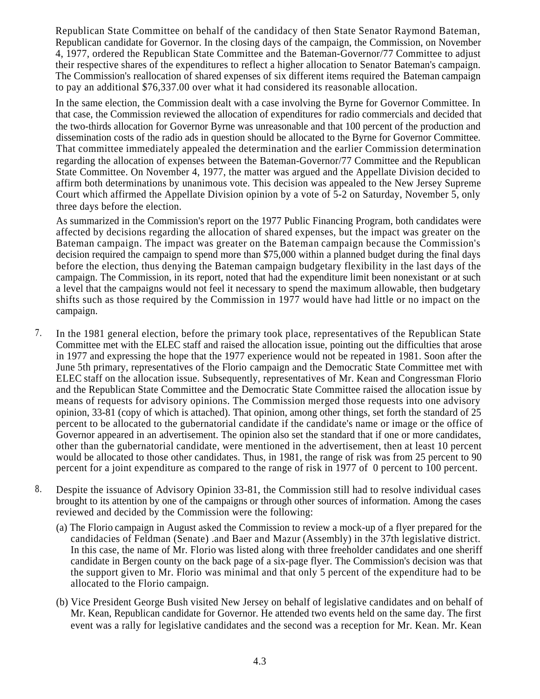Republican State Committee on behalf of the candidacy of then State Senator Raymond Bateman, Republican candidate for Governor. In the closing days of the campaign, the Commission, on November 4, 1977, ordered the Republican State Committee and the Bateman-Governor/77 Committee to adjust their respective shares of the expenditures to reflect a higher allocation to Senator Bateman's campaign. The Commission's reallocation of shared expenses of six different items required the Bateman campaign to pay an additional \$76,337.00 over what it had considered its reasonable allocation.

In the same election, the Commission dealt with a case involving the Byrne for Governor Committee. In that case, the Commission reviewed the allocation of expenditures for radio commercials and decided that the two-thirds allocation for Governor Byrne was unreasonable and that 100 percent of the production and dissemination costs of the radio ads in question should be allocated to the Byrne for Governor Committee. That committee immediately appealed the determination and the earlier Commission determination regarding the allocation of expenses between the Bateman-Governor/77 Committee and the Republican State Committee. On November 4, 1977, the matter was argued and the Appellate Division decided to affirm both determinations by unanimous vote. This decision was appealed to the New Jersey Supreme Court which affirmed the Appellate Division opinion by a vote of 5-2 on Saturday, November 5, only three days before the election.

As summarized in the Commission's report on the 1977 Public Financing Program, both candidates were affected by decisions regarding the allocation of shared expenses, but the impact was greater on the Bateman campaign. The impact was greater on the Bateman campaign because the Commission's decision required the campaign to spend more than \$75,000 within a planned budget during the final days before the election, thus denying the Bateman campaign budgetary flexibility in the last days of the campaign. The Commission, in its report, noted that had the expenditure limit been nonexistant or at such a level that the campaigns would not feel it necessary to spend the maximum allowable, then budgetary shifts such as those required by the Commission in 1977 would have had little or no impact on the campaign.

- 7. In the 1981 general election, before the primary took place, representatives of the Republican State Committee met with the ELEC staff and raised the allocation issue, pointing out the difficulties that arose in 1977 and expressing the hope that the 1977 experience would not be repeated in 1981. Soon after the June 5th primary, representatives of the Florio campaign and the Democratic State Committee met with ELEC staff on the allocation issue. Subsequently, representatives of Mr. Kean and Congressman Florio and the Republican State Committee and the Democratic State Committee raised the allocation issue by means of requests for advisory opinions. The Commission merged those requests into one advisory opinion, 33-81 (copy of which is attached). That opinion, among other things, set forth the standard of 25 percent to be allocated to the gubernatorial candidate if the candidate's name or image or the office of Governor appeared in an advertisement. The opinion also set the standard that if one or more candidates, other than the gubernatorial candidate, were mentioned in the advertisement, then at least 10 percent would be allocated to those other candidates. Thus, in 1981, the range of risk was from 25 percent to 90 percent for a joint expenditure as compared to the range of risk in 1977 of 0 percent to 100 percent.
- 8. Despite the issuance of Advisory Opinion 33-81, the Commission still had to resolve individual cases brought to its attention by one of the campaigns or through other sources of information. Among the cases reviewed and decided by the Commission were the following:
	- (a) The Florio campaign in August asked the Commission to review a mock-up of a flyer prepared for the candidacies of Feldman (Senate) .and Baer and Mazur (Assembly) in the 37th legislative district. In this case, the name of Mr. Florio was listed along with three freeholder candidates and one sheriff candidate in Bergen county on the back page of a six-page flyer. The Commission's decision was that the support given to Mr. Florio was minimal and that only 5 percent of the expenditure had to be allocated to the Florio campaign.
	- (b) Vice President George Bush visited New Jersey on behalf of legislative candidates and on behalf of Mr. Kean, Republican candidate for Governor. He attended two events held on the same day. The first event was a rally for legislative candidates and the second was a reception for Mr. Kean. Mr. Kean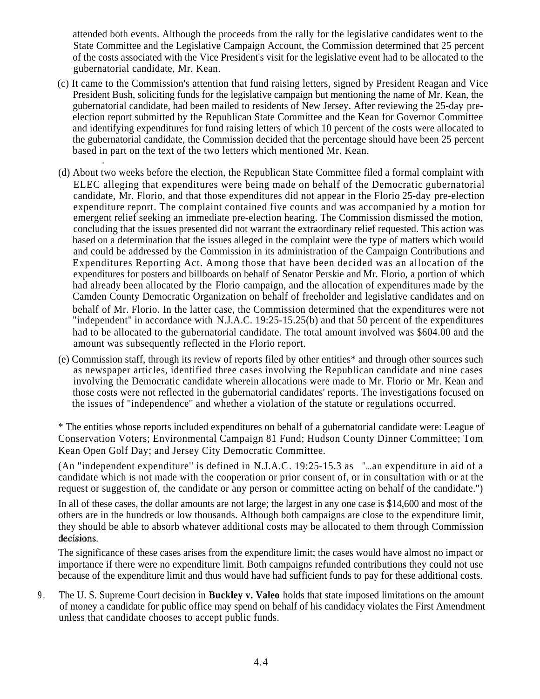attended both events. Although the proceeds from the rally for the legislative candidates went to the State Committee and the Legislative Campaign Account, the Commission determined that 25 percent of the costs associated with the Vice President's visit for the legislative event had to be allocated to the gubernatorial candidate, Mr. Kean.

(c) It came to the Commission's attention that fund raising letters, signed by President Reagan and Vice President Bush, soliciting funds for the legislative campaign but mentioning the name of Mr. Kean, the gubernatorial candidate, had been mailed to residents of New Jersey. After reviewing the 25-day preelection report submitted by the Republican State Committee and the Kean for Governor Committee and identifying expenditures for fund raising letters of which 10 percent of the costs were allocated to the gubernatorial candidate, the Commission decided that the percentage should have been 25 percent based in part on the text of the two letters which mentioned Mr. Kean.

-

- (d) About two weeks before the election, the Republican State Committee filed a formal complaint with ELEC alleging that expenditures were being made on behalf of the Democratic gubernatorial candidate, Mr. Florio, and that those expenditures did not appear in the Florio 25-day pre-election expenditure report. The complaint contained five counts and was accompanied by a motion for emergent relief seeking an immediate pre-election hearing. The Commission dismissed the motion, concluding that the issues presented did not warrant the extraordinary relief requested. This action was based on a determination that the issues alleged in the complaint were the type of matters which would and could be addressed by the Commission in its administration of the Campaign Contributions and Expenditures Reporting Act. Among those that have been decided was an allocation of the expenditures for posters and billboards on behalf of Senator Perskie and Mr. Florio, a portion of which had already been allocated by the Florio campaign, and the allocation of expenditures made by the Camden County Democratic Organization on behalf of freeholder and legislative candidates and on behalf of Mr. Florio. In the latter case, the Commission determined that the expenditures were not "independent" in accordance with N.J.A.C. 19:25-15.25(b) and that 50 percent of the expenditures had to be allocated to the gubernatorial candidate. The total amount involved was \$604.00 and the amount was subsequently reflected in the Florio report.
- (e) Commission staff, through its review of reports filed by other entities\* and through other sources such as newspaper articles, identified three cases involving the Republican candidate and nine cases involving the Democratic candidate wherein allocations were made to Mr. Florio or Mr. Kean and those costs were not reflected in the gubernatorial candidates' reports. The investigations focused on the issues of ''independence'' and whether a violation of the statute or regulations occurred.

\* The entities whose reports included expenditures on behalf of a gubernatorial candidate were: League of Conservation Voters; Environmental Campaign 81 Fund; Hudson County Dinner Committee; Tom Kean Open Golf Day; and Jersey City Democratic Committee.

(An ''independent expenditure'' is defined in N.J.A.C. 19:25-15.3 as "... an expenditure in aid of a candidate which is not made with the cooperation or prior consent of, or in consultation with or at the request or suggestion of, the candidate or any person or committee acting on behalf of the candidate.'')

In all of these cases, the dollar amounts are not large; the largest in any one case is \$14,600 and most of the others are in the hundreds or low thousands. Although both campaigns are close to the expenditure limit, they should be able to absorb whatever additional costs may be allocated to them through Commission decisions.

The significance of these cases arises from the expenditure limit; the cases would have almost no impact or importance if there were no expenditure limit. Both campaigns refunded contributions they could not use because of the expenditure limit and thus would have had sufficient funds to pay for these additional costs.

9 . The U. S. Supreme Court decision in **Buckley v. Valeo** holds that state imposed limitations on the amount of money a candidate for public office may spend on behalf of his candidacy violates the First Amendment unless that candidate chooses to accept public funds.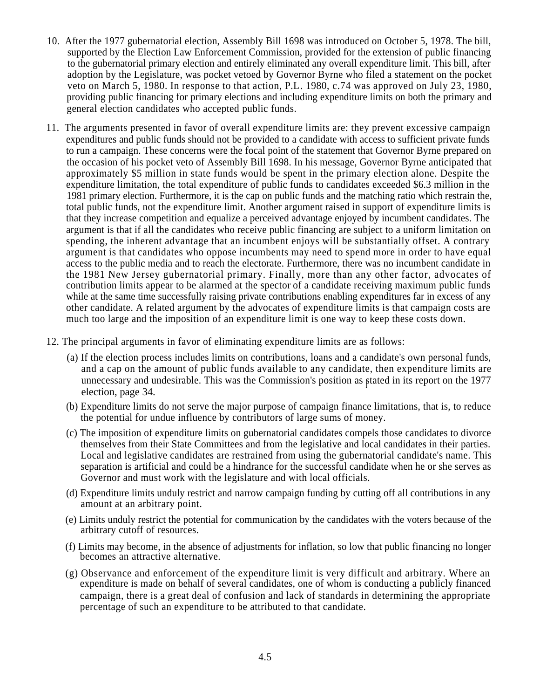- 10. After the 1977 gubernatorial election, Assembly Bill 1698 was introduced on October 5, 1978. The bill, supported by the Election Law Enforcement Commission, provided for the extension of public financing to the gubernatorial primary election and entirely eliminated any overall expenditure limit. This bill, after adoption by the Legislature, was pocket vetoed by Governor Byrne who filed a statement on the pocket veto on March 5, 1980. In response to that action, P.L. 1980, c.74 was approved on July 23, 1980, providing public financing for primary elections and including expenditure limits on both the primary and general election candidates who accepted public funds.
- 11. The arguments presented in favor of overall expenditure limits are: they prevent excessive campaign expenditures and public funds should not be provided to a candidate with access to sufficient private funds to run a campaign. These concerns were the focal point of the statement that Governor Byrne prepared on the occasion of his pocket veto of Assembly Bill 1698. In his message, Governor Byrne anticipated that approximately \$5 million in state funds would be spent in the primary election alone. Despite the expenditure limitation, the total expenditure of public funds to candidates exceeded \$6.3 million in the 1981 primary election. Furthermore, it is the cap on public funds and the matching ratio which restrain the, total public funds, not the expenditure limit. Another argument raised in support of expenditure limits is that they increase competition and equalize a perceived advantage enjoyed by incumbent candidates. The argument is that if all the candidates who receive public financing are subject to a uniform limitation on spending, the inherent advantage that an incumbent enjoys will be substantially offset. A contrary argument is that candidates who oppose incumbents may need to spend more in order to have equal access to the public media and to reach the electorate. Furthermore, there was no incumbent candidate in the 1981 New Jersey gubernatorial primary. Finally, more than any other factor, advocates of contribution limits appear to be alarmed at the spector of a candidate receiving maximum public funds while at the same time successfully raising private contributions enabling expenditures far in excess of any other candidate. A related argument by the advocates of expenditure limits is that campaign costs are much too large and the imposition of an expenditure limit is one way to keep these costs down.
- 12. The principal arguments in favor of eliminating expenditure limits are as follows:
	- (a) If the election process includes limits on contributions, loans and a candidate's own personal funds, and a cap on the amount of public funds available to any candidate, then expenditure limits are unnecessary and undesirable. This was the Commission's position as stated in its report on the 1977 election, page 34.
	- (b) Expenditure limits do not serve the major purpose of campaign finance limitations, that is, to reduce the potential for undue influence by contributors of large sums of money.
	- (c) The imposition of expenditure limits on gubernatorial candidates compels those candidates to divorce themselves from their State Committees and from the legislative and local candidates in their parties. Local and legislative candidates are restrained from using the gubernatorial candidate's name. This separation is artificial and could be a hindrance for the successful candidate when he or she serves as Governor and must work with the legislature and with local officials.
	- (d) Expenditure limits unduly restrict and narrow campaign funding by cutting off all contributions in any amount at an arbitrary point.
	- (e) Limits unduly restrict the potential for communication by the candidates with the voters because of the arbitrary cutoff of resources.
	- (f) Limits may become, in the absence of adjustments for inflation, so low that public financing no longer becomes an attractive alternative.
	- (g) Observance and enforcement of the expenditure limit is very difficult and arbitrary. Where an expenditure is made on behalf of several candidates, one of whom is conducting a publicly financed campaign, there is a great deal of confusion and lack of standards in determining the appropriate percentage of such an expenditure to be attributed to that candidate.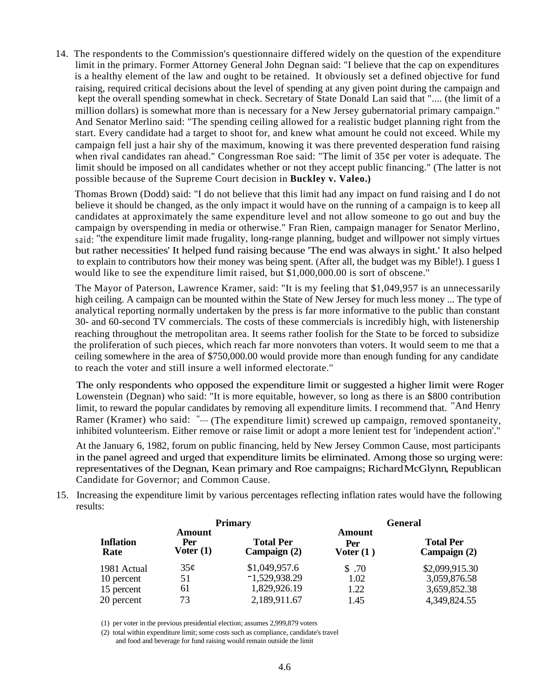14. The respondents to the Commission's questionnaire differed widely on the question of the expenditure limit in the primary. Former Attorney General John Degnan said: "I believe that the cap on expenditures is a healthy element of the law and ought to be retained. It obviously set a defined objective for fund raising, required critical decisions about the level of spending at any given point during the campaign and kept the overall spending somewhat in check. Secretary of State Donald Lan said that ".... (the limit of a million dollars) is somewhat more than is necessary for a New Jersey gubernatorial primary campaign." And Senator Merlino said: "The spending ceiling allowed for a realistic budget planning right from the start. Every candidate had a target to shoot for, and knew what amount he could not exceed. While my campaign fell just a hair shy of the maximum, knowing it was there prevented desperation fund raising when rival candidates ran ahead." Congressman Roe said: "The limit of  $35¢$  per voter is adequate. The limit should be imposed on all candidates whether or not they accept public financing." (The latter is not possible because of the Supreme Court decision in **Buckley v. Valeo.)**

Thomas Brown (Dodd) said: "I do not believe that this limit had any impact on fund raising and I do not believe it should be changed, as the only impact it would have on the running of a campaign is to keep all candidates at approximately the same expenditure level and not allow someone to go out and buy the campaign by overspending in media or otherwise." Fran Rien, campaign manager for Senator Merlino, said: ''the expenditure limit made frugality, long-range planning, budget and willpower not simply virtues but rather necessities' It helped fund raising because 'The end was always in sight.' It also helped to explain to contributors how their money was being spent. (After all, the budget was my Bible!). I guess I would like to see the expenditure limit raised, but \$1,000,000.00 is sort of obscene.''

The Mayor of Paterson, Lawrence Kramer, said: "It is my feeling that \$1,049,957 is an unnecessarily high ceiling. A campaign can be mounted within the State of New Jersey for much less money ... The type of analytical reporting normally undertaken by the press is far more informative to the public than constant 30- and 60-second TV commercials. The costs of these commercials is incredibly high, with listenership reaching throughout the metropolitan area. It seems rather foolish for the State to be forced to subsidize the proliferation of such pieces, which reach far more nonvoters than voters. It would seem to me that a ceiling somewhere in the area of \$750,000.00 would provide more than enough funding for any candidate to reach the voter and still insure a well informed electorate.''

The only respondents who opposed the expenditure limit or suggested a higher limit were Roger Lowenstein (Degnan) who said: "It is more equitable, however, so long as there is an \$800 contribution limit, to reward the popular candidates by removing all expenditure limits. I recommend that. "And Henry Ramer (Kramer) who said: ".... (The expenditure limit) screwed up campaign, removed spontaneity, inhibited volunteerism. Either remove or raise limit or adopt a more lenient test for 'independent action'."

At the January 6, 1982, forum on public financing, held by New Jersey Common Cause, most participants in the panel agreed and urged that expenditure limits be eliminated. Among those so urging were: representatives of the Degnan, Kean primary and Roe campaigns; Richard McGlynn, Republican Candidate for Governor; and Common Cause.

15. Increasing the expenditure limit by various percentages reflecting inflation rates would have the following results:

|                          |                              | <b>Primary</b>                   | <b>General</b>               |                                  |  |  |
|--------------------------|------------------------------|----------------------------------|------------------------------|----------------------------------|--|--|
| <b>Inflation</b><br>Rate | Amount<br>Per<br>Voter $(1)$ | <b>Total Per</b><br>Campaign (2) | Amount<br>Per<br>Voter $(1)$ | <b>Total Per</b><br>Campaign (2) |  |  |
| 1981 Actual              | 35¢                          | \$1,049,957.6                    | \$ .70                       | \$2,099,915.30                   |  |  |
| 10 percent               | 51                           | $-1,529,938.29$                  | 1.02                         | 3,059,876.58                     |  |  |
| 15 percent               | 61                           | 1,829,926.19                     | 1.22                         | 3,659,852.38                     |  |  |
| 20 percent               | 73                           | 2,189,911.67                     | 1.45                         | 4,349,824.55                     |  |  |

(1) per voter in the previous presidential election; assumes 2,999,879 voters

(2) total within expenditure limit; some costs such as compliance, candidate's travel and food and beverage for fund raising would remain outside the limit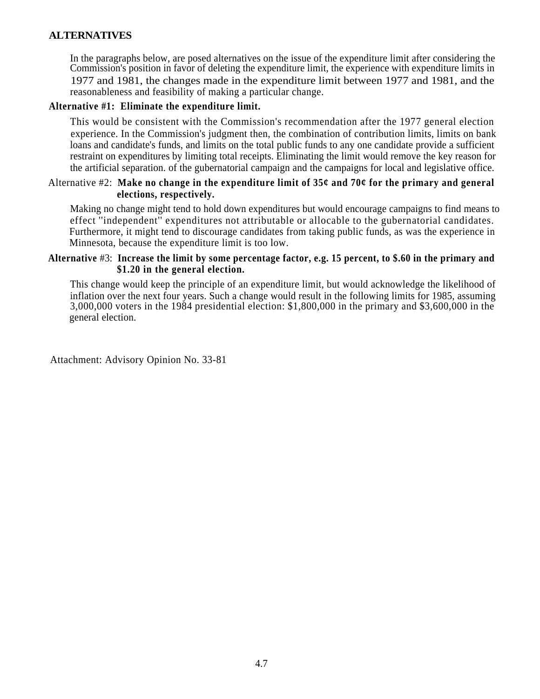## **ALTERNATIVES**

In the paragraphs below, are posed alternatives on the issue of the expenditure limit after considering the Commission's position in favor of deleting the expenditure limit, the experience with expenditure limits in 1977 and 1981, the changes made in the expenditure limit between 1977 and 1981, and the reasonableness and feasibility of making a particular change.

## **Alternative #1: Eliminate the expenditure limit.**

This would be consistent with the Commission's recommendation after the 1977 general election experience. In the Commission's judgment then, the combination of contribution limits, limits on bank loans and candidate's funds, and limits on the total public funds to any one candidate provide a sufficient restraint on expenditures by limiting total receipts. Eliminating the limit would remove the key reason for the artificial separation. of the gubernatorial campaign and the campaigns for local and legislative office.

## Alternative #2: **Make no change in the expenditure limit of 35¢ and 70¢ for the primary and general elections, respectively.**

Making no change might tend to hold down expenditures but would encourage campaigns to find means to effect ''independent'' expenditures not attributable or allocable to the gubernatorial candidates. Furthermore, it might tend to discourage candidates from taking public funds, as was the experience in Minnesota, because the expenditure limit is too low.

## **Alternative** #3: **Increase the limit by some percentage factor, e.g. 15 percent, to \$.60 in the primary and \$1.20 in the general election.**

This change would keep the principle of an expenditure limit, but would acknowledge the likelihood of inflation over the next four years. Such a change would result in the following limits for 1985, assuming 3,000,000 voters in the 1984 presidential election: \$1,800,000 in the primary and \$3,600,000 in the general election.

Attachment: Advisory Opinion No. 33-81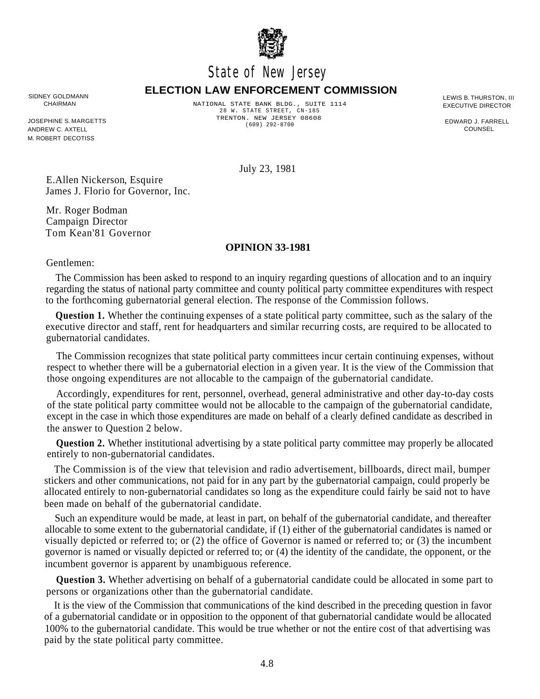

# State of New Jersey

#### **ELECTION LAW ENFORCEMENT COMMISSION** SIDNEY GOLDMANN **ELLOTION LATE RANT CHOLDMANN** LEWIS B. THURSTON, III<br>CHAIRMAN CHAIRMAN NATIONAL STATE RANK BLDG . SIITTE 1114 .

JOSEPHINE S. MARGETTS ANDREW C. AXTELL M. ROBERT DECOTISS

NATIONAL STATE BANK BLDG., SUITE 1114 CHAIRMAN EXECUTIVE DIRECTOR 28 W. STATE STREET, CN-185 TRENTON. NEW JERSEY 08608 (609) 292-8700

EDWARD J. FARRELL COUNSEL

July 23, 1981

E.Allen Nickerson, Esquire James J. Florio for Governor, Inc.

Mr. Roger Bodman Campaign Director Tom Kean'81 Governor

## **OPINION 33-1981**

Gentlemen:

The Commission has been asked to respond to an inquiry regarding questions of allocation and to an inquiry regarding the status of national party committee and county political party committee expenditures with respect to the forthcoming gubernatorial general election. The response of the Commission follows.

**Question 1.** Whether the continuing expenses of a state political party committee, such as the salary of the executive director and staff, rent for headquarters and similar recurring costs, are required to be allocated to gubernatorial candidates.

The Commission recognizes that state political party committees incur certain continuing expenses, without respect to whether there will be a gubernatorial election in a given year. It is the view of the Commission that those ongoing expenditures are not allocable to the campaign of the gubernatorial candidate.

Accordingly, expenditures for rent, personnel, overhead, general administrative and other day-to-day costs of the state political party committee would not be allocable to the campaign of the gubernatorial candidate, except in the case in which those expenditures are made on behalf of a clearly defined candidate as described in the answer to Question 2 below.

**Question 2.** Whether institutional advertising by a state political party committee may properly be allocated entirely to non-gubernatorial candidates.

The Commission is of the view that television and radio advertisement, billboards, direct mail, bumper stickers and other communications, not paid for in any part by the gubernatorial campaign, could properly be allocated entirely to non-gubernatorial candidates so long as the expenditure could fairly be said not to have been made on behalf of the gubernatorial candidate.

Such an expenditure would be made, at least in part, on behalf of the gubernatorial candidate, and thereafter allocable to some extent to the gubernatorial candidate, if (1) either of the gubernatorial candidates is named or visually depicted or referred to; or (2) the office of Governor is named or referred to; or (3) the incumbent governor is named or visually depicted or referred to; or (4) the identity of the candidate, the opponent, or the incumbent governor is apparent by unambiguous reference.

**Question 3.** Whether advertising on behalf of a gubernatorial candidate could be allocated in some part to persons or organizations other than the gubernatorial candidate.

It is the view of the Commission that communications of the kind described in the preceding question in favor of a gubernatorial candidate or in opposition to the opponent of that gubernatorial candidate would be allocated 100% to the gubernatorial candidate. This would be true whether or not the entire cost of that advertising was paid by the state political party committee.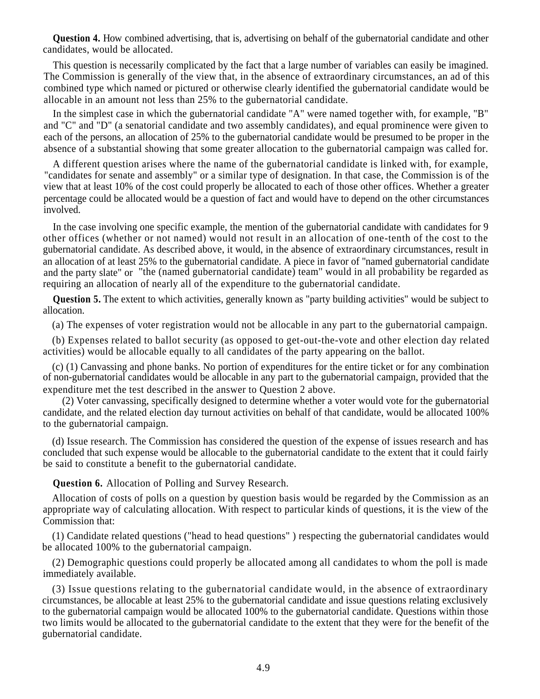**Question 4.** How combined advertising, that is, advertising on behalf of the gubernatorial candidate and other candidates, would be allocated.

This question is necessarily complicated by the fact that a large number of variables can easily be imagined. The Commission is generally of the view that, in the absence of extraordinary circumstances, an ad of this combined type which named or pictured or otherwise clearly identified the gubernatorial candidate would be allocable in an amount not less than 25% to the gubernatorial candidate.

In the simplest case in which the gubernatorial candidate "A" were named together with, for example, "B" and "C" and "D" (a senatorial candidate and two assembly candidates), and equal prominence were given to each of the persons, an allocation of 25% to the gubernatorial candidate would be presumed to be proper in the absence of a substantial showing that some greater allocation to the gubernatorial campaign was called for.

A different question arises where the name of the gubernatorial candidate is linked with, for example, "candidates for senate and assembly" or a similar type of designation. In that case, the Commission is of the view that at least 10% of the cost could properly be allocated to each of those other offices. Whether a greater percentage could be allocated would be a question of fact and would have to depend on the other circumstances involved.

In the case involving one specific example, the mention of the gubernatorial candidate with candidates for 9 other offices (whether or not named) would not result in an allocation of one-tenth of the cost to the gubernatorial candidate. As described above, it would, in the absence of extraordinary circumstances, result in an allocation of at least 25% to the gubernatorial candidate. A piece in favor of ''named gubernatorial candidate and the party slate" or ''the (named gubernatorial candidate) team'' would in all probability be regarded as requiring an allocation of nearly all of the expenditure to the gubernatorial candidate.

**Question 5.** The extent to which activities, generally known as "party building activities" would be subject to allocation.

(a) The expenses of voter registration would not be allocable in any part to the gubernatorial campaign.

(b) Expenses related to ballot security (as opposed to get-out-the-vote and other election day related activities) would be allocable equally to all candidates of the party appearing on the ballot.

(c) (1) Canvassing and phone banks. No portion of expenditures for the entire ticket or for any combination of non-gubernatorial candidates would be allocable in any part to the gubernatorial campaign, provided that the expenditure met the test described in the answer to Question 2 above.

(2) Voter canvassing, specifically designed to determine whether a voter would vote for the gubernatorial candidate, and the related election day turnout activities on behalf of that candidate, would be allocated 100% to the gubernatorial campaign.

(d) Issue research. The Commission has considered the question of the expense of issues research and has concluded that such expense would be allocable to the gubernatorial candidate to the extent that it could fairly be said to constitute a benefit to the gubernatorial candidate.

**Question 6.** Allocation of Polling and Survey Research.

Allocation of costs of polls on a question by question basis would be regarded by the Commission as an appropriate way of calculating allocation. With respect to particular kinds of questions, it is the view of the Commission that:

(1) Candidate related questions ("head to head questions" ) respecting the gubernatorial candidates would be allocated 100% to the gubernatorial campaign.

(2) Demographic questions could properly be allocated among all candidates to whom the poll is made immediately available.

(3) Issue questions relating to the gubernatorial candidate would, in the absence of extraordinary circumstances, be allocable at least 25% to the gubernatorial candidate and issue questions relating exclusively to the gubernatorial campaign would be allocated 100% to the gubernatorial candidate. Questions within those two limits would be allocated to the gubernatorial candidate to the extent that they were for the benefit of the gubernatorial candidate.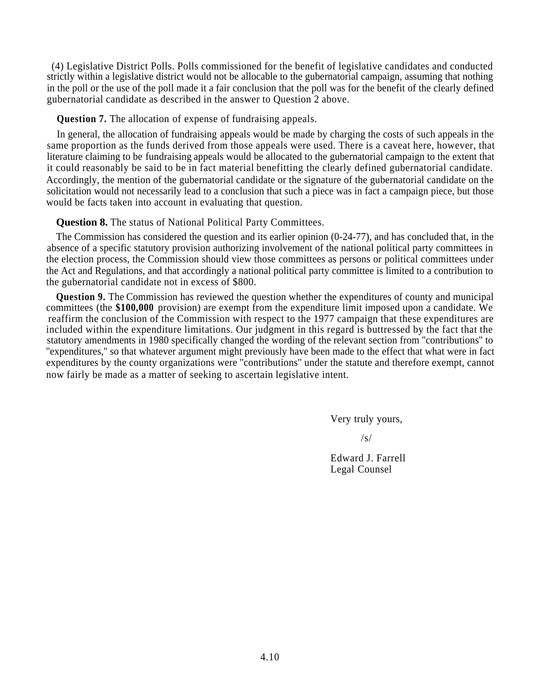(4) Legislative District Polls. Polls commissioned for the benefit of legislative candidates and conducted strictly within a legislative district would not be allocable to the gubernatorial campaign, assuming that nothing in the poll or the use of the poll made it a fair conclusion that the poll was for the benefit of the clearly defined gubernatorial candidate as described in the answer to Question 2 above.

## **Question 7.** The allocation of expense of fundraising appeals.

In general, the allocation of fundraising appeals would be made by charging the costs of such appeals in the same proportion as the funds derived from those appeals were used. There is a caveat here, however, that literature claiming to be fundraising appeals would be allocated to the gubernatorial campaign to the extent that it could reasonably be said to be in fact material benefitting the clearly defined gubernatorial candidate. Accordingly, the mention of the gubernatorial candidate or the signature of the gubernatorial candidate on the solicitation would not necessarily lead to a conclusion that such a piece was in fact a campaign piece, but those would be facts taken into account in evaluating that question.

## **Question 8.** The status of National Political Party Committees.

The Commission has considered the question and its earlier opinion (0-24-77), and has concluded that, in the absence of a specific statutory provision authorizing involvement of the national political party committees in the election process, the Commission should view those committees as persons or political committees under the Act and Regulations, and that accordingly a national political party committee is limited to a contribution to the gubernatorial candidate not in excess of \$800.

**Question 9.** The Commission has reviewed the question whether the expenditures of county and municipal committees (the **\$100,000** provision) are exempt from the expenditure limit imposed upon a candidate. We reaffirm the conclusion of the Commission with respect to the 1977 campaign that these expenditures are included within the expenditure limitations. Our judgment in this regard is buttressed by the fact that the statutory amendments in 1980 specifically changed the wording of the relevant section from ''contributions'' to ''expenditures,'' so that whatever argument might previously have been made to the effect that what were in fact expenditures by the county organizations were ''contributions'' under the statute and therefore exempt, cannot now fairly be made as a matter of seeking to ascertain legislative intent.

Very truly yours,

 $\sqrt{s}$ 

Edward J. Farrell Legal Counsel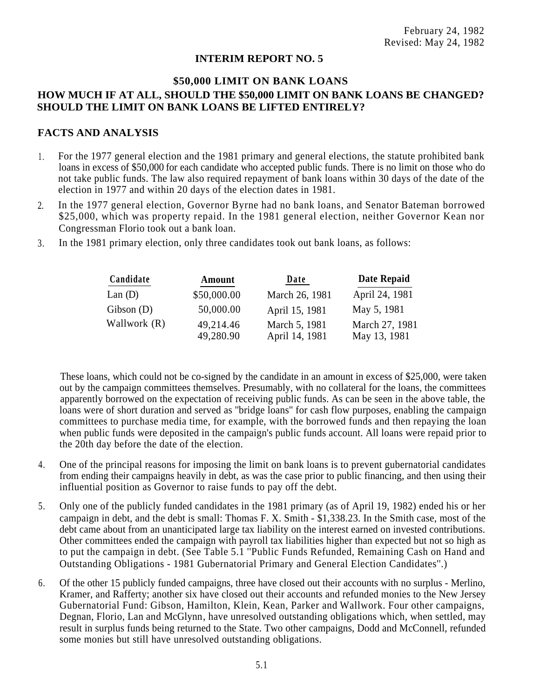## **INTERIM REPORT NO. 5**

## **\$50,000 LIMIT ON BANK LOANS HOW MUCH IF AT ALL, SHOULD THE \$50,000 LIMIT ON BANK LOANS BE CHANGED? SHOULD THE LIMIT ON BANK LOANS BE LIFTED ENTIRELY?**

## **FACTS AND ANALYSIS**

- For the 1977 general election and the 1981 primary and general elections, the statute prohibited bank loans in excess of \$50,000 for each candidate who accepted public funds. There is no limit on those who do not take public funds. The law also required repayment of bank loans within 30 days of the date of the election in 1977 and within 20 days of the election dates in 1981. 1 .
- In the 1977 general election, Governor Byrne had no bank loans, and Senator Bateman borrowed \$25,000, which was property repaid. In the 1981 general election, neither Governor Kean nor Congressman Florio took out a bank loan. 2.
- 3. In the 1981 primary election, only three candidates took out bank loans, as follows:

| Candidate    | Amount                 | Date                            | Date Repaid                    |
|--------------|------------------------|---------------------------------|--------------------------------|
| Lan(D)       | \$50,000.00            | March 26, 1981                  | April 24, 1981                 |
| Gibson(D)    | 50,000.00              | April 15, 1981                  | May 5, 1981                    |
| Wallwork (R) | 49,214.46<br>49,280.90 | March 5, 1981<br>April 14, 1981 | March 27, 1981<br>May 13, 1981 |

These loans, which could not be co-signed by the candidate in an amount in excess of \$25,000, were taken out by the campaign committees themselves. Presumably, with no collateral for the loans, the committees apparently borrowed on the expectation of receiving public funds. As can be seen in the above table, the loans were of short duration and served as ''bridge loans'' for cash flow purposes, enabling the campaign committees to purchase media time, for example, with the borrowed funds and then repaying the loan when public funds were deposited in the campaign's public funds account. All loans were repaid prior to the 20th day before the date of the election.

- 4. One of the principal reasons for imposing the limit on bank loans is to prevent gubernatorial candidates from ending their campaigns heavily in debt, as was the case prior to public financing, and then using their influential position as Governor to raise funds to pay off the debt.
- 5. Only one of the publicly funded candidates in the 1981 primary (as of April 19, 1982) ended his or her campaign in debt, and the debt is small: Thomas F. X. Smith - \$1,338.23. In the Smith case, most of the debt came about from an unanticipated large tax liability on the interest earned on invested contributions. Other committees ended the campaign with payroll tax liabilities higher than expected but not so high as to put the campaign in debt. (See Table 5.1 ''Public Funds Refunded, Remaining Cash on Hand and Outstanding Obligations - 1981 Gubernatorial Primary and General Election Candidates''.)
- 6. Of the other 15 publicly funded campaigns, three have closed out their accounts with no surplus Merlino, Kramer, and Rafferty; another six have closed out their accounts and refunded monies to the New Jersey Gubernatorial Fund: Gibson, Hamilton, Klein, Kean, Parker and Wallwork. Four other campaigns, Degnan, Florio, Lan and McGlynn, have unresolved outstanding obligations which, when settled, may result in surplus funds being returned to the State. Two other campaigns, Dodd and McConnell, refunded some monies but still have unresolved outstanding obligations.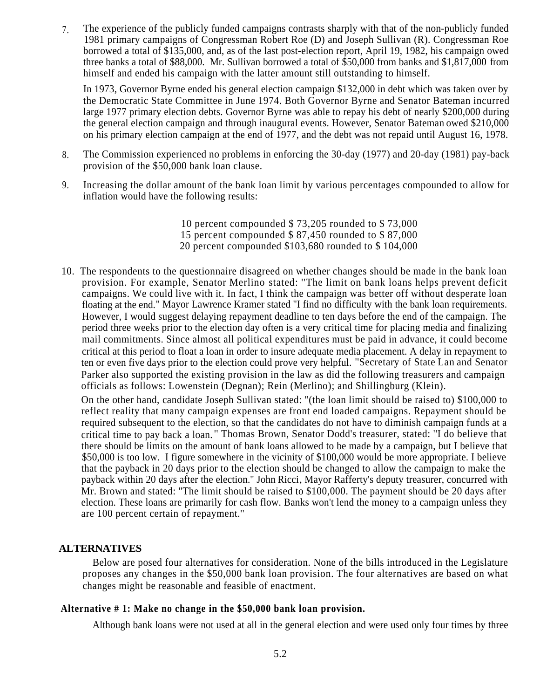The experience of the publicly funded campaigns contrasts sharply with that of the non-publicly funded 1981 primary campaigns of Congressman Robert Roe (D) and Joseph Sullivan (R). Congressman Roe borrowed a total of \$135,000, and, as of the last post-election report, April 19, 1982, his campaign owed three banks a total of \$88,000. Mr. Sullivan borrowed a total of \$50,000 from banks and \$1,817,000 from himself and ended his campaign with the latter amount still outstanding to himself. 7.

In 1973, Governor Byrne ended his general election campaign \$132,000 in debt which was taken over by the Democratic State Committee in June 1974. Both Governor Byrne and Senator Bateman incurred large 1977 primary election debts. Governor Byrne was able to repay his debt of nearly \$200,000 during the general election campaign and through inaugural events. However, Senator Bateman owed \$210,000 on his primary election campaign at the end of 1977, and the debt was not repaid until August 16, 1978.

- The Commission experienced no problems in enforcing the 30-day (1977) and 20-day (1981) pay-back provision of the \$50,000 bank loan clause. 8.
- Increasing the dollar amount of the bank loan limit by various percentages compounded to allow for inflation would have the following results: 9.
	- 10 percent compounded \$ 73,205 rounded to \$ 73,000
	- 15 percent compounded \$ 87,450 rounded to \$ 87,000
	- 20 percent compounded \$103,680 rounded to \$ 104,000
- 10. The respondents to the questionnaire disagreed on whether changes should be made in the bank loan provision. For example, Senator Merlino stated: ''The limit on bank loans helps prevent deficit campaigns. We could live with it. In fact, I think the campaign was better off without desperate loan floating at the end.'' Mayor Lawrence Kramer stated ''I find no difficulty with the bank loan requirements. However, I would suggest delaying repayment deadline to ten days before the end of the campaign. The period three weeks prior to the election day often is a very critical time for placing media and finalizing mail commitments. Since almost all political expenditures must be paid in advance, it could become critical at this period to float a loan in order to insure adequate media placement. A delay in repayment to ten or even five days prior to the election could prove very helpful. ''Secretary of State Lan and Senator Parker also supported the existing provision in the law as did the following treasurers and campaign officials as follows: Lowenstein (Degnan); Rein (Merlino); and Shillingburg (Klein).

On the other hand, candidate Joseph Sullivan stated: ''(the loan limit should be raised to) \$100,000 to reflect reality that many campaign expenses are front end loaded campaigns. Repayment should be required subsequent to the election, so that the candidates do not have to diminish campaign funds at a critical time to pay back a loan. '' Thomas Brown, Senator Dodd's treasurer, stated: ''I do believe that there should be limits on the amount of bank loans allowed to be made by a campaign, but I believe that \$50,000 is too low. I figure somewhere in the vicinity of \$100,000 would be more appropriate. I believe that the payback in 20 days prior to the election should be changed to allow the campaign to make the payback within 20 days after the election.'' John Ricci, Mayor Rafferty's deputy treasurer, concurred with Mr. Brown and stated: ''The limit should be raised to \$100,000. The payment should be 20 days after election. These loans are primarily for cash flow. Banks won't lend the money to a campaign unless they are 100 percent certain of repayment.''

## **ALTERNATIVES**

Below are posed four alternatives for consideration. None of the bills introduced in the Legislature proposes any changes in the \$50,000 bank loan provision. The four alternatives are based on what changes might be reasonable and feasible of enactment.

## **Alternative # 1: Make no change in the \$50,000 bank loan provision.**

Although bank loans were not used at all in the general election and were used only four times by three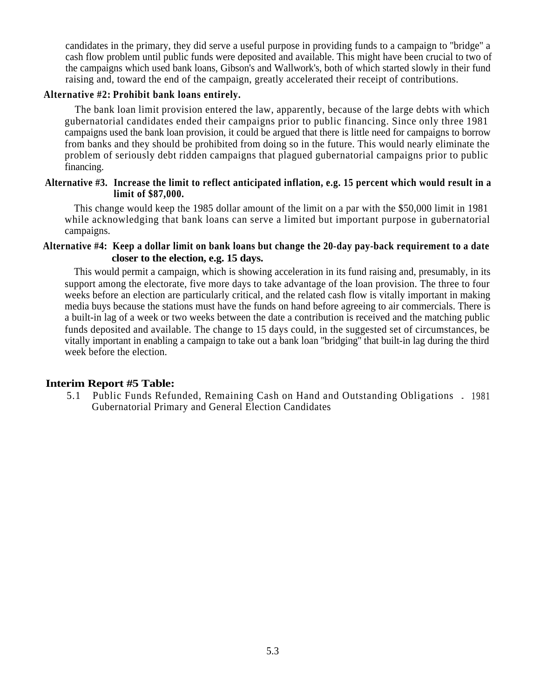candidates in the primary, they did serve a useful purpose in providing funds to a campaign to ''bridge'' a cash flow problem until public funds were deposited and available. This might have been crucial to two of the campaigns which used bank loans, Gibson's and Wallwork's, both of which started slowly in their fund raising and, toward the end of the campaign, greatly accelerated their receipt of contributions.

## **Alternative #2: Prohibit bank loans entirely.**

The bank loan limit provision entered the law, apparently, because of the large debts with which gubernatorial candidates ended their campaigns prior to public financing. Since only three 1981 campaigns used the bank loan provision, it could be argued that there is little need for campaigns to borrow from banks and they should be prohibited from doing so in the future. This would nearly eliminate the problem of seriously debt ridden campaigns that plagued gubernatorial campaigns prior to public financing.

## **Alternative #3. Increase the limit to reflect anticipated inflation, e.g. 15 percent which would result in a limit of \$87,000.**

This change would keep the 1985 dollar amount of the limit on a par with the \$50,000 limit in 1981 while acknowledging that bank loans can serve a limited but important purpose in gubernatorial campaigns.

## **Alternative #4: Keep a dollar limit on bank loans but change the 20-day pay-back requirement to a date closer to the election, e.g. 15 days.**

This would permit a campaign, which is showing acceleration in its fund raising and, presumably, in its support among the electorate, five more days to take advantage of the loan provision. The three to four weeks before an election are particularly critical, and the related cash flow is vitally important in making media buys because the stations must have the funds on hand before agreeing to air commercials. There is a built-in lag of a week or two weeks between the date a contribution is received and the matching public funds deposited and available. The change to 15 days could, in the suggested set of circumstances, be vitally important in enabling a campaign to take out a bank loan ''bridging'' that built-in lag during the third week before the election.

## **Interim Report #5 Table:**

5.1 Public Funds Refunded, Remaining Cash on Hand and Outstanding Obligations - 1981 Gubernatorial Primary and General Election Candidates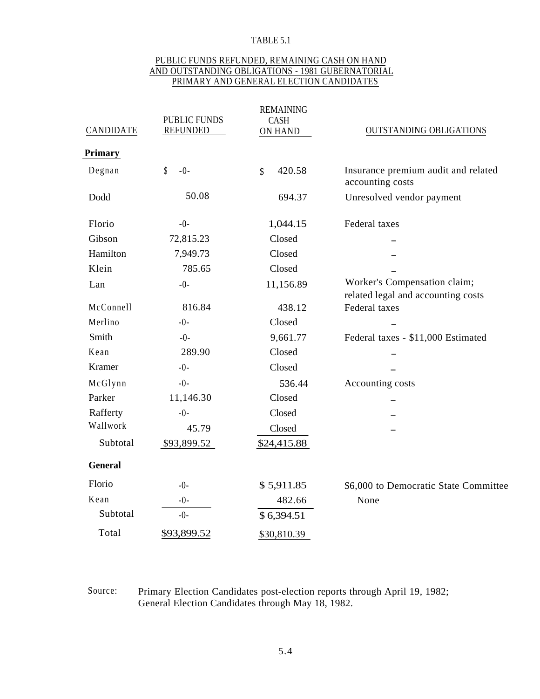#### TABLE 5.1

## PUBLIC FUNDS REFUNDED, REMAINING CASH ON HAND AND OUTSTANDING OBLIGATIONS - 1981 GUBERNATORIAL PRIMARY AND GENERAL ELECTION CANDIDATES

| <b>CANDIDATE</b> | <b>PUBLIC FUNDS</b><br><b>REFUNDED</b> | <b>REMAINING</b><br><b>CASH</b><br>ON HAND | <b>OUTSTANDING OBLIGATIONS</b>                          |  |
|------------------|----------------------------------------|--------------------------------------------|---------------------------------------------------------|--|
| Primary          |                                        |                                            |                                                         |  |
| Degnan           | \$<br>$-0-$                            | $\boldsymbol{\hat{\mathsf{S}}}$<br>420.58  | Insurance premium audit and related<br>accounting costs |  |
| Dodd             | 50.08                                  | 694.37                                     | Unresolved vendor payment                               |  |
| Florio           | $-0-$                                  | 1,044.15                                   | Federal taxes                                           |  |
| Gibson           | 72,815.23                              | Closed                                     |                                                         |  |
| Hamilton         | 7,949.73                               | Closed                                     |                                                         |  |
| Klein            | 785.65                                 | Closed                                     |                                                         |  |
| Lan              | $-0-$                                  | 11,156.89                                  | Worker's Compensation claim;                            |  |
|                  |                                        |                                            | related legal and accounting costs                      |  |
| McConnell        | 816.84                                 | 438.12                                     | Federal taxes                                           |  |
| Merlino          | $-0-$                                  | Closed                                     |                                                         |  |
| Smith            | $-0-$                                  | 9,661.77                                   | Federal taxes - \$11,000 Estimated                      |  |
| Kean             | 289.90                                 | Closed                                     |                                                         |  |
| Kramer           | $-0-$                                  | Closed                                     |                                                         |  |
| McGlynn          | $-0-$                                  | 536.44                                     | Accounting costs                                        |  |
| Parker           | 11,146.30                              | Closed                                     |                                                         |  |
| Rafferty         | $-0-$                                  | Closed                                     |                                                         |  |
| Wallwork         | 45.79                                  | Closed                                     |                                                         |  |
| Subtotal         | \$93,899.52                            | \$24,415.88                                |                                                         |  |
| General          |                                        |                                            |                                                         |  |
| Florio           | $-0-$                                  | \$5,911.85                                 | \$6,000 to Democratic State Committee                   |  |
| Kean             | $-0-$                                  | 482.66                                     | None                                                    |  |
| Subtotal         | $-0-$                                  | \$6,394.51                                 |                                                         |  |
| Total            | \$93,899.52                            | \$30,810.39                                |                                                         |  |

## Source: Primary Election Candidates post-election reports through April 19, 1982; General Election Candidates through May 18, 1982.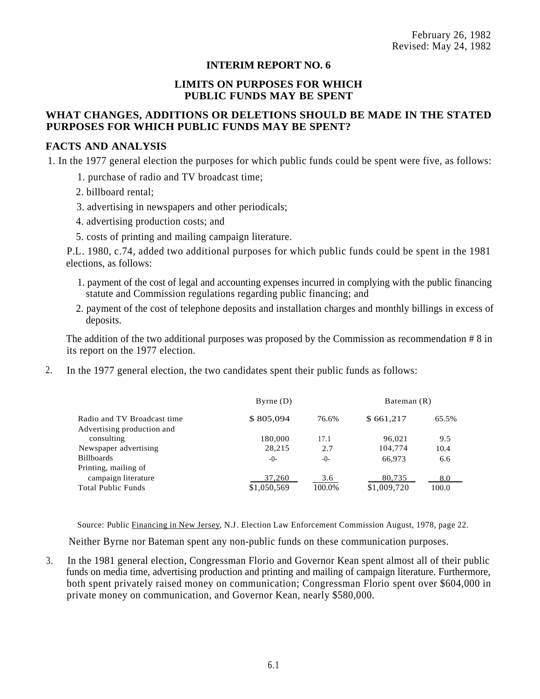## **INTERIM REPORT NO. 6**

## **LIMITS ON PURPOSES FOR WHICH PUBLIC FUNDS MAY BE SPENT**

## **WHAT CHANGES, ADDITIONS OR DELETIONS SHOULD BE MADE IN THE STATED PURPOSES FOR WHICH PUBLIC FUNDS MAY BE SPENT?**

## **FACTS AND ANALYSIS**

1. In the 1977 general election the purposes for which public funds could be spent were five, as follows:

- 1. purchase of radio and TV broadcast time;
- 2. billboard rental;
- 3. advertising in newspapers and other periodicals;
- 4. advertising production costs; and
- 5. costs of printing and mailing campaign literature.

P.L. 1980, c.74, added two additional purposes for which public funds could be spent in the 1981 elections, as follows:

- 1. payment of the cost of legal and accounting expenses incurred in complying with the public financing statute and Commission regulations regarding public financing; and
- 2. payment of the cost of telephone deposits and installation charges and monthly billings in excess of deposits.

The addition of the two additional purposes was proposed by the Commission as recommendation # 8 in its report on the 1977 election.

2. In the 1977 general election, the two candidates spent their public funds as follows:

|                             | $B$ <sub>yrne</sub> $(D)$ |         | Bateman (R) |       |
|-----------------------------|---------------------------|---------|-------------|-------|
| Radio and TV Broadcast time | \$805,094                 | 76.6%   | \$661,217   | 65.5% |
| Advertising production and  |                           |         |             |       |
| consulting                  | 180,000                   | 17.1    | 96,021      | 9.5   |
| Newspaper advertising       | 28,215                    | 2.7     | 104,774     | 10.4  |
| Billboards                  | $-()$                     | $-()$ - | 66,973      | 6.6   |
| Printing, mailing of        |                           |         |             |       |
| campaign literature         | 37,260                    | 3.6     | 80,735      | 8.0   |
| Total Public Funds          | \$1,050,569               | 100.0%  | \$1,009,720 | 100.0 |
|                             |                           |         |             |       |

Source: Public Financing in New Jersey, N.J. Election Law Enforcement Commission August, 1978, page 22.

Neither Byrne nor Bateman spent any non-public funds on these communication purposes.

3. In the 1981 general election, Congressman Florio and Governor Kean spent almost all of their public funds on media time, advertising production and printing and mailing of campaign literature. Furthermore, both spent privately raised money on communication; Congressman Florio spent over \$604,000 in private money on communication, and Governor Kean, nearly \$580,000.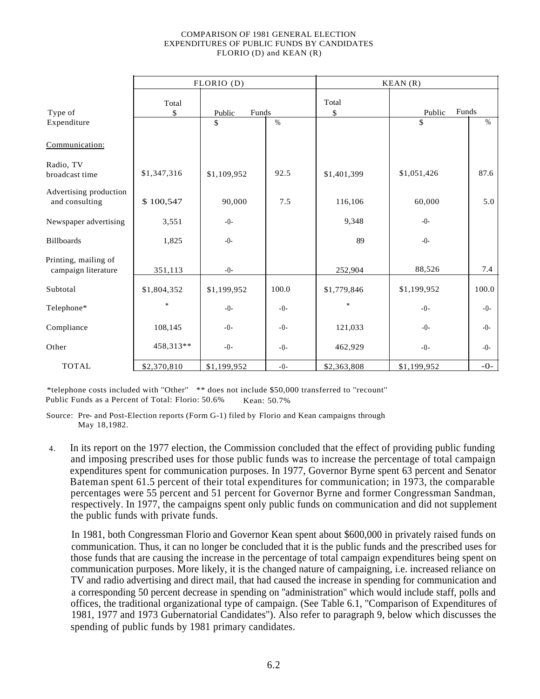#### COMPARISON OF 1981 GENERAL ELECTION EXPENDITURES OF PUBLIC FUNDS BY CANDIDATES FLORIO (D) and KEAN (R)

|                                             |             | FLORIO (D)      |         | KEAN(R)     |                 |       |  |  |  |  |
|---------------------------------------------|-------------|-----------------|---------|-------------|-----------------|-------|--|--|--|--|
| Type of                                     | Total<br>\$ | Funds<br>Public |         | Total<br>\$ | Funds<br>Public |       |  |  |  |  |
| Expenditure                                 |             | \$              | $\%$    |             | \$              | $\%$  |  |  |  |  |
| Communication:                              |             |                 |         |             |                 |       |  |  |  |  |
| Radio, TV<br>broadcast time                 | \$1,347,316 | \$1,109,952     | 92.5    | \$1,401,399 | \$1,051,426     | 87.6  |  |  |  |  |
| Advertising production<br>and consulting    | \$100,547   | 90,000          | 7.5     | 116,106     | 60,000          | 5.0   |  |  |  |  |
| Newspaper advertising                       | 3,551       | $-0-$           |         | 9,348       | $-0-$           |       |  |  |  |  |
| <b>Billboards</b>                           | 1,825       | $-0-$           |         | 89          | $-0-$           |       |  |  |  |  |
| Printing, mailing of<br>campaign literature | 351,113     | $-0-$           |         | 252,904     | 88,526          | 7.4   |  |  |  |  |
| Subtotal                                    | \$1,804,352 | \$1,199,952     | 100.0   | \$1,779,846 | \$1,199,952     | 100.0 |  |  |  |  |
| Telephone*                                  | *           | $-0-$           | $-0-$   | $\ast$      | $-0-$           | $-0-$ |  |  |  |  |
| Compliance                                  | 108,145     | $-0-$           | $-()$ - | 121,033     | $-0-$           | $-0-$ |  |  |  |  |
| Other                                       | 458,313**   | $-0-$           | $-0-$   | 462,929     | $-0-$           | $-0-$ |  |  |  |  |
| <b>TOTAL</b>                                | \$2,370,810 | \$1,199,952     | $-0-$   | \$2,363,808 | \$1,199,952     | $-0-$ |  |  |  |  |

\*telephone costs included with ''Other'' \*\* does not include \$50,000 transferred to ''recount'' Public Funds as a Percent of Total: Florio: 50.6% Kean: 50.7%

Source: Pre- and Post-Election reports (Form G-1) filed by Florio and Kean campaigns through May 18,1982.

In its report on the 1977 election, the Commission concluded that the effect of providing public funding and imposing prescribed uses for those public funds was to increase the percentage of total campaign expenditures spent for communication purposes. In 1977, Governor Byrne spent 63 percent and Senator Bateman spent 61.5 percent of their total expenditures for communication; in 1973, the comparable percentages were 55 percent and 51 percent for Governor Byrne and former Congressman Sandman, respectively. In 1977, the campaigns spent only public funds on communication and did not supplement the public funds with private funds. 4.

In 1981, both Congressman Florio and Governor Kean spent about \$600,000 in privately raised funds on communication. Thus, it can no longer be concluded that it is the public funds and the prescribed uses for those funds that are causing the increase in the percentage of total campaign expenditures being spent on communication purposes. More likely, it is the changed nature of campaigning, i.e. increased reliance on TV and radio advertising and direct mail, that had caused the increase in spending for communication and a corresponding 50 percent decrease in spending on ''administration'' which would include staff, polls and offices, the traditional organizational type of campaign. (See Table 6.1, ''Comparison of Expenditures of 1981, 1977 and 1973 Gubernatorial Candidates''). Also refer to paragraph 9, below which discusses the spending of public funds by 1981 primary candidates.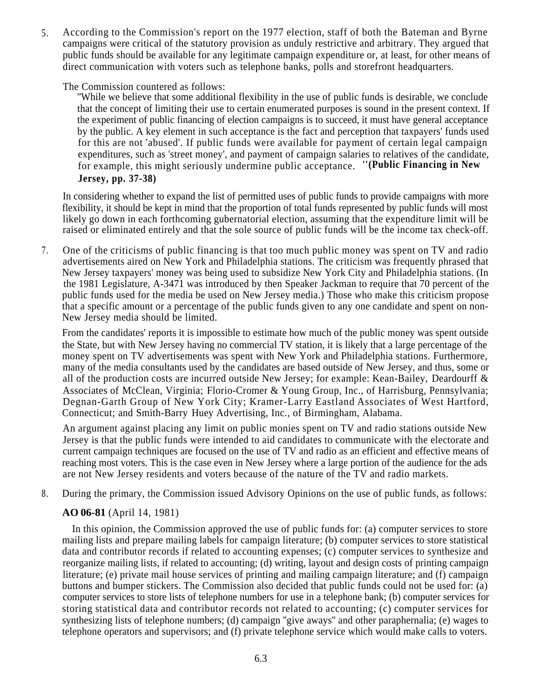According to the Commission's report on the 1977 election, staff of both the Bateman and Byrne campaigns were critical of the statutory provision as unduly restrictive and arbitrary. They argued that public funds should be available for any legitimate campaign expenditure or, at least, for other means of direct communication with voters such as telephone banks, polls and storefront headquarters. 5.

# The Commission countered as follows:

''While we believe that some additional flexibility in the use of public funds is desirable, we conclude that the concept of limiting their use to certain enumerated purposes is sound in the present context. If the experiment of public financing of election campaigns is to succeed, it must have general acceptance by the public. A key element in such acceptance is the fact and perception that taxpayers' funds used for this are not 'abused'. If public funds were available for payment of certain legal campaign expenditures, such as 'street money', and payment of campaign salaries to relatives of the candidate, for example, this might seriously undermine public acceptance. **''(Public Financing in New Jersey, pp. 37-38)**

In considering whether to expand the list of permitted uses of public funds to provide campaigns with more flexibility, it should be kept in mind that the proportion of total funds represented by public funds will most likely go down in each forthcoming gubernatorial election, assuming that the expenditure limit will be raised or eliminated entirely and that the sole source of public funds will be the income tax check-off.

One of the criticisms of public financing is that too much public money was spent on TV and radio advertisements aired on New York and Philadelphia stations. The criticism was frequently phrased that New Jersey taxpayers' money was being used to subsidize New York City and Philadelphia stations. (In the 1981 Legislature, A-3471 was introduced by then Speaker Jackman to require that 70 percent of the public funds used for the media be used on New Jersey media.) Those who make this criticism propose that a specific amount or a percentage of the public funds given to any one candidate and spent on non-New Jersey media should be limited. 7.

From the candidates' reports it is impossible to estimate how much of the public money was spent outside the State, but with New Jersey having no commercial TV station, it is likely that a large percentage of the money spent on TV advertisements was spent with New York and Philadelphia stations. Furthermore, many of the media consultants used by the candidates are based outside of New Jersey, and thus, some or all of the production costs are incurred outside New Jersey; for example: Kean-Bailey, Deardourff & Associates of McClean, Virginia; Florio-Cromer & Young Group, Inc., of Harrisburg, Pennsylvania; Degnan-Garth Group of New York City; Kramer-Larry Eastland Associates of West Hartford, Connecticut; and Smith-Barry Huey Advertising, Inc., of Birmingham, Alabama.

An argument against placing any limit on public monies spent on TV and radio stations outside New Jersey is that the public funds were intended to aid candidates to communicate with the electorate and current campaign techniques are focused on the use of TV and radio as an efficient and effective means of reaching most voters. This is the case even in New Jersey where a large portion of the audience for the ads are not New Jersey residents and voters because of the nature of the TV and radio markets.

8. During the primary, the Commission issued Advisory Opinions on the use of public funds, as follows:

# **AO 06-81** (April 14, 1981)

In this opinion, the Commission approved the use of public funds for: (a) computer services to store mailing lists and prepare mailing labels for campaign literature; (b) computer services to store statistical data and contributor records if related to accounting expenses; (c) computer services to synthesize and reorganize mailing lists, if related to accounting; (d) writing, layout and design costs of printing campaign literature; (e) private mail house services of printing and mailing campaign literature; and (f) campaign buttons and bumper stickers. The Commission also decided that public funds could not be used for: (a) computer services to store lists of telephone numbers for use in a telephone bank; (b) computer services for storing statistical data and contributor records not related to accounting; (c) computer services for synthesizing lists of telephone numbers; (d) campaign ''give aways'' and other paraphernalia; (e) wages to telephone operators and supervisors; and (f) private telephone service which would make calls to voters.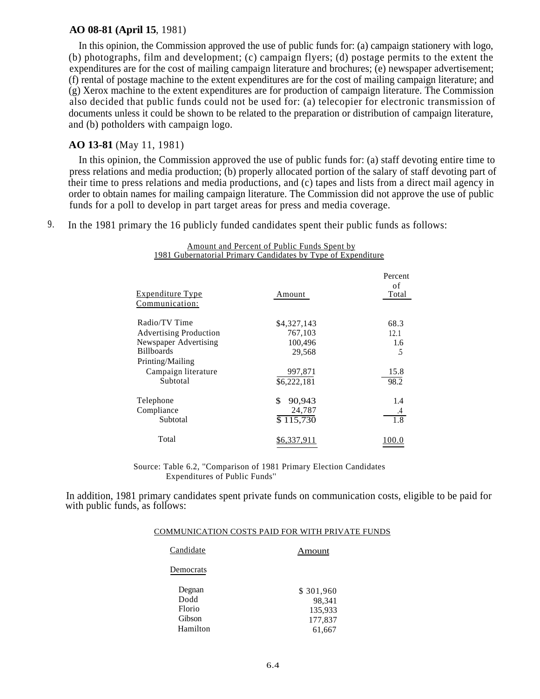#### **AO 08-81 (April 15**, 1981)

In this opinion, the Commission approved the use of public funds for: (a) campaign stationery with logo, (b) photographs, film and development; (c) campaign flyers; (d) postage permits to the extent the expenditures are for the cost of mailing campaign literature and brochures; (e) newspaper advertisement; (f) rental of postage machine to the extent expenditures are for the cost of mailing campaign literature; and (g) Xerox machine to the extent expenditures are for production of campaign literature. The Commission also decided that public funds could not be used for: (a) telecopier for electronic transmission of documents unless it could be shown to be related to the preparation or distribution of campaign literature, and (b) potholders with campaign logo.

# **AO 13-81** (May 11, 1981)

In this opinion, the Commission approved the use of public funds for: (a) staff devoting entire time to press relations and media production; (b) properly allocated portion of the salary of staff devoting part of their time to press relations and media productions, and (c) tapes and lists from a direct mail agency in order to obtain names for mailing campaign literature. The Commission did not approve the use of public funds for a poll to develop in part target areas for press and media coverage.

> Amount and Percent of Public Funds Spent by 1981 Gubernatorial Primary Candidates by Type of Expenditure

9. In the 1981 primary the 16 publicly funded candidates spent their public funds as follows:

| <u>Expenditure Type</u><br>Communication:  | Amount                 | Percent<br>of<br>Total |
|--------------------------------------------|------------------------|------------------------|
| Radio/TV Time                              | \$4,327,143            | 68.3                   |
| <b>Advertising Production</b>              | 767,103                | 12.1                   |
| Newspaper Advertising<br><b>Billboards</b> | 100,496<br>29,568      | 1.6<br>5               |
| Printing/Mailing                           |                        |                        |
| Campaign literature<br>Subtotal            | 997,871<br>\$6,222,181 | 15.8<br>98.2           |
| Telephone                                  | 90,943<br>\$           | 1.4                    |
| Compliance                                 | 24,787                 | .4                     |
| Subtotal                                   | $\overline{$}115,730$  | 1.8                    |
| Total                                      | \$6.337.911            | 100.0                  |

Source: Table 6.2, ''Comparison of 1981 Primary Election Candidates Expenditures of Public Funds''

In addition, 1981 primary candidates spent private funds on communication costs, eligible to be paid for with public funds, as follows:

#### COMMUNICATION COSTS PAID FOR WITH PRIVATE FUNDS

| Candidate | Amount    |
|-----------|-----------|
| Democrats |           |
| Degnan    | \$301,960 |
| Dodd      | 98,341    |
| Florio    | 135,933   |
| Gibson    | 177,837   |
| Hamilton  | 61,667    |
|           |           |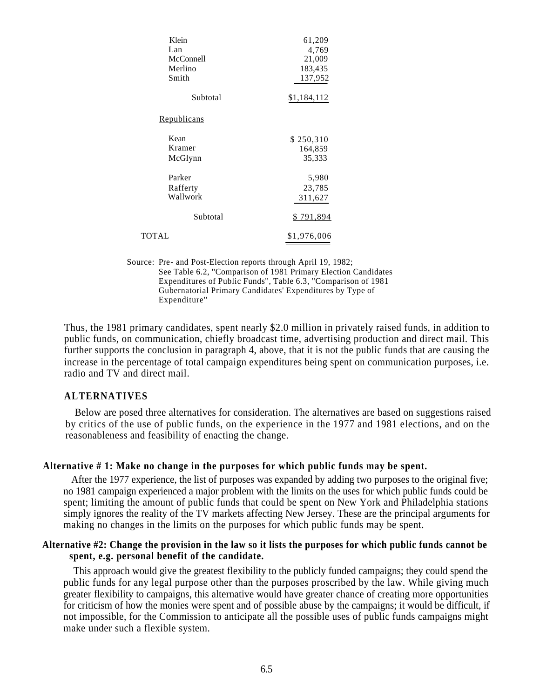| Klein              | 61,209           |
|--------------------|------------------|
| Lan                | 4,769            |
| McConnell          | 21,009           |
| Merlino            | 183,435          |
| Smith              | 137,952          |
| Subtotal           | \$1,184,112      |
| <u>Republicans</u> |                  |
| Kean               | \$250,310        |
| Kramer             | 164,859          |
| McGlynn            | 35,333           |
| Parker             | 5,980            |
| Rafferty           | 23,785           |
| Wallwork           | 311,627          |
| Subtotal           | <u>\$791,894</u> |
| TOTAL              | \$1,976,006      |
|                    |                  |

Source: Pre- and Post-Election reports through April 19, 1982; See Table 6.2, ''Comparison of 1981 Primary Election Candidates Expenditures of Public Funds'', Table 6.3, ''Comparison of 1981 Gubernatorial Primary Candidates' Expenditures by Type of Expenditure''

Thus, the 1981 primary candidates, spent nearly \$2.0 million in privately raised funds, in addition to public funds, on communication, chiefly broadcast time, advertising production and direct mail. This further supports the conclusion in paragraph 4, above, that it is not the public funds that are causing the increase in the percentage of total campaign expenditures being spent on communication purposes, i.e. radio and TV and direct mail.

#### **ALTERNATIVES**

Below are posed three alternatives for consideration. The alternatives are based on suggestions raised by critics of the use of public funds, on the experience in the 1977 and 1981 elections, and on the reasonableness and feasibility of enacting the change.

#### **Alternative # 1: Make no change in the purposes for which public funds may be spent.**

After the 1977 experience, the list of purposes was expanded by adding two purposes to the original five; no 1981 campaign experienced a major problem with the limits on the uses for which public funds could be spent; limiting the amount of public funds that could be spent on New York and Philadelphia stations simply ignores the reality of the TV markets affecting New Jersey. These are the principal arguments for making no changes in the limits on the purposes for which public funds may be spent.

#### **Alternative #2: Change the provision in the law so it lists the purposes for which public funds cannot be spent, e.g. personal benefit of the candidate.**

This approach would give the greatest flexibility to the publicly funded campaigns; they could spend the public funds for any legal purpose other than the purposes proscribed by the law. While giving much greater flexibility to campaigns, this alternative would have greater chance of creating more opportunities for criticism of how the monies were spent and of possible abuse by the campaigns; it would be difficult, if not impossible, for the Commission to anticipate all the possible uses of public funds campaigns might make under such a flexible system.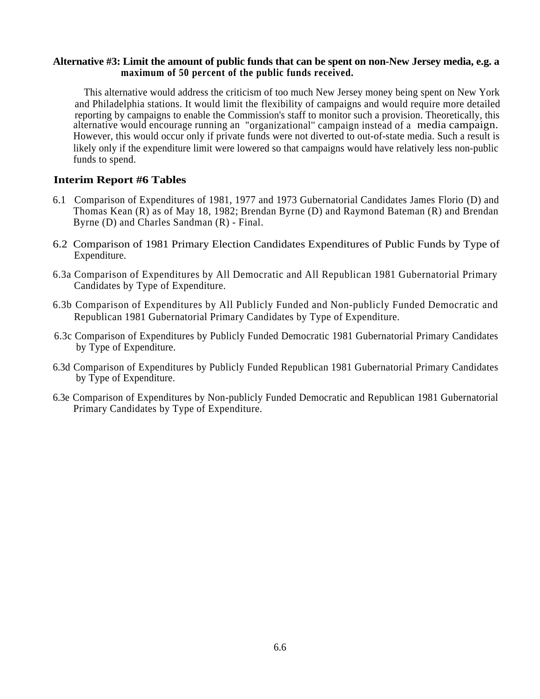#### **Alternative #3: Limit the amount of public funds that can be spent on non-New Jersey media, e.g. a maximum of 50 percent of the public funds received.**

This alternative would address the criticism of too much New Jersey money being spent on New York and Philadelphia stations. It would limit the flexibility of campaigns and would require more detailed reporting by campaigns to enable the Commission's staff to monitor such a provision. Theoretically, this alternative would encourage running an "organizational'' campaign instead of a media campaign. However, this would occur only if private funds were not diverted to out-of-state media. Such a result is likely only if the expenditure limit were lowered so that campaigns would have relatively less non-public funds to spend.

# **Interim Report #6 Tables**

- 6.1 Comparison of Expenditures of 1981, 1977 and 1973 Gubernatorial Candidates James Florio (D) and Thomas Kean (R) as of May 18, 1982; Brendan Byrne (D) and Raymond Bateman (R) and Brendan Byrne (D) and Charles Sandman (R) - Final.
- 6.2 Comparison of 1981 Primary Election Candidates Expenditures of Public Funds by Type of Expenditure.
- 6.3a Comparison of Expenditures by All Democratic and All Republican 1981 Gubernatorial Primary Candidates by Type of Expenditure.
- 6.3b Comparison of Expenditures by All Publicly Funded and Non-publicly Funded Democratic and Republican 1981 Gubernatorial Primary Candidates by Type of Expenditure.
- 6.3c Comparison of Expenditures by Publicly Funded Democratic 1981 Gubernatorial Primary Candidates by Type of Expenditure.
- 6.3d Comparison of Expenditures by Publicly Funded Republican 1981 Gubernatorial Primary Candidates by Type of Expenditure.
- 6.3e Comparison of Expenditures by Non-publicly Funded Democratic and Republican 1981 Gubernatorial Primary Candidates by Type of Expenditure.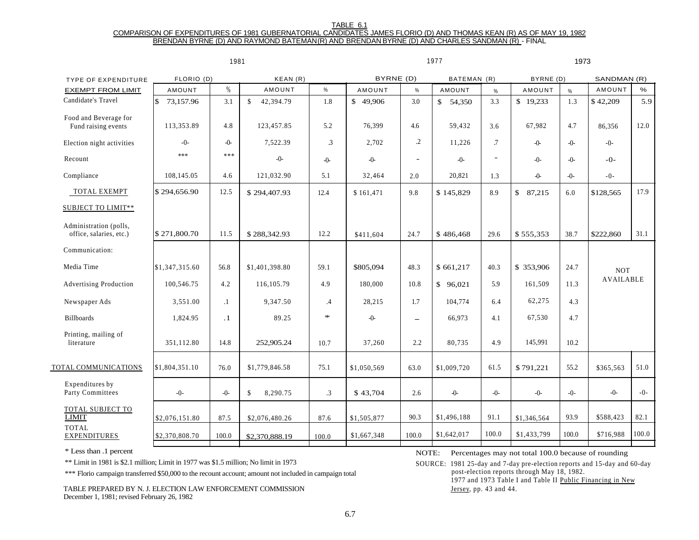#### TABLE 6.1

#### COMPARISON OF EXPENDITURES OF 1981 GUBERNATORIAL CANDIDATES JAMES FLORIO (D) AND THOMAS KEAN (R) AS OF MAY 19, 1982 BRENDAN BYRNE (D) AND RAYMOND BATEMAN (R) AND BRENDAN BYRNE (D) AND CHARLES SANDMAN (R) - FINAL

|                                                   |                 | 1981      |                           |                |             |                          | 1977          | 1973    |                 |         |                  |       |
|---------------------------------------------------|-----------------|-----------|---------------------------|----------------|-------------|--------------------------|---------------|---------|-----------------|---------|------------------|-------|
| <b>TYPE OF EXPENDITURE</b>                        | FLORIO (D)      |           | KEAN(R)                   |                | BYRNE (D)   |                          | BATEMAN (R)   |         | BYRNE (D)       |         | SANDMAN (R)      |       |
| <b>EXEMPT FROM LIMIT</b>                          | <b>AMOUNT</b>   | $\%$      | AMOUNT                    | %              | AMOUNT      | $\%$                     | <b>AMOUNT</b> | $\%$    | AMOUNT          | $\%$    | AMOUNT           | $\%$  |
| Candidate's Travel                                | \$<br>73,157.96 | 3.1       | $\mathbb{S}$<br>42,394.79 | 1.8            | \$49,906    | 3.0                      | \$54,350      | 3.3     | \$19,233        | 1.3     | \$42,209         | 5.9   |
| Food and Beverage for<br>Fund raising events      | 113,353.89      | 4.8       | 123,457.85                | 5.2            | 76,399      | 4.6                      | 59,432        | 3.6     | 67,982          | 4.7     | 86,356           | 12.0  |
| Election night activities                         | $-0-$           | $-0-$     | 7,522.39                  | $\mathfrak{Z}$ | 2,702       | $\cdot$                  | 11,226        | .7      | $-()$           | $-()$ - | $-0-$            |       |
| Recount                                           | ***             | ***       | $-0-$                     | $-0-$          | $-()$       | $\overline{\phantom{a}}$ | $-()$ -       | $\sim$  | $-0-$           | $-()$ - | $-0-$            |       |
| Compliance                                        | 108,145.05      | 4.6       | 121,032.90                | 5.1            | 32,464      | 2.0                      | 20,821        | 1.3     | $\ddot{\theta}$ | $-()$ - | $-0-$            |       |
| TOTAL EXEMPT                                      | \$294,656.90    | 12.5      | \$294,407.93              | 12.4           | \$161.471   | 9.8                      | \$145,829     | 8.9     | \$87,215        | 6.0     | \$128,565        | 17.9  |
| SUBJECT TO LIMIT**                                |                 |           |                           |                |             |                          |               |         |                 |         |                  |       |
| Administration (polls,<br>office, salaries, etc.) | \$271,800.70    | 11.5      | \$288,342.93              | 12.2           | \$411,604   | 24.7                     | \$486,468     | 29.6    | \$555,353       | 38.7    | \$222,860        | 31.1  |
| Communication:                                    |                 |           |                           |                |             |                          |               |         |                 |         |                  |       |
| Media Time                                        | \$1,347,315.60  | 56.8      | \$1,401,398.80            | 59.1           | \$805,094   | 48.3                     | \$661,217     | 40.3    | \$353,906       | 24.7    | <b>NOT</b>       |       |
| <b>Advertising Production</b>                     | 100,546.75      | 4.2       | 116, 105. 79              | 4.9            | 180,000     | 10.8                     | \$96.021      | 5.9     | 161,509         | 11.3    | <b>AVAILABLE</b> |       |
| Newspaper Ads                                     | 3,551.00        | $\cdot$ 1 | 9,347.50                  | .4             | 28,215      | 1.7                      | 104,774       | 6.4     | 62,275          | 4.3     |                  |       |
| <b>Billboards</b>                                 | 1,824.95        | $\cdot$ 1 | 89.25                     | $\ast$         | $-()$       | $\overline{\phantom{m}}$ | 66,973        | 4.1     | 67,530          | 4.7     |                  |       |
| Printing, mailing of<br>literature                | 351.112.80      | 14.8      | 252,905.24                | 10.7           | 37,260      | 2.2                      | 80,735        | 4.9     | 145,991         | 10.2    |                  |       |
| TOTAL COMMUNICATIONS                              | \$1,804,351.10  | 76.0      | \$1,779,846.58            | 75.1           | \$1,050,569 | 63.0                     | \$1,009,720   | 61.5    | \$791,221       | 55.2    | \$365,563        | 51.0  |
| Expenditures by<br>Party Committees               | $-()$ -         | $-0-$     | \$.<br>8,290.75           | $\cdot$ 3      | \$43,704    | 2.6                      | $-0-$         | $-()$ - | $-()$ -         | $-()$ - | $-0-$            | $-0-$ |
| TOTAL SUBJECT TO<br><b>LIMIT</b>                  | \$2,076,151.80  | 87.5      | \$2,076,480.26            | 87.6           | \$1,505,877 | 90.3                     | \$1,496,188   | 91.1    | \$1,346,564     | 93.9    | \$588,423        | 82.1  |
| <b>TOTAL</b><br><b>EXPENDITURES</b>               | \$2,370,808.70  | 100.0     | \$2,370,888.19            | 100.0          | \$1,667,348 | 100.0                    | \$1,642,017   | 100.0   | \$1,433,799     | 100.0   | \$716,988        | 100.0 |
|                                                   |                 |           |                           |                |             |                          |               |         |                 |         |                  |       |

\*\*\* Florio campaign transferred \$50,000 to the recount account; amount not included in campaign total

TABLE PREPARED BY N. J. ELECTION LAW ENFORCEMENT COMMISSION December 1, 1981; revised February 26, 1982

\* Less than .1 percent NOTE: Percentages may not total 100.0 because of rounding

\*\* Limit in 1981 is \$2.1 million; Limit in 1977 was \$1.5 million; No limit in 1973 SOURCE: 1981 25-day and 7-day pre-election reports and 15-day and 60-day post-election reports through May 18, 1982. 1977 and 1973 Table I and Table II Public Financing in New Jersey, pp. 43 and 44.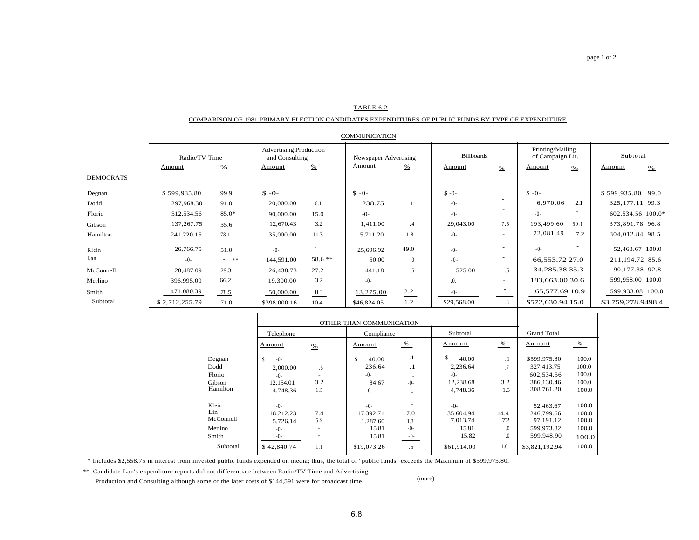#### TABLE 6.2

#### COMPARISON OF 1981 PRIMARY ELECTION CANDIDATES EXPENDITURES OF PUBLIC FUNDS BY TYPE OF EXPENDITURE

|           |                |        |                                                 |               | <b>COMMUNICATION</b> |                       |             |                          |                   |                                      |                    |               |
|-----------|----------------|--------|-------------------------------------------------|---------------|----------------------|-----------------------|-------------|--------------------------|-------------------|--------------------------------------|--------------------|---------------|
|           | Radio/TV Time  |        | <b>Advertising Production</b><br>and Consulting |               |                      | Newspaper Advertising |             | <b>Billboards</b>        |                   | Printing/Mailing<br>of Campaign Lit. | Subtotal           |               |
|           | Amount         | $\%$   | Amount                                          | $\frac{0}{2}$ | Amount               | %                     | Amount      | $\%$                     | Amount            | $\frac{9}{6}$                        | Amount             | $\frac{9}{6}$ |
| DEMOCRATS |                |        |                                                 |               |                      |                       |             |                          |                   |                                      |                    |               |
| Degnan    | \$599,935.80   | 99.9   | $S - O -$                                       |               | $S - 0 -$            |                       | $S - 0$     | $\overline{\phantom{a}}$ | $S - 0 -$         |                                      | \$599,935.80 99.0  |               |
| Dodd      | 297,968.30     | 91.0   | 20,000.00                                       | 6.1           | 238.75               | $\cdot$               | $-0-$       | $\overline{\phantom{a}}$ | 6,970.06          | 2.1                                  | 325, 177. 11 99. 3 |               |
| Florio    | 512,534.56     | 85.0*  | 90,000.00                                       | 15.0          | $-0-$                |                       | $-0-$       | $\blacksquare$           | $-()$ -           |                                      | 602,534.56 100.0*  |               |
| Gibson    | 137, 267. 75   | 35.6   | 12,670.43                                       | 3.2           | 1,411.00             | .4                    | 29,043.00   | 7.5                      | 193,499.60        | 50.1                                 | 373,891.78 96.8    |               |
| Hamilton  | 241,220.15     | 78.1   | 35,000.00                                       | 11.3          | 5,711.20             | 1.8                   | $-()$ -     | $\blacksquare$           | 22,081.49         | 7.2                                  | 304,012.84 98.5    |               |
| Klein     | 26,766.75      | 51.0   | $-0-$                                           |               | 25,696.92            | 49.0                  | $-0-$       | $\blacksquare$           | $-() -$           |                                      | 52,463.67 100.0    |               |
| Lan       | $-() -$        | $-$ ** | 144,591.00                                      | 58.6 **       | 50.00                | $\cdot$               | $-0-$       | $\blacksquare$           | 66,553.72 27.0    |                                      | 211,194.72 85.6    |               |
| McConnell | 28,487.09      | 29.3   | 26,438.73                                       | 27.2          | 441.18               | .5                    | 525.00      | .5                       | 34, 285. 38 35. 3 |                                      | 90,177.38 92.8     |               |
| Merlino   | 396,995.00     | 66.2   | 19,300.00                                       | 32            | $-0-$                |                       | .0.         | $\blacksquare$           | 183,663.00 30.6   |                                      | 599,958.00 100.0   |               |
| Smith     | 471,080.39     | 78.5   | 50,000.00                                       | 8.3           | 13,275.00            | 2.2                   | $-()$ -     |                          | 65,577.69 10.9    |                                      | 599,933.08 100.0   |               |
| Subtotal  | \$2,712,255.79 | 71.0   | \$398,000.16                                    | 10.4          | \$46,824.05          | 1.2                   | \$29,568.00 | $.8\,$                   | \$572,630.94 15.0 |                                      | \$3,759,278.9498.4 |               |
|           |                |        |                                                 |               |                      |                       |             |                          |                   |                                      |                    |               |

|           |               | OTHER THAN COMMUNICATION |             |           |              |            |                |       |  |  |  |  |
|-----------|---------------|--------------------------|-------------|-----------|--------------|------------|----------------|-------|--|--|--|--|
|           | Telephone     | <b>Grand Total</b>       |             |           |              |            |                |       |  |  |  |  |
|           | Amount        | $\frac{9}{6}$            | Amount      | %         | Amount       | $\%$       | Amount         | %     |  |  |  |  |
| Degnan    | \$<br>$-()$ - |                          | \$<br>40.00 | .1        | \$.<br>40.00 | $\cdot$ 1  | \$599,975.80   | 100.0 |  |  |  |  |
| Dodd      | 2,000.00      | .6                       | 236.64      | $\cdot$ 1 | 2,236.64     | .7         | 327,413.75     | 100.0 |  |  |  |  |
| Florio    | $-()$ -       |                          | $-()$ -     |           | $-()$ -      |            | 602,534.56     | 100.0 |  |  |  |  |
| Gibson    | 12,154.01     | 32                       | 84.67       | $-()$ -   | 12,238.68    | 32         | 386.130.46     | 100.0 |  |  |  |  |
| Hamilton  | 4,748.36      | 1.5                      | $-()$ -     |           | 4.748.36     | $1.5\,$    | 308,761.20     | 100.0 |  |  |  |  |
| Klein     | $-()$ -       |                          | $-()$ -     |           | $-0-$        |            | 52,463.67      | 100.0 |  |  |  |  |
| Lin       | 18,212.23     | 7.4                      | 17.392.71   | 7.0       | 35,604.94    | 14.4       | 246,799.66     | 100.0 |  |  |  |  |
| McConnell | 5,726.14      | 5.9                      | 1.287.60    | 1.3       | 7,013.74     | 72         | 97,191.12      | 100.0 |  |  |  |  |
| Merlino   | $-()$ -       | $\overline{\phantom{a}}$ | 15.81       | $-()$ -   | 15.81        | $\Omega$ . | 599,973.82     | 100.0 |  |  |  |  |
| Smith     | $-0-$         |                          | 15.81       | -0-       | 15.82        | .0         | 599,948.90     | 100.0 |  |  |  |  |
| Subtotal  | \$42,840.74   | 1.1                      | \$19,073.26 | .5        | \$61,914.00  | 1.6        | \$3,821,192.94 | 100.0 |  |  |  |  |

\* Includes \$2,558.75 in interest from invested public funds expended on media; thus, the total of ''public funds'' exceeds the Maximum of \$599,975.80.

\*\* Candidate Lan's expenditure reports did not differentiate between Radio/TV Time and Advertising

Production and Consulting although some of the later costs of \$144,591 were for broadcast time. (more)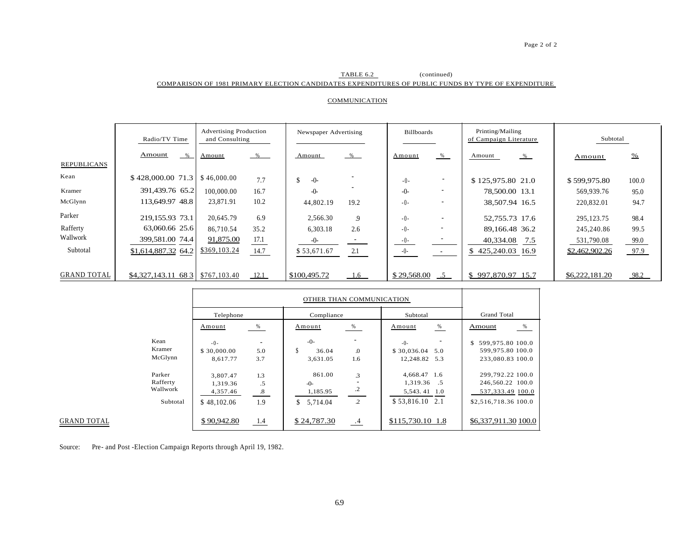#### Page 2 of 2

#### TABLE 6.2 (continued) COMPARISON OF 1981 PRIMARY ELECTION CANDIDATES EXPENDITURES OF PUBLIC FUNDS BY TYPE OF EXPENDITURE

#### **COMMUNICATION**

|                    | Radio/TV Time       | <b>Advertising Production</b><br>and Consulting |              | Newspaper Advertising |             | <b>Billboards</b>        |                        | Printing/Mailing<br>of Campaign Literature | Subtotal       |               |  |
|--------------------|---------------------|-------------------------------------------------|--------------|-----------------------|-------------|--------------------------|------------------------|--------------------------------------------|----------------|---------------|--|
| <b>REPUBLICANS</b> | Amount<br>$\%$      | $\%$<br>Amount                                  | Amount       | $-\frac{9}{6}$        | Amount      | %                        | Amount                 | %                                          | Amount         | $\frac{9}{6}$ |  |
| Kean               | \$428,000.0071.3    | \$46,000,00<br>7.7                              | $-0-$        |                       | $-() -$     |                          | \$125,975.80 21.0      |                                            | \$599,975.80   | 100.0         |  |
| Kramer             | 391,439.76 65.2     | 100,000.00<br>16.7                              | $-0$         |                       | $-()$ -     | $\overline{\phantom{a}}$ | 78,500.00 13.1         |                                            | 569,939.76     | 95.0          |  |
| McGlynn            | 113,649.97 48.8     | 10.2<br>23,871.91                               | 44,802.19    | 19.2                  | $-0-$       |                          | 38,507.94 16.5         |                                            | 220,832.01     | 94.7          |  |
| Parker             | 219,155.93 73.1     | 20,645.79<br>6.9                                | 2.566.30     | 9                     | $-() -$     |                          | 52,755.73 17.6         |                                            | 295, 123. 75   | 98.4          |  |
| Rafferty           | 63,060.66 25.6      | 35.2<br>86,710.54                               | 6,303.18     | 2.6                   | $-() -$     | $\overline{\phantom{a}}$ | 89,166.48 36.2         |                                            | 245,240.86     | 99.5          |  |
| Wallwork           | 399,581.00 74.4     | 91,875.00<br>17.1                               | $-()$ -      |                       | $-0-$       |                          | 40,334.08              | 7.5                                        | 531,790.08     | 99.0          |  |
| Subtotal           | \$1,614,887.32 64.2 | \$369,103.24<br>14.7                            | \$53,671.67  | 2.1                   | $-0-$       | $\sim$                   | 425,240.03 16.9<br>\$. |                                            | \$2,462,902.26 | 97.9          |  |
|                    |                     |                                                 |              |                       |             |                          |                        |                                            |                |               |  |
| <b>GRAND TOTAL</b> | \$4,327,143.11 68 3 | \$767,103.40<br>12.1                            | \$100,495.72 | 1.6                   | \$29,568.00 | $-5$                     | \$997,870.97 15.7      |                                            | \$6,222,181.20 | 98.2          |  |

|          | Telephone   |      | Compliance     |                | Subtotal           | <b>Grand Total</b>      |
|----------|-------------|------|----------------|----------------|--------------------|-------------------------|
|          | Amount      | %    | Amount         | $\%$           | %<br>Amount        | $\%$<br>Amount          |
| Kean     | $-0-$       |      | $-0-$          |                | $-()$ -            | 599,975.80 100.0<br>\$. |
| Kramer   | \$30,000.00 | 5.0  | S<br>36.04     | $\Omega$       | \$30,036.04<br>5.0 | 599,975.80 100.0        |
| McGlynn  | 8.617.77    | 3.7  | 3,631.05       | 1.6            | 12,248.82 5.3      | 233,080.83 100.0        |
| Parker   | 3.807.47    | 1.3  | 861.00         | 3              | 4,668.47 1.6       | 299,792.22 100.0        |
| Rafferty | 1.319.36    | .5   | $-0-$          |                | 1,319.36 .5        | 246,560.22 100.0        |
| Wallwork | 4,357.46    | .8   | 1,185.95       | $\cdot$ .2     | 5,543.41 1.0       | 537, 333.49 100.0       |
| Subtotal | \$48,102.06 | 1.9  | \$<br>5.714.04 | $\overline{c}$ | $$53,816.10$ 2.1   | \$2,516,718.36 100.0    |
|          | \$90,942.80 | -1.4 | \$24,787.30    | .4             | \$115,730.10 1.8   | \$6,337,911.30 100.0    |

Source: Pre- and Post -Election Campaign Reports through April 19, 1982.

**GRAND TOTAL**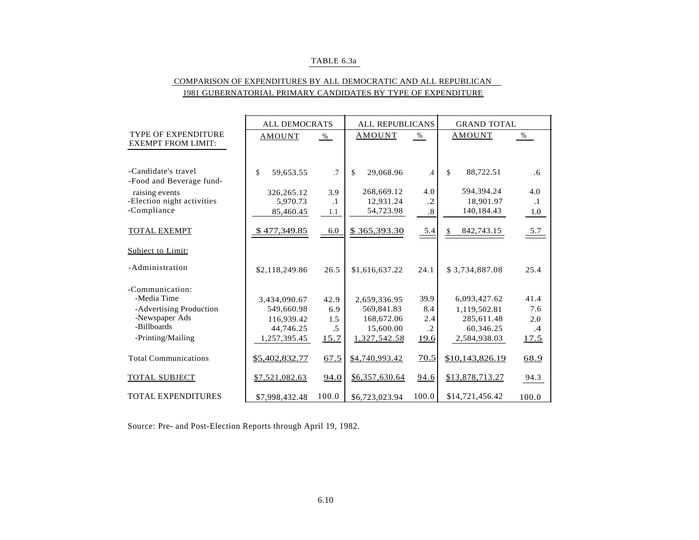#### TABLE 6.3a

### COMPARISON OF EXPENDITURES BY ALL DEMOCRATIC AND ALL REPUBLICAN 1981 GUBERNATORIAL PRIMARY CANDIDATES BY TYPE OF EXPENDITURE

|                                                         | ALL DEMOCRATS   |           | <b>ALL REPUBLICANS</b> |            | <b>GRAND TOTAL</b> |           |
|---------------------------------------------------------|-----------------|-----------|------------------------|------------|--------------------|-----------|
| <b>TYPE OF EXPENDITURE</b><br><b>EXEMPT FROM LIMIT:</b> | <b>AMOUNT</b>   | $\%$      | AMOUNT                 | %          | <b>AMOUNT</b>      | %         |
|                                                         |                 |           |                        |            |                    |           |
| -Candidate's travel<br>-Food and Beverage fund-         | \$<br>59,653.55 | .7        | \$<br>29,068.96        | .4         | 88,722.51<br>\$    | .6        |
| raising events                                          | 326, 265. 12    | 3.9       | 268,669.12             | 4.0        | 594,394.24         | 4.0       |
| -Election night activities                              | 5,970.73        | $\cdot$ 1 | 12,931.24              | $\cdot$ .2 | 18,901.97          | $\cdot$ 1 |
| -Compliance                                             | 85,460.45       | 1.1       | 54,723.98              | .8         | 140,184.43         | 1.0       |
| <b>TOTAL EXEMPT</b>                                     | \$477,349.85    | 6.0       | \$365,393.30           | 5.4        | 842,743.15<br>S    | 5.7       |
| Subject to Limit:                                       |                 |           |                        |            |                    |           |
| -Administration                                         | \$2,118,249.86  | 26.5      | \$1,616,637.22         | 24.1       | \$3,734,887.08     | 25.4      |
| -Communication:                                         |                 |           |                        |            |                    |           |
| -Media Time                                             | 3,434,090.67    | 42.9      | 2,659,336.95           | 39.9       | 6,093,427.62       | 41.4      |
| -Advertising Production                                 | 549,660.98      | 6.9       | 569,841.83             | 8.4        | 1,119,502.81       | 7.6       |
| -Newspaper Ads                                          | 116,939.42      | 1.5       | 168,672.06             | 2.4        | 285,611.48         | 2.0       |
| -Billboards                                             | 44,746.25       | .5        | 15,600.00              | $\cdot$    | 60,346.25          | $\cdot$ 4 |
| -Printing/Mailing                                       | 1,257,395.45    | 15.7      | 1,327,542.58           | 19.6       | 2,584,938.03       | 17.5      |
| <b>Total Communications</b>                             | \$5,402,832.77  | 67.5      | \$4,740,993.42         | 70.5       | \$10,143,826.19    | 68.9      |
| <b>TOTAL SUBJECT</b>                                    | \$7,521,082.63  | 94.0      | \$6,357,630.64         | 94.6       | \$13,878,713.27    | 94.3      |
| <b>TOTAL EXPENDITURES</b>                               | \$7,998,432.48  | 100.0     | \$6,723,023.94         | 100.0      | \$14,721,456.42    | 100.0     |

Source: Pre- and Post-Election Reports through April 19, 1982.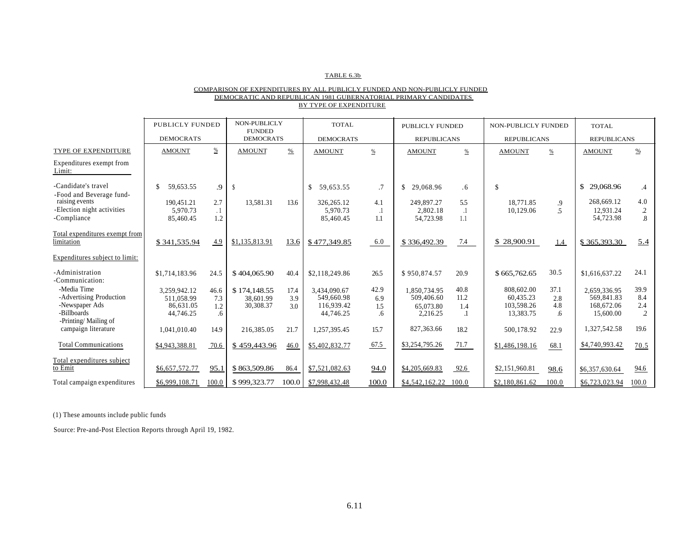#### TABLE 6.3b

#### COMPARISON OF EXPENDITURES BY ALL PUBLICLY FUNDED AND NON-PUBLICLY FUNDED DEMOCRATIC AND REPUBLICAN 1981 GUBERNATORIAL PRIMARY CANDIDATES BY TYPE OF EXPENDITURE

|                                                                         | <b>PUBLICLY FUNDED</b>                               |                          | NON-PUBLICLY<br><b>FUNDED</b>          |                    | <b>TOTAL</b>                                          |                          | PUBLICLY FUNDED                                     |                         | NON-PUBLICLY FUNDED                                |                          | TOTAL                                                 |                                         |
|-------------------------------------------------------------------------|------------------------------------------------------|--------------------------|----------------------------------------|--------------------|-------------------------------------------------------|--------------------------|-----------------------------------------------------|-------------------------|----------------------------------------------------|--------------------------|-------------------------------------------------------|-----------------------------------------|
|                                                                         | <b>DEMOCRATS</b>                                     |                          | <b>DEMOCRATS</b>                       | <b>DEMOCRATS</b>   |                                                       |                          | <b>REPUBLICANS</b>                                  |                         | <b>REPUBLICANS</b>                                 |                          | <b>REPUBLICANS</b>                                    |                                         |
| TYPE OF EXPENDITURE                                                     | <b>AMOUNT</b>                                        | $\frac{0}{0}$            | <b>AMOUNT</b>                          | $\frac{0}{0}$      | <b>AMOUNT</b>                                         | $\%$                     | <b>AMOUNT</b>                                       | $\%$                    | <b>AMOUNT</b>                                      | $\%$                     | <b>AMOUNT</b>                                         | $\frac{9}{6}$                           |
| Expenditures exempt from<br>Limit:                                      |                                                      |                          |                                        |                    |                                                       |                          |                                                     |                         |                                                    |                          |                                                       |                                         |
| -Candidate's travel<br>-Food and Beverage fund-                         | $\mathbb{S}$<br>59.653.55                            | .9                       | -S                                     |                    | \$<br>59.653.55                                       | $.7\phantom{0}$          | \$<br>29,068.96                                     | .6                      | $\mathbb{S}$                                       |                          | \$<br>29,068.96                                       | $\cdot$                                 |
| raising events<br>-Election night activities<br>-Compliance             | 190.451.21<br>5.970.73<br>85,460.45                  | 2.7<br>$\cdot$ 1<br>1.2  | 13.581.31                              | 13.6               | 326, 265. 12<br>5.970.73<br>85,460.45                 | 4.1<br>1.1               | 249,897.27<br>2.802.18<br>54,723.98                 | 5.5<br>$\cdot$ 1<br>1.1 | 18,771.85<br>10.129.06                             | .9<br>5                  | 268,669.12<br>12.931.24<br>54,723.98                  | 4.0<br>$\overline{c}$<br>$\overline{8}$ |
| Total expenditures exempt from<br>limitation                            | \$341,535.94                                         | 4.9                      | \$1,135,813.91                         | 13.6               | \$477,349.85                                          | 6.0                      | \$336,492.39                                        | 7.4                     | \$28,900.91                                        | 1.4                      | \$365,393.30                                          | 5.4                                     |
| Expenditures subject to limit:                                          |                                                      |                          |                                        |                    |                                                       |                          |                                                     |                         |                                                    |                          |                                                       |                                         |
| -Administration<br>-Communication:                                      | \$1,714,183.96                                       | 24.5                     | \$404,065.90                           | 40.4               | \$2,118,249.86                                        | 26.5                     | \$950,874.57                                        | 20.9                    | \$665,762.65                                       | 30.5                     | \$1,616,637.22                                        | 24.1                                    |
| -Media Time<br>-Advertising Production<br>-Newspaper Ads<br>-Billboards | 3.259.942.12<br>511.058.99<br>86,631.05<br>44,746.25 | 46.6<br>7.3<br>1.2<br>.6 | \$174,148.55<br>38,601.99<br>30,308.37 | 17.4<br>3.9<br>3.0 | 3.434.090.67<br>549,660.98<br>116,939.42<br>44,746.25 | 42.9<br>6.9<br>1.5<br>.6 | 1.850.734.95<br>509,406.60<br>65,073.80<br>2,216.25 | 40.8<br>11.2<br>1.4     | 808,602.00<br>60.435.23<br>103,598.26<br>13,383.75 | 37.1<br>2.8<br>4.8<br>.6 | 2.659.336.95<br>569,841.83<br>168,672.06<br>15,600.00 | 39.9<br>8.4<br>2.4<br>$\overline{2}$    |
| -Printing/Mailing of<br>campaign literature                             | 1.041.010.40                                         | 14.9                     | 216,385.05                             | 21.7               | 1,257,395.45                                          | 15.7                     | 827,363.66                                          | 18.2                    | 500,178.92                                         | 22.9                     | 1,327,542.58                                          | 19.6                                    |
| <b>Total Communications</b>                                             | \$4,943,388.81                                       | 70.6                     | \$459,443.96                           | 46.0               | \$5,402,832.77                                        | 67.5                     | \$3,254,795.26                                      | 71.7                    | \$1,486,198.16                                     | 68.1                     | \$4,740,993.42                                        | 70.5                                    |
| Total expenditures subject<br>to Emit                                   | \$6,657,572.77                                       | 95.1                     | \$863,509.86                           | 86.4               | \$7,521,082.63                                        | 94.0                     | \$4,205,669.83                                      | 92.6                    | \$2,151,960.81                                     | 98.6                     | \$6,357,630.64                                        | 94.6                                    |
| Total campaign expenditures                                             | \$6,999,108.71                                       | 100.0                    | \$999,323.77                           | 100.0              | \$7,998,432.48                                        | 100.0                    | \$4,542,162.22                                      | 100.0                   | \$2,180,861.62                                     | 100.0                    | \$6,723,023.94                                        | 100.0                                   |

(1) These amounts include public funds

Source: Pre-and-Post Election Reports through April 19, 1982.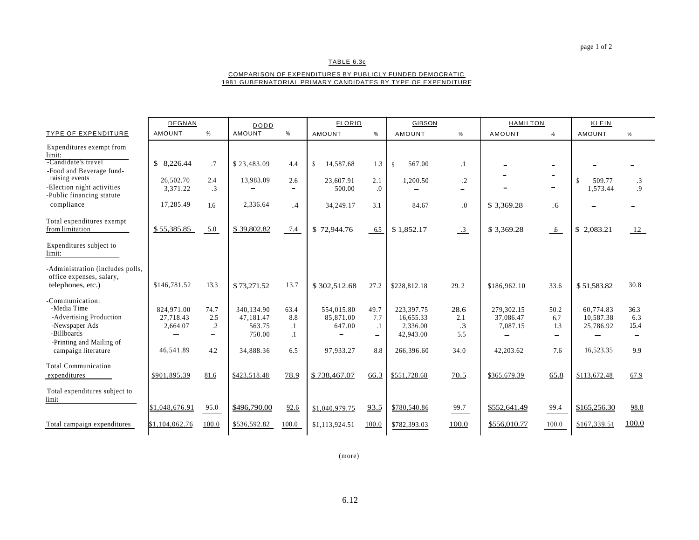#### TABLE 6.3c

#### COMPARISON OF EXPENDITURES BY PUBLICLY FUNDED DEMOCRATIC 1981 GUBERNATORIAL PRIMARY CANDIDATES BY TYPE OF EXPENDITURE

|                                                              | <b>DEGNAN</b>  |                  | DODD          |                          |                            | <b>FLORIO</b>     |               | <b>GIBSON</b> |              | <b>HAMILTON</b>              | KLEIN         |                          |
|--------------------------------------------------------------|----------------|------------------|---------------|--------------------------|----------------------------|-------------------|---------------|---------------|--------------|------------------------------|---------------|--------------------------|
| <b>TYPE OF EXPENDITURE</b>                                   | <b>AMOUNT</b>  | %                | <b>AMOUNT</b> | %                        | <b>AMOUNT</b>              | $\%$              | <b>AMOUNT</b> | %             | AMOUNT       | %                            | <b>AMOUNT</b> | %                        |
| Expenditures exempt from<br>limit:                           |                |                  |               |                          |                            |                   |               |               |              |                              |               |                          |
| -Candidate's travel<br>-Food and Beverage fund-              | \$8,226.44     | .7               | \$23,483.09   | 4.4                      | 14,587.68<br><sup>\$</sup> | 1.3               | 567.00<br>\$  | $\cdot$ 1     |              |                              |               | -                        |
| raising events                                               | 26,502.70      | 2.4              | 13,983.09     | 2.6                      | 23,607.91                  | 2.1               | 1,200.50      | $\cdot$       |              |                              | 509.77<br>S   | $\cdot$ 3                |
| -Election night activities<br>-Public financing statute      | 3,371.22       | $\cdot$ 3        |               | $\overline{\phantom{0}}$ | 500.00                     | $\overline{0}$    |               | -             |              | -                            | 1,573.44      | .9                       |
| compliance                                                   | 17,285.49      | $1.6\phantom{0}$ | 2,336.64      | $\cdot$ 4                | 34,249.17                  | 3.1               | 84.67         | 0.            | \$3,369.28   | .6                           |               | -                        |
| Total expenditures exempt<br>from limitation                 | \$55,385.85    | 5.0              | \$39,802.82   | 7.4                      | \$72,944.76                | 6.5               | \$1,852.17    | $\frac{3}{2}$ | \$3,369.28   | $\mathfrak{g}$               | \$2,083.21    | 1.2                      |
| Expenditures subject to<br>limit:                            |                |                  |               |                          |                            |                   |               |               |              |                              |               |                          |
| -Administration (includes polls,<br>office expenses, salary, |                |                  |               |                          |                            |                   |               |               |              |                              |               |                          |
| telephones, etc.)                                            | \$146,781.52   | 13.3             | \$73,271.52   | 13.7                     | \$302,512.68               | 27.2              | \$228,812.18  | 29.2          | \$186,962.10 | 33.6                         | \$51,583.82   | 30.8                     |
| -Communication:                                              |                |                  |               |                          |                            |                   |               |               |              |                              |               |                          |
| -Media Time                                                  | 824,971.00     | 74.7             | 340,134.90    | 63.4                     | 554,015.80                 | 49.7              | 223.397.75    | 28.6          | 279.302.15   | 50.2                         | 60.774.83     | 36.3                     |
| -Advertising Production                                      | 27.718.43      | 2.5              | 47.181.47     | 8.8                      | 85,871.00                  | 7.7               | 16.655.33     | 2.1           | 37,086.47    | 6.7                          | 10,587.38     | 6.3                      |
| -Newspaper Ads                                               | 2,664.07       | $\overline{c}$   | 563.75        | $\cdot$                  | 647.00                     | $\cdot$ 1         | 2.336.00      | $\cdot$ 3     | 7,087.15     | 1.3                          | 25,786.92     | 15.4                     |
| -Billboards<br>-Printing and Mailing of                      |                | -                | 750.00        | $\cdot$                  |                            | $\qquad \qquad -$ | 42,943.00     | 5.5           | -            | $\qquad \qquad \blacksquare$ |               | $\overline{\phantom{a}}$ |
| campaign literature                                          | 46,541.89      | 4.2              | 34,888.36     | 6.5                      | 97.933.27                  | 8.8               | 266,396.60    | 34.0          | 42,203.62    | 7.6                          | 16,523.35     | 9.9                      |
| <b>Total Communication</b>                                   |                |                  |               |                          |                            |                   |               |               |              |                              |               |                          |
| expenditures                                                 | \$901,895.39   | 81.6             | \$423,518.48  | 78.9                     | \$738,467.07               | 66.3              | \$551,728.68  | 70.5          | \$365,679.39 | 65.8                         | \$113,672.48  | 67.9                     |
| Total expenditures subject to<br>limit                       |                |                  |               |                          |                            |                   |               |               |              |                              |               |                          |
|                                                              | \$1,048,676.91 | 95.0             | \$496,790.00  | 92.6                     | \$1,040,979.75             | 93.5              | \$780,540.86  | 99.7          | \$552,641.49 | 99.4                         | \$165,256.30  | 98.8                     |
| Total campaign expenditures                                  | \$1,104,062.76 | 100.0            | \$536,592.82  | 100.0                    | \$1,113,924.51             | 100.0             | \$782,393.03  | 100.0         | \$556,010.77 | 100.0                        | \$167,339.51  | 100.0                    |

(more)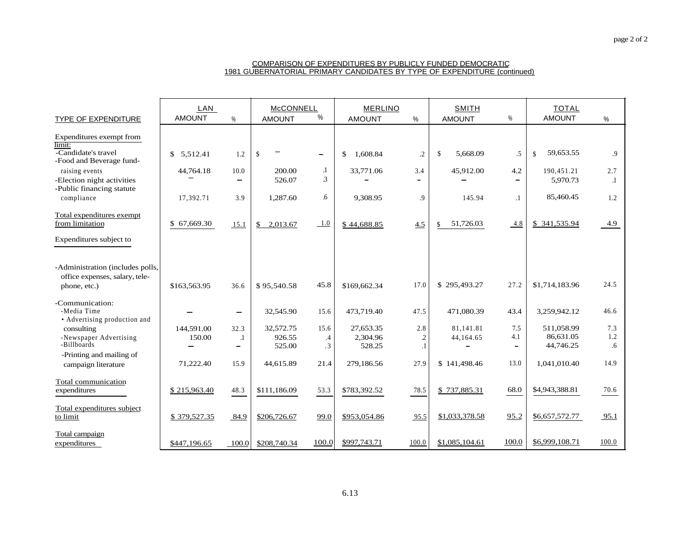#### COMPARISON OF EXPENDITURES BY PUBLICLY FUNDED DEMOCRATIC 1981 GUBERNATORIAL PRIMARY CANDIDATES BY TYPE OF EXPENDITURE (continued)

| TYPE OF EXPENDITURE                             | LAN<br><b>AMOUNT</b> | $\frac{0}{0}$            | <b>McCONNELL</b><br><b>AMOUNT</b> | $\%$      | <b>MERLINO</b><br><b>AMOUNT</b> | $\%$           | <b>SMITH</b><br><b>AMOUNT</b> | %                            | <b>TOTAL</b><br><b>AMOUNT</b> | %       |
|-------------------------------------------------|----------------------|--------------------------|-----------------------------------|-----------|---------------------------------|----------------|-------------------------------|------------------------------|-------------------------------|---------|
|                                                 |                      |                          |                                   |           |                                 |                |                               |                              |                               |         |
| Expenditures exempt from                        |                      |                          |                                   |           |                                 |                |                               |                              |                               |         |
| limit:                                          |                      |                          |                                   |           |                                 |                |                               |                              |                               |         |
| -Candidate's travel<br>-Food and Beverage fund- | 5,512.41<br>\$       | 1.2                      | $\mathbb S$                       | -         | 1,608.84<br>\$                  | $\cdot$        | $\mathbb{S}$<br>5.668.09      | .5                           | 59,653.55<br>$\mathbb{S}$     | .9      |
| raising events                                  | 44,764.18            | 10.0                     | 200.00                            | .1        | 33,771.06                       | 3.4            | 45,912.00                     | 4.2                          | 190,451.21                    | 2.7     |
| -Election night activities                      |                      | $\blacksquare$           | 526.07                            | 3         |                                 |                |                               | $\qquad \qquad$              | 5,970.73                      | $\cdot$ |
| -Public financing statute                       |                      |                          |                                   |           |                                 |                |                               |                              |                               |         |
| compliance                                      | 17,392.71            | 3.9                      | 1.287.60                          | .6        | 9,308.95                        | .9             | 145.94                        | $\cdot$ 1                    | 85,460.45                     | 1.2     |
| Total expenditures exempt                       |                      |                          |                                   |           |                                 |                |                               |                              |                               |         |
| from limitation                                 | \$67,669.30          | 15.1                     | 2,013.67<br>$\mathbb{S}$          | 1.0       | \$44,688.85                     | 4.5            | 51,726.03                     | 4.8                          | \$341,535.94                  | 4.9     |
| Expenditures subject to                         |                      |                          |                                   |           |                                 |                |                               |                              |                               |         |
| -Administration (includes polls,                |                      |                          |                                   |           |                                 |                |                               |                              |                               |         |
| office expenses, salary, tele-                  |                      |                          |                                   |           |                                 |                |                               |                              |                               |         |
| phone, etc.)                                    | \$163,563.95         | 36.6                     | \$95,540.58                       | 45.8      | \$169,662.34                    | 17.0           | \$295,493.27                  | 27.2                         | \$1,714,183.96                | 24.5    |
| -Communication:                                 |                      |                          |                                   |           |                                 |                |                               |                              |                               |         |
| -Media Time                                     |                      | $\overline{\phantom{0}}$ | 32,545.90                         | 15.6      | 473.719.40                      | 47.5           | 471,080.39                    | 43.4                         | 3,259,942.12                  | 46.6    |
| • Advertising production and                    |                      |                          |                                   |           |                                 |                |                               |                              |                               |         |
| consulting                                      | 144,591.00           | 32.3                     | 32,572.75                         | 15.6      | 27,653.35                       | 2.8            | 81.141.81                     | 7.5                          | 511,058.99                    | 7.3     |
| -Newspaper Advertising                          | 150.00               | $\cdot$                  | 926.55                            | $\cdot$ 4 | 2,304.96                        | $\overline{c}$ | 44,164.65                     | 4.1                          | 86,631.05                     | 1.2     |
| -Billboards                                     |                      | $\overline{\phantom{a}}$ | 525.00                            | $\cdot$ 3 | 528.25                          | $\cdot$        |                               | $\qquad \qquad \blacksquare$ | 44,746.25                     | .6      |
| -Printing and mailing of                        |                      |                          |                                   |           |                                 |                |                               |                              |                               |         |
| campaign literature                             | 71,222.40            | 15.9                     | 44,615.89                         | 21.4      | 279,186.56                      | 27.9           | \$141,498.46                  | 13.0                         | 1,041,010.40                  | 14.9    |
| Total communication                             |                      |                          |                                   |           |                                 |                |                               |                              |                               |         |
| expenditures                                    | \$215,963.40         | 48.3                     | \$111,186.09                      | 53.3      | \$783,392.52                    | 78.5           | \$737,885.31                  | 68.0                         | \$4,943,388.81                | 70.6    |
| Total expenditures subject                      |                      |                          |                                   |           |                                 |                |                               |                              |                               |         |
| to limit                                        | \$379,527.35         | 84.9                     | \$206,726.67                      | 99.0      | \$953,054.86                    | 95.5           | \$1,033,378.58                | 95.2                         | \$6,657,572.77                | 95.1    |
| Total campaign                                  |                      |                          |                                   |           |                                 |                |                               |                              |                               |         |
| expenditures                                    | \$447,196.65         | 100.0                    | \$208,740.34                      | 100.0     | \$997,743.71                    | 100.0          | \$1,085,104.61                | 100.0                        | \$6,999,108.71                | 100.0   |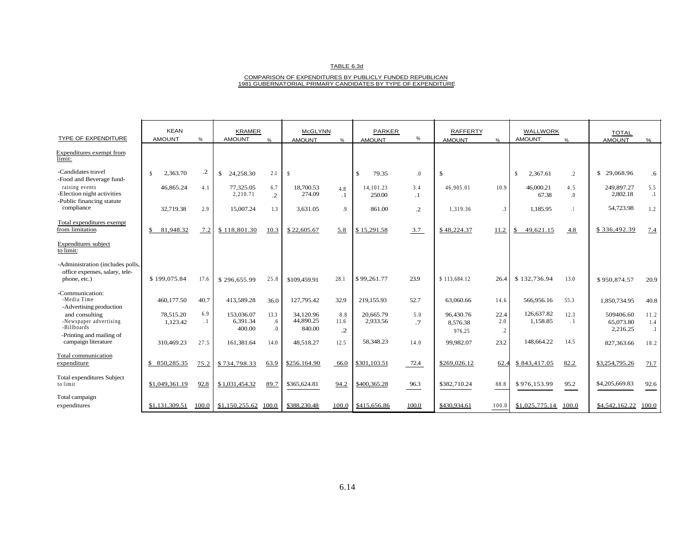#### TABLE 6.3d

# COMPARISON OF EXPENDITURES BY PUBLICLY FUNDED REPUBLICAN 1981 GUBERNATORIAL PRIMARY CANDIDATES BY TYPE OF EXPENDITURE

| TYPE OF EXPENDITURE                                                                | <b>KEAN</b><br><b>AMOUNT</b> | $\%$             | <b>KRAMER</b><br><b>AMOUNT</b>   | $\frac{0}{6}$                      | <b>McGLYNN</b><br><b>AMOUNT</b>  | $\%$                      | <b>PARKER</b><br><b>AMOUNT</b> | %                | <b>RAFFERTY</b><br><b>AMOUNT</b> | $O_{\Lambda}$                  | <b>WALLWORK</b><br><b>AMOUNT</b> | $\frac{0}{6}$           | <b>TOTAL</b><br><b>AMOUNT</b>      | %                        |
|------------------------------------------------------------------------------------|------------------------------|------------------|----------------------------------|------------------------------------|----------------------------------|---------------------------|--------------------------------|------------------|----------------------------------|--------------------------------|----------------------------------|-------------------------|------------------------------------|--------------------------|
| Expenditures exempt from<br>limit:                                                 |                              |                  |                                  |                                    |                                  |                           |                                |                  |                                  |                                |                                  |                         |                                    |                          |
| -Candidates travel<br>-Food and Beverage fund-                                     | 2,363.70<br>$\mathbf{s}$     | $\cdot$ .2       | $\mathbb{S}$<br>24,258.30        | 2.1                                | $\mathbf{\hat{s}}$               |                           | $\mathbb{S}$<br>79.35          | $\Omega$         | $\$$                             |                                | 2,367.61<br>-S                   | $\cdot$                 | \$29,068.96                        | .6                       |
| raising events<br>-Election night activities<br>-Public financing statute          | 46,865.24                    | 4.1              | 77,325.05<br>2.210.71            | 6.7<br>$\overline{.2}$             | 18,700.53<br>274.09              | 4.8<br>$\cdot$ 1          | 14.101.23<br>250.00            | 3.4<br>$\cdot$ 1 | 46,905.01                        | 10.9                           | 46,000.21<br>67.38               | 4.5<br>$\overline{0}$ . | 249,897.27<br>2,802.18             | 5.5<br>$\cdot$ 1         |
| compliance                                                                         | 32,719.38                    | 2.9              | 15,007.24                        | 1.3                                | 3.631.05                         | $\overline{9}$            | 861.00                         | $\cdot$ 2        | 1.319.36                         | 3                              | 1.185.95                         |                         | 54,723.98                          | 1.2                      |
| Total expenditures exempt<br>from limitation                                       | 81,948.32<br>\$              | 7.2              | \$118,801.30                     | 10.3                               | \$22,605.67                      | 5.8                       | \$15,291.58                    | 3.7              | \$48,224.37                      | 11.2                           | 49,621.15<br>\$                  | 4.8                     | \$336,492.39                       | 7.4                      |
| Expenditures subject<br>to limit:                                                  |                              |                  |                                  |                                    |                                  |                           |                                |                  |                                  |                                |                                  |                         |                                    |                          |
| -Administration (includes polls,<br>office expenses, salary, tele-<br>phone, etc.) | \$199,075.84                 | 17.6             | \$296,655.99                     | 25.8                               | \$109,459.91                     | 28.1                      | \$99,261.77                    | 23.9             | \$113.684.12                     | 26.4                           | \$132,736.94                     | 13.0                    | \$950,874.57                       | 20.9                     |
| -Communication:<br>-Media Time<br>-Advertising production                          | 460,177.50                   | 40.7             | 413,589.28                       | 36.0                               | 127,795.42                       | 32.9                      | 219,155.93                     | 52.7             | 63,060.66                        | 14.6                           | 566,956.16                       | 55.3                    | 1,850,734.95                       | 40.8                     |
| and consulting<br>-Newspaper advertising<br>-Billboards                            | 78,515.20<br>1,123.42        | 6.9<br>$\cdot$ 1 | 153,036.07<br>6,391.34<br>400.00 | 13.3<br>.6<br>$\cdot$ <sup>0</sup> | 34,120.96<br>44,890.25<br>840.00 | 8.8<br>11.6<br>$\cdot$ .2 | 20,665.79<br>2,933.56          | 5.0<br>$\cdot$ 7 | 96,430.76<br>8,576.38<br>976.25  | 22.4<br>2.0<br>$.2\phantom{0}$ | 126,637.82<br>1,158.85           | 12.3<br>. 1             | 509406.60<br>65,073.80<br>2,216.25 | 11.2<br>1.4<br>$\cdot$ 1 |
| -Printing and mailing of<br>campaign literature                                    | 310,469.23                   | 27.5             | 161.381.64                       | 14.0                               | 48.518.27                        | 12.5                      | 58,348.23                      | 14.0             | 99,982.07                        | 23.2                           | 148,664.22                       | 14.5                    | 827,363.66                         | 18.2                     |
| Total communication<br>expenditure                                                 | 850,285.35<br>\$.            | 75.2             | \$734,798.33                     | 63.9                               | \$256.164.90                     | 66.0                      | \$301,103.51                   | 72.4             | \$269,026.12                     | 62.4                           | \$843,417.05                     | 82.2                    | \$3,254,795.26                     | 71.7                     |
| <b>Total expenditures Subject</b><br>to limit                                      | \$1,049,361.19               | 92.8             | \$1,031,454.32                   | 89.7                               | \$365,624.81                     | 94.2                      | \$400,365.28                   | 96.3             | \$382,710.24                     | 88.8                           | \$976,153.99                     | 95.2                    | \$4,205,669.83                     | 92.6                     |
| Total campaign<br>expenditures                                                     | \$1,131,309.51               | 100.0            | \$1,150,255.62                   | 100.0                              | \$388,230.48                     | 100.0                     | \$415,656.86                   | 100.0            | \$430,934.61                     | 100.0                          | \$1,025,775.14                   | 100.0                   | \$4,542,162.22                     | 100.0                    |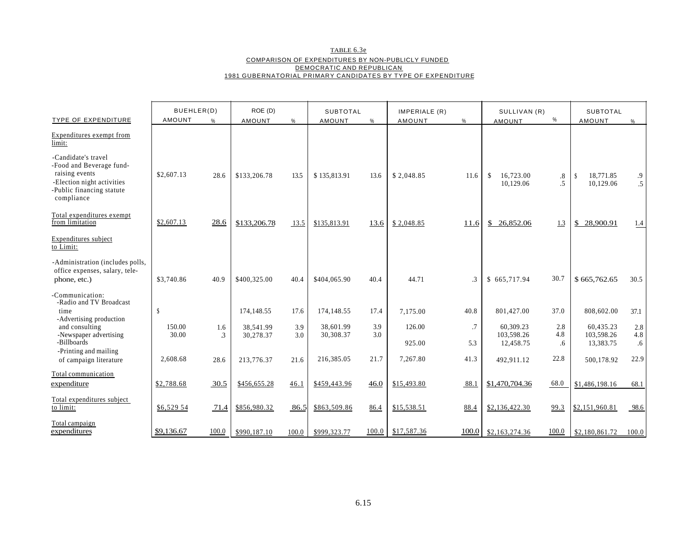TABLE 6.3e COMPARISON OF EXPENDITURES BY NON-PUBLICLY FUNDED DEMOCRATIC AND REPUBLICAN 1981 GUBERNATORIAL PRIMARY CANDIDATES BY TYPE OF EXPENDITURE

| <b>TYPE OF EXPENDITURE</b>                                                                                                                | BUEHLER(D)<br><b>AMOUNT</b> | %                     | ROE (D)<br>AMOUNT      | $\%$       | <b>SUBTOTAL</b><br><b>AMOUNT</b> | $\%$       | IMPERIALE (R)<br>AMOUNT | %             | SULLIVAN (R)<br><b>AMOUNT</b>           | %                | <b>SUBTOTAL</b><br>AMOUNT               | $\frac{0}{0}$    |
|-------------------------------------------------------------------------------------------------------------------------------------------|-----------------------------|-----------------------|------------------------|------------|----------------------------------|------------|-------------------------|---------------|-----------------------------------------|------------------|-----------------------------------------|------------------|
| <b>Expenditures</b> exempt from<br>limit:                                                                                                 |                             |                       |                        |            |                                  |            |                         |               |                                         |                  |                                         |                  |
| -Candidate's travel<br>-Food and Beverage fund-<br>raising events<br>-Election night activities<br>Public financing statute<br>compliance | \$2,607.13                  | 28.6                  | \$133,206.78           | 13.5       | \$135,813.91                     | 13.6       | \$2,048.85              | 11.6          | 16.723.00<br><sup>\$</sup><br>10,129.06 | .8<br>.5         | 18.771.85<br><sup>\$</sup><br>10,129.06 | $\cdot$<br>.5    |
| Total expenditures exempt<br>from limitation                                                                                              | \$2,607.13                  | 28.6                  | \$133,206.78           | 13.5       | \$135,813.91                     | 13.6       | \$2,048.85              | 11.6          | \$<br>26,852.06                         | 1.3              | 28,900.91<br>\$                         | 1.4              |
| Expenditures subject<br>to Limit:                                                                                                         |                             |                       |                        |            |                                  |            |                         |               |                                         |                  |                                         |                  |
| -Administration (includes polls,<br>office expenses, salary, tele-<br>phone, etc.)                                                        | \$3,740.86                  | 40.9                  | \$400,325.00           | 40.4       | \$404,065.90                     | 40.4       | 44.71                   | $\mathcal{A}$ | \$665,717.94                            | 30.7             | \$665,762.65                            | 30.5             |
| Communication:<br>-Radio and TV Broadcast<br>time<br>-Advertising production                                                              | $\mathbf{\hat{s}}$          |                       | 174, 148.55            | 17.6       | 174,148.55                       | 17.4       | 7.175.00                | 40.8          | 801,427.00                              | 37.0             | 808,602.00                              | 37.1             |
| and consulting<br>-Newspaper advertising<br>-Billboards                                                                                   | 150.00<br>30.00             | 1.6<br>$\mathfrak{Z}$ | 38.541.99<br>30,278.37 | 3.9<br>3.0 | 38,601.99<br>30,308.37           | 3.9<br>3.0 | 126.00<br>925.00        | .7<br>5.3     | 60.309.23<br>103.598.26<br>12,458.75    | 2.8<br>4.8<br>.6 | 60.435.23<br>103.598.26<br>13,383.75    | 2.8<br>4.8<br>.6 |
| -Printing and mailing<br>of campaign literature                                                                                           | 2,608.68                    | 28.6                  | 213,776.37             | 21.6       | 216,385.05                       | 21.7       | 7,267.80                | 41.3          | 492.911.12                              | 22.8             | 500,178.92                              | 22.9             |
| Total communication<br>expenditure                                                                                                        | \$2,788.68                  | 30.5                  | \$456,655.28           | 46.1       | \$459,443.96                     | 46.0       | \$15,493.80             | 88.1          | \$1,470,704.36                          | 68.0             | \$1,486,198.16                          | 68.1             |
| Total expenditures subject<br>to limit:                                                                                                   | \$6,529.54                  | 71.4                  | \$856,980.32           | 86.5       | \$863,509.86                     | 86.4       | \$15,538.51             | 88.4          | \$2,136,422.30                          | 99.3             | \$2,151,960.81                          | 98.6             |
| Total campaign<br>expenditures                                                                                                            | \$9,136.67                  | 100.0                 | \$990,187.10           | 100.0      | \$999,323.77                     | 100.0      | \$17,587.36             | 100.0         | \$2,163,274.36                          | 100.0            | \$2,180,861.72                          | 100.0            |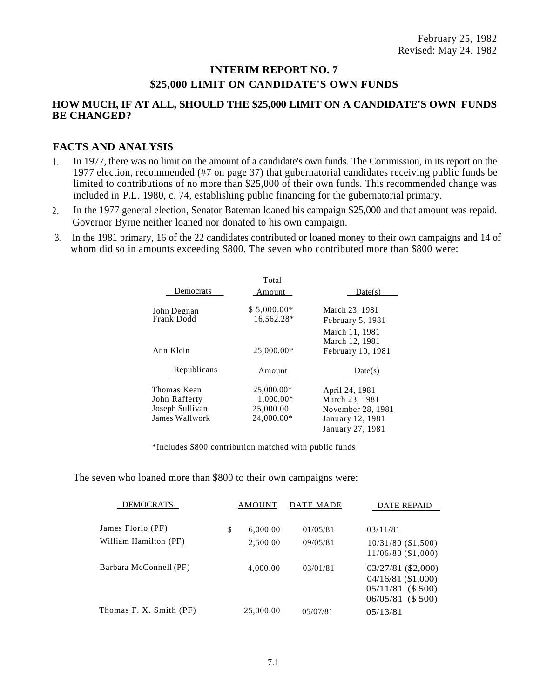# **INTERIM REPORT NO. 7 \$25,000 LIMIT ON CANDIDATE'S OWN FUNDS**

# **HOW MUCH, IF AT ALL, SHOULD THE \$25,000 LIMIT ON A CANDIDATE'S OWN FUNDS BE CHANGED?**

# **FACTS AND ANALYSIS**

- In 1977, there was no limit on the amount of a candidate's own funds. The Commission, in its report on the 1977 election, recommended (#7 on page 37) that gubernatorial candidates receiving public funds be limited to contributions of no more than \$25,000 of their own funds. This recommended change was included in P.L. 1980, c. 74, establishing public financing for the gubernatorial primary. 1 .
- In the 1977 general election, Senator Bateman loaned his campaign \$25,000 and that amount was repaid. Governor Byrne neither loaned nor donated to his own campaign. 2.
- In the 1981 primary, 16 of the 22 candidates contributed or loaned money to their own campaigns and 14 of whom did so in amounts exceeding \$800. The seven who contributed more than \$800 were: 3.

|                                                                   | Total                                              |                                                                                               |
|-------------------------------------------------------------------|----------------------------------------------------|-----------------------------------------------------------------------------------------------|
| Democrats                                                         | Amount                                             | Date(s)                                                                                       |
| John Degnan<br>Frank Dodd                                         | $$5,000.00*$<br>16,562.28*                         | March 23, 1981<br>February 5, 1981                                                            |
| Ann Klein                                                         | 25,000.00*                                         | March 11, 1981<br>March 12, 1981<br>February 10, 1981                                         |
| Republicans                                                       | Amount                                             | Date(s)                                                                                       |
| Thomas Kean<br>John Rafferty<br>Joseph Sullivan<br>James Wallwork | 25,000.00*<br>1,000.00*<br>25,000.00<br>24,000.00* | April 24, 1981<br>March 23, 1981<br>November 28, 1981<br>January 12, 1981<br>January 27, 1981 |

\*Includes \$800 contribution matched with public funds

The seven who loaned more than \$800 to their own campaigns were:

| <b>DEMOCRATS</b>        | AMOUNT    | DATE MADE | DATE REPAID                                                                            |
|-------------------------|-----------|-----------|----------------------------------------------------------------------------------------|
|                         |           |           |                                                                                        |
| James Florio (PF)<br>\$ | 6,000.00  | 01/05/81  | 03/11/81                                                                               |
| William Hamilton (PF)   | 2,500.00  | 09/05/81  | $10/31/80$ (\$1,500)<br>$11/06/80$ (\$1,000)                                           |
| Barbara McConnell (PF)  | 4,000.00  | 03/01/81  | 03/27/81 (\$2,000)<br>04/16/81 (\$1,000)<br>$05/11/81$ (\$ 500)<br>$06/05/81$ (\$ 500) |
| Thomas F. X. Smith (PF) | 25,000.00 | 05/07/81  | 05/13/81                                                                               |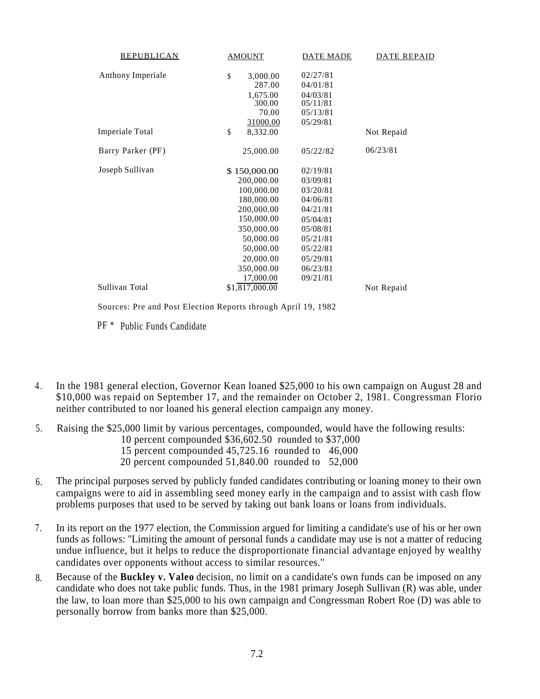| REPUBLICAN        | <b>AMOUNT</b>  | <b>DATE MADE</b> | <b>DATE REPAID</b> |
|-------------------|----------------|------------------|--------------------|
| Anthony Imperiale | \$<br>3,000.00 | 02/27/81         |                    |
|                   | 287.00         | 04/01/81         |                    |
|                   | 1,675.00       | 04/03/81         |                    |
|                   | 300.00         | 05/11/81         |                    |
|                   | 70.00          | 05/13/81         |                    |
|                   | 31000.00       | 05/29/81         |                    |
| Imperiale Total   | \$<br>8,332.00 |                  | Not Repaid         |
| Barry Parker (PF) | 25,000.00      | 05/22/82         | 06/23/81           |
| Joseph Sullivan   | \$150,000.00   | 02/19/81         |                    |
|                   | 200,000.00     | 03/09/81         |                    |
|                   | 100,000.00     | 03/20/81         |                    |
|                   | 180,000.00     | 04/06/81         |                    |
|                   | 200,000.00     | 04/21/81         |                    |
|                   | 150,000.00     | 05/04/81         |                    |
|                   | 350,000.00     | 05/08/81         |                    |
|                   | 50,000.00      | 05/21/81         |                    |
|                   | 50,000.00      | 05/22/81         |                    |
|                   | 20,000.00      | 05/29/81         |                    |
|                   | 350,000.00     | 06/23/81         |                    |
|                   | 17,000.00      | 09/21/81         |                    |
| Sullivan Total    | \$1,817,000.00 |                  | Not Repaid         |
|                   |                |                  |                    |

Sources: Pre and Post Election Reports through April 19, 1982

PF = Public Funds Candidate

- In the 1981 general election, Governor Kean loaned \$25,000 to his own campaign on August 28 and \$10,000 was repaid on September 17, and the remainder on October 2, 1981. Congressman Florio neither contributed to nor loaned his general election campaign any money.  $4.$
- 5. Raising the \$25,000 limit by various percentages, compounded, would have the following results:
	- 10 percent compounded \$36,602.50 rounded to \$37,000
	- 15 percent compounded 45,725.16 rounded to 46,000
	- 20 percent compounded 51,840.00 rounded to 52,000
- The principal purposes served by publicly funded candidates contributing or loaning money to their own campaigns were to aid in assembling seed money early in the campaign and to assist with cash flow problems purposes that used to be served by taking out bank loans or loans from individuals. 6.
- 7. In its report on the 1977 election, the Commission argued for limiting a candidate's use of his or her own funds as follows: ''Limiting the amount of personal funds a candidate may use is not a matter of reducing undue influence, but it helps to reduce the disproportionate financial advantage enjoyed by wealthy candidates over opponents without access to similar resources.''
- Because of the **Buckley v. Valeo** decision, no limit on a candidate's own funds can be imposed on any candidate who does not take public funds. Thus, in the 1981 primary Joseph Sullivan (R) was able, under the law, to loan more than \$25,000 to his own campaign and Congressman Robert Roe (D) was able to personally borrow from banks more than \$25,000. 8.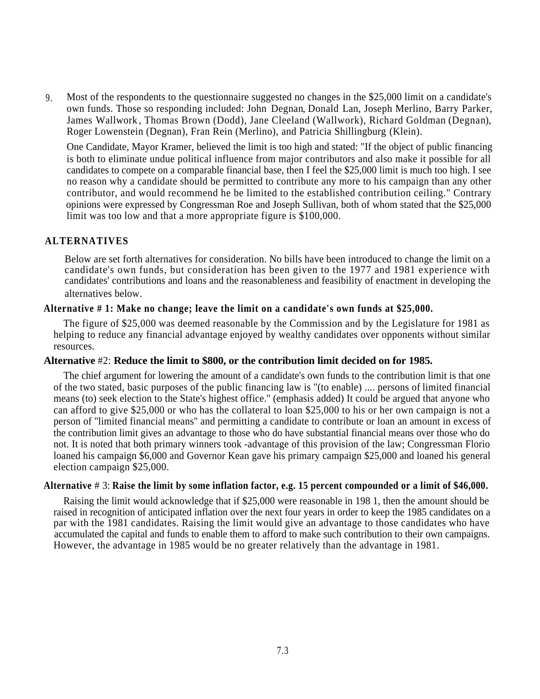Most of the respondents to the questionnaire suggested no changes in the \$25,000 limit on a candidate's own funds. Those so responding included: John Degnan, Donald Lan, Joseph Merlino, Barry Parker, James Wallwork , Thomas Brown (Dodd), Jane Cleeland (Wallwork), Richard Goldman (Degnan), Roger Lowenstein (Degnan), Fran Rein (Merlino), and Patricia Shillingburg (Klein). 9.

One Candidate, Mayor Kramer, believed the limit is too high and stated: "If the object of public financing is both to eliminate undue political influence from major contributors and also make it possible for all candidates to compete on a comparable financial base, then I feel the \$25,000 limit is much too high. I see no reason why a candidate should be permitted to contribute any more to his campaign than any other contributor, and would recommend he be limited to the established contribution ceiling." Contrary opinions were expressed by Congressman Roe and Joseph Sullivan, both of whom stated that the \$25,000 limit was too low and that a more appropriate figure is \$100,000.

### **ALTERNATIVES**

Below are set forth alternatives for consideration. No bills have been introduced to change the limit on a candidate's own funds, but consideration has been given to the 1977 and 1981 experience with candidates' contributions and loans and the reasonableness and feasibility of enactment in developing the alternatives below.

#### **Alternative # 1: Make no change; leave the limit on a candidate's own funds at \$25,000.**

The figure of \$25,000 was deemed reasonable by the Commission and by the Legislature for 1981 as helping to reduce any financial advantage enjoyed by wealthy candidates over opponents without similar resources.

#### **Alternative** #2: **Reduce the limit to \$800, or the contribution limit decided on for 1985.**

The chief argument for lowering the amount of a candidate's own funds to the contribution limit is that one of the two stated, basic purposes of the public financing law is ''(to enable) .... persons of limited financial means (to) seek election to the State's highest office.'' (emphasis added) It could be argued that anyone who can afford to give \$25,000 or who has the collateral to loan \$25,000 to his or her own campaign is not a person of ''limited financial means'' and permitting a candidate to contribute or loan an amount in excess of the contribution limit gives an advantage to those who do have substantial financial means over those who do not. It is noted that both primary winners took -advantage of this provision of the law; Congressman Florio loaned his campaign \$6,000 and Governor Kean gave his primary campaign \$25,000 and loaned his general election campaign \$25,000.

#### **Alternative** # 3: **Raise the limit by some inflation factor, e.g. 15 percent compounded or a limit of \$46,000.**

Raising the limit would acknowledge that if \$25,000 were reasonable in 198 1, then the amount should be raised in recognition of anticipated inflation over the next four years in order to keep the 1985 candidates on a par with the 1981 candidates. Raising the limit would give an advantage to those candidates who have accumulated the capital and funds to enable them to afford to make such contribution to their own campaigns. However, the advantage in 1985 would be no greater relatively than the advantage in 1981.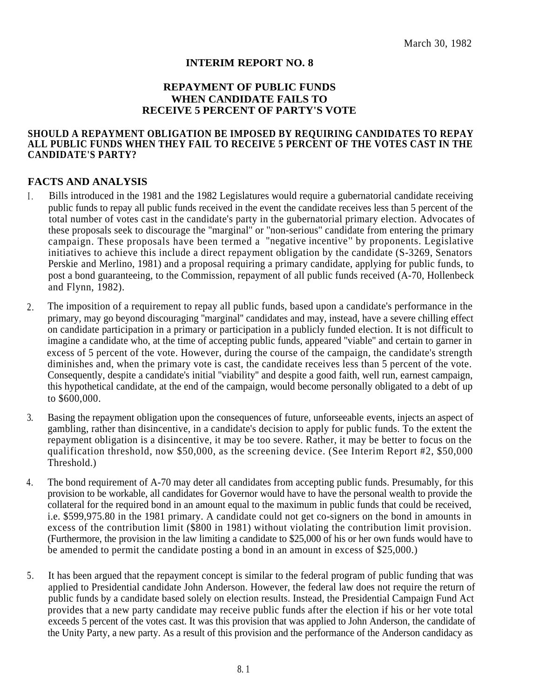# **INTERIM REPORT NO. 8**

# **REPAYMENT OF PUBLIC FUNDS WHEN CANDIDATE FAILS TO RECEIVE 5 PERCENT OF PARTY'S VOTE**

#### **SHOULD A REPAYMENT OBLIGATION BE IMPOSED BY REQUIRING CANDIDATES TO REPAY ALL PUBLIC FUNDS WHEN THEY FAIL TO RECEIVE 5 PERCENT OF THE VOTES CAST IN THE CANDIDATE'S PARTY?**

### **FACTS AND ANALYSIS**

- Bills introduced in the 1981 and the 1982 Legislatures would require a gubernatorial candidate receiving public funds to repay all public funds received in the event the candidate receives less than 5 percent of the total number of votes cast in the candidate's party in the gubernatorial primary election. Advocates of  $\mathbf{I}$ these proposals seek to discourage the ''marginal'' or ''non-serious'' candidate from entering the primary campaign. These proposals have been termed a "negative incentive'' by proponents. Legislative initiatives to achieve this include a direct repayment obligation by the candidate (S-3269, Senators Perskie and Merlino, 1981) and a proposal requiring a primary candidate, applying for public funds, to post a bond guaranteeing, to the Commission, repayment of all public funds received (A-70, Hollenbeck and Flynn, 1982).
- The imposition of a requirement to repay all public funds, based upon a candidate's performance in the primary, may go beyond discouraging ''marginal'' candidates and may, instead, have a severe chilling effect on candidate participation in a primary or participation in a publicly funded election. It is not difficult to imagine a candidate who, at the time of accepting public funds, appeared ''viable'' and certain to garner in excess of 5 percent of the vote. However, during the course of the campaign, the candidate's strength diminishes and, when the primary vote is cast, the candidate receives less than 5 percent of the vote. Consequently, despite a candidate's initial ''viability'' and despite a good faith, well run, earnest campaign, this hypothetical candidate, at the end of the campaign, would become personally obligated to a debt of up to \$600,000. 2.
- Basing the repayment obligation upon the consequences of future, unforseeable events, injects an aspect of gambling, rather than disincentive, in a candidate's decision to apply for public funds. To the extent the repayment obligation is a disincentive, it may be too severe. Rather, it may be better to focus on the qualification threshold, now \$50,000, as the screening device. (See Interim Report #2, \$50,000 Threshold.) 3.
- 4. The bond requirement of A-70 may deter all candidates from accepting public funds. Presumably, for this provision to be workable, all candidates for Governor would have to have the personal wealth to provide the collateral for the required bond in an amount equal to the maximum in public funds that could be received, i.e. \$599,975.80 in the 1981 primary. A candidate could not get co-signers on the bond in amounts in excess of the contribution limit (\$800 in 1981) without violating the contribution limit provision. (Furthermore, the provision in the law limiting a candidate to \$25,000 of his or her own funds would have to be amended to permit the candidate posting a bond in an amount in excess of \$25,000.)
- It has been argued that the repayment concept is similar to the federal program of public funding that was applied to Presidential candidate John Anderson. However, the federal law does not require the return of public funds by a candidate based solely on election results. Instead, the Presidential Campaign Fund Act provides that a new party candidate may receive public funds after the election if his or her vote total exceeds 5 percent of the votes cast. It was this provision that was applied to John Anderson, the candidate of the Unity Party, a new party. As a result of this provision and the performance of the Anderson candidacy as 5.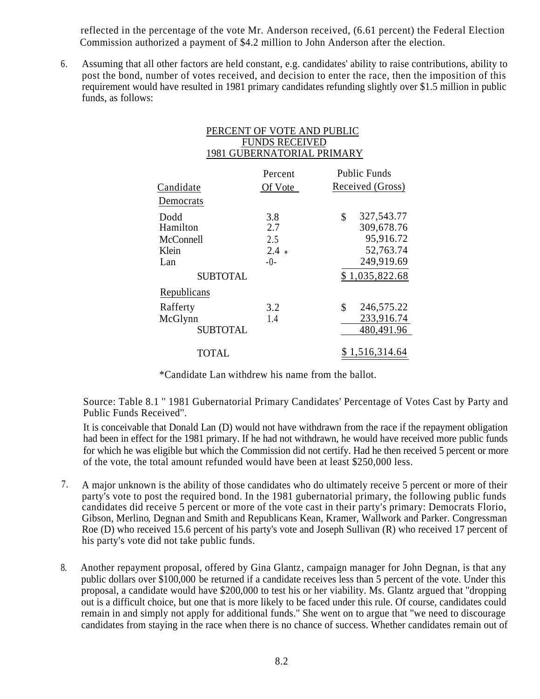reflected in the percentage of the vote Mr. Anderson received, (6.61 percent) the Federal Election Commission authorized a payment of \$4.2 million to John Anderson after the election.

Assuming that all other factors are held constant, e.g. candidates' ability to raise contributions, ability to post the bond, number of votes received, and decision to enter the race, then the imposition of this requirement would have resulted in 1981 primary candidates refunding slightly over \$1.5 million in public funds, as follows: 6.

| PERCENT OF VOTE AND PUBLIC        |
|-----------------------------------|
| <b>FUNDS RECEIVED</b>             |
| <b>1981 GUBERNATORIAL PRIMARY</b> |

| Candidate                                                        | Percent<br>Of Vote                   | <b>Public Funds</b><br>Received (Gross)                                                  |
|------------------------------------------------------------------|--------------------------------------|------------------------------------------------------------------------------------------|
| Democrats                                                        |                                      |                                                                                          |
| Dodd<br>Hamilton<br>McConnell<br>Klein<br>Lan<br><b>SUBTOTAL</b> | 3.8<br>2.7<br>2.5<br>$2.4*$<br>$-()$ | 327,543.77<br>\$<br>309,678.76<br>95,916.72<br>52,763.74<br>249,919.69<br>\$1,035,822.68 |
| Republicans                                                      |                                      |                                                                                          |
| Rafferty<br>McGlynn<br><b>SUBTOTAL</b>                           | 3.2<br>1.4                           | \$<br>246,575.22<br>233,916.74<br>480,491.96                                             |
| TOTAL                                                            |                                      | \$1,516,314.64                                                                           |

\*Candidate Lan withdrew his name from the ballot.

Source: Table 8.1 '' 1981 Gubernatorial Primary Candidates' Percentage of Votes Cast by Party and Public Funds Received''.

It is conceivable that Donald Lan (D) would not have withdrawn from the race if the repayment obligation had been in effect for the 1981 primary. If he had not withdrawn, he would have received more public funds for which he was eligible but which the Commission did not certify. Had he then received 5 percent or more of the vote, the total amount refunded would have been at least \$250,000 less.

- 7. A major unknown is the ability of those candidates who do ultimately receive 5 percent or more of their party's vote to post the required bond. In the 1981 gubernatorial primary, the following public funds candidates did receive 5 percent or more of the vote cast in their party's primary: Democrats Florio, Gibson, Merlino, Degnan and Smith and Republicans Kean, Kramer, Wallwork and Parker. Congressman Roe (D) who received 15.6 percent of his party's vote and Joseph Sullivan (R) who received 17 percent of his party's vote did not take public funds.
- 8. Another repayment proposal, offered by Gina Glantz, campaign manager for John Degnan, is that any public dollars over \$100,000 be returned if a candidate receives less than 5 percent of the vote. Under this proposal, a candidate would have \$200,000 to test his or her viability. Ms. Glantz argued that ''dropping out is a difficult choice, but one that is more likely to be faced under this rule. Of course, candidates could remain in and simply not apply for additional funds.'' She went on to argue that ''we need to discourage candidates from staying in the race when there is no chance of success. Whether candidates remain out of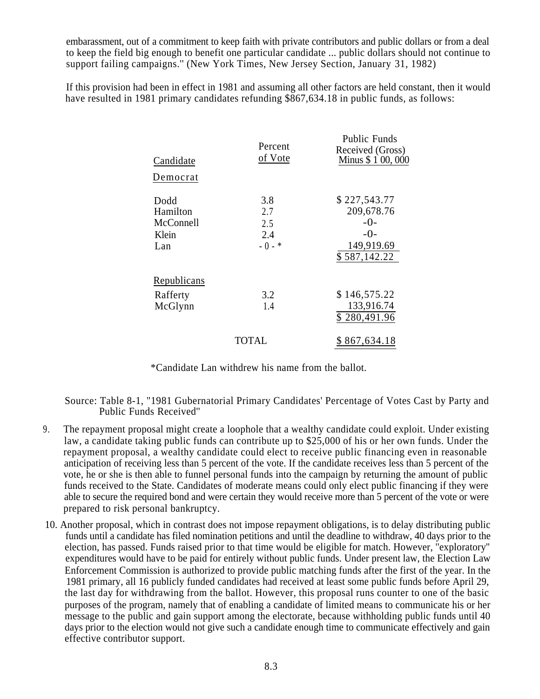embarassment, out of a commitment to keep faith with private contributors and public dollars or from a deal to keep the field big enough to benefit one particular candidate ... public dollars should not continue to support failing campaigns.'' (New York Times, New Jersey Section, January 31, 1982)

If this provision had been in effect in 1981 and assuming all other factors are held constant, then it would have resulted in 1981 primary candidates refunding \$867,634.18 in public funds, as follows:

| Candidate                                     | Percent<br>of Vote                   | Public Funds<br>Received (Gross)<br>Minus \$1 00,000                       |
|-----------------------------------------------|--------------------------------------|----------------------------------------------------------------------------|
| Democrat                                      |                                      |                                                                            |
| Dodd<br>Hamilton<br>McConnell<br>Klein<br>Lan | 3.8<br>2.7<br>2.5<br>2.4<br>$-0 -$ * | \$227,543.77<br>209,678.76<br>$-0-$<br>$-0-$<br>149,919.69<br>\$587,142.22 |
| Republicans<br>Rafferty<br>McGlynn            | 3.2<br>1.4                           | \$146,575.22<br>133,916.74<br>\$280,491.96                                 |
|                                               | TOTAL                                | \$867,634.18                                                               |

\*Candidate Lan withdrew his name from the ballot.

Source: Table 8-1, "1981 Gubernatorial Primary Candidates' Percentage of Votes Cast by Party and Public Funds Received''

- The repayment proposal might create a loophole that a wealthy candidate could exploit. Under existing law, a candidate taking public funds can contribute up to \$25,000 of his or her own funds. Under the repayment proposal, a wealthy candidate could elect to receive public financing even in reasonable anticipation of receiving less than 5 percent of the vote. If the candidate receives less than 5 percent of the vote, he or she is then able to funnel personal funds into the campaign by returning the amount of public funds received to the State. Candidates of moderate means could only elect public financing if they were able to secure the required bond and were certain they would receive more than 5 percent of the vote or were prepared to risk personal bankruptcy. 9.
- 10. Another proposal, which in contrast does not impose repayment obligations, is to delay distributing public funds until a candidate has filed nomination petitions and until the deadline to withdraw, 40 days prior to the election, has passed. Funds raised prior to that time would be eligible for match. However, ''exploratory'' expenditures would have to be paid for entirely without public funds. Under present law, the Election Law Enforcement Commission is authorized to provide public matching funds after the first of the year. In the 1981 primary, all 16 publicly funded candidates had received at least some public funds before April 29, the last day for withdrawing from the ballot. However, this proposal runs counter to one of the basic purposes of the program, namely that of enabling a candidate of limited means to communicate his or her message to the public and gain support among the electorate, because withholding public funds until 40 days prior to the election would not give such a candidate enough time to communicate effectively and gain effective contributor support.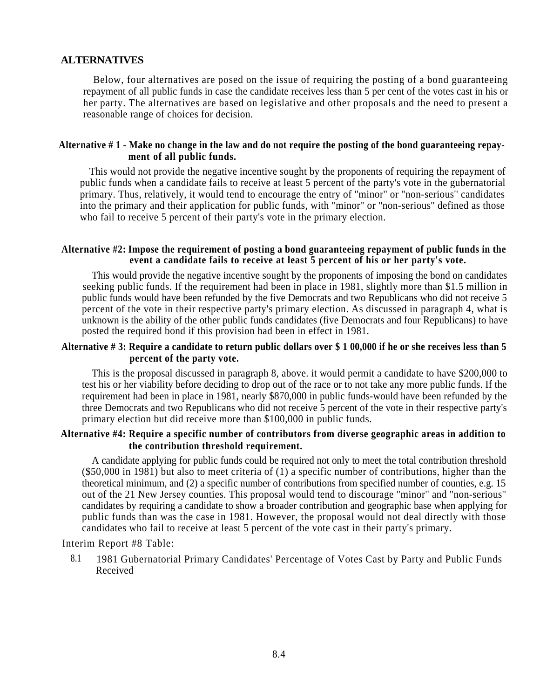# **ALTERNATIVES**

Below, four alternatives are posed on the issue of requiring the posting of a bond guaranteeing repayment of all public funds in case the candidate receives less than 5 per cent of the votes cast in his or her party. The alternatives are based on legislative and other proposals and the need to present a reasonable range of choices for decision.

#### **Alternative # 1 - Make no change in the law and do not require the posting of the bond guaranteeing repayment of all public funds.**

This would not provide the negative incentive sought by the proponents of requiring the repayment of public funds when a candidate fails to receive at least 5 percent of the party's vote in the gubernatorial primary. Thus, relatively, it would tend to encourage the entry of ''minor'' or ''non-serious'' candidates into the primary and their application for public funds, with ''minor'' or ''non-serious'' defined as those who fail to receive 5 percent of their party's vote in the primary election.

#### **Alternative #2: Impose the requirement of posting a bond guaranteeing repayment of public funds in the event a candidate fails to receive at least 5 percent of his or her party's vote.**

This would provide the negative incentive sought by the proponents of imposing the bond on candidates seeking public funds. If the requirement had been in place in 1981, slightly more than \$1.5 million in public funds would have been refunded by the five Democrats and two Republicans who did not receive 5 percent of the vote in their respective party's primary election. As discussed in paragraph 4, what is unknown is the ability of the other public funds candidates (five Democrats and four Republicans) to have posted the required bond if this provision had been in effect in 1981.

#### **Alternative # 3: Require a candidate to return public dollars over \$ 1 00,000 if he or she receives less than 5 percent of the party vote.**

This is the proposal discussed in paragraph 8, above. it would permit a candidate to have \$200,000 to test his or her viability before deciding to drop out of the race or to not take any more public funds. If the requirement had been in place in 1981, nearly \$870,000 in public funds-would have been refunded by the three Democrats and two Republicans who did not receive 5 percent of the vote in their respective party's primary election but did receive more than \$100,000 in public funds.

### **Alternative #4: Require a specific number of contributors from diverse geographic areas in addition to the contribution threshold requirement.**

A candidate applying for public funds could be required not only to meet the total contribution threshold (\$50,000 in 1981) but also to meet criteria of (1) a specific number of contributions, higher than the theoretical minimum, and (2) a specific number of contributions from specified number of counties, e.g. 15 out of the 21 New Jersey counties. This proposal would tend to discourage ''minor'' and ''non-serious'' candidates by requiring a candidate to show a broader contribution and geographic base when applying for public funds than was the case in 1981. However, the proposal would not deal directly with those candidates who fail to receive at least 5 percent of the vote cast in their party's primary.

Interim Report #8 Table:

8.1 1981 Gubernatorial Primary Candidates' Percentage of Votes Cast by Party and Public Funds Received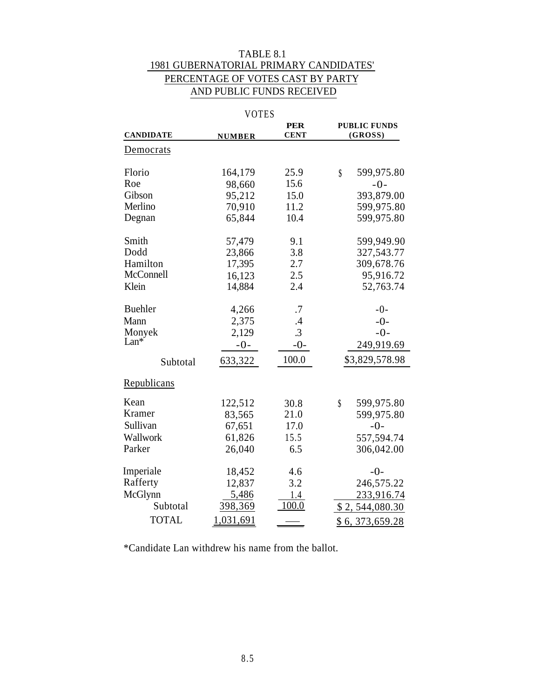# TABLE 8.1 1981 GUBERNATORIAL PRIMARY CANDIDATES' PERCENTAGE OF VOTES CAST BY PARTY AND PUBLIC FUNDS RECEIVED

|                  | <b>VOTES</b>  |                           |                                               |
|------------------|---------------|---------------------------|-----------------------------------------------|
| <b>CANDIDATE</b> | <b>NUMBER</b> | <b>PER</b><br><b>CENT</b> | <b>PUBLIC FUNDS</b><br>(GROSS)                |
|                  |               |                           |                                               |
| Democrats        |               |                           |                                               |
| Florio           | 164,179       | 25.9                      | $\boldsymbol{\S}$<br>599,975.80               |
| Roe              | 98,660        | 15.6                      | $-0-$                                         |
| Gibson           | 95,212        | 15.0                      | 393,879.00                                    |
| Merlino          | 70,910        | 11.2                      | 599,975.80                                    |
| Degnan           | 65,844        | 10.4                      | 599,975.80                                    |
| Smith            | 57,479        | 9.1                       | 599,949.90                                    |
| Dodd             | 23,866        | 3.8                       | 327, 543. 77                                  |
| Hamilton         | 17,395        | 2.7                       | 309,678.76                                    |
| McConnell        | 16,123        | 2.5                       | 95,916.72                                     |
| Klein            | 14,884        | 2.4                       | 52,763.74                                     |
| <b>Buehler</b>   | 4,266         | .7                        | $-0-$                                         |
| Mann             | 2,375         | .4                        | $-0-$                                         |
| Monyek<br>Lan*   | 2,129         | .3                        | $-0-$                                         |
|                  | $-0-$         | $-0-$                     | 249,919.69                                    |
| Subtotal         | 633,322       | 100.0                     | \$3,829,578.98                                |
| Republicans      |               |                           |                                               |
| Kean             | 122,512       | 30.8                      | $\boldsymbol{\hat{\mathsf{S}}}$<br>599,975.80 |
| Kramer           | 83,565        | 21.0                      | 599,975.80                                    |
| Sullivan         | 67,651        | 17.0                      | $-0-$                                         |
| Wallwork         | 61,826        | 15.5                      | 557,594.74                                    |
| Parker           | 26,040        | 6.5                       | 306,042.00                                    |
| Imperiale        | 18,452        | 4.6                       | $-0-$                                         |
| Rafferty         | 12,837        | 3.2                       | 246,575.22                                    |
| McGlynn          | 5,486         | 1.4                       | 233,916.74                                    |
| Subtotal         | 398,369       | 100.0                     | \$2,544,080.30                                |
| <b>TOTAL</b>     | 1,031,691     |                           | \$6, 373, 659.28                              |

\*Candidate Lan withdrew his name from the ballot.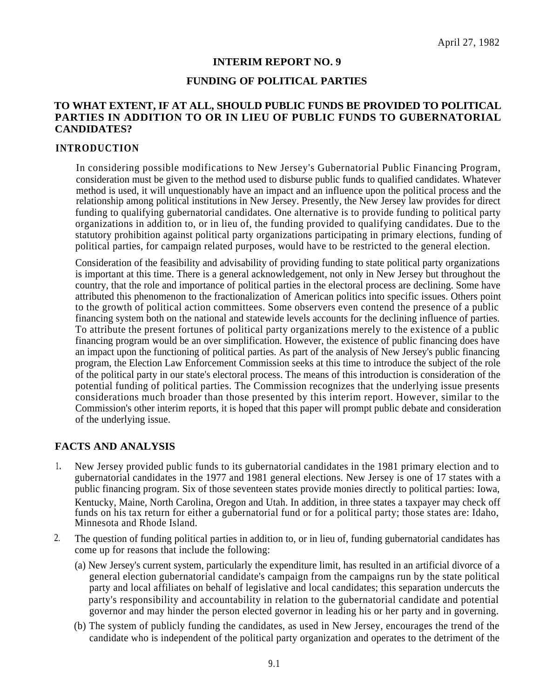#### **INTERIM REPORT NO. 9**

#### **FUNDING OF POLITICAL PARTIES**

# **TO WHAT EXTENT, IF AT ALL, SHOULD PUBLIC FUNDS BE PROVIDED TO POLITICAL PARTIES IN ADDITION TO OR IN LIEU OF PUBLIC FUNDS TO GUBERNATORIAL CANDIDATES?**

#### **INTRODUCTION**

In considering possible modifications to New Jersey's Gubernatorial Public Financing Program, consideration must be given to the method used to disburse public funds to qualified candidates. Whatever method is used, it will unquestionably have an impact and an influence upon the political process and the relationship among political institutions in New Jersey. Presently, the New Jersey law provides for direct funding to qualifying gubernatorial candidates. One alternative is to provide funding to political party organizations in addition to, or in lieu of, the funding provided to qualifying candidates. Due to the statutory prohibition against political party organizations participating in primary elections, funding of political parties, for campaign related purposes, would have to be restricted to the general election.

Consideration of the feasibility and advisability of providing funding to state political party organizations is important at this time. There is a general acknowledgement, not only in New Jersey but throughout the country, that the role and importance of political parties in the electoral process are declining. Some have attributed this phenomenon to the fractionalization of American politics into specific issues. Others point to the growth of political action committees. Some observers even contend the presence of a public financing system both on the national and statewide levels accounts for the declining influence of parties. To attribute the present fortunes of political party organizations merely to the existence of a public financing program would be an over simplification. However, the existence of public financing does have an impact upon the functioning of political parties. As part of the analysis of New Jersey's public financing program, the Election Law Enforcement Commission seeks at this time to introduce the subject of the role of the political party in our state's electoral process. The means of this introduction is consideration of the potential funding of political parties. The Commission recognizes that the underlying issue presents considerations much broader than those presented by this interim report. However, similar to the Commission's other interim reports, it is hoped that this paper will prompt public debate and consideration of the underlying issue.

# **FACTS AND ANALYSIS**

- <sup>1</sup>**.** New Jersey provided public funds to its gubernatorial candidates in the 1981 primary election and to gubernatorial candidates in the 1977 and 1981 general elections. New Jersey is one of 17 states with a public financing program. Six of those seventeen states provide monies directly to political parties: Iowa, Kentucky, Maine, North Carolina, Oregon and Utah. In addition, in three states a taxpayer may check off funds on his tax return for either a gubernatorial fund or for a political party; those states are: Idaho, Minnesota and Rhode Island.
- 2. The question of funding political parties in addition to, or in lieu of, funding gubernatorial candidates has come up for reasons that include the following:
	- (a) New Jersey's current system, particularly the expenditure limit, has resulted in an artificial divorce of a general election gubernatorial candidate's campaign from the campaigns run by the state political party and local affiliates on behalf of legislative and local candidates; this separation undercuts the party's responsibility and accountability in relation to the gubernatorial candidate and potential governor and may hinder the person elected governor in leading his or her party and in governing.
	- (b) The system of publicly funding the candidates, as used in New Jersey, encourages the trend of the candidate who is independent of the political party organization and operates to the detriment of the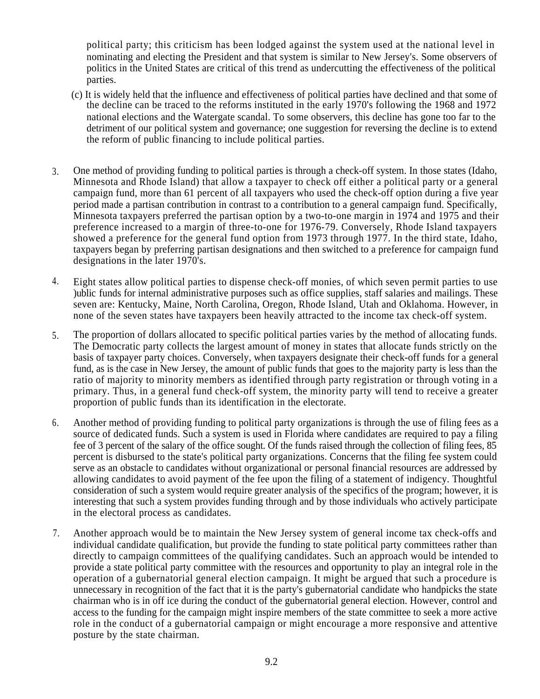political party; this criticism has been lodged against the system used at the national level in nominating and electing the President and that system is similar to New Jersey's. Some observers of politics in the United States are critical of this trend as undercutting the effectiveness of the political parties.

- (c) It is widely held that the influence and effectiveness of political parties have declined and that some of the decline can be traced to the reforms instituted in the early 1970's following the 1968 and 1972 national elections and the Watergate scandal. To some observers, this decline has gone too far to the detriment of our political system and governance; one suggestion for reversing the decline is to extend the reform of public financing to include political parties.
- One method of providing funding to political parties is through a check-off system. In those states (Idaho, Minnesota and Rhode Island) that allow a taxpayer to check off either a political party or a general campaign fund, more than 61 percent of all taxpayers who used the check-off option during a five year period made a partisan contribution in contrast to a contribution to a general campaign fund. Specifically, Minnesota taxpayers preferred the partisan option by a two-to-one margin in 1974 and 1975 and their preference increased to a margin of three-to-one for 1976-79. Conversely, Rhode Island taxpayers showed a preference for the general fund option from 1973 through 1977. In the third state, Idaho, taxpayers began by preferring partisan designations and then switched to a preference for campaign fund designations in the later 1970's. 3.
- 4. Eight states allow political parties to dispense check-off monies, of which seven permit parties to use )ublic funds for internal administrative purposes such as office supplies, staff salaries and mailings. These seven are: Kentucky, Maine, North Carolina, Oregon, Rhode Island, Utah and Oklahoma. However, in none of the seven states have taxpayers been heavily attracted to the income tax check-off system.
- The proportion of dollars allocated to specific political parties varies by the method of allocating funds. The Democratic party collects the largest amount of money in states that allocate funds strictly on the basis of taxpayer party choices. Conversely, when taxpayers designate their check-off funds for a general fund, as is the case in New Jersey, the amount of public funds that goes to the majority party is less than the ratio of majority to minority members as identified through party registration or through voting in a primary. Thus, in a general fund check-off system, the minority party will tend to receive a greater proportion of public funds than its identification in the electorate. 5.
- 6. Another method of providing funding to political party organizations is through the use of filing fees as a source of dedicated funds. Such a system is used in Florida where candidates are required to pay a filing fee of 3 percent of the salary of the office sought. Of the funds raised through the collection of filing fees, 85 percent is disbursed to the state's political party organizations. Concerns that the filing fee system could serve as an obstacle to candidates without organizational or personal financial resources are addressed by allowing candidates to avoid payment of the fee upon the filing of a statement of indigency. Thoughtful consideration of such a system would require greater analysis of the specifics of the program; however, it is interesting that such a system provides funding through and by those individuals who actively participate in the electoral process as candidates.
- 7. Another approach would be to maintain the New Jersey system of general income tax check-offs and individual candidate qualification, but provide the funding to state political party committees rather than directly to campaign committees of the qualifying candidates. Such an approach would be intended to provide a state political party committee with the resources and opportunity to play an integral role in the operation of a gubernatorial general election campaign. It might be argued that such a procedure is unnecessary in recognition of the fact that it is the party's gubernatorial candidate who handpicks the state chairman who is in off ice during the conduct of the gubernatorial general election. However, control and access to the funding for the campaign might inspire members of the state committee to seek a more active role in the conduct of a gubernatorial campaign or might encourage a more responsive and attentive posture by the state chairman.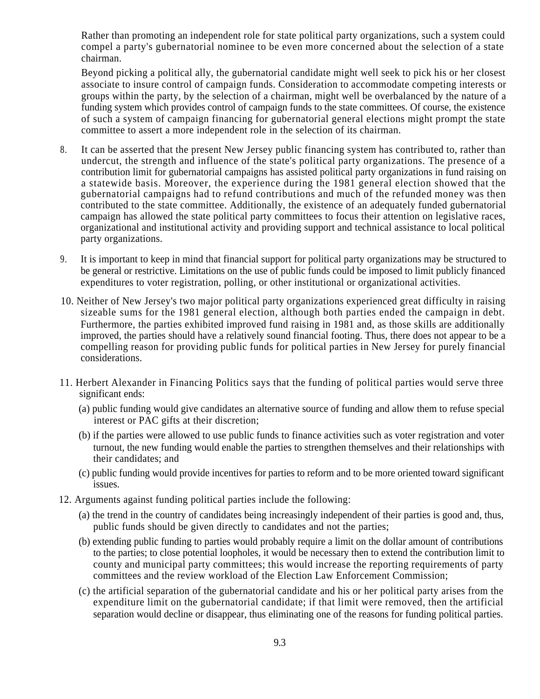Rather than promoting an independent role for state political party organizations, such a system could compel a party's gubernatorial nominee to be even more concerned about the selection of a state chairman.

Beyond picking a political ally, the gubernatorial candidate might well seek to pick his or her closest associate to insure control of campaign funds. Consideration to accommodate competing interests or groups within the party, by the selection of a chairman, might well be overbalanced by the nature of a funding system which provides control of campaign funds to the state committees. Of course, the existence of such a system of campaign financing for gubernatorial general elections might prompt the state committee to assert a more independent role in the selection of its chairman.

- It can be asserted that the present New Jersey public financing system has contributed to, rather than undercut, the strength and influence of the state's political party organizations. The presence of a contribution limit for gubernatorial campaigns has assisted political party organizations in fund raising on a statewide basis. Moreover, the experience during the 1981 general election showed that the gubernatorial campaigns had to refund contributions and much of the refunded money was then contributed to the state committee. Additionally, the existence of an adequately funded gubernatorial campaign has allowed the state political party committees to focus their attention on legislative races, organizational and institutional activity and providing support and technical assistance to local political party organizations. 8.
- 9. It is important to keep in mind that financial support for political party organizations may be structured to be general or restrictive. Limitations on the use of public funds could be imposed to limit publicly financed expenditures to voter registration, polling, or other institutional or organizational activities.
- 10. Neither of New Jersey's two major political party organizations experienced great difficulty in raising sizeable sums for the 1981 general election, although both parties ended the campaign in debt. Furthermore, the parties exhibited improved fund raising in 1981 and, as those skills are additionally improved, the parties should have a relatively sound financial footing. Thus, there does not appear to be a compelling reason for providing public funds for political parties in New Jersey for purely financial considerations.
- 11. Herbert Alexander in Financing Politics says that the funding of political parties would serve three significant ends:
	- (a) public funding would give candidates an alternative source of funding and allow them to refuse special interest or PAC gifts at their discretion;
	- (b) if the parties were allowed to use public funds to finance activities such as voter registration and voter turnout, the new funding would enable the parties to strengthen themselves and their relationships with their candidates; and
	- (c) public funding would provide incentives for parties to reform and to be more oriented toward significant issues.
- 12. Arguments against funding political parties include the following:
	- (a) the trend in the country of candidates being increasingly independent of their parties is good and, thus, public funds should be given directly to candidates and not the parties;
	- (b) extending public funding to parties would probably require a limit on the dollar amount of contributions to the parties; to close potential loopholes, it would be necessary then to extend the contribution limit to county and municipal party committees; this would increase the reporting requirements of party committees and the review workload of the Election Law Enforcement Commission;
	- (c) the artificial separation of the gubernatorial candidate and his or her political party arises from the expenditure limit on the gubernatorial candidate; if that limit were removed, then the artificial separation would decline or disappear, thus eliminating one of the reasons for funding political parties.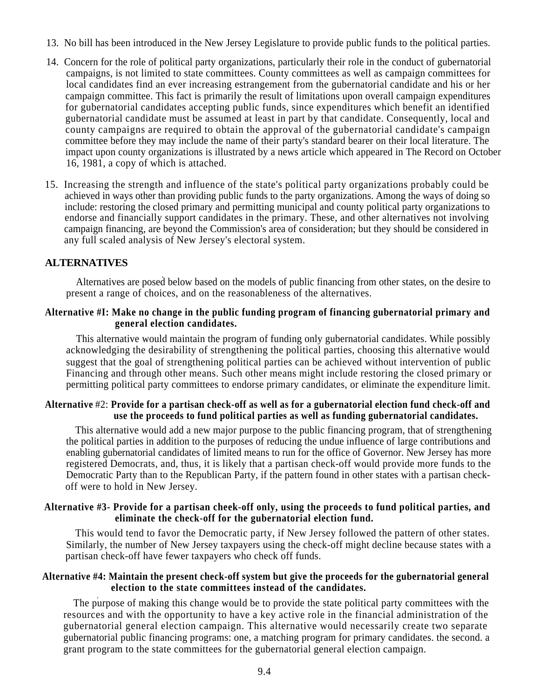- 13. No bill has been introduced in the New Jersey Legislature to provide public funds to the political parties.
- 14. Concern for the role of political party organizations, particularly their role in the conduct of gubernatorial campaigns, is not limited to state committees. County committees as well as campaign committees for local candidates find an ever increasing estrangement from the gubernatorial candidate and his or her campaign committee. This fact is primarily the result of limitations upon overall campaign expenditures for gubernatorial candidates accepting public funds, since expenditures which benefit an identified gubernatorial candidate must be assumed at least in part by that candidate. Consequently, local and county campaigns are required to obtain the approval of the gubernatorial candidate's campaign committee before they may include the name of their party's standard bearer on their local literature. The impact upon county organizations is illustrated by a news article which appeared in The Record on October 16, 1981, a copy of which is attached.
- 15. Increasing the strength and influence of the state's political party organizations probably could be achieved in ways other than providing public funds to the party organizations. Among the ways of doing so include: restoring the closed primary and permitting municipal and county political party organizations to endorse and financially support candidates in the primary. These, and other alternatives not involving campaign financing, are beyond the Commission's area of consideration; but they should be considered in any full scaled analysis of New Jersey's electoral system.

# **ALTERNATIVES**

. Alternatives are posed below based on the models of public financing from other states, on the desire to present a range of choices, and on the reasonableness of the alternatives.

#### **Alternative #I: Make no change in the public funding program of financing gubernatorial primary and general election candidates.**

This alternative would maintain the program of funding only gubernatorial candidates. While possibly acknowledging the desirability of strengthening the political parties, choosing this alternative would suggest that the goal of strengthening political parties can be achieved without intervention of public Financing and through other means. Such other means might include restoring the closed primary or permitting political party committees to endorse primary candidates, or eliminate the expenditure limit.

# **Alternative** #2: **Provide for a partisan check-off as well as for a gubernatorial election fund check-off and use the proceeds to fund political parties as well as funding gubernatorial candidates.**

This alternative would add a new major purpose to the public financing program, that of strengthening the political parties in addition to the purposes of reducing the undue influence of large contributions and enabling gubernatorial candidates of limited means to run for the office of Governor. New Jersey has more registered Democrats, and, thus, it is likely that a partisan check-off would provide more funds to the Democratic Party than to the Republican Party, if the pattern found in other states with a partisan checkoff were to hold in New Jersey.

### **Alternative #3- Provide for a partisan cheek-off only, using the proceeds to fund political parties, and eliminate the check-off for the gubernatorial election fund.**

This would tend to favor the Democratic party, if New Jersey followed the pattern of other states. Similarly, the number of New Jersey taxpayers using the check-off might decline because states with a partisan check-off have fewer taxpayers who check off funds.

### **Alternative #4: Maintain the present check-off system but give the proceeds for the gubernatorial general election to the state committees instead of the candidates.**

The purpose of making this change would be to provide the state political party committees with the resources and with the opportunity to have a key active role in the financial administration of the gubernatorial general election campaign. This alternative would necessarily create two separate gubernatorial public financing programs: one, a matching program for primary candidates. the second. a grant program to the state committees for the gubernatorial general election campaign.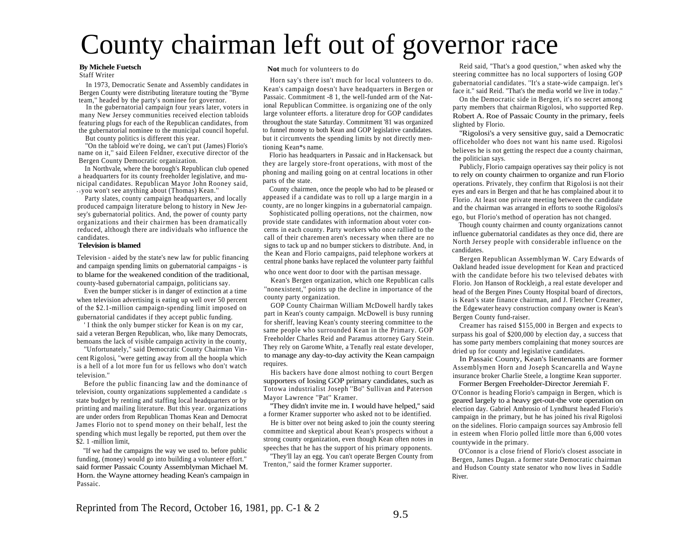# County chairman left out of governor race

Staff Writer

In 1973, Democratic Senate and Assembly candidates in Bergen County were distributing literature touting the ''Byrne team,'' headed by the party's nominee for governor.

In the gubernatorial campaign four years later, voters in many New Jersey communities received election tabloids featuring plugs for each of the Republican candidates, from throughout the state Saturday. Commitment '81 was organized slighted by Florio.<br>
to funnel money to both Kean and GOP legislative candidates. "Displaci's a v

But county politics is different this year.

''On the tabloid we're doing, we can't put (James) Florio's name on it,'' said Eileen Feldner, executive director of the

In Northvale, where the borough's Republican club opened a headquarters for its county freeholder legislative, and municipal candidates. Republican Mayor John Rooney said, parts of the state. • I you won't see anything about (Thomas) Kean.''

Party slates, county campaign headquarters, and locally produced campaign literature belong to history in New Jersey's gubernatorial politics. And, the power of county party organizations and their chairmen has been dramatically reduced, although there are individuals who influence the candidates.

#### **Television is blamed**

Television - aided by the state's new law for public financing and campaign spending limits on gubernatorial campaigns - is to blame for the weakened condition of the traditional, county-based gubernatorial campaign, politicians say.

Even the bumper sticker is in danger of extinction at a time when television advertising is eating up well over 50 percent of the \$2.1-million campaign-spending limit imposed on

' I think the only bumper sticker for Kean is on my car, said a veteran Bergen Republican, who, like many Democrats, bemoans the lack of visible campaign activity in the county,

''Unfortunately,'' said Democratic County Chairman Vincent Rigolosi, ''were getting away from all the hoopla which is a hell of a lot more fun for us fellows who don't watch television.''

Before the public financing law and the dominance of television, county organizations supplemented a candidate  $\overline{18}$ state budget by renting and staffing local headquarters or by printing and mailing literature. But this year. organizations are under orders from Republican Thomas Kean and Democrat James Florio not to spend money on their behalf, lest the spending which must legally be reported, put them over the

"If we had the campaigns the way we used to. before public funding, (money) would go into building a volunteer effort.'' said former Passaic County Assemblyman Michael M. Horn. the Wayne attorney heading Kean's campaign in Passaic.

#### **By Michele Fuetsch Not** much for volunteers to do

Horn say's there isn't much for local volunteers to do. Kean's campaign doesn't have headquarters in Bergen or Passaic. Commitment -8 1, the well-funded arm of the National Republican Committee. is organizing one of the only large volunteer efforts. a literature drop for GOP candidates throughout the state Saturday. Commitment '81 was organized to funnel money to both Kean and GOP legislative candidates. but it circumvents the spending limits by not directly mentioning Kean\*s name.

Florio has headquarters in Passaic and in Hackensack. but they are largely store-front operations, with most of the politician says.<br>Bergen County Democratic organization. They are largely store-front operations, with most of the politician says. phoning and mailing going on at central locations in other

> County chairmen, once the people who had to be pleased or appeased if a candidate was to roll up a large margin in a county, are no longer kingpins in a gubernatorial campaign.

> Sophisticated polling operations, not the chairmen, now provide state candidates with information about voter concerns in each county. Party workers who once rallied to the call of their charemen aren's necessary when there are no signs to tack up and no bumper stickers to distribute. And, in the Kean and Florio campaigns, paid telephone workers at central phone banks have replaced the volunteer party faithful

who once went door to door with the partisan message.

Kean's Bergen organization, which one Republican calls ''nonexistent,'' points up the decline in importance of the county party organization.

GOP County Chairman William McDowell hardly takes part in Kean's county campaign. McDowell is busy running for sheriff, leaving Kean's county steering committee to the same people who surrounded Kean in the Primary. GOP Freeholder Charles Reid and Paramus attorney Gary Stein. They rely on Garome White, a Tenafly real estate developer, to manage any day-to-day activity the Kean campaign gubernatorial candidates if they accept public funding. Bergen County campaign. McDowell is busy running Bergen County fund-raiser. requires.

> His backers have done almost nothing to court Bergen supporters of losing GOP primary candidates, such as Totowa industrialist Joseph ''Bo'' Sullivan and Paterson Mayor Lawrence ''Pat'' Kramer.

''They didn't invite me in. I would have helped,'' said a former Kramer supporter who asked not to be identified.

He is bitter over not being asked to join the county steering committee and skeptical about Kean's prospects without a strong county organization, even though Kean often notes in the primary.<br>\$2. 1 -million limit, strong county organization, even though Kean often notes in countywide in the primary.

''They'll lay an egg. You can't operate Bergen County from Trenton,'' said the former Kramer supporter.

Reid said, "That's a good question,'' when asked why the steering committee has no local supporters of losing GOP gubernatorial candidates. ''It's a state-wide campaign. let's face it.'' said Reid. ''That's the media world we live in today.''

On the Democratic side in Bergen, it's no secret among party members that chairman Rigolosi, who supported Rep. Robert A. Roe of Passaic County in the primary, feels

"Rigolosi's a very sensitive guy, said a Democratic officeholder who does not want his name used. Rigolosi believes he is not getting the respect due a county chairman,

Publicly, Florio campaign operatives say their policy is not to rely on county chairmen to organize and run Florio operations. Privately, they confirm that Rigolosi is not their eyes and ears in Bergen and that he has complained about it to Florio . At least one private meeting between the candidate and the chairman was arranged in efforts to soothe Rigolosi's ego, but Florio's method of operation has not changed.

Though county chairmen and county organizations cannot influence gubernatorial candidates as they once did, there are North Jersey people with considerable influence on the candidates.

Bergen Republican Assemblyman W. Cary Edwards of Oakland headed issue development for Kean and practiced with the candidate before his two televised debates with Florio. Jon Hanson of Rockleigh, a real estate developer and head of the Bergen Pines County Hospital board of directors, is Kean's state finance chairman, and J. Fletcher Creamer, the Edgewater heavy construction company owner is Kean's

Creamer has raised \$155,000 in Bergen and expects to surpass his goal of \$200,000 by election day, a success that has some party members complaining that money sources are dried up for county and legislative candidates.

In Passaic County, Kean's lieutenants are former Assemblymen Horn and Joseph Scancarella and Wayne insurance broker Charlie Steele, a longtime Kean supporter. Former Bergen Freeholder-Director Jeremiah F.

O'Connor is heading Florio's campaign in Bergen, which is geared largely to a heavy get-out-the vote operation on election day. Gabriel Ambrosio of Lyndhurst headed Florio's campaign in the primary, but he has joined his rival Rigolosi on the sidelines. Florio campaign sources say Ambrosio fell in esteem when Florio polled little more than 6,000 votes

O'Connor is a close friend of Florio's closest associate in Bergen, James Dugan. a former state Democratic chairman and Hudson County state senator who now lives in Saddle River.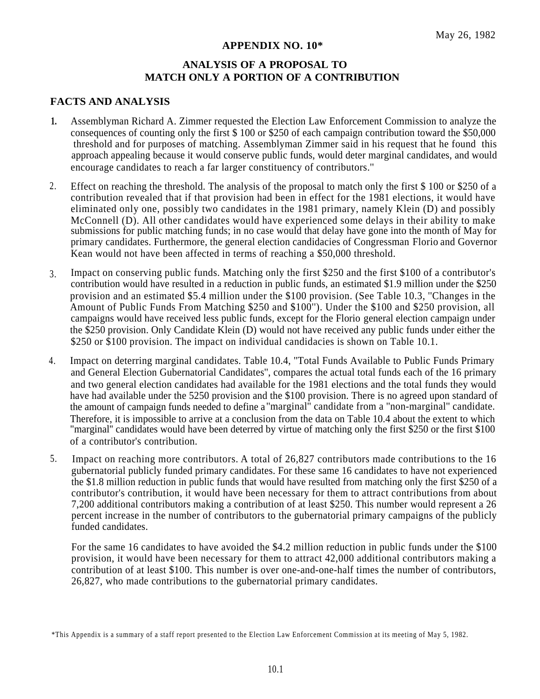# **APPENDIX NO. 10\***

# **ANALYSIS OF A PROPOSAL TO MATCH ONLY A PORTION OF A CONTRIBUTION**

# **FACTS AND ANALYSIS**

- **1.** Assemblyman Richard A. Zimmer requested the Election Law Enforcement Commission to analyze the consequences of counting only the first \$ 100 or \$250 of each campaign contribution toward the \$50,000 threshold and for purposes of matching. Assemblyman Zimmer said in his request that he found this approach appealing because it would conserve public funds, would deter marginal candidates, and would encourage candidates to reach a far larger constituency of contributors.''
- 2. Effect on reaching the threshold. The analysis of the proposal to match only the first \$ 100 or \$250 of a contribution revealed that if that provision had been in effect for the 1981 elections, it would have eliminated only one, possibly two candidates in the 1981 primary, namely Klein (D) and possibly McConnell (D). All other candidates would have experienced some delays in their ability to make submissions for public matching funds; in no case would that delay have gone into the month of May for primary candidates. Furthermore, the general election candidacies of Congressman Florio and Governor Kean would not have been affected in terms of reaching a \$50,000 threshold.
- Impact on conserving public funds. Matching only the first \$250 and the first \$100 of a contributor's contribution would have resulted in a reduction in public funds, an estimated \$1.9 million under the \$250 provision and an estimated \$5.4 million under the \$100 provision. (See Table 10.3, ''Changes in the Amount of Public Funds From Matching \$250 and \$100''). Under the \$100 and \$250 provision, all campaigns would have received less public funds, except for the Florio general election campaign under the \$250 provision. Only Candidate Klein (D) would not have received any public funds under either the \$250 or \$100 provision. The impact on individual candidacies is shown on Table 10.1. 3.
- Impact on deterring marginal candidates. Table 10.4, ''Total Funds Available to Public Funds Primary and General Election Gubernatorial Candidates'', compares the actual total funds each of the 16 primary and two general election candidates had available for the 1981 elections and the total funds they would 4. have had available under the 5250 provision and the \$100 provision. There is no agreed upon standard of the amount of campaign funds needed to define a ''marginal'' candidate from a ''non-marginal'' candidate. Therefore, it is impossible to arrive at a conclusion from the data on Table 10.4 about the extent to which "marginal'' candidates would have been deterred by virtue of matching only the first \$250 or the first \$100 of a contributor's contribution.
- 5. Impact on reaching more contributors. A total of 26,827 contributors made contributions to the 16 gubernatorial publicly funded primary candidates. For these same 16 candidates to have not experienced the \$1.8 million reduction in public funds that would have resulted from matching only the first \$250 of a contributor's contribution, it would have been necessary for them to attract contributions from about 7,200 additional contributors making a contribution of at least \$250. This number would represent a 26 percent increase in the number of contributors to the gubernatorial primary campaigns of the publicly funded candidates.

For the same 16 candidates to have avoided the \$4.2 million reduction in public funds under the \$100 provision, it would have been necessary for them to attract 42,000 additional contributors making a contribution of at least \$100. This number is over one-and-one-half times the number of contributors, 26,827, who made contributions to the gubernatorial primary candidates.

<sup>\*</sup>This Appendix is a summary of a staff report presented to the Election Law Enforcement Commission at its meeting of May 5, 1982.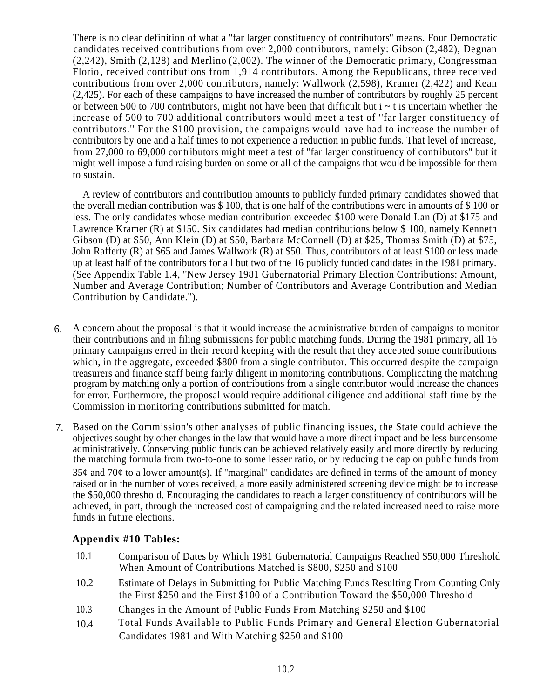There is no clear definition of what a ''far larger constituency of contributors'' means. Four Democratic candidates received contributions from over 2,000 contributors, namely: Gibson (2,482), Degnan (2,242), Smith (2,128) and Merlino (2,002). The winner of the Democratic primary, Congressman Florio , received contributions from 1,914 contributors. Among the Republicans, three received contributions from over 2,000 contributors, namely: Wallwork (2,598), Kramer (2,422) and Kean (2,425). For each of these campaigns to have increased the number of contributors by roughly 25 percent or between 500 to 700 contributors, might not have been that difficult but  $i \sim t$  is uncertain whether the increase of 500 to 700 additional contributors would meet a test of ''far larger constituency of contributors.'' For the \$100 provision, the campaigns would have had to increase the number of contributors by one and a half times to not experience a reduction in public funds. That level of increase, from 27,000 to 69,000 contributors might meet a test of ''far larger constituency of contributors'' but it might well impose a fund raising burden on some or all of the campaigns that would be impossible for them to sustain.

A review of contributors and contribution amounts to publicly funded primary candidates showed that the overall median contribution was \$ 100, that is one half of the contributions were in amounts of \$ 100 or less. The only candidates whose median contribution exceeded \$100 were Donald Lan (D) at \$175 and Lawrence Kramer (R) at \$150. Six candidates had median contributions below \$ 100, namely Kenneth Gibson (D) at \$50, Ann Klein (D) at \$50, Barbara McConnell (D) at \$25, Thomas Smith (D) at \$75, John Rafferty (R) at \$65 and James Wallwork (R) at \$50. Thus, contributors of at least \$100 or less made up at least half of the contributors for all but two of the 16 publicly funded candidates in the 1981 primary. (See Appendix Table 1.4, ''New Jersey 1981 Gubernatorial Primary Election Contributions: Amount, Number and Average Contribution; Number of Contributors and Average Contribution and Median Contribution by Candidate.'').

- A concern about the proposal is that it would increase the administrative burden of campaigns to monitor 6. their contributions and in filing submissions for public matching funds. During the 1981 primary, all 16 primary campaigns erred in their record keeping with the result that they accepted some contributions which, in the aggregate, exceeded \$800 from a single contributor. This occurred despite the campaign treasurers and finance staff being fairly diligent in monitoring contributions. Complicating the matching program by matching only a portion of contributions from a single contributor would increase the chances for error. Furthermore, the proposal would require additional diligence and additional staff time by the Commission in monitoring contributions submitted for match.
- Based on the Commission's other analyses of public financing issues, the State could achieve the 7.objectives sought by other changes in the law that would have a more direct impact and be less burdensome administratively. Conserving public funds can be achieved relatively easily and more directly by reducing the matching formula from two-to-one to some lesser ratio, or by reducing the cap on public funds from  $35¢$  and  $70¢$  to a lower amount(s). If "marginal" candidates are defined in terms of the amount of money raised or in the number of votes received, a more easily administered screening device might be to increase the \$50,000 threshold. Encouraging the candidates to reach a larger constituency of contributors will be achieved, in part, through the increased cost of campaigning and the related increased need to raise more funds in future elections.

# **Appendix #10 Tables:**

- 10.1 Comparison of Dates by Which 1981 Gubernatorial Campaigns Reached \$50,000 Threshold When Amount of Contributions Matched is \$800, \$250 and \$100
- 10.2 Estimate of Delays in Submitting for Public Matching Funds Resulting From Counting Only the First \$250 and the First \$100 of a Contribution Toward the \$50,000 Threshold
- 10.3 Changes in the Amount of Public Funds From Matching \$250 and \$100
- Total Funds Available to Public Funds Primary and General Election Gubernatorial Candidates 1981 and With Matching \$250 and \$100 10.4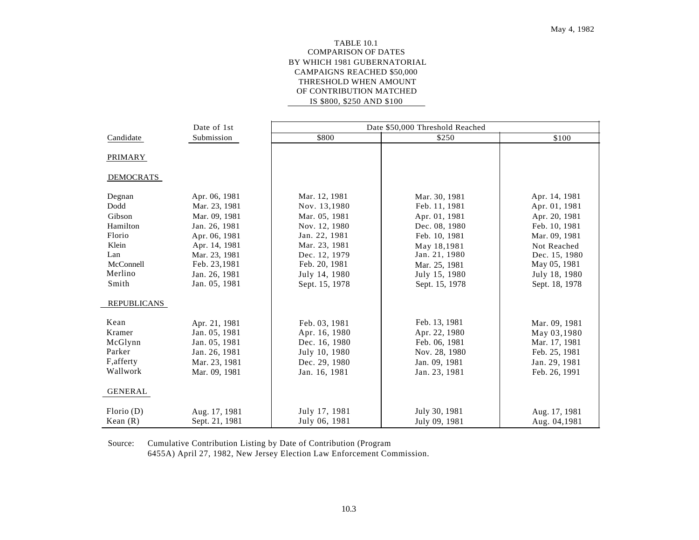#### TABLE 10.1 COMPARISON OF DATES BY WHICH 1981 GUBERNATORIAL CAMPAIGNS REACHED \$50,000 THRESHOLD WHEN AMOUNT OF CONTRIBUTION MATCHED IS \$800, \$250 AND \$100

|                    | Date of 1st    |                | Date \$50,000 Threshold Reached |                |
|--------------------|----------------|----------------|---------------------------------|----------------|
| Candidate          | Submission     | \$800          | \$250                           | \$100          |
|                    |                |                |                                 |                |
| <b>PRIMARY</b>     |                |                |                                 |                |
| <b>DEMOCRATS</b>   |                |                |                                 |                |
|                    |                |                |                                 |                |
| Degnan             | Apr. 06, 1981  | Mar. 12, 1981  | Mar. 30, 1981                   | Apr. 14, 1981  |
| Dodd               | Mar. 23, 1981  | Nov. 13,1980   | Feb. 11, 1981                   | Apr. 01, 1981  |
| Gibson             | Mar. 09, 1981  | Mar. 05, 1981  | Apr. 01, 1981                   | Apr. 20, 1981  |
| Hamilton           | Jan. 26, 1981  | Nov. 12, 1980  | Dec. 08, 1980                   | Feb. 10, 1981  |
| Florio             | Apr. 06, 1981  | Jan. 22, 1981  | Feb. 10, 1981                   | Mar. 09, 1981  |
| Klein              | Apr. 14, 1981  | Mar. 23, 1981  | May 18,1981                     | Not Reached    |
| Lan                | Mar. 23, 1981  | Dec. 12, 1979  | Jan. 21, 1980                   | Dec. 15, 1980  |
| McConnell          | Feb. 23,1981   | Feb. 20, 1981  | Mar. 25, 1981                   | May 05, 1981   |
| Merlino            | Jan. 26, 1981  | July 14, 1980  | July 15, 1980                   | July 18, 1980  |
| Smith              | Jan. 05, 1981  | Sept. 15, 1978 | Sept. 15, 1978                  | Sept. 18, 1978 |
| <b>REPUBLICANS</b> |                |                |                                 |                |
|                    |                |                |                                 |                |
| Kean               | Apr. 21, 1981  | Feb. 03, 1981  | Feb. 13, 1981                   | Mar. 09, 1981  |
| Kramer             | Jan. 05, 1981  | Apr. 16, 1980  | Apr. 22, 1980                   | May 03,1980    |
| McGlynn            | Jan. 05, 1981  | Dec. 16, 1980  | Feb. 06, 1981                   | Mar. 17, 1981  |
| Parker             | Jan. 26, 1981  | July 10, 1980  | Nov. 28, 1980                   | Feb. 25, 1981  |
| F, afferty         | Mar. 23, 1981  | Dec. 29, 1980  | Jan. 09, 1981                   | Jan. 29, 1981  |
| Wallwork           | Mar. 09, 1981  | Jan. 16, 1981  | Jan. 23, 1981                   | Feb. 26, 1991  |
| <b>GENERAL</b>     |                |                |                                 |                |
|                    |                |                |                                 |                |
| Florio(D)          | Aug. 17, 1981  | July 17, 1981  | July 30, 1981                   | Aug. 17, 1981  |
| Kean $(R)$         | Sept. 21, 1981 | July 06, 1981  | July 09, 1981                   | Aug. 04,1981   |

Source: Cumulative Contribution Listing by Date of Contribution (Program 6455A) April 27, 1982, New Jersey Election Law Enforcement Commission.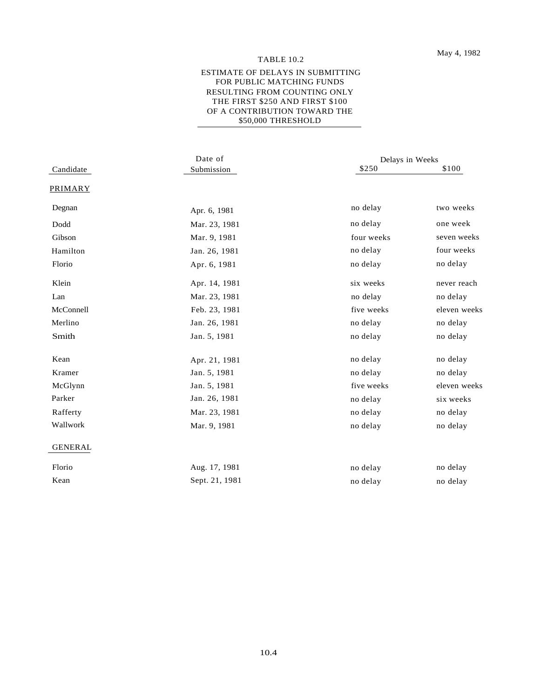#### TABLE 10.2

#### ESTIMATE OF DELAYS IN SUBMITTING FOR PUBLIC MATCHING FUNDS RESULTING FROM COUNTING ONLY THE FIRST \$250 AND FIRST \$100 OF A CONTRIBUTION TOWARD THE \$50,000 THRESHOLD

|                | Date of        | Delays in Weeks |              |  |  |
|----------------|----------------|-----------------|--------------|--|--|
| Candidate      | Submission     | \$250           | \$100        |  |  |
| <b>PRIMARY</b> |                |                 |              |  |  |
| Degnan         | Apr. 6, 1981   | no delay        | two weeks    |  |  |
| Dodd           | Mar. 23, 1981  | no delay        | one week     |  |  |
| Gibson         | Mar. 9, 1981   | four weeks      | seven weeks  |  |  |
| Hamilton       | Jan. 26, 1981  | no delay        | four weeks   |  |  |
| Florio         | Apr. 6, 1981   | no delay        | no delay     |  |  |
| Klein          | Apr. 14, 1981  | six weeks       | never reach  |  |  |
| Lan            | Mar. 23, 1981  | no delay        | no delay     |  |  |
| McConnell      | Feb. 23, 1981  | five weeks      | eleven weeks |  |  |
| Merlino        | Jan. 26, 1981  | no delay        | no delay     |  |  |
| Smith          | Jan. 5, 1981   | no delay        | no delay     |  |  |
| Kean           | Apr. 21, 1981  | no delay        | no delay     |  |  |
| Kramer         | Jan. 5, 1981   | no delay        | no delay     |  |  |
| McGlynn        | Jan. 5, 1981   | five weeks      | eleven weeks |  |  |
| Parker         | Jan. 26, 1981  | no delay        | six weeks    |  |  |
| Rafferty       | Mar. 23, 1981  | no delay        | no delay     |  |  |
| Wallwork       | Mar. 9, 1981   | no delay        | no delay     |  |  |
| <b>GENERAL</b> |                |                 |              |  |  |
| Florio         | Aug. 17, 1981  | no delay        | no delay     |  |  |
| Kean           | Sept. 21, 1981 | no delay        | no delay     |  |  |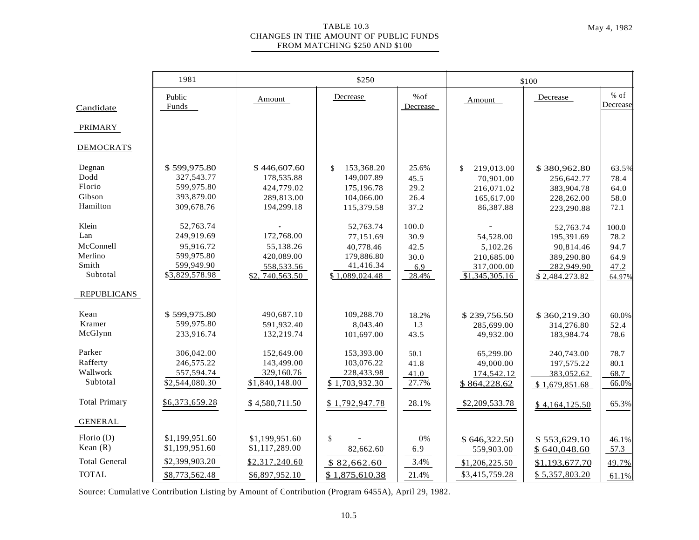#### TABLE 10.3 May 4, 1982 CHANGES IN THE AMOUNT OF PUBLIC FUNDS FROM MATCHING \$250 AND \$100

|                                                                          | 1981                                                                               | \$250                                                                    |                                                                                          |                                               | \$100                                                                  |                                                                                    |                                                 |  |
|--------------------------------------------------------------------------|------------------------------------------------------------------------------------|--------------------------------------------------------------------------|------------------------------------------------------------------------------------------|-----------------------------------------------|------------------------------------------------------------------------|------------------------------------------------------------------------------------|-------------------------------------------------|--|
| Candidate                                                                | Public<br>Funds                                                                    | Amount                                                                   | Decrease                                                                                 | %of<br>Decrease                               | Amount                                                                 | Decrease                                                                           | $%$ of<br>Decrease                              |  |
| <b>PRIMARY</b>                                                           |                                                                                    |                                                                          |                                                                                          |                                               |                                                                        |                                                                                    |                                                 |  |
| <b>DEMOCRATS</b>                                                         |                                                                                    |                                                                          |                                                                                          |                                               |                                                                        |                                                                                    |                                                 |  |
| Degnan<br>Dodd<br>Florio<br>Gibson<br>Hamilton                           | \$599,975.80<br>327,543.77<br>599,975.80<br>393,879.00<br>309,678.76               | \$446,607.60<br>178,535.88<br>424,779.02<br>289,813.00<br>194,299.18     | 153,368.20<br>$\mathbf{\hat{s}}$<br>149,007.89<br>175,196.78<br>104,066.00<br>115,379.58 | 25.6%<br>45.5<br>29.2<br>26.4<br>37.2         | \$<br>219,013.00<br>70,901.00<br>216,071.02<br>165,617.00<br>86,387.88 | \$380,962.80<br>256,642.77<br>383,904.78<br>228,262.00<br>223,290.88               | 63.5%<br>78.4<br>64.0<br>58.0<br>72.1           |  |
| Klein<br>Lan<br>McConnell<br>Merlino<br>Smith<br>Subtotal<br>REPUBLICANS | 52,763.74<br>249,919.69<br>95,916.72<br>599,975.80<br>599,949.90<br>\$3,829,578.98 | 172,768.00<br>55,138.26<br>420,089.00<br>558,533.56<br>\$2, 740, 563. 50 | 52,763.74<br>77,151.69<br>40,778.46<br>179,886.80<br>41,416.34<br>\$1,089,024.48         | 100.0<br>30.9<br>42.5<br>30.0<br>6.9<br>28.4% | 54,528.00<br>5,102.26<br>210,685.00<br>317,000.00<br>\$1,345,305.16    | 52.763.74<br>195,391.69<br>90,814.46<br>389,290.80<br>282,949.90<br>\$2,484.273.82 | 100.0<br>78.2<br>94.7<br>64.9<br>47.2<br>64.97% |  |
| Kean<br>Kramer<br>McGlynn<br>Parker<br>Rafferty                          | \$599,975.80<br>599,975.80<br>233,916.74<br>306,042.00<br>246,575.22               | 490,687.10<br>591,932.40<br>132,219.74<br>152,649.00<br>143,499.00       | 109,288.70<br>8,043.40<br>101,697.00<br>153,393.00<br>103,076.22                         | 18.2%<br>1.3<br>43.5<br>50.1<br>41.8          | \$239,756.50<br>285,699.00<br>49,932.00<br>65,299.00<br>49,000.00      | \$360,219.30<br>314,276.80<br>183,984.74<br>240,743.00<br>197,575.22               | 60.0%<br>52.4<br>78.6<br>78.7<br>80.1           |  |
| Wallwork<br>Subtotal                                                     | 557,594.74<br>\$2,544,080.30                                                       | 329,160.76<br>\$1,840,148.00                                             | 228,433.98<br>\$1,703,932.30                                                             | 41.0<br>27.7%                                 | 174,542.12<br>\$864,228.62                                             | 383,052.62<br>\$1,679,851.68                                                       | 68.7<br>66.0%                                   |  |
| <b>Total Primary</b>                                                     | \$6,373,659.28                                                                     | \$4,580,711.50                                                           | \$1,792,947.78                                                                           | 28.1%                                         | \$2,209,533.78                                                         | \$4,164,125.50                                                                     | 65.3%                                           |  |
| GENERAL                                                                  |                                                                                    |                                                                          |                                                                                          |                                               |                                                                        |                                                                                    |                                                 |  |
| Florio(D)<br>Kean $(R)$                                                  | \$1,199,951.60<br>\$1,199,951.60                                                   | \$1,199,951.60<br>\$1,117,289.00                                         | $\mathsf{\$}$<br>82,662.60                                                               | 0%<br>6.9                                     | \$646,322.50<br>559,903.00                                             | \$553,629.10<br>\$640,048.60                                                       | 46.1%<br>57.3                                   |  |
| <b>Total General</b>                                                     | \$2,399,903.20                                                                     | \$2,317,240.60                                                           | \$82,662.60                                                                              | 3.4%                                          | \$1,206,225.50                                                         | \$1,193,677.70                                                                     | 49.7%                                           |  |
| <b>TOTAL</b>                                                             | \$8,773,562.48                                                                     | \$6,897,952.10                                                           | \$1,875,610.38                                                                           | 21.4%                                         | \$3,415,759.28                                                         | \$5,357,803.20                                                                     | 61.1%                                           |  |

Source: Cumulative Contribution Listing by Amount of Contribution (Program 6455A), April 29, 1982.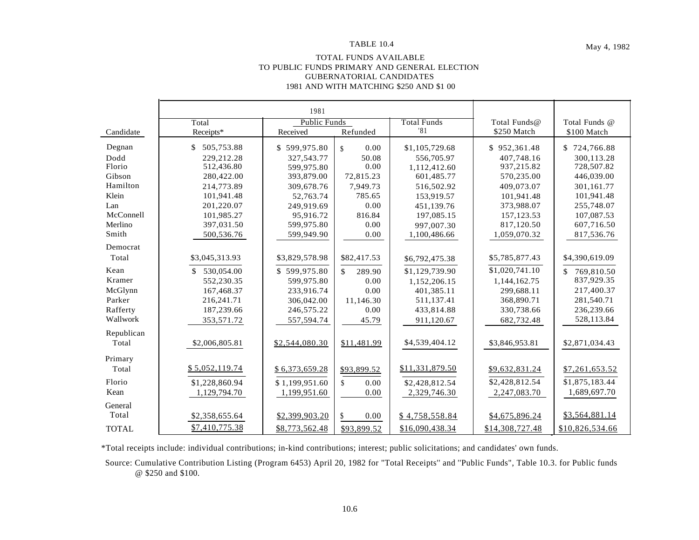#### TOTAL FUNDS AVAILABLE TO PUBLIC FUNDS PRIMARY AND GENERAL ELECTION GUBERNATORIAL CANDIDATES 1981 AND WITH MATCHING \$250 AND \$1 00

|              |                | 1981                |                            |                    |                 |                  |
|--------------|----------------|---------------------|----------------------------|--------------------|-----------------|------------------|
|              | Total          | <b>Public Funds</b> |                            | <b>Total Funds</b> | Total Funds@    | Total Funds @    |
| Candidate    | Receipts*      | Received            | Refunded                   | '81                | \$250 Match     | \$100 Match      |
| Degnan       | \$ 505,753.88  | \$599,975.80        | 0.00<br>$\mathbf{\hat{s}}$ | \$1,105,729.68     | \$952,361.48    | \$724,766.88     |
| Dodd         | 229.212.28     | 327, 543, 77        | 50.08                      | 556,705.97         | 407.748.16      | 300.113.28       |
| Florio       | 512,436.80     | 599.975.80          | 0.00                       | 1,112,412.60       | 937,215.82      | 728,507.82       |
| Gibson       | 280,422.00     | 393,879.00          | 72,815.23                  | 601,485.77         | 570.235.00      | 446,039.00       |
| Hamilton     | 214,773.89     | 309,678.76          | 7,949.73                   | 516,502.92         | 409,073.07      | 301,161.77       |
| Klein        | 101,941.48     | 52,763.74           | 785.65                     | 153.919.57         | 101.941.48      | 101,941.48       |
| Lan          | 201,220.07     | 249.919.69          | 0.00                       | 451,139.76         | 373,988.07      | 255,748.07       |
| McConnell    | 101.985.27     | 95.916.72           | 816.84                     | 197.085.15         | 157.123.53      | 107,087.53       |
| Merlino      | 397,031.50     | 599,975.80          | 0.00                       | 997.007.30         | 817,120.50      | 607,716.50       |
| Smith        | 500,536.76     | 599,949.90          | 0.00                       | 1,100,486.66       | 1,059,070.32    | 817,536.76       |
| Democrat     |                |                     |                            |                    |                 |                  |
| Total        | \$3,045,313.93 | \$3,829,578.98      | \$82,417.53                | \$6,792,475.38     | \$5,785,877.43  | \$4,390,619.09   |
| Kean         | \$ 530,054.00  | \$599,975.80        | \$<br>289.90               | \$1,129,739.90     | \$1,020,741.10  | \$<br>769,810.50 |
| Kramer       | 552,230.35     | 599,975.80          | 0.00                       | 1,152,206.15       | 1,144,162.75    | 837,929.35       |
| McGlynn      | 167,468.37     | 233,916.74          | 0.00                       | 401,385.11         | 299.688.11      | 217,400.37       |
| Parker       | 216,241.71     | 306,042.00          | 11,146.30                  | 511,137.41         | 368,890.71      | 281,540.71       |
| Rafferty     | 187,239.66     | 246,575.22          | 0.00                       | 433,814.88         | 330,738.66      | 236,239.66       |
| Wallwork     | 353,571.72     | 557,594.74          | 45.79                      | 911,120.67         | 682,732.48      | 528,113.84       |
| Republican   |                |                     |                            |                    |                 |                  |
| Total        | \$2,006,805.81 | \$2,544,080.30      | \$11,481.99                | \$4,539,404.12     | \$3,846,953.81  | \$2,871,034.43   |
| Primary      |                |                     |                            |                    |                 |                  |
| Total        | \$5,052,119.74 | \$6,373,659.28      | \$93,899.52                | \$11,331,879.50    | \$9,632,831.24  | \$7,261,653.52   |
| Florio       | \$1,228,860.94 | \$1,199,951.60      | \$<br>0.00                 | \$2,428,812.54     | \$2,428,812.54  | \$1,875,183.44   |
| Kean         | 1,129,794.70   | 1,199,951.60        | 0.00                       | 2,329,746.30       | 2,247,083.70    | 1,689,697.70     |
| General      |                |                     |                            |                    |                 |                  |
| Total        | \$2,358,655.64 | \$2,399,903.20      | \$<br>0.00                 | \$4,758,558.84     | \$4,675,896.24  | \$3,564,881.14   |
| <b>TOTAL</b> | \$7,410,775.38 | \$8,773,562.48      | \$93,899.52                | \$16,090,438.34    | \$14,308,727.48 | \$10,826,534.66  |

\*Total receipts include: individual contributions; in-kind contributions; interest; public solicitations; and candidates' own funds.

Source: Cumulative Contribution Listing (Program 6453) April 20, 1982 for "Total Receipts'' and ''Public Funds", Table 10.3. for Public funds @ \$250 and \$100.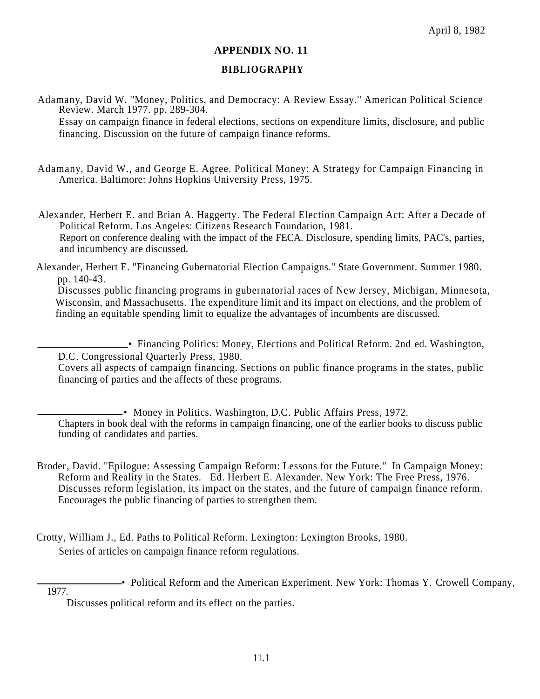#### **APPENDIX NO. 11**

### **BIBLIOGRAPHY**

Adamany, David W. ''Money, Politics, and Democracy: A Review Essay.'' American Political Science Review. March 1977. pp. 289-304.

Essay on campaign finance in federal elections, sections on expenditure limits, disclosure, and public financing. Discussion on the future of campaign finance reforms.

Adamany, David W., and George E. Agree. Political Money: A Strategy for Campaign Financing in America. Baltimore: Johns Hopkins University Press, 1975.

Alexander, Herbert E. and Brian A. Haggerty. The Federal Election Campaign Act: After a Decade of Political Reform. Los Angeles: Citizens Research Foundation, 1981. Report on conference dealing with the impact of the FECA. Disclosure, spending limits, PAC's, parties, and incumbency are discussed.

Alexander, Herbert E. ''Financing Gubernatorial Election Campaigns.'' State Government. Summer 1980. pp. 140-43.

Discusses public financing programs in gubernatorial races of New Jersey, Michigan, Minnesota, Wisconsin, and Massachusetts. The expenditure limit and its impact on elections, and the problem of finding an equitable spending limit to equalize the advantages of incumbents are discussed.

• Financing Politics: Money, Elections and Political Reform. 2nd ed. Washington, D.C. Congressional Quarterly Press, 1980.

Covers all aspects of campaign financing. Sections on public finance programs in the states, public financing of parties and the affects of these programs.

• Money in Politics. Washington, D.C. Public Affairs Press, 1972. Chapters in book deal with the reforms in campaign financing, one of the earlier books to discuss public funding of candidates and parties.

- Broder, David. ''Epilogue: Assessing Campaign Reform: Lessons for the Future.'' In Campaign Money: Reform and Reality in the States. Ed. Herbert E. Alexander. New York: The Free Press, 1976. Discusses reform legislation, its impact on the states, and the future of campaign finance reform. Encourages the public financing of parties to strengthen them.
- Crotty, William J., Ed. Paths to Political Reform. Lexington: Lexington Brooks, 1980. Series of articles on campaign finance reform regulations.

• Political Reform and the American Experiment. New York: Thomas Y. Crowell Company, 1977.

Discusses political reform and its effect on the parties.